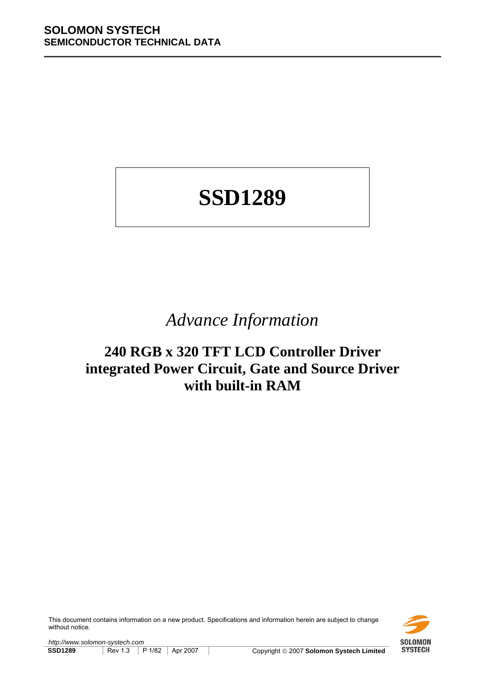# **SSD1289**

# *Advance Information*

# **240 RGB x 320 TFT LCD Controller Driver integrated Power Circuit, Gate and Source Driver with built-in RAM**

This document contains information on a new product. Specifications and information herein are subject to change without notice.



*http://www.solomon-systech.com*  **SSD1289** Rev 1.3 P 1/82 Apr 2007 Copyright © 2007 Solomon Systech Limited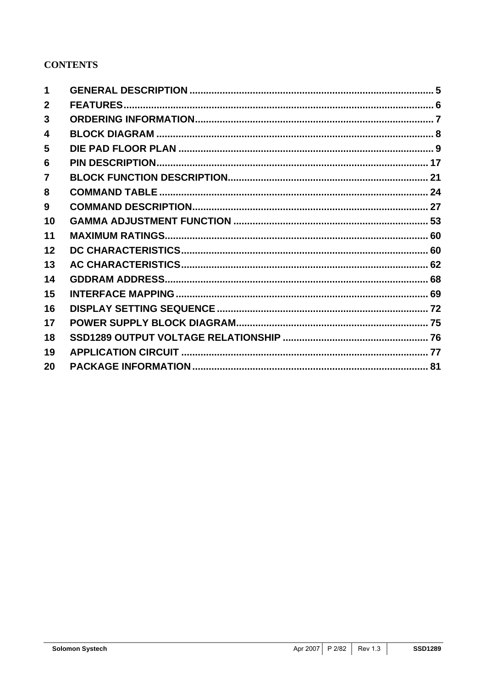# **CONTENTS**

| 1              |  |
|----------------|--|
| $\mathbf{2}$   |  |
| 3              |  |
| 4              |  |
| 5              |  |
| 6              |  |
| $\overline{7}$ |  |
| 8              |  |
| 9              |  |
| 10             |  |
| 11             |  |
| 12             |  |
| 13             |  |
| 14             |  |
| 15             |  |
| 16             |  |
| 17             |  |
| 18             |  |
| 19             |  |
| 20             |  |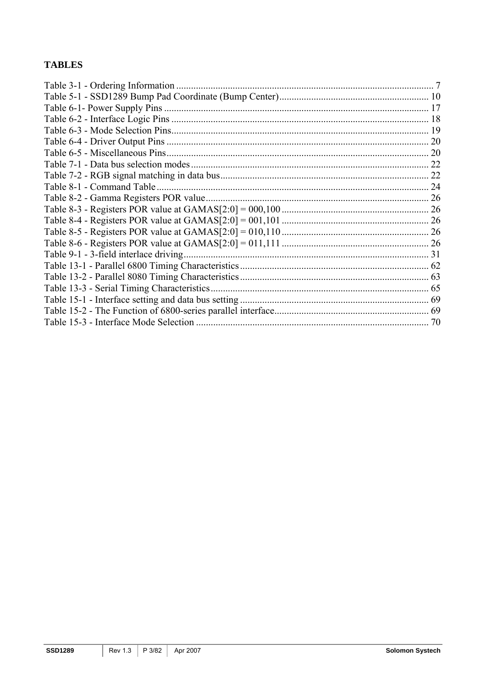# **TABLES**

| Table 3-1 - Ordering Information       |    |
|----------------------------------------|----|
|                                        |    |
|                                        |    |
|                                        |    |
|                                        |    |
|                                        |    |
|                                        |    |
|                                        | 22 |
|                                        | 22 |
|                                        |    |
|                                        |    |
|                                        |    |
|                                        |    |
|                                        |    |
|                                        |    |
| Table 9-1 - 3-field interlace driving. |    |
|                                        |    |
|                                        |    |
|                                        |    |
|                                        |    |
|                                        |    |
|                                        |    |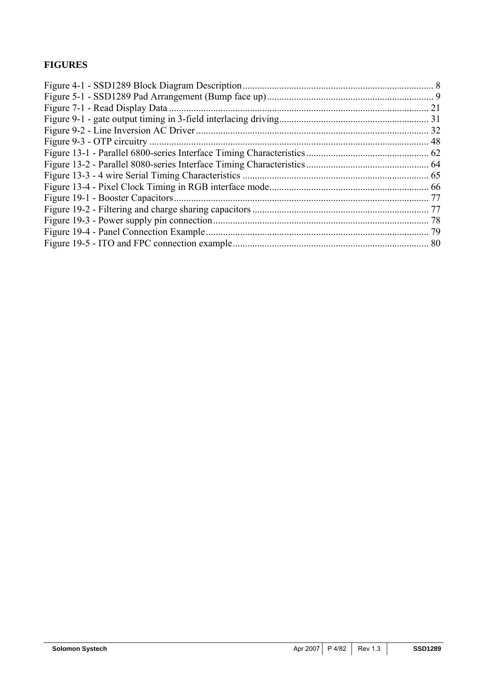# **FIGURES**

| 21 |
|----|
|    |
|    |
|    |
|    |
|    |
|    |
|    |
|    |
|    |
|    |
|    |
|    |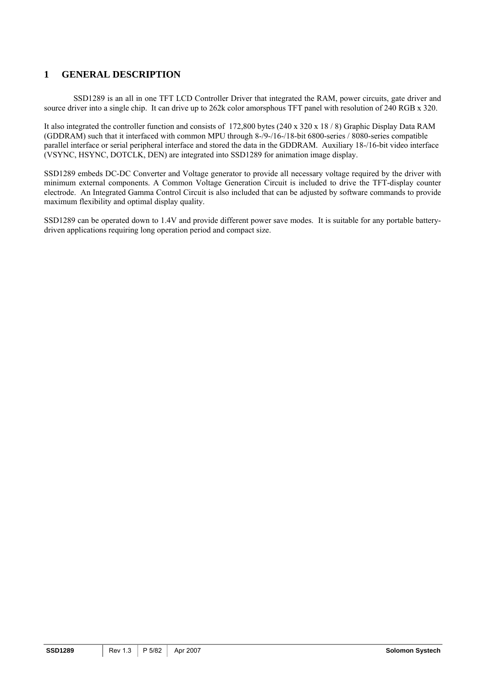# <span id="page-4-0"></span>**1 GENERAL DESCRIPTION**

SSD1289 is an all in one TFT LCD Controller Driver that integrated the RAM, power circuits, gate driver and source driver into a single chip. It can drive up to 262k color amorsphous TFT panel with resolution of 240 RGB x 320.

It also integrated the controller function and consists of 172,800 bytes (240 x 320 x 18 / 8) Graphic Display Data RAM (GDDRAM) such that it interfaced with common MPU through 8-/9-/16-/18-bit 6800-series / 8080-series compatible parallel interface or serial peripheral interface and stored the data in the GDDRAM. Auxiliary 18-/16-bit video interface (VSYNC, HSYNC, DOTCLK, DEN) are integrated into SSD1289 for animation image display.

SSD1289 embeds DC-DC Converter and Voltage generator to provide all necessary voltage required by the driver with minimum external components. A Common Voltage Generation Circuit is included to drive the TFT-display counter electrode. An Integrated Gamma Control Circuit is also included that can be adjusted by software commands to provide maximum flexibility and optimal display quality.

SSD1289 can be operated down to 1.4V and provide different power save modes. It is suitable for any portable batterydriven applications requiring long operation period and compact size.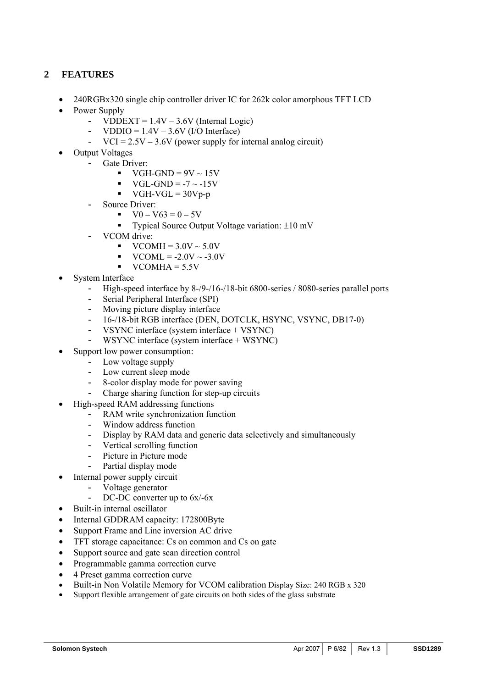# <span id="page-5-0"></span>**2 FEATURES**

- 240RGBx320 single chip controller driver IC for 262k color amorphous TFT LCD
- Power Supply
	- VDDEXT =  $1.4V 3.6V$  (Internal Logic)
	- VDDIO =  $1.4V 3.6V$  (I/O Interface)<br>- VCI =  $2.5V 3.6V$  (power supply for i
	- $VCI = 2.5V 3.6V$  (power supply for internal analog circuit)
- Output Voltages
	- Gate Driver:
		- $\blacktriangleright$  VGH-GND = 9V ~ 15V
		- $VGL-GND = -7 \sim -15V$
		- $\blacktriangleright$  VGH-VGL = 30Vp-p
	- Source Driver:
		- $V0 V63 = 0 5V$
		- Typical Source Output Voltage variation: ±10 mV
	- VCOM drive:
		- $\text{VCOMH} = 3.0 \text{V} \sim 5.0 \text{V}$
		- $VCOML = -2.0V \sim -3.0V$
		- $VCOMHA = 5.5V$
- System Interface
	- High-speed interface by 8-/9-/16-/18-bit 6800-series / 8080-series parallel ports
	- Serial Peripheral Interface (SPI)
	- Moving picture display interface
	- 16-/18-bit RGB interface (DEN, DOTCLK, HSYNC, VSYNC, DB17-0)
	- VSYNC interface (system interface + VSYNC)
	- WSYNC interface (system interface + WSYNC)
- Support low power consumption:
	- Low voltage supply
	- Low current sleep mode
	- 8-color display mode for power saving
	- Charge sharing function for step-up circuits
- High-speed RAM addressing functions
	- RAM write synchronization function
	- Window address function
	- Display by RAM data and generic data selectively and simultaneously
	- Vertical scrolling function
	- Picture in Picture mode
	- Partial display mode
- Internal power supply circuit
	- Voltage generator
	- DC-DC converter up to 6x/-6x
- Built-in internal oscillator
- Internal GDDRAM capacity: 172800Byte
- Support Frame and Line inversion AC drive
- TFT storage capacitance: Cs on common and Cs on gate
- Support source and gate scan direction control
- Programmable gamma correction curve
- 4 Preset gamma correction curve
- Built-in Non Volatile Memory for VCOM calibration Display Size: 240 RGB x 320
- Support flexible arrangement of gate circuits on both sides of the glass substrate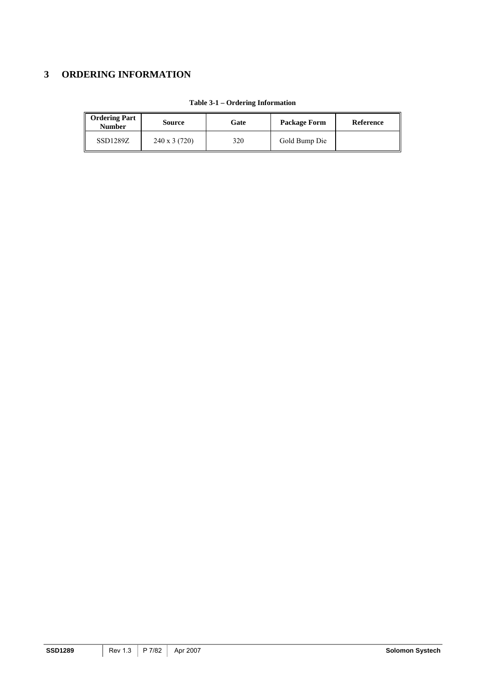# <span id="page-6-0"></span>**3 ORDERING INFORMATION**

| <b>Ordering Part</b><br><b>Number</b> | Source              | Gate | Package Form  | Reference |
|---------------------------------------|---------------------|------|---------------|-----------|
| SSD1289Z                              | $240 \times 3(720)$ | 320  | Gold Bump Die |           |

#### **Table 3-1 – Ordering Information**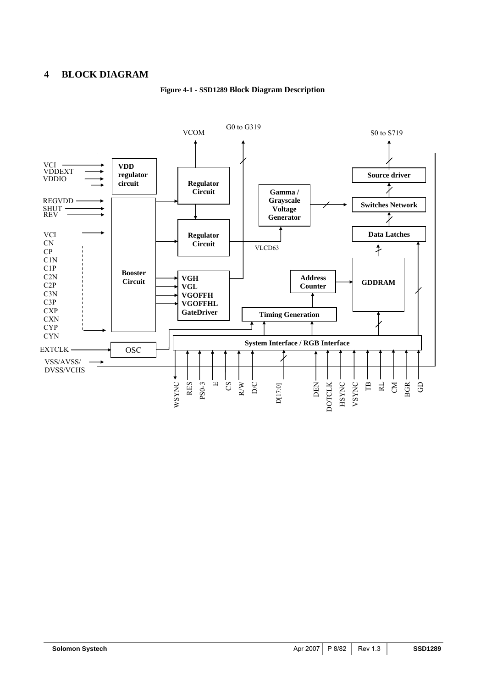# <span id="page-7-0"></span>**4 BLOCK DIAGRAM**



#### **Figure 4-1 - SSD1289 Block Diagram Description**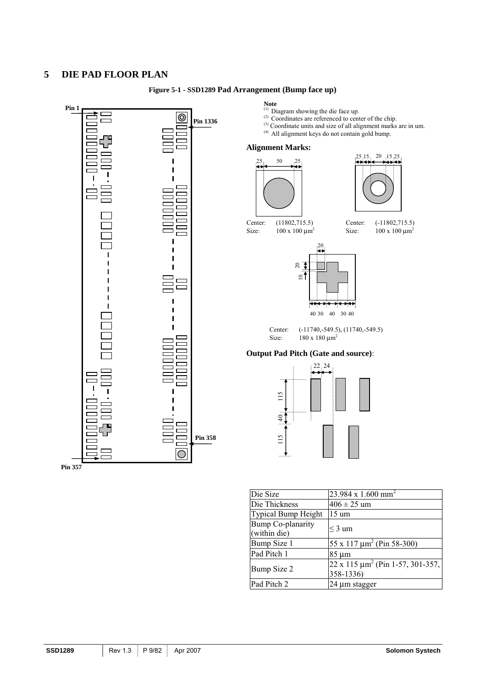# <span id="page-8-0"></span>**5 DIE PAD FLOOR PLAN**



#### **Figure 5-1 - SSD1289 Pad Arrangement (Bump face up)**

- **Note**  (1) Diagram showing the die face up.
- $^{(2)}$  Coordinates are referenced to center of the chip.
- (3) Coordinate units and size of all alignment marks are in um.
	-



Center: (-11802,715.5) Size:  $100 \times 100 \mu m^2$ 

Center: (-11740,-549.5), (11740,-549.5)

#### **Output Pad Pitch (Gate and source)**:



| Die Size                                 | $23.984 \times 1.600$ mm <sup>2</sup>                    |
|------------------------------------------|----------------------------------------------------------|
| Die Thickness                            | $406 \pm 25$ um                                          |
| <b>Typical Bump Height</b>               | 15 um                                                    |
| <b>Bump Co-planarity</b><br>(within die) | $\leq$ 3 um                                              |
| Bump Size 1                              | $55 \times 117 \mu m^2$ (Pin 58-300)                     |
| Pad Pitch 1                              | 85 um                                                    |
| Bump Size 2                              | $22 \times 115 \mu m^2$ (Pin 1-57, 301-357,<br>358-1336) |
| Pad Pitch 2                              | 24 µm stagger                                            |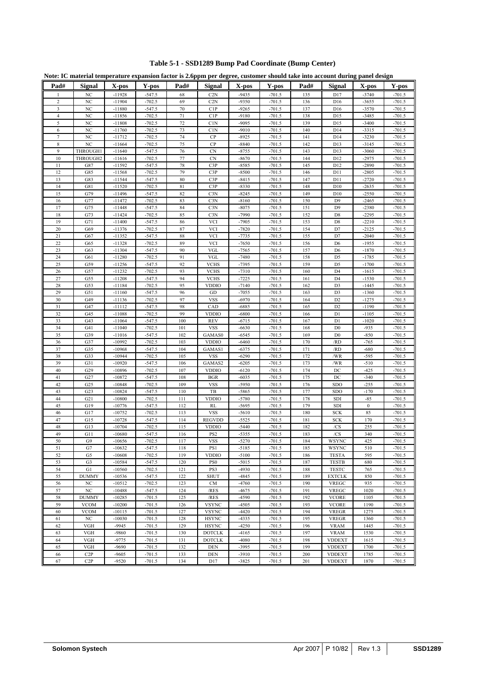<span id="page-9-0"></span>

|                | Note: IC material temperature expansion factor is 2.6ppm per degree, customer should take into account during panel design |                      |                      |            |                                 |                    |                      |            |                                  |                    |                      |
|----------------|----------------------------------------------------------------------------------------------------------------------------|----------------------|----------------------|------------|---------------------------------|--------------------|----------------------|------------|----------------------------------|--------------------|----------------------|
| Pad#           | Signal                                                                                                                     | X-pos                | Y-pos                | Pad#       | Signal                          | X-pos              | Y-pos                | Pad#       | Signal                           | X-pos              | Y-pos                |
| $\mathbf{1}$   | NC                                                                                                                         | $-11928$             | $-547.5$             | 68         | C2N                             | $-9435$            | $-701.5$             | 135        | D17                              | $-3740$            | $-701.5$             |
| $\overline{2}$ | NC                                                                                                                         | $-11904$             | $-702.5$             | 69         | C2N                             | $-9350$            | $-701.5$             | 136        | D <sub>16</sub>                  | $-3655$            | $-701.5$             |
| 3              | NC                                                                                                                         | $-11880$             | $-547.5$             | 70         | C1P                             | $-9265$            | $-701.5$             | 137        | D <sub>16</sub>                  | $-3570$            | $-701.5$             |
| $\overline{4}$ | NC                                                                                                                         | $-11856$             | $-702.5$             | 71         | C1P                             | $-9180$            | $-701.5$             | 138        | D15                              | $-3485$            | $-701.5$             |
| 5<br>6         | NC<br>NC                                                                                                                   | $-11808$<br>$-11760$ | $-702.5$<br>$-702.5$ | 72<br>73   | C1N<br>C1N                      | $-9095$<br>$-9010$ | $-701.5$<br>$-701.5$ | 139<br>140 | D15<br>D14                       | $-3400$<br>$-3315$ | $-701.5$<br>$-701.5$ |
| 7              | NC                                                                                                                         | $-11712$             | $-702.5$             | 74         | CP                              | $-8925$            | $-701.5$             | 141        | D <sub>14</sub>                  | $-3230$            | $-701.5$             |
| 8              | NC                                                                                                                         | $-11664$             | $-702.5$             | 75         | CP                              | $-8840$            | $-701.5$             | 142        | D13                              | $-3145$            | $-701.5$             |
| 9              | THROUGH1                                                                                                                   | $-11640$             | $-547.5$             | 76         | <b>CN</b>                       | $-8755$            | $-701.5$             | 143        | D13                              | $-3060$            | $-701.5$             |
| 10             | THROUGH2                                                                                                                   | $-11616$             | $-702.5$             | 77         | <b>CN</b>                       | $-8670$            | $-701.5$             | 144        | D12                              | $-2975$            | $-701.5$             |
| 11             | G87                                                                                                                        | $-11592$             | $-547.5$             | 78         | C3P                             | $-8585$            | $-701.5$             | 145        | D <sub>12</sub>                  | $-2890$            | $-701.5$             |
| 12<br>13       | G85<br>G83                                                                                                                 | $-11568$<br>$-11544$ | $-702.5$<br>$-547.5$ | 79<br>80   | C3P<br>C3P                      | $-8500$<br>$-8415$ | $-701.5$<br>$-701.5$ | 146<br>147 | D11<br>D11                       | $-2805$<br>$-2720$ | $-701.5$<br>$-701.5$ |
| 14             | G81                                                                                                                        | $-11520$             | $-702.5$             | 81         | C3P                             | $-8330$            | $-701.5$             | 148        | D10                              | $-2635$            | $-701.5$             |
| 15             | G79                                                                                                                        | $-11496$             | $-547.5$             | 82         | C3N                             | $-8245$            | $-701.5$             | 149        | D10                              | $-2550$            | $-701.5$             |
| 16             | G77                                                                                                                        | $-11472$             | $-702.5$             | 83         | C3N                             | $-8160$            | $-701.5$             | 150        | D <sub>9</sub>                   | $-2465$            | $-701.5$             |
| 17             | G75                                                                                                                        | $-11448$             | $-547.5$             | 84         | C3N                             | $-8075$            | $-701.5$             | 151        | D <sub>9</sub>                   | $-2380$            | $-701.5$             |
| 18             | G73                                                                                                                        | $-11424$             | $-702.5$             | 85         | C3N                             | $-7990$            | $-701.5$             | 152        | D <sub>8</sub>                   | $-2295$            | $-701.5$             |
| 19<br>20       | G71<br>G69                                                                                                                 | $-11400$<br>$-11376$ | $-547.5$<br>$-702.5$ | 86<br>87   | <b>VCI</b><br><b>VCI</b>        | $-7905$<br>$-7820$ | $-701.5$<br>$-701.5$ | 153<br>154 | D <sub>8</sub><br>D7             | $-2210$<br>$-2125$ | $-701.5$<br>$-701.5$ |
| 21             | G67                                                                                                                        | $-11352$             | $-547.5$             | 88         | <b>VCI</b>                      | $-7735$            | $-701.5$             | 155        | D7                               | $-2040$            | $-701.5$             |
| 22             | G65                                                                                                                        | $-11328$             | $-702.5$             | 89         | <b>VCI</b>                      | $-7650$            | $-701.5$             | 156        | D <sub>6</sub>                   | $-1955$            | $-701.5$             |
| 23             | G63                                                                                                                        | $-11304$             | $-547.5$             | 90         | <b>VGL</b>                      | $-7565$            | $-701.5$             | 157        | D <sub>6</sub>                   | $-1870$            | $-701.5$             |
| 24             | G61                                                                                                                        | $-11280$             | $-702.5$             | 91         | <b>VGL</b>                      | $-7480$            | $-701.5$             | 158        | D <sub>5</sub>                   | $-1785$            | $-701.5$             |
| 25             | G59                                                                                                                        | $-11256$             | $-547.5$             | 92         | <b>VCHS</b>                     | $-7395$            | $-701.5$             | 159        | D <sub>5</sub>                   | $-1700$            | $-701.5$             |
| 26<br>27       | G57<br>G55                                                                                                                 | $-11232$<br>$-11208$ | $-702.5$<br>$-547.5$ | 93<br>94   | <b>VCHS</b><br><b>VCHS</b>      | $-7310$<br>$-7225$ | $-701.5$<br>$-701.5$ | 160<br>161 | D <sub>4</sub><br>D <sub>4</sub> | $-1615$<br>$-1530$ | $-701.5$<br>$-701.5$ |
| 28             | G53                                                                                                                        | $-11184$             | $-702.5$             | 95         | <b>VDDIO</b>                    | $-7140$            | $-701.5$             | 162        | D <sub>3</sub>                   | $-1445$            | $-701.5$             |
| 29             | G51                                                                                                                        | $-11160$             | $-547.5$             | 96         | GD                              | $-7055$            | $-701.5$             | 163        | D <sub>3</sub>                   | $-1360$            | $-701.5$             |
| 30             | G49                                                                                                                        | $-11136$             | $-702.5$             | 97         | <b>VSS</b>                      | $-6970$            | $-701.5$             | 164        | D <sub>2</sub>                   | $-1275$            | $-701.5$             |
| 31             | G47                                                                                                                        | $-11112$             | $-547.5$             | 98         | CAD                             | $-6885$            | $-701.5$             | 165        | D <sub>2</sub>                   | $-1190$            | $-701.5$             |
| 32             | G45                                                                                                                        | $-11088$             | $-702.5$             | 99         | <b>VDDIO</b>                    | $-6800$            | $-701.5$             | 166        | D1                               | $-1105$            | $-701.5$             |
| 33             | G43                                                                                                                        | $-11064$             | $-547.5$             | 100        | <b>REV</b>                      | $-6715$            | $-701.5$             | 167        | D1                               | $-1020$            | $-701.5$             |
| 34<br>35       | G41<br>G39                                                                                                                 | $-11040$<br>$-11016$ | $-702.5$<br>$-547.5$ | 101<br>102 | <b>VSS</b><br>GAMAS0            | $-6630$<br>$-6545$ | $-701.5$<br>$-701.5$ | 168<br>169 | D <sub>0</sub><br>D <sub>0</sub> | $-935$<br>$-850$   | $-701.5$<br>$-701.5$ |
| 36             | G37                                                                                                                        | $-10992$             | $-702.5$             | 103        | <b>VDDIO</b>                    | $-6460$            | $-701.5$             | 170        | /RD                              | $-765$             | $-701.5$             |
| 37             | G35                                                                                                                        | $-10968$             | $-547.5$             | 104        | GAMAS1                          | $-6375$            | $-701.5$             | 171        | /RD                              | $-680$             | $-701.5$             |
| 38             | G33                                                                                                                        | $-10944$             | $-702.5$             | 105        | <b>VSS</b>                      | $-6290$            | $-701.5$             | 172        | /WR                              | $-595$             | $-701.5$             |
| 39             | G31                                                                                                                        | $-10920$             | $-547.5$             | 106        | GAMAS2                          | $-6205$            | $-701.5$             | 173        | /WR                              | $-510$             | $-701.5$             |
| 40             | G29                                                                                                                        | $-10896$             | $-702.5$             | 107        | <b>VDDIO</b>                    | $-6120$            | $-701.5$             | 174        | DC                               | $-425$             | $-701.5$             |
| 41<br>42       | G27<br>G <sub>25</sub>                                                                                                     | $-10872$<br>$-10848$ | $-547.5$<br>$-702.5$ | 108<br>109 | <b>BGR</b><br><b>VSS</b>        | $-6035$<br>$-5950$ | $-701.5$<br>$-701.5$ | 175<br>176 | DC<br><b>SDO</b>                 | $-340$<br>$-255$   | $-701.5$<br>$-701.5$ |
| 43             | G23                                                                                                                        | $-10824$             | $-547.5$             | 110        | TB                              | $-5865$            | $-701.5$             | 177        | SDO                              | $-170$             | $-701.5$             |
| 44             | G21                                                                                                                        | $-10800$             | $-702.5$             | 111        | <b>VDDIO</b>                    | $-5780$            | $-701.5$             | 178        | SDI                              | $-85$              | $-701.5$             |
| 45             | G19                                                                                                                        | $-10776$             | $-547.5$             | 112        | RL                              | $-5695$            | $-701.5$             | 179        | <b>SDI</b>                       | $\boldsymbol{0}$   | $-701.5$             |
| 46             | G17                                                                                                                        | $-10752$             | $-702.5$             | 113        | <b>VSS</b>                      | $-5610$            | $-701.5$             | 180        | <b>SCK</b>                       | 85                 | $-701.5$             |
| 47             | G15                                                                                                                        | $-10728$             | $-547.5$             | 114        | <b>REGVDD</b>                   | $-5525$            | $-701.5$             | 181        | <b>SCK</b>                       | 170                | $-701.5$             |
| 48<br>49       | G13<br>G11                                                                                                                 | $-10704$<br>10680    | $-702.5$<br>.5475    | 115<br>116 | <b>VDDIO</b><br>PS <sub>2</sub> | $-5440$<br>5355    | $-701.5$<br>$-7015$  | 182<br>183 | /CS<br>/CS                       | 255<br>340         | $-701.5$<br>$-7015$  |
| 50             | G9                                                                                                                         | $-10656$             | $-702.5$             | 117        | <b>VSS</b>                      | $-5270$            | $-701.5$             | 184        | WSYNC                            | 425                | $-701.5$             |
| 51             | G7                                                                                                                         | $-10632$             | $-547.5$             | 118        | PS1                             | $-5185$            | $-701.5$             | 185        | <b>WSYNC</b>                     | 510                | $-701.5$             |
| 52             | G5                                                                                                                         | $-10608$             | $-702.5$             | 119        | <b>VDDIO</b>                    | $-5100$            | $-701.5$             | 186        | <b>TESTA</b>                     | 595                | $-701.5$             |
| 53             | G <sub>3</sub>                                                                                                             | $-10584$             | $-547.5$             | 120        | PS <sub>0</sub>                 | $-5015$            | $-701.5$             | 187        | <b>TESTB</b>                     | 680                | $-701.5$             |
| 54             | G1                                                                                                                         | $-10560$             | $-702.5$             | 121        | PS3                             | -4930              | $-701.5$             | 188        | <b>TESTC</b>                     | 765                | $-701.5$             |
| 55<br>56       | <b>DUMMY</b><br>NC                                                                                                         | $-10536$<br>$-10512$ | $-547.5$<br>$-702.5$ | 122<br>123 | <b>SHUT</b><br>${\rm CM}$       | $-4845$<br>$-4760$ | $-701.5$<br>$-701.5$ | 189<br>190 | <b>EXTCLK</b><br><b>VREGC</b>    | 850<br>935         | $-701.5$<br>$-701.5$ |
| 57             | $_{\mathrm{NC}}$                                                                                                           | $-10488$             | $-547.5$             | 124        | /RES                            | $-4675$            | $-701.5$             | 191        | <b>VREGC</b>                     | 1020               | $-701.5$             |
| 58             | <b>DUMMY</b>                                                                                                               | $-10285$             | $-701.5$             | 125        | /RES                            | -4590              | $-701.5$             | 192        | <b>VCORE</b>                     | 1105               | $-701.5$             |
| 59             | <b>VCOM</b>                                                                                                                | $-10200$             | $-701.5$             | 126        | <b>VSYNC</b>                    | $-4505$            | $-701.5$             | 193        | <b>VCORE</b>                     | 1190               | $-701.5$             |
| 60             | <b>VCOM</b>                                                                                                                | $-10115$             | $-701.5$             | 127        | <b>VSYNC</b>                    | $-4420$            | $-701.5$             | 194        | <b>VREGR</b>                     | 1275               | $-701.5$             |
| 61             | $_{\mathrm{NC}}$                                                                                                           | $-10030$             | $-701.5$             | 128        | <b>HSYNC</b>                    | $-4335$            | $-701.5$             | 195        | <b>VREGR</b>                     | 1360               | $-701.5$             |
| 62<br>63       | VGH<br>VGH                                                                                                                 | $-9945$<br>-9860     | $-701.5$<br>$-701.5$ | 129<br>130 | <b>HSYNC</b><br><b>DOTCLK</b>   | $-4250$<br>$-4165$ | $-701.5$<br>$-701.5$ | 196<br>197 | <b>VRAM</b>                      | 1445<br>1530       | $-701.5$<br>$-701.5$ |
| 64             | ${\rm VGH}$                                                                                                                | $-9775$              | $-701.5$             | 131        | <b>DOTCLK</b>                   | $-4080$            | $-701.5$             | 198        | <b>VRAM</b><br><b>VDDEXT</b>     | 1615               | $-701.5$             |
| 65             | VGH                                                                                                                        | $-9690$              | $-701.5$             | 132        | <b>DEN</b>                      | $-3995$            | $-701.5$             | 199        | <b>VDDEXT</b>                    | 1700               | $-701.5$             |
| 66             | C <sub>2</sub> P                                                                                                           | $-9605$              | $-701.5$             | 133        | DEN                             | $-3910$            | $-701.5$             | 200        | <b>VDDEXT</b>                    | 1785               | $-701.5$             |
| 67             | C <sub>2</sub> P                                                                                                           | $-9520$              | $-701.5$             | 134        | D17                             | $-3825$            | $-701.5$             | 201        | <b>VDDEXT</b>                    | 1870               | $-701.5$             |

**Table 5-1 - SSD1289 Bump Pad Coordinate (Bump Center)**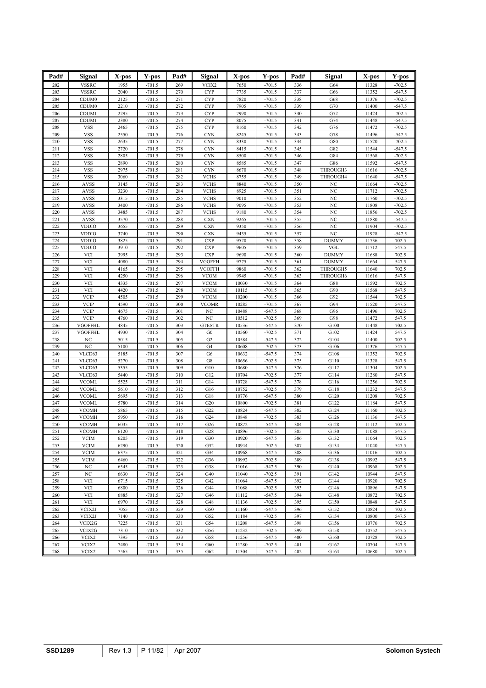| Pad#       | <b>Signal</b>                        | X-pos        | Y-pos                | Pad#       | Signal                   | X-pos          | Y-pos                | Pad#       | <b>Signal</b>  | X-pos          | Y-pos                |
|------------|--------------------------------------|--------------|----------------------|------------|--------------------------|----------------|----------------------|------------|----------------|----------------|----------------------|
| 202        | <b>VSSRC</b>                         | 1955         | $-701.5$             | 269        | VCIX2                    | 7650           | $-701.5$             | 336        | G64            | 11328          | $-702.5$             |
| 203        | <b>VSSRC</b>                         | 2040         | $-701.5$             | 270        | <b>CYP</b>               | 7735           | $-701.5$             | 337        | G66            | 11352          | $-547.5$             |
| 204        | CDUM <sub>0</sub>                    | 2125         | $-701.5$             | 271        | <b>CYP</b>               | 7820           | $-701.5$             | 338        | G68            | 11376          | $-702.5$             |
| 205        | CDUM <sub>0</sub>                    | 2210         | $-701.5$             | 272        | <b>CYP</b>               | 7905           | $-701.5$             | 339        | G70            | 11400          | $-547.5$             |
| 206        | CDUM1                                | 2295         | $-701.5$             | 273        | <b>CYP</b>               | 7990           | $-701.5$             | 340        | G72            | 11424          | $-702.5$             |
| 207        | CDUM1                                | 2380         | $-701.5$             | 274        | <b>CYP</b>               | 8075           | $-701.5$             | 341        | G74            | 11448          | $-547.5$             |
| 208        | <b>VSS</b>                           | 2465         | $-701.5$             | 275        | CYP                      | 8160           | $-701.5$             | 342        | G76            | 11472          | $-702.5$             |
| 209        | <b>VSS</b>                           | 2550         | $-701.5$             | 276        | <b>CYN</b>               | 8245           | $-701.5$             | 343        | G78            | 11496          | $-547.5$             |
| 210<br>211 | <b>VSS</b><br><b>VSS</b>             | 2635<br>2720 | $-701.5$<br>$-701.5$ | 277<br>278 | <b>CYN</b><br><b>CYN</b> | 8330<br>8415   | $-701.5$<br>$-701.5$ | 344<br>345 | G80<br>G82     | 11520<br>11544 | $-702.5$<br>$-547.5$ |
| 212        | <b>VSS</b>                           | 2805         | $-701.5$             | 279        | <b>CYN</b>               | 8500           | $-701.5$             | 346        | G84            | 11568          | $-702.5$             |
| 213        | <b>VSS</b>                           | 2890         | $-701.5$             | 280        | <b>CYN</b>               | 8585           | $-701.5$             | 347        | G86            | 11592          | $-547.5$             |
| 214        | <b>VSS</b>                           | 2975         | $-701.5$             | 281        | <b>CYN</b>               | 8670           | $-701.5$             | 348        | THROUGH3       | 11616          | $-702.5$             |
| 215        | <b>VSS</b>                           | 3060         | $-701.5$             | 282        | <b>VCHS</b>              | 8755           | $-701.5$             | 349        | THROUGH4       | 11640          | $-547.5$             |
| 216        | <b>AVSS</b>                          | 3145         | $-701.5$             | 283        | <b>VCHS</b>              | 8840           | $-701.5$             | 350        | NC             | 11664          | $-702.5$             |
| 217        | <b>AVSS</b>                          | 3230         | $-701.5$             | 284        | <b>VCHS</b>              | 8925           | $-701.5$             | 351        | NC             | 11712          | $-702.5$             |
| 218        | AVSS                                 | 3315         | $-701.5$             | 285        | <b>VCHS</b>              | 9010           | $-701.5$             | 352        | NC             | 11760          | $-702.5$             |
| 219        | AVSS                                 | 3400         | $-701.5$             | 286        | <b>VCHS</b>              | 9095           | $-701.5$             | 353        | N <sub>C</sub> | 11808          | $-702.5$             |
| 220        | <b>AVSS</b>                          | 3485<br>3570 | $-701.5$             | 287        | <b>VCHS</b>              | 9180           | $-701.5$<br>$-701.5$ | 354<br>355 | NC             | 11856<br>11880 | $-702.5$<br>$-547.5$ |
| 221<br>222 | <b>AVSS</b><br><b>VDDIO</b>          | 3655         | $-701.5$<br>$-701.5$ | 288<br>289 | <b>CXN</b><br><b>CXN</b> | 9265<br>9350   | $-701.5$             | 356        | NC<br>NC       | 11904          | $-702.5$             |
| 223        | <b>VDDIO</b>                         | 3740         | $-701.5$             | 290        | <b>CXN</b>               | 9435           | $-701.5$             | 357        | NC             | 11928          | $-547.5$             |
| 224        | <b>VDDIO</b>                         | 3825         | $-701.5$             | 291        | <b>CXP</b>               | 9520           | $-701.5$             | 358        | <b>DUMMY</b>   | 11736          | 702.5                |
| 225        | <b>VDDIO</b>                         | 3910         | $-701.5$             | 292        | <b>CXP</b>               | 9605           | $-701.5$             | 359        | VGL            | 11712          | 547.5                |
| 226        | VCI                                  | 3995         | $-701.5$             | 293        | <b>CXP</b>               | 9690           | $-701.5$             | 360        | <b>DUMMY</b>   | 11688          | 702.5                |
| 227        | VCI                                  | 4080         | $-701.5$             | 294        | <b>VGOFFH</b>            | 9775           | $-701.5$             | 361        | <b>DUMMY</b>   | 11664          | 547.5                |
| 228        | VCI                                  | 4165         | $-701.5$             | 295        | <b>VGOFFH</b>            | 9860           | $-701.5$             | 362        | THROUGH5       | 11640          | 702.5                |
| 229        | VCI                                  | 4250         | $-701.5$             | 296        | <b>VCOM</b>              | 9945           | $-701.5$             | 363        | THROUGH6       | 11616          | 547.5                |
| 230        | VCI                                  | 4335         | $-701.5$             | 297        | <b>VCOM</b>              | 10030          | $-701.5$             | 364        | G88            | 11592          | 702.5                |
| 231        | VCI                                  | 4420         | $-701.5$             | 298        | <b>VCOM</b>              | 10115          | $-701.5$             | 365        | G90            | 11568          | 547.5                |
| 232        | <b>VCIP</b>                          | 4505         | $-701.5$             | 299        | <b>VCOM</b>              | 10200          | $-701.5$             | 366        | G92            | 11544          | 702.5                |
| 233<br>234 | <b>VCIP</b><br><b>VCIP</b>           | 4590<br>4675 | $-701.5$<br>$-701.5$ | 300<br>301 | <b>VCOMR</b><br>NC       | 10285<br>10488 | $-701.5$<br>$-547.5$ | 367<br>368 | G94<br>G96     | 11520<br>11496 | 547.5<br>702.5       |
| 235        | <b>VCIP</b>                          | 4760         | $-701.5$             | 302        | NC                       | 10512          | $-702.5$             | 369        | G98            | 11472          | 547.5                |
| 236        | <b>VGOFFHL</b>                       | 4845         | $-701.5$             | 303        | <b>GTESTR</b>            | 10536          | $-547.5$             | 370        | G100           | 11448          | 702.5                |
| 237        | <b>VGOFFHL</b>                       | 4930         | $-701.5$             | 304        | ${\rm G0}$               | 10560          | $-702.5$             | 371        | G102           | 11424          | 547.5                |
| 238        | NC                                   | 5015         | $-701.5$             | 305        | G2                       | 10584          | $-547.5$             | 372        | G104           | 11400          | 702.5                |
| 239        | NC                                   | 5100         | $-701.5$             | 306        | G4                       | 10608          | $-702.5$             | 373        | G106           | 11376          | 547.5                |
| 240        | VLCD63                               | 5185         | $-701.5$             | 307        | G6                       | 10632          | $-547.5$             | 374        | G108           | 11352          | 702.5                |
| 241        | VLCD63                               | 5270         | $-701.5$             | 308        | G8                       | 10656          | $-702.5$             | 375        | G110           | 11328          | 547.5                |
| 242        | VLCD63                               | 5355         | $-701.5$             | 309        | G10                      | 10680          | $-547.5$             | 376        | G112           | 11304          | 702.5                |
| 243        | VLCD63                               | 5440         | $-701.5$             | 310        | G12                      | 10704          | $-702.5$             | 377        | G114           | 11280          | 547.5                |
| 244<br>245 | <b>VCOML</b><br><b>VCOML</b>         | 5525<br>5610 | $-701.5$<br>$-701.5$ | 311<br>312 | G14<br>G16               | 10728<br>10752 | $-547.5$<br>$-702.5$ | 378<br>379 | G116<br>G118   | 11256<br>11232 | 702.5<br>547.5       |
| 246        | <b>VCOML</b>                         | 5695         | $-701.5$             | 313        | G18                      | 10776          | $-547.5$             | 380        | G120           | 11208          | 702.5                |
| 247        | <b>VCOML</b>                         | 5780         | $-701.5$             | 314        | G20                      | 10800          | $-702.5$             | 381        | G122           | 11184          | 547.5                |
| 248        | <b>VCOMH</b>                         | 5865         | $-701.5$             | 315        | G22                      | 10824          | $-547.5$             | 382        | G124           | 11160          | 702.5                |
| 249        | <b>VCOMH</b>                         | 5950         | $-701.5$             | 316        | G24                      | 10848          | $-702.5$             | 383        | G126           | 11136          | 547.5                |
| 250        | <b>VCOMH</b>                         | 6035         | $-701.5$             | 317        | G26                      | 10872          | $-547.5$             | 384        | G128           | 11112          | 702.5                |
| 251        | <b>VCOMH</b>                         | 6120         | $-701.5$             | 318        | G28                      | 10896          | $-702.5$             | 385        | G130           | 11088          | 547.5                |
| 252        | <b>VCIM</b>                          | 6205         | $-701.5$             | 319        | G30                      | 10920          | $-547.5$             | 386        | G132           | 11064          | 702.5                |
| 253        | <b>VCIM</b>                          | 6290         | $-701.5$             | 320        | G32                      | 10944          | $-702.5$             | 387        | G134           | 11040          | 547.5                |
| 254        | <b>VCIM</b>                          | 6375         | $-701.5$             | 321        | G34                      | 10968          | $-547.5$             | 388        | G136           | 11016          | 702.5                |
| 255        | <b>VCIM</b>                          | 6460         | $-701.5$             | 322        | G36                      | 10992          | $-702.5$             | 389        | G138           | 10992          | 547.5                |
| 256<br>257 | $_{\mathrm{NC}}$<br>$_{\mathrm{NC}}$ | 6545<br>6630 | $-701.5$<br>$-701.5$ | 323<br>324 | G38<br>G40               | 11016<br>11040 | $-547.5$<br>$-702.5$ | 390<br>391 | G140<br>G142   | 10968<br>10944 | 702.5<br>547.5       |
| 258        | VCI                                  | 6715         | $-701.5$             | 325        | G42                      | 11064          | $-547.5$             | 392        | G144           | 10920          | 702.5                |
| 259        | VCI                                  | 6800         | $-701.5$             | 326        | G44                      | 11088          | $-702.5$             | 393        | G146           | 10896          | 547.5                |
| 260        | <b>VCI</b>                           | 6885         | $-701.5$             | 327        | G46                      | 11112          | $-547.5$             | 394        | G148           | 10872          | 702.5                |
| 261        | VCI                                  | 6970         | $-701.5$             | 328        | G48                      | 11136          | $-702.5$             | 395        | G150           | 10848          | 547.5                |
| 262        | VCIX2J                               | 7055         | $-701.5$             | 329        | G50                      | 11160          | $-547.5$             | 396        | G152           | 10824          | 702.5                |
| 263        | VCIX2J                               | 7140         | $-701.5$             | 330        | G52                      | 11184          | $-702.5$             | 397        | G154           | 10800          | 547.5                |
| 264        | VCIX2G                               | 7225         | $-701.5$             | 331        | G54                      | 11208          | $-547.5$             | 398        | G156           | 10776          | 702.5                |
| 265        | VCIX2G                               | 7310         | $-701.5$             | 332        | G56                      | 11232          | $-702.5$             | 399        | G158           | 10752          | 547.5                |
| 266        | VCIX2                                | 7395         | $-701.5$             | 333        | G58                      | 11256          | $-547.5$             | 400        | G160           | 10728          | 702.5                |
| 267        | VCIX2                                | 7480         | $-701.5$             | 334        | G60                      | 11280          | $-702.5$             | 401        | G162           | 10704          | 547.5                |
| 268        | VCIX2                                | 7565         | $-701.5$             | 335        | G62                      | 11304          | $-547.5$             | 402        | G164           | 10680          | 702.5                |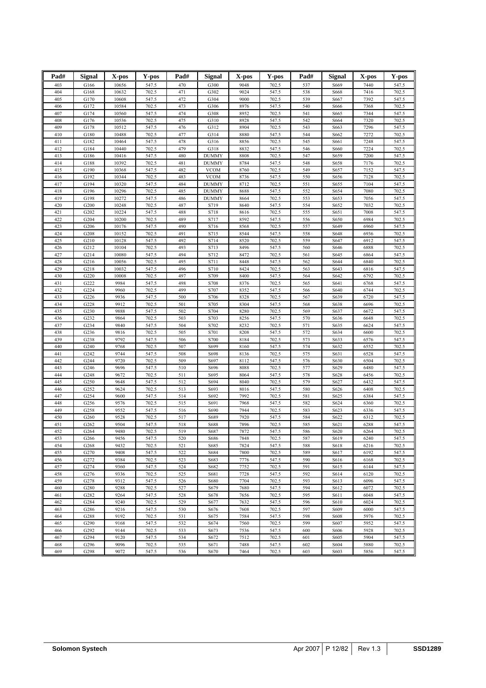| Pad#       | Signal       | X-pos          | Y-pos          | Pad#       | Signal                       | X-pos        | Y-pos          | Pad#       | Signal       | X-pos        | Y-pos          |
|------------|--------------|----------------|----------------|------------|------------------------------|--------------|----------------|------------|--------------|--------------|----------------|
| 403        | G166         | 10656          | 547.5          | 470        | G300                         | 9048         | 702.5          | 537        | S669         | 7440         | 547.5          |
| 404        | G168         | 10632          | 702.5          | 471        | G302                         | 9024         | 547.5          | 538        | S668         | 7416         | 702.5          |
| 405        | G170         | 10608          | 547.5          | 472        | G304                         | 9000         | 702.5          | 539        | S667         | 7392         | 547.5          |
| 406<br>407 | G172<br>G174 | 10584          | 702.5          | 473<br>474 | G306                         | 8976<br>8952 | 547.5          | 540        | S666         | 7368         | 702.5          |
| 408        | G176         | 10560<br>10536 | 547.5<br>702.5 | 475        | G308<br>G310                 | 8928         | 702.5<br>547.5 | 541<br>542 | S665<br>S664 | 7344<br>7320 | 547.5<br>702.5 |
| 409        | G178         | 10512          | 547.5          | 476        | G312                         | 8904         | 702.5          | 543        | S663         | 7296         | 547.5          |
| 410        | G180         | 10488          | 702.5          | 477        | G314                         | 8880         | 547.5          | 544        | S662         | 7272         | 702.5          |
| 411        | G182         | 10464          | 547.5          | 478        | G316                         | 8856         | 702.5          | 545        | S661         | 7248         | 547.5          |
| 412<br>413 | G184<br>G186 | 10440<br>10416 | 702.5<br>547.5 | 479<br>480 | G318<br><b>DUMMY</b>         | 8832<br>8808 | 547.5<br>702.5 | 546<br>547 | S660<br>S659 | 7224<br>7200 | 702.5<br>547.5 |
| 414        | G188         | 10392          | 702.5          | 481        | <b>DUMMY</b>                 | 8784         | 547.5          | 548        | S658         | 7176         | 702.5          |
| 415        | G190         | 10368          | 547.5          | 482        | <b>VCOM</b>                  | 8760         | 702.5          | 549        | S657         | 7152         | 547.5          |
| 416        | G192         | 10344          | 702.5          | 483        | <b>VCOM</b>                  | 8736         | 547.5          | 550        | S656         | 7128         | 702.5          |
| 417        | G194         | 10320          | 547.5          | 484        | <b>DUMMY</b>                 | 8712         | 702.5          | 551        | S655         | 7104         | 547.5          |
| 418<br>419 | G196<br>G198 | 10296<br>10272 | 702.5<br>547.5 | 485<br>486 | <b>DUMMY</b><br><b>DUMMY</b> | 8688<br>8664 | 547.5<br>702.5 | 552<br>553 | S654<br>S653 | 7080<br>7056 | 702.5<br>547.5 |
| 420        | G200         | 10248          | 702.5          | 487        | S719                         | 8640         | 547.5          | 554        | S652         | 7032         | 702.5          |
| 421        | G202         | 10224          | 547.5          | 488        | S718                         | 8616         | 702.5          | 555        | S651         | 7008         | 547.5          |
| 422        | G204         | 10200          | 702.5          | 489        | S717                         | 8592         | 547.5          | 556        | S650         | 6984         | 702.5          |
| 423        | G206         | 10176          | 547.5          | 490        | S716                         | 8568         | 702.5          | 557        | S649         | 6960         | 547.5          |
| 424<br>425 | G208<br>G210 | 10152<br>10128 | 702.5          | 491<br>492 | S715<br>S714                 | 8544<br>8520 | 547.5<br>702.5 | 558<br>559 | S648<br>S647 | 6936<br>6912 | 702.5<br>547.5 |
| 426        | G212         | 10104          | 547.5<br>702.5 | 493        | S713                         | 8496         | 547.5          | 560        | S646         | 6888         | 702.5          |
| 427        | G214         | 10080          | 547.5          | 494        | S712                         | 8472         | 702.5          | 561        | S645         | 6864         | 547.5          |
| 428        | G216         | 10056          | 702.5          | 495        | S711                         | 8448         | 547.5          | 562        | S644         | 6840         | 702.5          |
| 429        | G218         | 10032          | 547.5          | 496        | S710                         | 8424         | 702.5          | 563        | S643         | 6816         | 547.5          |
| 430        | G220         | 10008          | 702.5          | 497        | S709                         | 8400         | 547.5          | 564        | S642         | 6792         | 702.5          |
| 431<br>432 | G222<br>G224 | 9984<br>9960   | 547.5<br>702.5 | 498<br>499 | S708<br>S707                 | 8376<br>8352 | 702.5<br>547.5 | 565<br>566 | S641<br>S640 | 6768<br>6744 | 547.5<br>702.5 |
| 433        | G226         | 9936           | 547.5          | 500        | S706                         | 8328         | 702.5          | 567        | S639         | 6720         | 547.5          |
| 434        | G228         | 9912           | 702.5          | 501        | S705                         | 8304         | 547.5          | 568        | S638         | 6696         | 702.5          |
| 435        | G230         | 9888           | 547.5          | 502        | S704                         | 8280         | 702.5          | 569        | S637         | 6672         | 547.5          |
| 436        | G232         | 9864           | 702.5          | 503        | S703                         | 8256         | 547.5          | 570        | S636         | 6648         | 702.5          |
| 437        | G234         | 9840<br>9816   | 547.5          | 504<br>505 | S702<br>S701                 | 8232         | 702.5<br>547.5 | 571<br>572 | S635         | 6624         | 547.5          |
| 438<br>439 | G236<br>G238 | 9792           | 702.5<br>547.5 | 506        | S700                         | 8208<br>8184 | 702.5          | 573        | S634<br>S633 | 6600<br>6576 | 702.5<br>547.5 |
| 440        | G240         | 9768           | 702.5          | 507        | S699                         | 8160         | 547.5          | 574        | S632         | 6552         | 702.5          |
| 441        | G242         | 9744           | 547.5          | 508        | S698                         | 8136         | 702.5          | 575        | S631         | 6528         | 547.5          |
| 442        | G244         | 9720           | 702.5          | 509        | S697                         | 8112         | 547.5          | 576        | S630         | 6504         | 702.5          |
| 443        | G246         | 9696           | 547.5          | 510        | S696                         | 8088         | 702.5          | 577        | S629         | 6480         | 547.5          |
| 444<br>445 | G248<br>G250 | 9672<br>9648   | 702.5<br>547.5 | 511<br>512 | S695<br>S694                 | 8064<br>8040 | 547.5<br>702.5 | 578<br>579 | S628<br>S627 | 6456<br>6432 | 702.5<br>547.5 |
| 446        | G252         | 9624           | 702.5          | 513        | S693                         | 8016         | 547.5          | 580        | S626         | 6408         | 702.5          |
| 447        | G254         | 9600           | 547.5          | 514        | S692                         | 7992         | 702.5          | 581        | S625         | 6384         | 547.5          |
| 448        | G256         | 9576           | 702.5          | 515        | S691                         | 7968         | 547.5          | 582        | S624         | 6360         | 702.5          |
| 449        | G258         | 9552           | 547.5          | 516        | S690                         | 7944         | 702.5          | 583        | S623         | 6336         | 547.5          |
| 450<br>451 | G260<br>G262 | 9528<br>9504   | 702.5<br>547.5 | 517<br>518 | S689<br>S688                 | 7920<br>7896 | 547.5<br>702.5 | 584<br>585 | S622<br>S621 | 6312<br>6288 | 702.5<br>547.5 |
| 452        | G264         | 9480           | 702.5          | 519        | S687                         | 7872         | 547.5          | 586        | S620         | 6264         | 702.5          |
| 453        | G266         | 9456           | 547.5          | 520        | S686                         | 7848         | 702.5          | 587        | S619         | 6240         | 547.5          |
| 454        | G268         | 9432           | 702.5          | 521        | S685                         | 7824         | 547.5          | 588        | S618         | 6216         | 702.5          |
| 455        | G270         | 9408           | 547.5          | 522        | S684                         | 7800         | 702.5          | 589        | S617         | 6192         | 547.5          |
| 456<br>457 | G272         | 9384<br>9360   | 702.5          | 523        | S683                         | 7776         | 547.5          | 590        | S616         | 6168         | 702.5          |
| 458        | G274<br>G276 | 9336           | 547.5<br>702.5 | 524<br>525 | S682<br>S681                 | 7752<br>7728 | 702.5<br>547.5 | 591<br>592 | S615<br>S614 | 6144<br>6120 | 547.5<br>702.5 |
| 459        | G278         | 9312           | 547.5          | 526        | S680                         | 7704         | 702.5          | 593        | S613         | 6096         | 547.5          |
| 460        | G280         | 9288           | 702.5          | 527        | S679                         | 7680         | 547.5          | 594        | S612         | 6072         | 702.5          |
| 461        | G282         | 9264           | 547.5          | 528        | S678                         | 7656         | 702.5          | 595        | S611         | 6048         | 547.5          |
| 462        | G284         | 9240           | 702.5          | 529        | S677                         | 7632         | 547.5          | 596        | S610         | 6024         | 702.5          |
| 463<br>464 | G286<br>G288 | 9216<br>9192   | 547.5<br>702.5 | 530<br>531 | S676<br>S675                 | 7608<br>7584 | 702.5<br>547.5 | 597<br>598 | S609<br>S608 | 6000<br>5976 | 547.5<br>702.5 |
| 465        | G290         | 9168           | 547.5          | 532        | S674                         | 7560         | 702.5          | 599        | S607         | 5952         | 547.5          |
| 466        | G292         | 9144           | 702.5          | 533        | S673                         | 7536         | 547.5          | 600        | S606         | 5928         | 702.5          |
| 467        | G294         | 9120           | 547.5          | 534        | S672                         | 7512         | 702.5          | 601        | S605         | 5904         | 547.5          |
| 468        | G296         | 9096           | 702.5          | 535        | S671                         | 7488         | 547.5          | 602        | S604         | 5880         | 702.5          |
| 469        | G298         | 9072           | 547.5          | 536        | S670                         | 7464         | 702.5          | 603        | S603         | 5856         | 547.5          |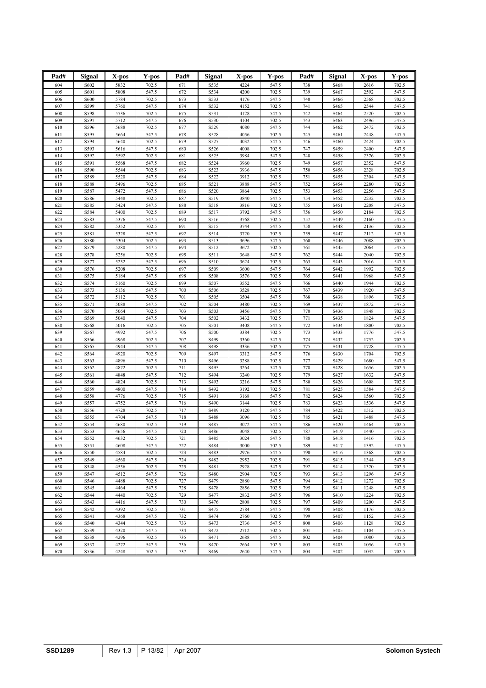| Pad#       | <b>Signal</b> | X-pos        | Y-pos          | Pad#       | <b>Signal</b> | X-pos        | Y-pos          | Pad#       | <b>Signal</b>    | X-pos        | Y-pos          |
|------------|---------------|--------------|----------------|------------|---------------|--------------|----------------|------------|------------------|--------------|----------------|
| 604        | S602          | 5832         | 702.5          | 671        |               | 4224         | 547.5          |            | S468             | 2616         | 702.5          |
| 605        | S601          | 5808         | 547.5          | 672        | S535<br>S534  | 4200         | 702.5          | 738<br>739 | S467             | 2592         | 547.5          |
| 606        | S600          | 5784         | 702.5          | 673        | S533          | 4176         | 547.5          | 740        | S466             | 2568         | 702.5          |
| 607        | S599          | 5760         | 547.5          | 674        | S532          | 4152         | 702.5          | 741        | S <sub>465</sub> | 2544         | 547.5          |
| 608        | S598          | 5736         | 702.5          | 675        | S531          | 4128         | 547.5          | 742        | S464             | 2520         | 702.5          |
| 609        | S597          | 5712         | 547.5          | 676        | S530          | 4104         | 702.5          | 743        | S463             | 2496         | 547.5          |
| 610        | S596          | 5688         | 702.5          | 677        | S529          | 4080         | 547.5          | 744        | S462             | 2472         | 702.5          |
| 611        | S595          | 5664         | 547.5          | 678        | S528          | 4056         | 702.5          | 745        | S461             | 2448         | 547.5          |
| 612        | S594          | 5640         | 702.5          | 679        | S527          | 4032         | 547.5          | 746        | S460             | 2424         | 702.5          |
| 613        | S593          | 5616         | 547.5          | 680        | S526          | 4008         | 702.5          | 747        | S459             | 2400         | 547.5          |
| 614        | S592          | 5592         | 702.5          | 681        | S525          | 3984         | 547.5          | 748        | S458             | 2376         | 702.5          |
| 615        | S591          | 5568         | 547.5          | 682        | S524          | 3960         | 702.5          | 749        | S457             | 2352         | 547.5          |
| 616        | S590          | 5544         | 702.5          | 683        | S523          | 3936         | 547.5          | 750        | S456             | 2328         | 702.5          |
| 617        | S589          | 5520         | 547.5          | 684        | S522          | 3912         | 702.5          | 751        | S455             | 2304         | 547.5          |
| 618        | S588          | 5496         | 702.5          | 685        | S521          | 3888<br>3864 | 547.5          | 752        | S454             | 2280         | 702.5          |
| 619<br>620 | S587<br>S586  | 5472<br>5448 | 547.5<br>702.5 | 686<br>687 | S520<br>S519  | 3840         | 702.5<br>547.5 | 753<br>754 | S453<br>S452     | 2256<br>2232 | 547.5<br>702.5 |
| 621        | S585          | 5424         | 547.5          | 688        | S518          | 3816         | 702.5          | 755        | S451             | 2208         | 547.5          |
| 622        | S584          | 5400         | 702.5          | 689        | S517          | 3792         | 547.5          | 756        | S450             | 2184         | 702.5          |
| 623        | S583          | 5376         | 547.5          | 690        | S516          | 3768         | 702.5          | 757        | S449             | 2160         | 547.5          |
| 624        | S582          | 5352         | 702.5          | 691        | S515          | 3744         | 547.5          | 758        | S448             | 2136         | 702.5          |
| 625        | S581          | 5328         | 547.5          | 692        | S514          | 3720         | 702.5          | 759        | S447             | 2112         | 547.5          |
| 626        | S580          | 5304         | 702.5          | 693        | S513          | 3696         | 547.5          | 760        | S446             | 2088         | 702.5          |
| 627        | S579          | 5280         | 547.5          | 694        | S512          | 3672         | 702.5          | 761        | S445             | 2064         | 547.5          |
| 628        | S578          | 5256         | 702.5          | 695        | S511          | 3648         | 547.5          | 762        | S444             | 2040         | 702.5          |
| 629        | S577          | 5232         | 547.5          | 696        | S510          | 3624         | 702.5          | 763        | S443             | 2016         | 547.5          |
| 630        | S576          | 5208         | 702.5          | 697        | S509          | 3600         | 547.5          | 764        | S442             | 1992         | 702.5          |
| 631        | S575          | 5184         | 547.5          | 698        | S508          | 3576         | 702.5          | 765        | S441             | 1968         | 547.5          |
| 632        | S574          | 5160         | 702.5          | 699        | S507          | 3552         | 547.5          | 766        | S440             | 1944         | 702.5          |
| 633<br>634 | S573<br>S572  | 5136<br>5112 | 547.5<br>702.5 | 700<br>701 | S506<br>S505  | 3528<br>3504 | 702.5<br>547.5 | 767<br>768 | S439<br>S438     | 1920<br>1896 | 547.5<br>702.5 |
| 635        | S571          | 5088         | 547.5          | 702        | S504          | 3480         | 702.5          | 769        | S437             | 1872         | 547.5          |
| 636        | S570          | 5064         | 702.5          | 703        | S503          | 3456         | 547.5          | 770        | S436             | 1848         | 702.5          |
| 637        | S569          | 5040         | 547.5          | 704        | S502          | 3432         | 702.5          | 771        | S435             | 1824         | 547.5          |
| 638        | S568          | 5016         | 702.5          | 705        | S501          | 3408         | 547.5          | 772        | S434             | 1800         | 702.5          |
| 639        | S567          | 4992         | 547.5          | 706        | S500          | 3384         | 702.5          | 773        | S433             | 1776         | 547.5          |
| 640        | S566          | 4968         | 702.5          | 707        | S499          | 3360         | 547.5          | 774        | S432             | 1752         | 702.5          |
| 641        | S565          | 4944         | 547.5          | 708        | S498          | 3336         | 702.5          | 775        | S431             | 1728         | 547.5          |
| 642        | S564          | 4920         | 702.5          | 709        | S497          | 3312         | 547.5          | 776        | S430             | 1704         | 702.5          |
| 643        | S563          | 4896         | 547.5          | 710        | S496          | 3288         | 702.5          | 777        | S429             | 1680         | 547.5          |
| 644        | S562          | 4872         | 702.5          | 711        | S495          | 3264         | 547.5          | 778        | S428             | 1656         | 702.5          |
| 645        | S561          | 4848         | 547.5          | 712        | S494          | 3240         | 702.5          | 779        | S427             | 1632         | 547.5          |
| 646        | S560          | 4824<br>4800 | 702.5          | 713<br>714 | S493          | 3216<br>3192 | 547.5          | 780        | S426             | 1608         | 702.5          |
| 647<br>648 | S559<br>S558  | 4776         | 547.5<br>702.5 | 715        | S492<br>S491  | 3168         | 702.5<br>547.5 | 781<br>782 | S425<br>S424     | 1584<br>1560 | 547.5<br>702.5 |
| 649        | S557          | 4752         | 547.5          | 716        | S490          | 3144         | 702.5          | 783        | S423             | 1536         | 547.5          |
| 650        | S556          | 4728         | 702.5          | 717        | S489          | 3120         | 547.5          | 784        | S422             | 1512         | 702.5          |
| 651        | S555          | 4704         | 547.5          | 718        | S488          | 3096         | 702.5          | 785        | S421             | 1488         | 547.5          |
| 652        | S554          | 4680         | 702.5          | 719        | S487          | 3072         | 547.5          | 786        | S420             | 1464         | 702.5          |
| 653        | S553          | 4656         | 547.5          | 720        | S486          | 3048         | 702.5          | 787        | S419             | 1440         | 547.5          |
| 654        | S552          | 4632         | 702.5          | 721        | S485          | 3024         | 547.5          | 788        | S418             | 1416         | 702.5          |
| 655        | S551          | 4608         | 547.5          | 722        | S484          | 3000         | 702.5          | 789        | S417             | 1392         | 547.5          |
| 656        | S550          | 4584         | 702.5          | 723        | S483          | 2976         | 547.5          | 790        | S416             | 1368         | 702.5          |
| 657        | S549          | 4560         | 547.5          | 724        | S482          | 2952         | 702.5          | 791        | S415             | 1344         | 547.5          |
| 658        | S548          | 4536         | 702.5          | 725        | S481          | 2928         | 547.5          | 792        | S414             | 1320         | 702.5          |
| 659        | S547          | 4512         | 547.5          | 726        | S480          | 2904         | 702.5          | 793        | S413             | 1296         | 547.5          |
| 660        | S546          | 4488<br>4464 | 702.5          | 727<br>728 | S479          | 2880         | 547.5          | 794<br>795 | S412             | 1272         | 702.5          |
| 661<br>662 | S545<br>S544  | 4440         | 547.5<br>702.5 | 729        | S478<br>S477  | 2856<br>2832 | 702.5<br>547.5 | 796        | S411<br>S410     | 1248<br>1224 | 547.5<br>702.5 |
| 663        | S543          | 4416         | 547.5          | 730        | S476          | 2808         | 702.5          | 797        | S409             | 1200         | 547.5          |
| 664        | S542          | 4392         | 702.5          | 731        | S475          | 2784         | 547.5          | 798        | S408             | 1176         | 702.5          |
| 665        | S541          | 4368         | 547.5          | 732        | S474          | 2760         | 702.5          | 799        | S407             | 1152         | 547.5          |
| 666        | S540          | 4344         | 702.5          | 733        | S473          | 2736         | 547.5          | 800        | S406             | 1128         | 702.5          |
| 667        | S539          | 4320         | 547.5          | 734        | S472          | 2712         | 702.5          | 801        | S405             | 1104         | 547.5          |
| 668        | S538          | 4296         | 702.5          | 735        | S471          | 2688         | 547.5          | 802        | S404             | 1080         | 702.5          |
| 669        | S537          | 4272         | 547.5          | 736        | S470          | 2664         | 702.5          | 803        | S403             | 1056         | 547.5          |
| 670        | S536          | 4248         | 702.5          | 737        | S469          | 2640         | 547.5          | 804        | S402             | 1032         | 702.5          |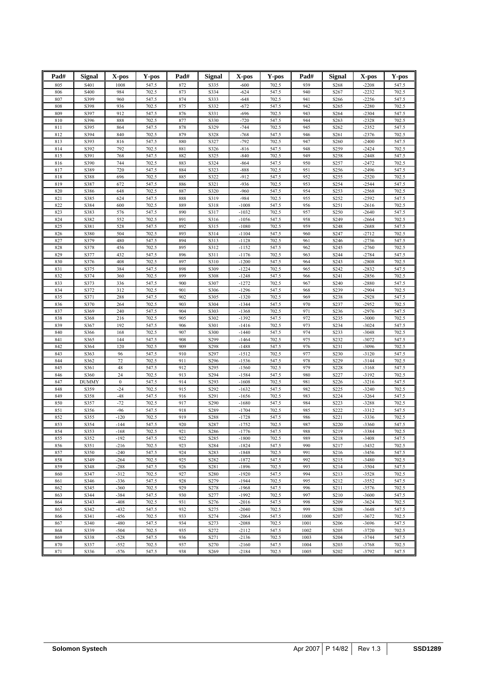| Pad#       | Signal       | X-pos            | Y-pos          | Pad#       | Signal            | X-pos              | Y-pos          | Pad#        | <b>Signal</b>                        | X-pos              | Y-pos          |
|------------|--------------|------------------|----------------|------------|-------------------|--------------------|----------------|-------------|--------------------------------------|--------------------|----------------|
| 805        | S401         | 1008             | 547.5          | 872        | S335              | $-600$             | 702.5          | 939         | S268                                 | $-2208$            | 547.5          |
| 806        | S400         | 984              | 702.5          | 873        | S334              | $-624$             | 547.5          | 940         | S267                                 | $-2232$            | 702.5          |
| 807        | S399         | 960              | 547.5          | 874        | S333              | $-648$             | 702.5          | 941         | S266                                 | $-2256$            | 547.5          |
| 808        | S398         | 936              | 702.5          | 875        | S332              | $-672$             | 547.5          | 942         | S265                                 | $-2280$            | 702.5          |
| 809        | S397         | 912              | 547.5          | 876        | S331              | $-696$             | 702.5          | 943         | S <sub>264</sub>                     | $-2304$            | 547.5          |
| 810<br>811 | S396<br>S395 | 888<br>864       | 702.5<br>547.5 | 877<br>878 | S330<br>S329      | $-720$<br>$-744$   | 547.5<br>702.5 | 944<br>945  | S <sub>26</sub> 3<br>S262            | $-2328$<br>$-2352$ | 702.5<br>547.5 |
| 812        | S394         | 840              | 702.5          | 879        | S328              | $-768$             | 547.5          | 946         | S261                                 | $-2376$            | 702.5          |
| 813        | S393         | 816              | 547.5          | 880        | S327              | $-792$             | 702.5          | 947         | S <sub>260</sub>                     | $-2400$            | 547.5          |
| 814        | S392         | 792              | 702.5          | 881        | S326              | $-816$             | 547.5          | 948         | S259                                 | $-2424$            | 702.5          |
| 815        | S391         | 768              | 547.5          | 882        | S325              | $-840$             | 702.5          | 949         | S258                                 | $-2448$            | 547.5          |
| 816        | S390         | 744              | 702.5          | 883        | S324              | $-864$             | 547.5          | 950         | S257                                 | $-2472$            | 702.5          |
| 817        | S389         | 720              | 547.5          | 884        | S323              | $-888$             | 702.5          | 951         | S256                                 | $-2496$            | 547.5          |
| 818<br>819 | S388<br>S387 | 696<br>672       | 702.5<br>547.5 | 885<br>886 | S322<br>S321      | $-912$<br>$-936$   | 547.5<br>702.5 | 952<br>953  | S <sub>255</sub><br>S254             | $-2520$<br>$-2544$ | 702.5<br>547.5 |
| 820        | S386         | 648              | 702.5          | 887        | S320              | $-960$             | 547.5          | 954         | S253                                 | $-2568$            | 702.5          |
| 821        | S385         | 624              | 547.5          | 888        | S319              | $-984$             | 702.5          | 955         | S252                                 | $-2592$            | 547.5          |
| 822        | S384         | 600              | 702.5          | 889        | S318              | $-1008$            | 547.5          | 956         | S251                                 | $-2616$            | 702.5          |
| 823        | S383         | 576              | 547.5          | 890        | S317              | $-1032$            | 702.5          | 957         | S250                                 | $-2640$            | 547.5          |
| 824        | S382         | 552              | 702.5          | 891        | S316              | $-1056$            | 547.5          | 958         | S249                                 | $-2664$            | 702.5          |
| 825        | S381         | 528              | 547.5          | 892        | S315              | $-1080$            | 702.5          | 959         | S248                                 | $-2688$            | 547.5          |
| 826<br>827 | S380<br>S379 | 504<br>480       | 702.5<br>547.5 | 893<br>894 | S314<br>S313      | $-1104$<br>$-1128$ | 547.5<br>702.5 | 960<br>961  | S247<br>S <sub>246</sub>             | $-2712$<br>$-2736$ | 702.5<br>547.5 |
| 828        | S378         | 456              | 702.5          | 895        | S312              | $-1152$            | 547.5          | 962         | S245                                 | $-2760$            | 702.5          |
| 829        | S377         | 432              | 547.5          | 896        | S311              | $-1176$            | 702.5          | 963         | S244                                 | $-2784$            | 547.5          |
| 830        | S376         | 408              | 702.5          | 897        | S310              | $-1200$            | 547.5          | 964         | S243                                 | $-2808$            | 702.5          |
| 831        | S375         | 384              | 547.5          | 898        | S309              | $-1224$            | 702.5          | 965         | S <sub>242</sub>                     | $-2832$            | 547.5          |
| 832        | S374         | 360              | 702.5          | 899        | S308              | $-1248$            | 547.5          | 966         | S241                                 | $-2856$            | 702.5          |
| 833        | S373         | 336              | 547.5          | 900        | S307              | $-1272$            | 702.5          | 967         | S240                                 | $-2880$            | 547.5          |
| 834<br>835 | S372<br>S371 | 312<br>288       | 702.5<br>547.5 | 901<br>902 | S306<br>S305      | $-1296$<br>$-1320$ | 547.5<br>702.5 | 968<br>969  | S239<br>S238                         | $-2904$<br>$-2928$ | 702.5<br>547.5 |
| 836        | S370         | 264              | 702.5          | 903        | S304              | $-1344$            | 547.5          | 970         | S237                                 | $-2952$            | 702.5          |
| 837        | S369         | 240              | 547.5          | 904        | S303              | $-1368$            | 702.5          | 971         | S236                                 | $-2976$            | 547.5          |
| 838        | S368         | 216              | 702.5          | 905        | S302              | $-1392$            | 547.5          | 972         | S235                                 | $-3000$            | 702.5          |
| 839        | S367         | 192              | 547.5          | 906        | S301              | $-1416$            | 702.5          | 973         | S234                                 | $-3024$            | 547.5          |
| 840        | S366         | 168              | 702.5          | 907        | S300              | $-1440$            | 547.5          | 974         | S <sub>2</sub> 33                    | $-3048$            | 702.5          |
| 841        | S365         | 144              | 547.5          | 908        | S299              | $-1464$            | 702.5          | 975         | S232                                 | $-3072$            | 547.5          |
| 842<br>843 | S364<br>S363 | 120<br>96        | 702.5<br>547.5 | 909<br>910 | S298<br>S297      | $-1488$<br>$-1512$ | 547.5<br>702.5 | 976<br>977  | S231<br>S230                         | $-3096$<br>$-3120$ | 702.5<br>547.5 |
| 844        | S362         | 72               | 702.5          | 911        | S296              | $-1536$            | 547.5          | 978         | S229                                 | $-3144$            | 702.5          |
| 845        | S361         | 48               | 547.5          | 912        | S295              | $-1560$            | 702.5          | 979         | S228                                 | $-3168$            | 547.5          |
| 846        | S360         | 24               | 702.5          | 913        | S294              | $-1584$            | 547.5          | 980         | S227                                 | $-3192$            | 702.5          |
| 847        | <b>DUMMY</b> | $\boldsymbol{0}$ | 547.5          | 914        | S293              | $-1608$            | 702.5          | 981         | S226                                 | $-3216$            | 547.5          |
| 848        | S359         | $-24$            | 702.5          | 915        | S292              | $-1632$            | 547.5          | 982         | S225                                 | $-3240$            | 702.5          |
| 849<br>850 | S358<br>S357 | $-48$<br>$-72$   | 547.5<br>702.5 | 916<br>917 | S291<br>S290      | $-1656$<br>$-1680$ | 702.5<br>547.5 | 983<br>984  | S224<br>S223                         | $-3264$<br>$-3288$ | 547.5<br>702.5 |
| 851        | S356         | $-96$            | 547.5          | 918        | S289              | $-1704$            | 702.5          | 985         | S222                                 | $-3312$            | 547.5          |
| 852        | S355         | $-120$           | 702.5          | 919        | S288              | $-1728$            | 547.5          | 986         | S221                                 | $-3336$            | 702.5          |
| 853        | S354         | $-144$           | 547.5          | 920        | S287              | $-1752$            | 702.5          | 987         | S220                                 | $-3360$            | 547.5          |
| 854        | S353         | $-168$           | 702.5          | 921        | S286              | $-1776$            | 547.5          | 988         | S219                                 | $-3384$            | 702.5          |
| 855        | S352         | $-192$           | 547.5          | 922        | S <sub>2</sub> 85 | $-1800$            | 702.5          | 989         | S218                                 | $-3408$            | 547.5          |
| 856        | S351         | $-216$           | 702.5          | 923        | S284              | $-1824$            | 547.5          | 990         | S217                                 | $-3432$            | 702.5          |
| 857<br>858 | S350<br>S349 | $-240$<br>$-264$ | 547.5<br>702.5 | 924<br>925 | S283<br>S282      | $-1848$<br>$-1872$ | 702.5<br>547.5 | 991<br>992  | S216<br>S215                         | $-3456$<br>$-3480$ | 547.5<br>702.5 |
| 859        | S348         | $-288$           | 547.5          | 926        | S281              | $-1896$            | 702.5          | 993         | S214                                 | $-3504$            | 547.5          |
| 860        | S347         | $-312$           | 702.5          | 927        | S280              | $-1920$            | 547.5          | 994         | S213                                 | $-3528$            | 702.5          |
| 861        | S346         | $-336$           | 547.5          | 928        | S279              | $-1944$            | 702.5          | 995         | S212                                 | $-3552$            | 547.5          |
| 862        | S345         | $-360$           | 702.5          | 929        | S278              | $-1968$            | 547.5          | 996         | S211                                 | $-3576$            | 702.5          |
| 863        | S344         | $-384$           | 547.5          | 930        | S277              | $-1992$            | 702.5          | 997         | S210                                 | $-3600$            | 547.5          |
| 864        | S343         | $-408$           | 702.5          | 931        | S276              | $-2016$            | 547.5          | 998         | S209                                 | $-3624$            | 702.5          |
| 865<br>866 | S342<br>S341 | $-432$<br>$-456$ | 547.5<br>702.5 | 932<br>933 | S275<br>S274      | $-2040$<br>$-2064$ | 702.5<br>547.5 | 999<br>1000 | S <sub>208</sub><br>S <sub>207</sub> | $-3648$<br>$-3672$ | 547.5<br>702.5 |
| 867        | S340         | $-480$           | 547.5          | 934        | S273              | $-2088$            | 702.5          | 1001        | S206                                 | $-3696$            | 547.5          |
| 868        | S339         | $-504$           | 702.5          | 935        | S272              | $-2112$            | 547.5          | 1002        | S205                                 | $-3720$            | 702.5          |
| 869        | S338         | $-528$           | 547.5          | 936        | S271              | $-2136$            | 702.5          | 1003        | S <sub>204</sub>                     | $-3744$            | 547.5          |
| 870        | S337         | $-552$           | 702.5          | 937        | S <sub>270</sub>  | $-2160$            | 547.5          | 1004        | S <sub>20</sub> 3                    | $-3768$            | 702.5          |
| 871        | S336         | $-576$           | 547.5          | 938        | S269              | $-2184$            | 702.5          | 1005        | S202                                 | $-3792$            | 547.5          |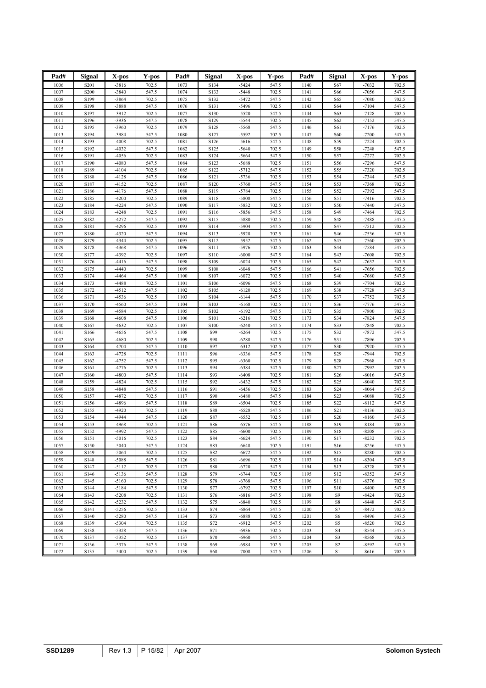| Pad#         | Signal           | X-pos              | Y-pos          | Pad#         | Signal       | X-pos              | Y-pos          | Pad#         | Signal          | X-pos              | Y-pos          |
|--------------|------------------|--------------------|----------------|--------------|--------------|--------------------|----------------|--------------|-----------------|--------------------|----------------|
| 1006         | S <sub>201</sub> | $-3816$            | 702.5          | 1073         | S134         | $-5424$            | 547.5          | 1140         | S67             | $-7032$            | 702.5          |
| 1007         | S200             | $-3840$            | 547.5          | 1074         | S133         | $-5448$            | 702.5          | 1141         | S66             | $-7056$            | 547.5          |
| 1008         | S199             | $-3864$            | 702.5          | 1075         | S132         | $-5472$            | 547.5          | 1142         | S65             | $-7080$            | 702.5          |
| 1009         | S198             | -3888              | 547.5          | 1076         | S131         | $-5496$            | 702.5          | 1143         | S64             | $-7104$            | 547.5          |
| 1010<br>1011 | S197<br>S196     | $-3912$<br>$-3936$ | 702.5<br>547.5 | 1077<br>1078 | S130<br>S129 | $-5520$<br>$-5544$ | 547.5<br>702.5 | 1144<br>1145 | S63<br>S62      | $-7128$<br>$-7152$ | 702.5<br>547.5 |
| 1012         | S195             | $-3960$            | 702.5          | 1079         | S128         | $-5568$            | 547.5          | 1146         | S61             | $-7176$            | 702.5          |
| 1013         | S194             | $-3984$            | 547.5          | 1080         | S127         | $-5592$            | 702.5          | 1147         | S60             | $-7200$            | 547.5          |
| 1014         | S193             | $-4008$            | 702.5          | 1081         | S126         | $-5616$            | 547.5          | 1148         | S59             | $-7224$            | 702.5          |
| 1015         | S192             | $-4032$            | 547.5          | 1082         | S125         | $-5640$            | 702.5          | 1149         | S58             | $-7248$            | 547.5          |
| 1016         | S191             | $-4056$            | 702.5          | 1083         | S124         | $-5664$            | 547.5          | 1150         | S57             | $-7272$            | 702.5          |
| 1017         | S190             | $-4080$            | 547.5          | 1084         | S123         | $-5688$            | 702.5          | 1151         | S56             | $-7296$            | 547.5          |
| 1018<br>1019 | S189<br>S188     | $-4104$<br>$-4128$ | 702.5<br>547.5 | 1085<br>1086 | S122<br>S121 | $-5712$<br>$-5736$ | 547.5<br>702.5 | 1152<br>1153 | S55<br>S54      | $-7320$<br>$-7344$ | 702.5<br>547.5 |
| 1020         | S187             | $-4152$            | 702.5          | 1087         | S120         | $-5760$            | 547.5          | 1154         | S53             | $-7368$            | 702.5          |
| 1021         | S186             | $-4176$            | 547.5          | 1088         | S119         | $-5784$            | 702.5          | 1155         | S52             | $-7392$            | 547.5          |
| 1022         | S185             | $-4200$            | 702.5          | 1089         | S118         | $-5808$            | 547.5          | 1156         | S51             | $-7416$            | 702.5          |
| 1023         | S184             | $-4224$            | 547.5          | 1090         | S117         | $-5832$            | 702.5          | 1157         | S50             | $-7440$            | 547.5          |
| 1024         | S183             | $-4248$            | 702.5          | 1091         | S116         | $-5856$            | 547.5          | 1158         | S49             | $-7464$            | 702.5          |
| 1025<br>1026 | S182<br>S181     | $-4272$<br>$-4296$ | 547.5<br>702.5 | 1092<br>1093 | S115<br>S114 | -5880<br>$-5904$   | 702.5<br>547.5 | 1159<br>1160 | S48<br>S47      | $-7488$<br>$-7512$ | 547.5<br>702.5 |
| 1027         | S180             | $-4320$            | 547.5          | 1094         | S113         | $-5928$            | 702.5          | 1161         | S46             | $-7536$            | 547.5          |
| 1028         | S179             | $-4344$            | 702.5          | 1095         | S112         | $-5952$            | 547.5          | 1162         | S45             | $-7560$            | 702.5          |
| 1029         | S178             | $-4368$            | 547.5          | 1096         | S111         | $-5976$            | 702.5          | 1163         | S44             | $-7584$            | 547.5          |
| 1030         | S177             | $-4392$            | 702.5          | 1097         | S110         | $-6000$            | 547.5          | 1164         | S43             | $-7608$            | 702.5          |
| 1031         | S176             | $-4416$            | 547.5          | 1098         | S109         | $-6024$            | 702.5          | 1165         | S42             | $-7632$            | 547.5          |
| 1032         | S175             | $-4440$            | 702.5          | 1099         | S108         | $-6048$            | 547.5          | 1166         | S41             | $-7656$            | 702.5          |
| 1033<br>1034 | S174             | $-4464$<br>$-4488$ | 547.5          | 1100<br>1101 | S107<br>S106 | $-6072$<br>$-6096$ | 702.5<br>547.5 | 1167<br>1168 | S40<br>S39      | $-7680$<br>$-7704$ | 547.5<br>702.5 |
| 1035         | S173<br>S172     | $-4512$            | 702.5<br>547.5 | 1102         | S105         | $-6120$            | 702.5          | 1169         | S38             | $-7728$            | 547.5          |
| 1036         | S171             | $-4536$            | 702.5          | 1103         | S104         | $-6144$            | 547.5          | 1170         | S37             | $-7752$            | 702.5          |
| 1037         | S170             | $-4560$            | 547.5          | 1104         | S103         | $-6168$            | 702.5          | 1171         | S36             | $-7776$            | 547.5          |
| 1038         | S169             | $-4584$            | 702.5          | 1105         | S102         | $-6192$            | 547.5          | 1172         | S35             | $-7800$            | 702.5          |
| 1039         | S168             | $-4608$            | 547.5          | 1106         | S101         | $-6216$            | 702.5          | 1173         | S34             | $-7824$            | 547.5          |
| 1040         | S167             | $-4632$            | 702.5          | 1107         | S100         | $-6240$            | 547.5          | 1174         | S33             | $-7848$            | 702.5          |
| 1041<br>1042 | S166<br>S165     | $-4656$<br>$-4680$ | 547.5<br>702.5 | 1108<br>1109 | S99<br>S98   | $-6264$<br>$-6288$ | 702.5<br>547.5 | 1175<br>1176 | S32<br>S31      | $-7872$<br>$-7896$ | 547.5<br>702.5 |
| 1043         | S164             | $-4704$            | 547.5          | 1110         | S97          | $-6312$            | 702.5          | 1177         | S30             | $-7920$            | 547.5          |
| 1044         | S163             | $-4728$            | 702.5          | 1111         | S96          | $-6336$            | 547.5          | 1178         | S29             | $-7944$            | 702.5          |
| 1045         | S162             | $-4752$            | 547.5          | 1112         | S95          | $-6360$            | 702.5          | 1179         | S28             | $-7968$            | 547.5          |
| 1046         | S161             | $-4776$            | 702.5          | 1113         | S94          | $-6384$            | 547.5          | 1180         | S27             | $-7992$            | 702.5          |
| 1047         | S160             | $-4800$            | 547.5          | 1114         | S93          | $-6408$            | 702.5          | 1181         | S26             | $-8016$            | 547.5          |
| 1048         | S159             | $-4824$            | 702.5          | 1115         | S92          | $-6432$            | 547.5          | 1182         | S <sub>25</sub> | $-8040$            | 702.5          |
| 1049<br>1050 | S158<br>S157     | $-4848$<br>$-4872$ | 547.5<br>702.5 | 1116<br>1117 | S91<br>S90   | $-6456$<br>$-6480$ | 702.5<br>547.5 | 1183<br>1184 | S24<br>S23      | $-8064$<br>$-8088$ | 547.5<br>702.5 |
| 1051         | S156             | $-4896$            | 547.5          | 1118         | S89          | $-6504$            | 702.5          | 1185         | S22             | $-8112$            | 547.5          |
| 1052         | S155             | $-4920$            | 702.5          | 1119         | <b>S88</b>   | $-6528$            | 547.5          | 1186         | S21             | $-8136$            | 702.5          |
| 1053         | S154             | -4944              | 547.5          | 1120         | S87          | $-6552$            | 702.5          | 1187         | S <sub>20</sub> | $-8160$            | 547.5          |
| 1054         | S153             | -4968              | 702.5          | 1121         | S86          | $-6576$            | 547.5          | 1188         | S19             | $-8184$            | 702.5          |
| 1055         | S152             | $-4992$            | 547.5          | 1122         | S85          | $-6600$            | 702.5          | 1189         | S18             | $-8208$            | 547.5          |
| 1056         | S151             | $-5016$            | 702.5          | 1123         | S84          | $-6624$            | 547.5          | 1190         | S17             | $-8232$            | 702.5          |
| 1057<br>1058 | S150<br>S149     | $-5040$<br>$-5064$ | 547.5          | 1124<br>1125 | S83<br>S82   | $-6648$<br>$-6672$ | 702.5<br>547.5 | 1191<br>1192 | S16<br>S15      | $-8256$<br>$-8280$ | 547.5<br>702.5 |
| 1059         | S148             | $-5088$            | 702.5<br>547.5 | 1126         | S81          | $-6696$            | 702.5          | 1193         | S14             | $-8304$            | 547.5          |
| 1060         | S147             | $-5112$            | 702.5          | 1127         | <b>S80</b>   | $-6720$            | 547.5          | 1194         | S13             | $-8328$            | 702.5          |
| 1061         | S146             | $-5136$            | 547.5          | 1128         | S79          | $-6744$            | 702.5          | 1195         | S12             | $-8352$            | 547.5          |
| 1062         | S145             | $-5160$            | 702.5          | 1129         | S78          | $-6768$            | 547.5          | 1196         | <b>S11</b>      | $-8376$            | 702.5          |
| 1063         | S144             | $-5184$            | 547.5          | 1130         | S77          | $-6792$            | 702.5          | 1197         | S10             | $-8400$            | 547.5          |
| 1064         | S143             | $-5208$            | 702.5          | 1131         | S76          | $-6816$            | 547.5          | 1198         | S9              | $-8424$            | 702.5          |
| 1065         | S142             | $-5232$            | 547.5          | 1132         | S75          | $-6840$            | 702.5          | 1199         | ${\rm S}8$      | $-8448$            | 547.5          |
| 1066<br>1067 | S141<br>S140     | $-5256$<br>$-5280$ | 702.5<br>547.5 | 1133<br>1134 | S74<br>S73   | $-6864$<br>$-6888$ | 547.5<br>702.5 | 1200<br>1201 | S7<br>S6        | $-8472$<br>$-8496$ | 702.5<br>547.5 |
| 1068         | S139             | $-5304$            | 702.5          | 1135         | S72          | $-6912$            | 547.5          | 1202         | S5              | $-8520$            | 702.5          |
| 1069         | S138             | $-5328$            | 547.5          | 1136         | S71          | $-6936$            | 702.5          | 1203         | S <sub>4</sub>  | $-8544$            | 547.5          |
| 1070         | S137             | $-5352$            | 702.5          | 1137         | S70          | $-6960$            | 547.5          | 1204         | S3              | $-8568$            | 702.5          |
| 1071         | S136             | $-5376$            | 547.5          | 1138         | S69          | $-6984$            | 702.5          | 1205         | S <sub>2</sub>  | $-8592$            | 547.5          |
| 1072         | S135             | $-5400$            | 702.5          | 1139         | S68          | $-7008$            | 547.5          | 1206         | S1              | $-8616$            | 702.5          |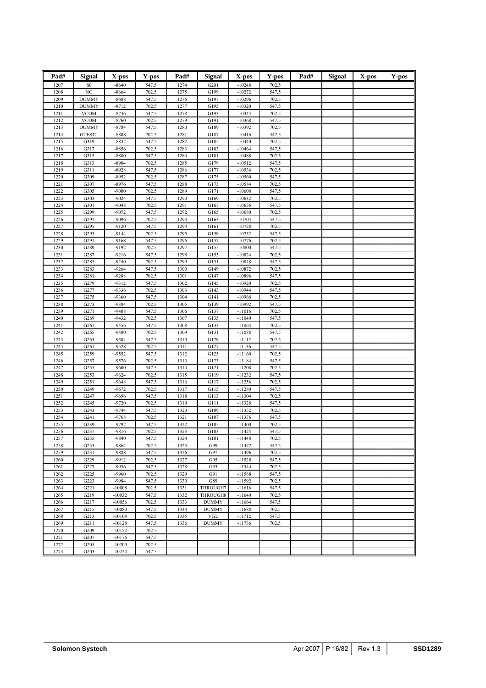| Pad#         | <b>Signal</b>        | X-pos              | Y-pos          | Pad#         | <b>Signal</b> | X-pos                | Y-pos          | Pad# | <b>Signal</b> | X-pos | Y-pos |
|--------------|----------------------|--------------------|----------------|--------------|---------------|----------------------|----------------|------|---------------|-------|-------|
|              |                      |                    |                |              |               |                      |                |      |               |       |       |
| 1207         | S <sub>0</sub><br>NC | $-8640$<br>$-8664$ | 547.5<br>702.5 | 1274         | G201<br>G199  | $-10248$<br>$-10272$ | 702.5          |      |               |       |       |
| 1208<br>1209 | <b>DUMMY</b>         | $-8688$            | 547.5          | 1275<br>1276 | G197          | $-10296$             | 547.5<br>702.5 |      |               |       |       |
| 1210         | <b>DUMMY</b>         | $-8712$            | 702.5          | 1277         | G195          | $-10320$             | 547.5          |      |               |       |       |
| 1211         | <b>VCOM</b>          | $-8736$            | 547.5          | 1278         | G193          | $-10344$             | 702.5          |      |               |       |       |
| 1212         | <b>VCOM</b>          | $-8760$            | 702.5          | 1279         | G191          | $-10368$             | 547.5          |      |               |       |       |
| 1213         | <b>DUMMY</b>         | $-8784$            | 547.5          | 1280         | G189          | $-10392$             | 702.5          |      |               |       |       |
| 1214         | <b>GTESTL</b>        | $-8808$            | 702.5          | 1281         | G187          | $-10416$             | 547.5          |      |               |       |       |
| 1215         | G319                 | $-8832$            | 547.5          | 1282         | G185          | $-10440$             | 702.5          |      |               |       |       |
| 1216         | G317                 | -8856              | 702.5          | 1283         | G183          | $-10464$             | 547.5          |      |               |       |       |
| 1217         | G315                 | $-8880$            | 547.5          | 1284         | G181          | $-10488$             | 702.5          |      |               |       |       |
| 1218         | G313                 | $-8904$            | 702.5          | 1285         | G179          | $-10512$             | 547.5          |      |               |       |       |
| 1219         | G311                 | $-8928$            | 547.5          | 1286         | G177          | $-10536$             | 702.5          |      |               |       |       |
| 1220         | G309                 | $-8952$            | 702.5          | 1287         | G175          | $-10560$             | 547.5          |      |               |       |       |
| 1221         | G307                 | $-8976$            | 547.5          | 1288         | G173          | $-10584$             | 702.5          |      |               |       |       |
| 1222         | G305                 | $-9000$            | 702.5          | 1289         | G171          | $-10608$             | 547.5          |      |               |       |       |
| 1223         | G303                 | $-9024$            | 547.5          | 1290         | G169          | $-10632$             | 702.5          |      |               |       |       |
| 1224         | G301                 | $-9048$            | 702.5          | 1291         | G167          | $-10656$             | 547.5          |      |               |       |       |
| 1225         | G299                 | $-9072$            | 547.5          | 1292         | G165          | $-10680$             | 702.5          |      |               |       |       |
| 1226         | G297                 | $-9096$            | 702.5          | 1293         | G163          | $-10704$             | 547.5          |      |               |       |       |
| 1227<br>1228 | G295<br>G293         | $-9120$<br>$-9144$ | 547.5<br>702.5 | 1294<br>1295 | G161<br>G159  | $-10728$<br>$-10752$ | 702.5<br>547.5 |      |               |       |       |
| 1229         | G291                 | $-9168$            | 547.5          | 1296         | G157          | $-10776$             | 702.5          |      |               |       |       |
| 1230         | G289                 | $-9192$            | 702.5          | 1297         | G155          | $-10800$             | 547.5          |      |               |       |       |
| 1231         | G287                 | $-9216$            | 547.5          | 1298         | G153          | $-10824$             | 702.5          |      |               |       |       |
| 1232         | G285                 | $-9240$            | 702.5          | 1299         | G151          | $-10848$             | 547.5          |      |               |       |       |
| 1233         | G283                 | $-9264$            | 547.5          | 1300         | G149          | $-10872$             | 702.5          |      |               |       |       |
| 1234         | G281                 | $-9288$            | 702.5          | 1301         | G147          | $-10896$             | 547.5          |      |               |       |       |
| 1235         | G279                 | $-9312$            | 547.5          | 1302         | G145          | $-10920$             | 702.5          |      |               |       |       |
| 1236         | G277                 | $-9336$            | 702.5          | 1303         | G143          | $-10944$             | 547.5          |      |               |       |       |
| 1237         | G275                 | -9360              | 547.5          | 1304         | G141          | $-10968$             | 702.5          |      |               |       |       |
| 1238         | G273                 | -9384              | 702.5          | 1305         | G139          | $-10992$             | 547.5          |      |               |       |       |
| 1239         | G271                 | $-9408$            | 547.5          | 1306         | G137          | $-11016$             | 702.5          |      |               |       |       |
| 1240         | G269                 | $-9432$            | 702.5          | 1307         | G135          | $-11040$             | 547.5          |      |               |       |       |
| 1241         | G267                 | $-9456$            | 547.5          | 1308         | G133          | $-11064$             | 702.5          |      |               |       |       |
| 1242         | G265                 | $-9480$            | 702.5          | 1309         | G131          | $-11088$             | 547.5          |      |               |       |       |
| 1243         | G263                 | $-9504$            | 547.5          | 1310         | G129          | $-11112$             | 702.5          |      |               |       |       |
| 1244         | G261                 | $-9528$            | 702.5          | 1311         | G127          | $-11136$             | 547.5          |      |               |       |       |
| 1245         | G259                 | $-9552$            | 547.5          | 1312         | G125          | $-11160$             | 702.5          |      |               |       |       |
| 1246<br>1247 | G257<br>G255         | $-9576$<br>$-9600$ | 702.5<br>547.5 | 1313<br>1314 | G123<br>G121  | $-11184$<br>$-11208$ | 547.5<br>702.5 |      |               |       |       |
| 1248         | G253                 | $-9624$            | 702.5          | 1315         | G119          | $-11232$             | 547.5          |      |               |       |       |
| 1249         | G251                 | $-9648$            | 547.5          | 1316         | G117          | $-11256$             | 702.5          |      |               |       |       |
| 1250         | G249                 | $-9672$            | 702.5          | 1317         | G115          | $-11280$             | 547.5          |      |               |       |       |
| 1251         | G247                 | $-9696$            | 547.5          | 1318         | G113          | $-11304$             | 702.5          |      |               |       |       |
| 1252         | G245                 | $-9720$            | 702.5          | 1319         | G111          | $-11328$             | 547.5          |      |               |       |       |
| 1253         | G243                 | $-9744$            | 547.5          | 1320         | G109          | $-11352$             | 702.5          |      |               |       |       |
| 1254         | G241                 | $-9768$            | 702.5          | 1321         | G107          | $-11376$             | 547.5          |      |               |       |       |
| 1255         | G239                 | $-9792$            | 547.5          | 1322         | G105          | $-11400$             | 702.5          |      |               |       |       |
| 1256         | G237                 | $-9816$            | 702.5          | 1323         | G103          | $-11424$             | 547.5          |      |               |       |       |
| 1257         | G235                 | -9840              | 547.5          | 1324         | G101          | $-11448$             | 702.5          |      |               |       |       |
| 1258         | G233                 | $-9864$            | 702.5          | 1325         | G99           | $-11472$             | 547.5          |      |               |       |       |
| 1259         | G231                 | -9888              | 547.5          | 1326         | G97           | $-11496$             | 702.5          |      |               |       |       |
| 1260         | G229                 | $-9912$            | 702.5          | 1327         | G95           | $-11520$             | 547.5          |      |               |       |       |
| 1261         | G227                 | -9936<br>$-9960$   | 547.5          | 1328         | G93           | $-11544$             | 702.5          |      |               |       |       |
| 1262<br>1263 | G225<br>G223         | -9984              | 702.5<br>547.5 | 1329<br>1330 | G91<br>G89    | $-11568$<br>$-11592$ | 547.5<br>702.5 |      |               |       |       |
| 1264         | G221                 | $-10008$           | 702.5          | 1331         | THROUGH7      | $-11616$             | 547.5          |      |               |       |       |
| 1265         | G219                 | $-10032$           | 547.5          | 1332         | THROUGH8      | $-11640$             | 702.5          |      |               |       |       |
| 1266         | G217                 | $-10056$           | 702.5          | 1333         | <b>DUMMY</b>  | $-11664$             | 547.5          |      |               |       |       |
| 1267         | G215                 | $-10080$           | 547.5          | 1334         | <b>DUMMY</b>  | $-11688$             | 702.5          |      |               |       |       |
| 1268         | G213                 | $-10104$           | 702.5          | 1335         | <b>VGL</b>    | $-11712$             | 547.5          |      |               |       |       |
| 1269         | G211                 | $-10128$           | 547.5          | 1336         | <b>DUMMY</b>  | $-11736$             | 702.5          |      |               |       |       |
| 1270         | G209                 | $-10152$           | 702.5          |              |               |                      |                |      |               |       |       |
| 1271         | G207                 | $-10176$           | 547.5          |              |               |                      |                |      |               |       |       |
| 1272         | G205                 | $-10200$           | 702.5          |              |               |                      |                |      |               |       |       |
| 1273         | G203                 | $-10224$           | 547.5          |              |               |                      |                |      |               |       |       |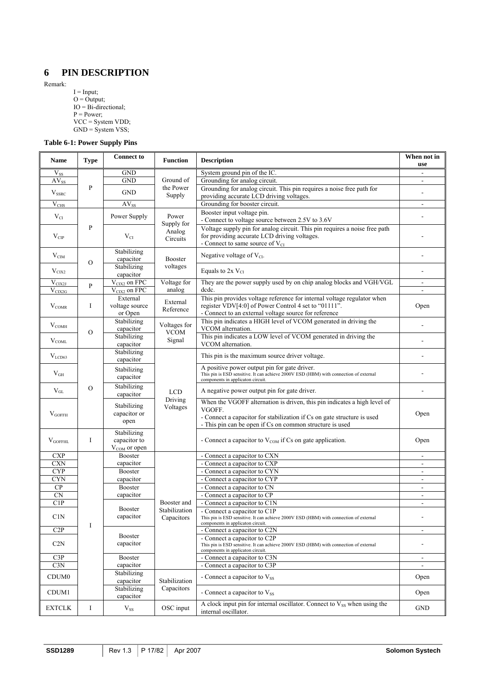# <span id="page-16-0"></span>**6 PIN DESCRIPTION**

Remark:

 $I = Input;$  $O =$  Output; IO = Bi-directional;  $P = Power;$ VCC = System VDD; GND = System VSS;

## **Table 6-1: Power Supply Pins**

| <b>Name</b>               | <b>Type</b>   | <b>Connect to</b>                                       | <b>Function</b>                  | <b>Description</b>                                                                                                                                                                                                        | When not in<br>use       |
|---------------------------|---------------|---------------------------------------------------------|----------------------------------|---------------------------------------------------------------------------------------------------------------------------------------------------------------------------------------------------------------------------|--------------------------|
| $\rm V_{SS}$              |               | GND                                                     |                                  | System ground pin of the IC.                                                                                                                                                                                              |                          |
| $AV_{SS}$                 |               | <b>GND</b>                                              | Ground of                        | Grounding for analog circuit.                                                                                                                                                                                             |                          |
| $V_{SSRC}$                | P             | <b>GND</b>                                              | the Power                        | Grounding for analog circuit. This pin requires a noise free path for                                                                                                                                                     | $\overline{a}$           |
|                           |               |                                                         | Supply                           | providing accurate LCD driving voltages.                                                                                                                                                                                  |                          |
| $V_{CHS}$                 |               | $AV_{SS}$                                               |                                  | Grounding for booster circuit.                                                                                                                                                                                            | $\overline{a}$           |
| $V_{CI}$                  |               | Power Supply                                            | Power                            | Booster input voltage pin.<br>- Connect to voltage source between 2.5V to 3.6V                                                                                                                                            |                          |
| $V_{CP}$                  | $\mathbf{P}$  | $V_{CI}$                                                | Supply for<br>Analog<br>Circuits | Voltage supply pin for analog circuit. This pin requires a noise free path<br>for providing accurate LCD driving voltages.<br>- Connect to same source of V <sub>CI</sub>                                                 |                          |
| $\rm V_{CIM}$             | $\mathbf O$   | Stabilizing<br>capacitor                                | <b>Booster</b>                   | Negative voltage of $V_{CI}$ .                                                                                                                                                                                            |                          |
| $V_{CIX2}$                |               | Stabilizing<br>capacitor                                | voltages                         | Equals to $2xV_{CI}$                                                                                                                                                                                                      | $\overline{a}$           |
| $V_{\text{CIX2J}}$        |               | $V_{CIX2}$ on FPC                                       | Voltage for                      | They are the power supply used by on chip analog blocks and VGH/VGL                                                                                                                                                       | $\blacksquare$           |
| $V_{CIX2G}$               | $\mathbf{P}$  | V <sub>CIX2</sub> on FPC                                | analog                           | dede.                                                                                                                                                                                                                     | $\overline{a}$           |
| $\rm V_{COMR}$            | I             | External<br>voltage source<br>or Open                   | External<br>Reference            | This pin provides voltage reference for internal voltage regulator when<br>register VDV[4:0] of Power Control 4 set to "01111".<br>- Connect to an external voltage source for reference                                  | Open                     |
| $\rm V_{COMH}$            |               | Stabilizing<br>capacitor                                | Voltages for                     | This pin indicates a HIGH level of VCOM generated in driving the<br>VCOM alternation.                                                                                                                                     |                          |
| $V_{COML}$                | $\mathbf{O}$  | Stabilizing<br>capacitor                                | <b>VCOM</b><br>Signal            | This pin indicates a LOW level of VCOM generated in driving the<br>VCOM alternation.                                                                                                                                      | $\overline{a}$           |
| V <sub>LCD63</sub>        |               | Stabilizing<br>capacitor                                |                                  | This pin is the maximum source driver voltage.                                                                                                                                                                            |                          |
| $V_{GH}$                  |               | Stabilizing<br>capacitor                                |                                  | A positive power output pin for gate driver.<br>This pin is ESD sensitive. It can achieve 2000V ESD (HBM) with connection of external<br>components in applicaton circuit.                                                |                          |
| $V_{GL}$                  | $\mathcal{O}$ | Stabilizing<br>capacitor                                | <b>LCD</b>                       |                                                                                                                                                                                                                           |                          |
| $V_{GOFFH}$               |               | Stabilizing<br>capacitor or<br>open                     | Driving<br>Voltages              | When the VGOFF alternation is driven, this pin indicates a high level of<br>VGOFF.<br>- Connect a capacitor for stabilization if Cs on gate structure is used<br>- This pin can be open if Cs on common structure is used | Open                     |
| $\rm V_{GOFFHL}$          | I             | Stabilizing<br>capacitor to<br>V <sub>COM</sub> or open |                                  | - Connect a capacitor to $V_{COM}$ if Cs on gate application.                                                                                                                                                             | Open                     |
| $\ensuremath{\text{CXP}}$ |               | <b>Booster</b>                                          |                                  | - Connect a capacitor to CXN                                                                                                                                                                                              | $\overline{\phantom{0}}$ |
| <b>CXN</b>                |               | capacitor                                               |                                  | - Connect a capacitor to CXP                                                                                                                                                                                              | $\blacksquare$           |
| <b>CYP</b>                |               | Booster                                                 |                                  | - Connect a capacitor to CYN                                                                                                                                                                                              | $\blacksquare$           |
| <b>CYN</b>                |               | capacitor                                               |                                  | - Connect a capacitor to CYP                                                                                                                                                                                              |                          |
| ${\bf CP}$                |               | Booster                                                 |                                  | - Connect a capacitor to CN                                                                                                                                                                                               | $\frac{1}{2}$            |
| $\overline{\text{CN}}$    |               | capacitor                                               |                                  | - Connect a capacitor to CP                                                                                                                                                                                               | ۰                        |
| C1P                       |               | <b>Booster</b>                                          | Booster and<br>Stabilization     | - Connect a capacitor to C1N                                                                                                                                                                                              | $\overline{\phantom{a}}$ |
| C1N                       | I             | capacitor                                               | Capacitors                       | - Connect a capacitor to C1P<br>This pin is ESD sensitive. It can achieve 2000V ESD (HBM) with connection of external<br>components in applicaton circuit.                                                                |                          |
| C2P                       |               |                                                         |                                  | - Connect a capacitor to C2N                                                                                                                                                                                              | $\frac{1}{2}$            |
| C2N                       |               | <b>Booster</b><br>capacitor                             |                                  | - Connect a capacitor to C2P<br>This pin is ESD sensitive. It can achieve 2000V ESD (HBM) with connection of external                                                                                                     |                          |
| C3P                       |               | Booster                                                 |                                  | components in applicaton circuit.<br>- Connect a capacitor to C3N                                                                                                                                                         | $\overline{\phantom{a}}$ |
| C3N                       |               | capacitor                                               |                                  | - Connect a capacitor to C3P                                                                                                                                                                                              | $\overline{a}$           |
|                           |               | Stabilizing                                             |                                  |                                                                                                                                                                                                                           |                          |
| CDUM <sub>0</sub>         |               | capacitor<br>Stabilizing                                | Stabilization<br>Capacitors      | - Connect a capacitor to Vss                                                                                                                                                                                              | Open                     |
| CDUM1                     |               | capacitor                                               |                                  | - Connect a capacitor to Vss<br>A clock input pin for internal oscillator. Connect to V <sub>SS</sub> when using the                                                                                                      | Open                     |
| <b>EXTCLK</b>             | I             | $\rm V_{SS}$                                            | OSC input                        | internal oscillator.                                                                                                                                                                                                      | <b>GND</b>               |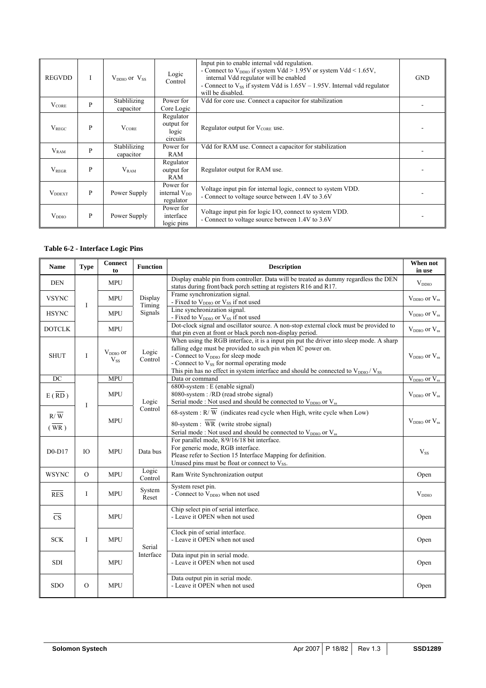<span id="page-17-0"></span>

| <b>REGVDD</b>             | T                                                                                                            | $V_{DDIO}$ or $V_{SS}$                                                                                           | Logic<br>Control                                                                                            | Input pin to enable internal vdd regulation.<br>- Connect to $V_{DDIO}$ if system Vdd > 1.95V or system Vdd < 1.65V,<br>internal Vdd regulator will be enabled<br>- Connect to $V_{SS}$ if system Vdd is $1.65V - 1.95V$ . Internal vdd regulator<br>will be disabled. | <b>GND</b> |  |  |  |  |
|---------------------------|--------------------------------------------------------------------------------------------------------------|------------------------------------------------------------------------------------------------------------------|-------------------------------------------------------------------------------------------------------------|------------------------------------------------------------------------------------------------------------------------------------------------------------------------------------------------------------------------------------------------------------------------|------------|--|--|--|--|
| $V_{\rm CORE}$            | P                                                                                                            | Stablilizing<br>Vdd for core use. Connect a capacitor for stabilization<br>Power for<br>Core Logic<br>capacitor  |                                                                                                             |                                                                                                                                                                                                                                                                        |            |  |  |  |  |
| $V_{REGC}$                | P                                                                                                            | $V_{\text{CORE}}$                                                                                                | Regulator<br>output for<br>logic<br>circuits                                                                | Regulator output for $V_{CORE}$ use.                                                                                                                                                                                                                                   |            |  |  |  |  |
| $V_{RAM}$                 | Stablilizing<br>Vdd for RAM use. Connect a capacitor for stabilization<br>Power for<br>P<br>RAM<br>capacitor |                                                                                                                  |                                                                                                             |                                                                                                                                                                                                                                                                        |            |  |  |  |  |
| $V_{REGR}$                | P                                                                                                            | $V_{RAM}$                                                                                                        | Regulator<br>output for<br>RAM                                                                              | Regulator output for RAM use.                                                                                                                                                                                                                                          |            |  |  |  |  |
| <b>V</b> <sub>DDEXT</sub> | P                                                                                                            | Voltage input pin for internal logic, connect to system VDD.<br>- Connect to voltage source between 1.4V to 3.6V |                                                                                                             |                                                                                                                                                                                                                                                                        |            |  |  |  |  |
| $V_{DDIO}$                | P                                                                                                            | Power Supply                                                                                                     | Voltage input pin for logic I/O, connect to system VDD.<br>- Connect to voltage source between 1.4V to 3.6V |                                                                                                                                                                                                                                                                        |            |  |  |  |  |

## **Table 6-2 - Interface Logic Pins**

| <b>Name</b>            | <b>Type</b> | <b>Connect</b><br>to      | <b>Function</b>   | <b>Description</b>                                                                                                                                                                                                                                                                                                                                                     | When not<br>in use                |  |  |  |  |  |
|------------------------|-------------|---------------------------|-------------------|------------------------------------------------------------------------------------------------------------------------------------------------------------------------------------------------------------------------------------------------------------------------------------------------------------------------------------------------------------------------|-----------------------------------|--|--|--|--|--|
| <b>DEN</b>             |             | <b>MPU</b>                |                   | Display enable pin from controller. Data will be treated as dummy regardless the DEN<br>status during front/back porch setting at registers R16 and R17.                                                                                                                                                                                                               | $V_{DDIO}$                        |  |  |  |  |  |
| <b>VSYNC</b>           | $\mathbf I$ | <b>MPU</b>                | Display<br>Timing | Frame synchronization signal.<br>- Fixed to V <sub>DDIO</sub> or V <sub>SS</sub> if not used                                                                                                                                                                                                                                                                           | $V_{DDIO}$ or $V_{ss}$            |  |  |  |  |  |
| <b>HSYNC</b>           |             | <b>MPU</b>                | Signals           | Line synchronization signal.<br>- Fixed to V <sub>DDIO</sub> or V <sub>SS</sub> if not used                                                                                                                                                                                                                                                                            | $V_{DDIO}$ or $V_{ss}$            |  |  |  |  |  |
| <b>DOTCLK</b>          |             | <b>MPU</b>                |                   | Dot-clock signal and oscillator source. A non-stop external clock must be provided to<br>that pin even at front or black porch non-display period.                                                                                                                                                                                                                     | $V_{DDIO}$ or $V_{ss}$            |  |  |  |  |  |
| <b>SHUT</b>            | $\bf{I}$    | $V_{DDIO}$ or<br>$V_{SS}$ | Logic<br>Control  | When using the RGB interface, it is a input pin put the driver into sleep mode. A sharp<br>falling edge must be provided to such pin when IC power on.<br>- Connect to $V_{DDIO}$ for sleep mode<br>- Connect to V <sub>SS</sub> for normal operating mode<br>This pin has no effect in system interface and should be connected to V <sub>DDIO</sub> /V <sub>SS</sub> | $\rm V_{DDIO}$ or $\rm V_{ss}$    |  |  |  |  |  |
| DC                     |             | <b>MPU</b>                |                   | Data or command                                                                                                                                                                                                                                                                                                                                                        | $V_{DDIO}$ or $\overline{V_{ss}}$ |  |  |  |  |  |
| E(RD)                  | I           | <b>MPU</b>                | Logic             | 6800-system : E (enable signal)<br>8080-system : /RD (read strobe signal)<br>Serial mode: Not used and should be connected to V <sub>DDIO</sub> or V <sub>ss</sub>                                                                                                                                                                                                     | $V_{DDIO}$ or $V_{ss}$            |  |  |  |  |  |
| R / W<br>(WR)          |             | <b>MPU</b>                | Control           | 68-system : R/W (indicates read cycle when High, write cycle when Low)<br>80-system : WR (write strobe signal)<br>Serial mode: Not used and should be connected to V <sub>DDIO</sub> or V <sub>ss</sub>                                                                                                                                                                | $V_{DDIO}$ or $V_{ss}$            |  |  |  |  |  |
| $D0-D17$               | IO          | <b>MPU</b>                | Data bus          | For parallel mode, 8/9/16/18 bit interface.<br>For generic mode, RGB interface.<br>Please refer to Section 15 Interface Mapping for definition.<br>Unused pins must be float or connect to V <sub>SS</sub> .                                                                                                                                                           | $V_{SS}$                          |  |  |  |  |  |
| <b>WSYNC</b>           | $\Omega$    | <b>MPU</b>                | Logic<br>Control  | Ram Write Synchronization output                                                                                                                                                                                                                                                                                                                                       | Open                              |  |  |  |  |  |
| <b>RES</b>             | $\bf{I}$    | <b>MPU</b>                | System<br>Reset   | System reset pin.<br>- Connect to V <sub>DDIO</sub> when not used                                                                                                                                                                                                                                                                                                      | $V_{DDIO}$                        |  |  |  |  |  |
| $\overline{\text{CS}}$ |             | <b>MPU</b>                |                   | Chip select pin of serial interface.<br>- Leave it OPEN when not used                                                                                                                                                                                                                                                                                                  | Open                              |  |  |  |  |  |
| <b>SCK</b>             | $\bf{I}$    | <b>MPU</b>                | Serial            | Clock pin of serial interface.<br>- Leave it OPEN when not used                                                                                                                                                                                                                                                                                                        | Open                              |  |  |  |  |  |
| <b>SDI</b>             |             | <b>MPU</b>                | Interface         | Data input pin in serial mode.<br>- Leave it OPEN when not used                                                                                                                                                                                                                                                                                                        |                                   |  |  |  |  |  |
| <b>SDO</b>             | $\Omega$    | <b>MPU</b>                |                   | Data output pin in serial mode.<br>- Leave it OPEN when not used                                                                                                                                                                                                                                                                                                       | Open                              |  |  |  |  |  |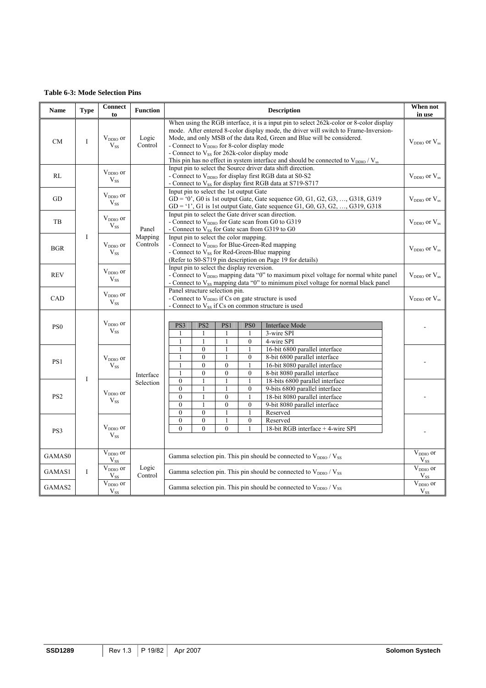#### <span id="page-18-0"></span>**Table 6-3: Mode Selection Pins**

| Name            | <b>Type</b> | Connect<br>to                    | <b>Function</b>     | <b>Description</b>                                                                                                                                                                                                                                                                                                                                                                                                                                                     |                                  |  |  |  |  |  |  |  |  |  |  |
|-----------------|-------------|----------------------------------|---------------------|------------------------------------------------------------------------------------------------------------------------------------------------------------------------------------------------------------------------------------------------------------------------------------------------------------------------------------------------------------------------------------------------------------------------------------------------------------------------|----------------------------------|--|--|--|--|--|--|--|--|--|--|
| <b>CM</b>       | I           | V <sub>DDIO</sub> or<br>$V_{SS}$ | Logic<br>Control    | When using the RGB interface, it is a input pin to select 262k-color or 8-color display<br>mode. After entered 8-color display mode, the driver will switch to Frame-Inversion-<br>Mode, and only MSB of the data Red, Green and Blue will be considered.<br>- Connect to $V_{DDIO}$ for 8-color display mode<br>- Connect to V <sub>SS</sub> for 262k-color display mode<br>This pin has no effect in system interface and should be connected to $V_{DDIO} / V_{ss}$ | $V_{DDIO}$ or $V_{ss}$           |  |  |  |  |  |  |  |  |  |  |
| RL              |             | V <sub>DDIO</sub> or<br>$V_{SS}$ |                     | Input pin to select the Source driver data shift direction.<br>- Connect to V <sub>DDIO</sub> for display first RGB data at S0-S2<br>- Connect to V <sub>SS</sub> for display first RGB data at S719-S717                                                                                                                                                                                                                                                              | $V_{DDIO}$ or $V_{ss}$           |  |  |  |  |  |  |  |  |  |  |
| GD              |             | $V_{DDIO}$ or<br>$V_{SS}$        |                     | Input pin to select the 1st output Gate<br>$GD = '0', G0$ is 1st output Gate, Gate sequence $G0, G1, G2, G3, , G318, G319$<br>$GD = '1', G1$ is 1st output Gate, Gate sequence $G1, G0, G3, G2, , G319, G318$                                                                                                                                                                                                                                                          | $V_{DDIO}$ or $V_{ss}$           |  |  |  |  |  |  |  |  |  |  |
| TB              |             | $V_{DDIO}$ or<br>$V_{SS}$        | Panel               | Input pin to select the Gate driver scan direction.<br>- Connect to V <sub>DDIO</sub> for Gate scan from G0 to G319<br>- Connect to $V_{SS}$ for Gate scan from G319 to G0                                                                                                                                                                                                                                                                                             | $V_{DDIO}$ or $V_{ss}$           |  |  |  |  |  |  |  |  |  |  |
| <b>BGR</b>      | $\bf{I}$    | $V_{DDIO}$ or<br>$V_{SS}$        | Mapping<br>Controls | Input pin to select the color mapping.<br>- Connect to V <sub>DDIO</sub> for Blue-Green-Red mapping<br>- Connect to $V_{SS}$ for Red-Green-Blue mapping<br>(Refer to S0-S719 pin description on Page 19 for details)                                                                                                                                                                                                                                                   | $V_{DDIO}$ or $V_{ss}$           |  |  |  |  |  |  |  |  |  |  |
| <b>REV</b>      |             | $V_{DDIO}$ or<br>$V_{SS}$        |                     | Input pin to select the display reversion.<br>- Connect to V <sub>DDIO</sub> mapping data "0" to maximum pixel voltage for normal white panel<br>- Connect to $V_{SS}$ mapping data "0" to minimum pixel voltage for normal black panel                                                                                                                                                                                                                                | $V_{DDIO}$ or $V_{ss}$           |  |  |  |  |  |  |  |  |  |  |
| CAD             |             | $V_{DDIO}$ or<br>$V_{SS}$        |                     | Panel structure selection pin.<br>- Connect to V <sub>DDIO</sub> if Cs on gate structure is used<br>- Connect to $V_{SS}$ if Cs on common structure is used                                                                                                                                                                                                                                                                                                            | $V_{DDIO}$ or $V_{ss}$           |  |  |  |  |  |  |  |  |  |  |
| PS <sub>0</sub> |             | V <sub>DDIO</sub> or<br>$V_{SS}$ |                     | PS3<br>PS <sub>2</sub><br>PS1<br>PS <sub>0</sub><br><b>Interface Mode</b><br>3-wire SPI<br>$\overline{1}$<br>1<br>$\mathbf{1}$<br>1<br>$\mathbf{1}$<br>$\mathbf{1}$<br>$\mathbf{0}$<br>4-wire SPI<br>$\mathbf{1}$                                                                                                                                                                                                                                                      |                                  |  |  |  |  |  |  |  |  |  |  |
| PS1             |             | $V_{DDIO}$ or<br>$V_{SS}$        | Interface           | 16-bit 6800 parallel interface<br>$\mathbf{0}$<br>1<br>1<br>$\mathbf{0}$<br>$\mathbf{1}$<br>$\mathbf{0}$<br>8-bit 6800 parallel interface<br>$\mathbf{0}$<br>$\mathbf{0}$<br>16-bit 8080 parallel interface<br>$\overline{0}$<br>$\mathbf{1}$<br>$\mathbf{0}$<br>$\mathbf{0}$<br>8-bit 8080 parallel interface                                                                                                                                                         |                                  |  |  |  |  |  |  |  |  |  |  |
| PS <sub>2</sub> | I           | $V_{DDIO}$ or<br>$V_{SS}$        | Selection           | $\mathbf{0}$<br>$\mathbf{1}$<br>18-bits 6800 parallel interface<br>$\mathbf{1}$<br>$\overline{0}$<br>$\mathbf{1}$<br>$\mathbf{1}$<br>$\mathbf{0}$<br>9-bits 6800 parallel interface<br>$\mathbf{0}$<br>$\boldsymbol{0}$<br>18-bit 8080 parallel interface<br>$\mathbf{1}$<br>$\overline{0}$<br>$\mathbf{0}$<br>$\mathbf{1}$<br>$\mathbf{0}$<br>9-bit 8080 parallel interface<br>$\theta$<br>Reserved<br>$\theta$<br>$\mathbf{1}$                                       |                                  |  |  |  |  |  |  |  |  |  |  |
| PS3             |             | $V_{DDIO}$ or<br>$V_{SS}$        |                     | $\mathbf{0}$<br>$\theta$<br>$\mathbf{1}$<br>$\theta$<br>Reserved<br>$\theta$<br>$\Omega$<br>$\theta$<br>18-bit RGB interface + 4-wire SPI                                                                                                                                                                                                                                                                                                                              |                                  |  |  |  |  |  |  |  |  |  |  |
| GAMAS0          |             | V <sub>DDIO</sub> or<br>$V_{SS}$ |                     | Gamma selection pin. This pin should be connected to $V_{DDIO} / V_{SS}$                                                                                                                                                                                                                                                                                                                                                                                               |                                  |  |  |  |  |  |  |  |  |  |  |
| GAMAS1          | I           | V <sub>DDIO</sub> or<br>$V_{SS}$ | Logic<br>Control    | Gamma selection pin. This pin should be connected to $V_{DDIO} / V_{SS}$                                                                                                                                                                                                                                                                                                                                                                                               |                                  |  |  |  |  |  |  |  |  |  |  |
| GAMAS2          |             | V <sub>DDIO</sub> or<br>$V_{SS}$ |                     | Gamma selection pin. This pin should be connected to $V_{DDIO} / V_{SS}$                                                                                                                                                                                                                                                                                                                                                                                               | V <sub>DDIO</sub> or<br>$V_{SS}$ |  |  |  |  |  |  |  |  |  |  |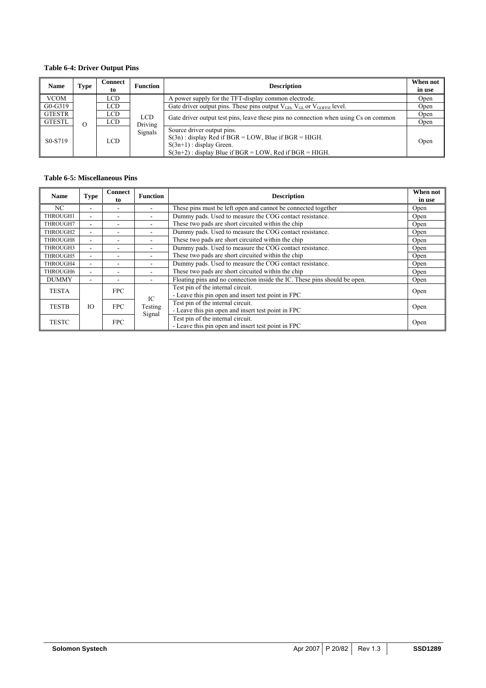# <span id="page-19-0"></span>**Table 6-4: Driver Output Pins**

| <b>Name</b>                       | Type     | Connect<br>to | <b>Function</b> | <b>Description</b>                                                                                                                                                               | When not<br>in use |  |  |  |
|-----------------------------------|----------|---------------|-----------------|----------------------------------------------------------------------------------------------------------------------------------------------------------------------------------|--------------------|--|--|--|
| <b>VCOM</b>                       |          | LCD.          |                 | A power supply for the TFT-display common electrode.                                                                                                                             | Open               |  |  |  |
| $G0-G319$                         |          | LCD           |                 | Gate driver output pins. These pins output $V_{GH}$ , $V_{GL}$ or $V_{GOFFH}$ level.                                                                                             | Open               |  |  |  |
| <b>GTESTR</b>                     |          | LCD           | <b>LCD</b>      | Gate driver output test pins, leave these pins no connection when using Cs on common                                                                                             | Open               |  |  |  |
| GTESTL                            | $\Omega$ | LCD           | Driving         |                                                                                                                                                                                  |                    |  |  |  |
| S <sub>0</sub> -S <sub>7</sub> 19 |          | LCD.          | Signals         | Source driver output pins.<br>$S(3n)$ : display Red if BGR = LOW, Blue if BGR = HIGH.<br>$S(3n+1)$ : display Green.<br>$S(3n+2)$ : display Blue if BGR = LOW, Red if BGR = HIGH. | Open               |  |  |  |

#### **Table 6-5: Miscellaneous Pins**

| <b>Name</b>  | <b>Type</b>              | <b>Connect</b><br>to     | <b>Function</b>   | <b>Description</b>                                                                      | When not<br>in use |
|--------------|--------------------------|--------------------------|-------------------|-----------------------------------------------------------------------------------------|--------------------|
| NC           | -                        |                          |                   | These pins must be left open and cannot be connected together                           | Open               |
| THROUGH1     | $\overline{\phantom{a}}$ | -                        |                   | Dummy pads. Used to measure the COG contact resistance.                                 | Open               |
| THROUGH7     | -                        | $\overline{\phantom{a}}$ | -                 | These two pads are short circuited within the chip                                      | Open               |
| THROUGH2     | ۰.                       | -                        |                   | Dummy pads. Used to measure the COG contact resistance.                                 | Open               |
| THROUGH8     | ٠                        | ٠                        |                   | These two pads are short circuited within the chip                                      | Open               |
| THROUGH3     | ٠                        | $\overline{\phantom{a}}$ |                   | Dummy pads. Used to measure the COG contact resistance.                                 | Open               |
| THROUGH5     | ٠                        | ۰                        |                   | These two pads are short circuited within the chip                                      | Open               |
| THROUGH4     | ۰                        | $\overline{\phantom{a}}$ |                   | Dummy pads. Used to measure the COG contact resistance.                                 | Open               |
| THROUGH6     | $\overline{\phantom{0}}$ | $\overline{\phantom{a}}$ | ۰                 | These two pads are short circuited within the chip                                      | Open               |
| <b>DUMMY</b> | ۰                        | ۰                        |                   | Floating pins and no connection inside the IC. These pins should be open.               | Open               |
| <b>TESTA</b> |                          | <b>FPC</b>               | IC.               | Test pin of the internal circuit.<br>- Leave this pin open and insert test point in FPC | Open               |
| <b>TESTB</b> | IO.                      | <b>FPC</b>               | Testing<br>Signal | Test pin of the internal circuit.<br>- Leave this pin open and insert test point in FPC | Open               |
| <b>TESTC</b> |                          | <b>FPC</b>               |                   | Test pin of the internal circuit.<br>- Leave this pin open and insert test point in FPC | Open               |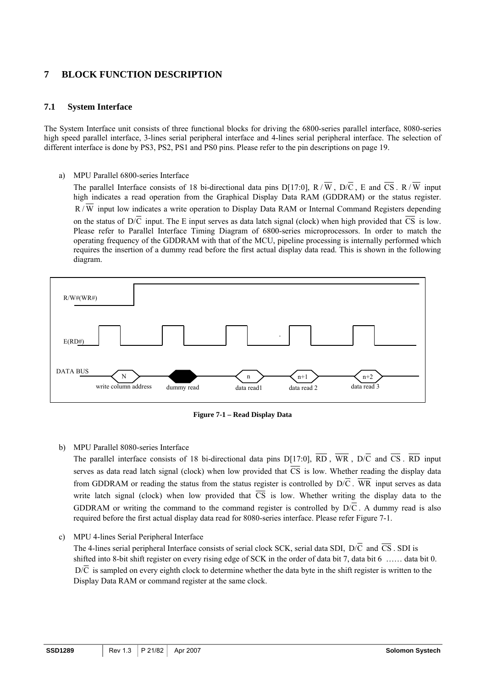# <span id="page-20-0"></span>**7 BLOCK FUNCTION DESCRIPTION**

## **7.1 System Interface**

The System Interface unit consists of three functional blocks for driving the 6800-series parallel interface, 8080-series high speed parallel interface, 3-lines serial peripheral interface and 4-lines serial peripheral interface. The selection of different interface is done by PS3, PS2, PS1 and PS0 pins. Please refer to the pin descriptions on page 19.

a) MPU Parallel 6800-series Interface

The parallel Interface consists of 18 bi-directional data pins D[17:0], R/W, D/C, E and  $\overline{CS}$ . R/W input high indicates a read operation from the Graphical Display Data RAM (GDDRAM) or the status register.  $R/\overline{W}$  input low indicates a write operation to Display Data RAM or Internal Command Registers depending on the status of  $D/\overline{C}$  input. The E input serves as data latch signal (clock) when high provided that  $\overline{CS}$  is low. Please refer to Parallel Interface Timing Diagram of 6800-series microprocessors. In order to match the operating frequency of the GDDRAM with that of the MCU, pipeline processing is internally performed which requires the insertion of a dummy read before the first actual display data read. This is shown in the following diagram.



**Figure 7-1 – Read Display Data**

#### b) MPU Parallel 8080-series Interface

The parallel interface consists of 18 bi-directional data pins D[17:0],  $\overline{RD}$ ,  $\overline{WR}$ , D/C and  $\overline{CS}$ .  $\overline{RD}$  input serves as data read latch signal (clock) when low provided that  $\overline{CS}$  is low. Whether reading the display data from GDDRAM or reading the status from the status register is controlled by  $D/\overline{C}$ . WR input serves as data write latch signal (clock) when low provided that  $\overline{CS}$  is low. Whether writing the display data to the GDDRAM or writing the command to the command register is controlled by  $D/\overline{C}$ . A dummy read is also required before the first actual display data read for 8080-series interface. Please refer Figure 7-1.

c) MPU 4-lines Serial Peripheral Interface

The 4-lines serial peripheral Interface consists of serial clock SCK, serial data SDI,  $D/\overline{C}$  and  $\overline{CS}$ . SDI is shifted into 8-bit shift register on every rising edge of SCK in the order of data bit 7, data bit 6 …… data bit 0.  $D/\overline{C}$  is sampled on every eighth clock to determine whether the data byte in the shift register is written to the Display Data RAM or command register at the same clock.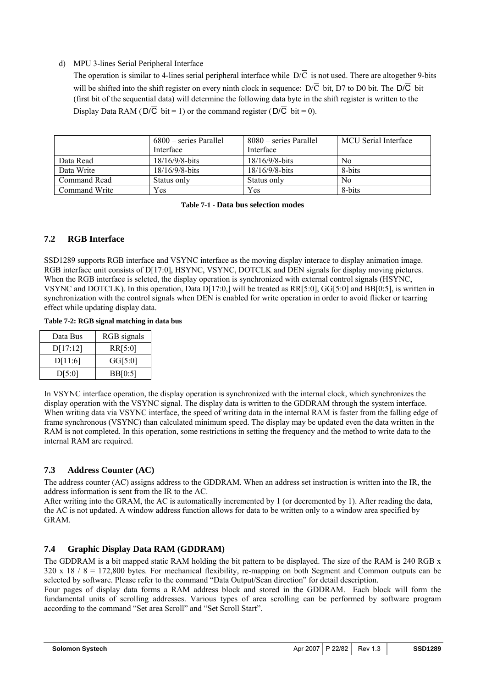#### <span id="page-21-0"></span>d) MPU 3-lines Serial Peripheral Interface

The operation is similar to 4-lines serial peripheral interface while  $D/\overline{C}$  is not used. There are altogether 9-bits will be shifted into the shift register on every ninth clock in sequence:  $D/\overline{C}$  bit, D7 to D0 bit. The  $D/\overline{C}$  bit (first bit of the sequential data) will determine the following data byte in the shift register is written to the Display Data RAM ( $D/\overline{C}$  bit = 1) or the command register ( $D/\overline{C}$  bit = 0).

|               | 6800 – series Parallel<br>Interface | 8080 – series Parallel<br>Interface | <b>MCU</b> Serial Interface |
|---------------|-------------------------------------|-------------------------------------|-----------------------------|
|               |                                     |                                     |                             |
| Data Read     | $18/16/9/8$ -bits                   | $18/16/9/8$ -bits                   | No                          |
| Data Write    | $18/16/9/8$ -bits                   | $18/16/9/8$ -bits                   | 8-bits                      |
| Command Read  | Status only                         | Status only                         | No                          |
| Command Write | Yes                                 | Yes                                 | 8-bits                      |

#### **Table 7-1 - Data bus selection modes**

# **7.2 RGB Interface**

SSD1289 supports RGB interface and VSYNC interface as the moving display interace to display animation image. RGB interface unit consists of D[17:0], HSYNC, VSYNC, DOTCLK and DEN signals for display moving pictures. When the RGB interface is selcted, the display operation is synchronized with external control signals (HSYNC, VSYNC and DOTCLK). In this operation, Data D[17:0,] will be treated as RR[5:0], GG[5:0] and BB[0:5], is written in synchronization with the control signals when DEN is enabled for write operation in order to avoid flicker or tearring effect while updating display data.

**Table 7-2: RGB signal matching in data bus** 

| Data Bus | RGB signals |
|----------|-------------|
| D[17:12] | RR[5:0]     |
| D[11:6]  | GG[5:0]     |
| D[5:0]   | BB[0:5]     |

In VSYNC interface operation, the display operation is synchronized with the internal clock, which synchronizes the display operation with the VSYNC signal. The display data is written to the GDDRAM through the system interface. When writing data via VSYNC interface, the speed of writing data in the internal RAM is faster from the falling edge of frame synchronous (VSYNC) than calculated minimum speed. The display may be updated even the data written in the RAM is not completed. In this operation, some restrictions in setting the frequency and the method to write data to the internal RAM are required.

# **7.3 Address Counter (AC)**

The address counter (AC) assigns address to the GDDRAM. When an address set instruction is written into the IR, the address information is sent from the IR to the AC.

After writing into the GRAM, the AC is automatically incremented by 1 (or decremented by 1). After reading the data, the AC is not updated. A window address function allows for data to be written only to a window area specified by GRAM.

# **7.4 Graphic Display Data RAM (GDDRAM)**

The GDDRAM is a bit mapped static RAM holding the bit pattern to be displayed. The size of the RAM is 240 RGB x 320 x 18 / 8 = 172,800 bytes. For mechanical flexibility, re-mapping on both Segment and Common outputs can be selected by software. Please refer to the command "Data Output/Scan direction" for detail description.

Four pages of display data forms a RAM address block and stored in the GDDRAM. Each block will form the fundamental units of scrolling addresses. Various types of area scrolling can be performed by software program according to the command "Set area Scroll" and "Set Scroll Start".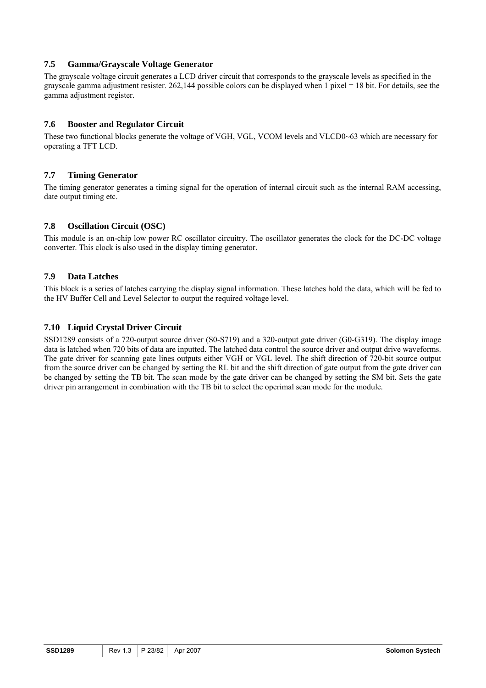#### **7.5 Gamma/Grayscale Voltage Generator**

The grayscale voltage circuit generates a LCD driver circuit that corresponds to the grayscale levels as specified in the grayscale gamma adjustment resister. 262,144 possible colors can be displayed when 1 pixel = 18 bit. For details, see the gamma adjustment register.

## **7.6 Booster and Regulator Circuit**

These two functional blocks generate the voltage of VGH, VGL, VCOM levels and VLCD0~63 which are necessary for operating a TFT LCD.

## **7.7 Timing Generator**

The timing generator generates a timing signal for the operation of internal circuit such as the internal RAM accessing, date output timing etc.

## **7.8 Oscillation Circuit (OSC)**

This module is an on-chip low power RC oscillator circuitry. The oscillator generates the clock for the DC-DC voltage converter. This clock is also used in the display timing generator.

## **7.9 Data Latches**

This block is a series of latches carrying the display signal information. These latches hold the data, which will be fed to the HV Buffer Cell and Level Selector to output the required voltage level.

## **7.10 Liquid Crystal Driver Circuit**

SSD1289 consists of a 720-output source driver (S0-S719) and a 320-output gate driver (G0-G319). The display image data is latched when 720 bits of data are inputted. The latched data control the source driver and output drive waveforms. The gate driver for scanning gate lines outputs either VGH or VGL level. The shift direction of 720-bit source output from the source driver can be changed by setting the RL bit and the shift direction of gate output from the gate driver can be changed by setting the TB bit. The scan mode by the gate driver can be changed by setting the SM bit. Sets the gate driver pin arrangement in combination with the TB bit to select the operimal scan mode for the module.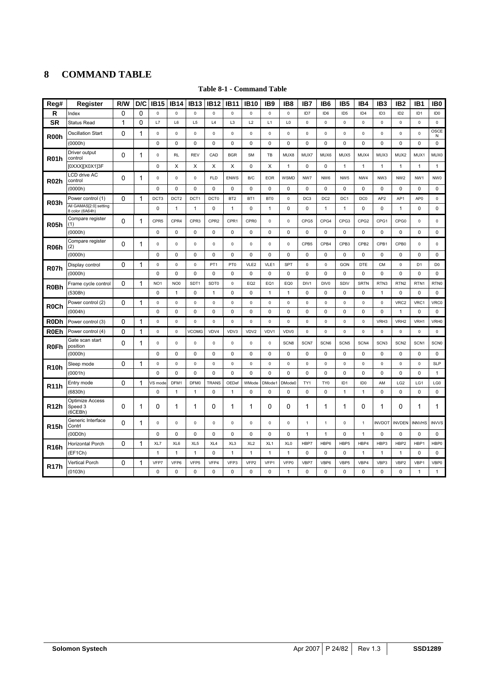# <span id="page-23-0"></span>**8 COMMAND TABLE**

| Reg#              | Register                                  | R/W         | D/C          | <b>IB15</b>      | <b>IB14</b>      | <b>IB13</b>      | <b>IB12</b>      | <b>IB11</b>     | <b>IB10</b>      | IB <sub>9</sub> | IB8              | IB7             | IB <sub>6</sub>  | IB <sub>5</sub>  | IB <sub>4</sub>  | IB <sub>3</sub>  | IB <sub>2</sub>  | IB <sub>1</sub>  | IB <sub>0</sub>  |
|-------------------|-------------------------------------------|-------------|--------------|------------------|------------------|------------------|------------------|-----------------|------------------|-----------------|------------------|-----------------|------------------|------------------|------------------|------------------|------------------|------------------|------------------|
| R                 | Index                                     | 0           | 0            | $\mathsf 0$      | $\pmb{0}$        | $\mathsf 0$      | $\mathbf 0$      | $\mathsf 0$     | $\mathsf 0$      | $\pmb{0}$       | $\mathsf 0$      | ID7             | ID6              | ID <sub>5</sub>  | ID <sub>4</sub>  | ID <sub>3</sub>  | ID <sub>2</sub>  | ID <sub>1</sub>  | ID <sub>0</sub>  |
| <b>SR</b>         | <b>Status Read</b>                        | 1           | $\mathbf{0}$ | L7               | L6               | L5               | L4               | L <sub>3</sub>  | L2               | L1              | L <sub>0</sub>   | $\mathsf 0$     | $\mathsf 0$      | 0                | $\pmb{0}$        | $\mathsf 0$      | $\mathsf 0$      | $\pmb{0}$        | $\mathsf 0$      |
| R <sub>00</sub> h | <b>Oscillation Start</b>                  | 0           | 1            | $\mathsf 0$      | $\pmb{0}$        | 0                | $\mathsf 0$      | $\mathsf 0$     | $\mathsf 0$      | $\mathsf 0$     | 0                | $\mathsf 0$     | $\mathsf 0$      | 0                | $\pmb{0}$        | $\pmb{0}$        | $\mathsf 0$      | $\pmb{0}$        | OSCE<br>Ν        |
|                   | (0000h)                                   |             |              | 0                | $\mathbf 0$      | 0                | 0                | 0               | 0                | 0               | 0                | 0               | 0                | 0                | 0                | 0                | 0                | $\mathbf 0$      | 0                |
| <b>R01h</b>       | Driver output<br>control                  | 0           | 1            | $\mathsf 0$      | <b>RL</b>        | <b>REV</b>       | CAD              | <b>BGR</b>      | <b>SM</b>        | TB              | MUX8             | MUX7            | MUX6             | MUX5             | MUX4             | MUX3             | MUX2             | MUX1             | MUX0             |
|                   | [0XXX][X0X1]3F                            |             |              | $\mathbf 0$      | X                | X                | X                | X               | $\mathbf 0$      | X               | $\mathbf{1}$     | $\pmb{0}$       | $\mathbf 0$      | $\mathbf{1}$     | 1                | $\mathbf{1}$     | $\mathbf{1}$     | $\mathbf{1}$     | $\mathbf{1}$     |
| <b>R02h</b>       | LCD drive AC<br>control                   | 0           | 1            | $\mathsf 0$      | $\mathsf 0$      | $\mathsf 0$      | <b>FLD</b>       | <b>ENWS</b>     | B/C              | EOR             | WSMD             | NW7             | NW6              | NW <sub>5</sub>  | NW <sub>4</sub>  | NW3              | NW <sub>2</sub>  | NW <sub>1</sub>  | NW0              |
|                   | (0000h)                                   |             |              | $\mathbf 0$      | $\mathbf 0$      | $\mathbf 0$      | $\mathbf 0$      | 0               | $\mathbf 0$      | 0               | 0                | $\mathbf 0$     | $\mathbf 0$      | $\mathbf 0$      | $\mathbf 0$      | $\mathbf 0$      | $\mathbf 0$      | $\mathbf 0$      | 0                |
| <b>R03h</b>       | Power control (1)                         | 0           | 1            | DCT3             | DCT <sub>2</sub> | DCT1             | DCT <sub>0</sub> | BT <sub>2</sub> | BT <sub>1</sub>  | BT0             | $\mathsf 0$      | DC <sub>3</sub> | DC <sub>2</sub>  | DC1              | DC0              | AP <sub>2</sub>  | AP1              | AP <sub>0</sub>  | $\mathsf 0$      |
|                   | All GAMAS[2:0] setting<br>8 color (6A64h) |             |              | $\mathbf 0$      | $\mathbf{1}$     | $\mathbf{1}$     | $\pmb{0}$        | $\mathbf{1}$    | $\mathbf 0$      | $\mathbf{1}$    | $\mathbf 0$      | $\pmb{0}$       | $\mathbf{1}$     | $\mathbf{1}$     | 0                | $\mathsf 0$      | $\mathbf{1}$     | $\mathbf 0$      | 0                |
| <b>R05h</b>       | Compare register<br>(1)                   | 0           | 1            | CPR <sub>5</sub> | CPR4             | CPR <sub>3</sub> | CPR <sub>2</sub> | CPR1            | CPR <sub>0</sub> | $\mathsf 0$     | $\mathbf 0$      | CPG5            | CPG4             | CPG3             | CPG <sub>2</sub> | CPG1             | CPG <sub>0</sub> | $\mathbf 0$      | $\mathbf 0$      |
|                   | (0000h)                                   |             |              | 0                | 0                | $\pmb{0}$        | $\pmb{0}$        | $\pmb{0}$       | 0                | 0               | 0                | $\pmb{0}$       | 0                | 0                | 0                | 0                | 0                | 0                | 0                |
| R06h              | Compare register<br>(2)                   | $\mathbf 0$ | 1            | 0                | 0                | 0                | $\pmb{0}$        | $\pmb{0}$       | $\mathsf 0$      | $\mathsf 0$     | 0                | CPB5            | CPB4             | CPB3             | CPB <sub>2</sub> | CPB1             | CPB <sub>0</sub> | 0                | $\mathsf 0$      |
|                   | (0000h)                                   |             |              | $\mathbf 0$      | $\mathbf 0$      | $\mathbf 0$      | $\mathbf 0$      | 0               | $\mathbf 0$      | $\mathbf 0$     | $\mathbf 0$      | $\mathbf 0$     | $\mathbf 0$      | $\mathbf 0$      | $\mathbf 0$      | $\mathbf 0$      | $\mathbf 0$      | $\mathbf 0$      | 0                |
| <b>R07h</b>       | Display control                           | $\Omega$    | 1            | $\pmb{0}$        | $\pmb{0}$        | $\pmb{0}$        | PT <sub>1</sub>  | PT <sub>0</sub> | VLE2             | VLE1            | <b>SPT</b>       | $\mathbf 0$     | $\mathsf 0$      | GON              | DTE              | <b>CM</b>        | $\mathsf 0$      | D <sub>1</sub>   | D <sub>0</sub>   |
|                   | (0000h)                                   |             |              | $\mathsf 0$      | 0                | $\pmb{0}$        | $\pmb{0}$        | 0               | $\mathbf 0$      | 0               | $\mathbf 0$      | $\pmb{0}$       | $\pmb{0}$        | 0                | $\pmb{0}$        | 0                | $\mathsf 0$      | $\mathbf 0$      | 0                |
| R <sub>0</sub> Bh | Frame cycle control                       | 0           | 1            | NO <sub>1</sub>  | NO <sub>0</sub>  | SDT <sub>1</sub> | SDT0             | $\mathsf 0$     | EQ <sub>2</sub>  | EQ1             | EQ0              | DIV1            | DIV <sub>0</sub> | SDIV             | <b>SRTN</b>      | RTN3             | RTN <sub>2</sub> | RTN <sub>1</sub> | RTN0             |
|                   | (5308h)                                   |             |              | $\mathbf 0$      | $\mathbf{1}$     | $\pmb{0}$        | $\mathbf{1}$     | 0               | $\mathbf 0$      | $\mathbf{1}$    | $\mathbf{1}$     | $\pmb{0}$       | $\pmb{0}$        | $\pmb{0}$        | $\pmb{0}$        | $\mathbf{1}$     | $\mathsf 0$      | $\mathbf 0$      | 0                |
| R <sub>0</sub> Ch | Power control (2)                         | 0           | 1            | $\mathbf 0$      | $\pmb{0}$        | $\mathbf 0$      | $\mathbf 0$      | $\mathbf 0$     | 0                | $\mathsf 0$     | $\mathbf 0$      | $\mathsf 0$     | $\pmb{0}$        | 0                | $\mathbf 0$      | $\mathbf 0$      | VRC2             | VRC1             | VRC0             |
|                   | (0004h)                                   |             |              | $\mathbf 0$      | $\mathbf 0$      | $\mathbf 0$      | $\mathbf 0$      | 0               | 0                | 0               | $\mathbf 0$      | $\mathbf 0$     | $\mathbf 0$      | $\mathbf 0$      | $\Omega$         | $\mathbf 0$      | $\overline{1}$   | $\mathbf 0$      | 0                |
| <b>RODh</b>       | Power control (3)                         | 0           | 1            | $\mathbf 0$      | $\mathbf 0$      | $\mathbf 0$      | $\mathbf 0$      | $\mathbf 0$     | $\mathbf 0$      | $\mathbf 0$     | $\mathbf 0$      | $\mathbf 0$     | $\mathbf 0$      | $\mathbf 0$      | $\mathbf 0$      | VRH3             | VRH <sub>2</sub> | VRH1             | VRH <sub>0</sub> |
| <b>R0Eh</b>       | Power control (4)                         | $\Omega$    | 1            | $\pmb{0}$        | $\pmb{0}$        | <b>VCOMG</b>     | VDV4             | VDV3            | VDV2             | VDV1            | VDV0             | 0               | $\mathbf 0$      | $\mathbf 0$      | $\mathbf 0$      | $\mathbf 0$      | $\mathsf 0$      | $\mathbf 0$      | $\mathsf 0$      |
| <b>R0Fh</b>       | Gate scan start<br>position               | $\mathbf 0$ | 1            | $\mathsf 0$      | 0                | 0                | $\pmb{0}$        | $\pmb{0}$       | 0                | $\mathsf 0$     | SCN <sub>8</sub> | SCN7            | SCN6             | SCN <sub>5</sub> | SCN4             | SCN <sub>3</sub> | SCN <sub>2</sub> | SCN <sub>1</sub> | <b>SCN0</b>      |
|                   | (0000h)                                   |             |              | $\mathbf 0$      | $\mathbf 0$      | 0                | 0                | 0               | 0                | 0               | 0                | $\mathbf 0$     | $\mathbf 0$      | 0                | 0                | $\mathbf 0$      | 0                | $\mathbf 0$      | 0                |
| <b>R10h</b>       | Sleep mode                                | 0           | 1            | $\mathbf 0$      | $\pmb{0}$        | $\pmb{0}$        | $\pmb{0}$        | $\mathsf 0$     | $\mathsf 0$      | $\mathsf 0$     | $\mathbf 0$      | $\mathsf 0$     | $\mathsf 0$      | 0                | $\mathbf 0$      | 0                | $\mathsf 0$      | $\mathbf 0$      | <b>SLP</b>       |
|                   | (0001h)                                   |             |              | $\mathbf 0$      | $\mathbf 0$      | $\mathbf 0$      | $\mathbf 0$      | $\mathbf 0$     | $\mathbf 0$      | 0               | 0                | $\mathbf 0$     | $\mathbf 0$      | $\mathbf 0$      | 0                | $\mathbf 0$      | $\mathbf 0$      | $\mathbf 0$      | $\mathbf{1}$     |
| <b>R11h</b>       | Entry mode                                | 0           | 1            | VS mode          | DFM1             | DFM0             | <b>TRANS</b>     | OEDef           | WMode            | DMode1          | DMode0           | TY1             | TY0              | ID <sub>1</sub>  | ID <sub>0</sub>  | AM               | LG <sub>2</sub>  | LG1              | LG0              |
|                   | (6830h)                                   |             |              | $\mathbf 0$      | $\mathbf{1}$     | $\mathbf{1}$     | $\mathbf 0$      | $\mathbf{1}$    | $\mathbf 0$      | 0               | $\mathbf 0$      | $\mathbf 0$     | $\mathbf 0$      | $\mathbf{1}$     | $\mathbf{1}$     | $\mathbf 0$      | $\mathbf 0$      | $\mathbf 0$      | $\mathbf 0$      |
| <b>R12h</b>       | Optimize Access<br>Speed 3<br>(6CEBh)     | $\Omega$    | 1            | 0                | 1                | 1                | 0                | 1               | 1                | 0               | 0                | 1               | 1                | 1                | 0                | 1                | 0                | 1                | 1                |
| <b>R15h</b>       | Generic Interface<br>Contrl               | 0           | 1            | 0                | 0                | 0                | 0                | 0               | 0                | 0               | 0                | $\mathbf{1}$    | $\mathbf{1}$     | 0                | 1                | <b>INVDOT</b>    | <b>INVDEN</b>    | <b>INNVHS</b>    | <b>INVVS</b>     |
|                   | (00D0h)                                   |             |              | $\mathbf 0$      | $\mathbf 0$      | 0                | $\mathbf 0$      | $\mathbf 0$     | $\mathbf 0$      | 0               | $\mathbf 0$      | -1              | 1                | $\mathbf 0$      | 1                | $\mathbf 0$      | $\mathbf 0$      | $\mathbf 0$      | 0                |
| <b>R16h</b>       | Horizontal Porch                          | 0           | 1            | XL7              | XL6              | XL <sub>5</sub>  | XL4              | XL <sub>3</sub> | XL <sub>2</sub>  | XL <sub>1</sub> | XL <sub>0</sub>  | HBP7            | HBP6             | HBP5             | HBP4             | HBP3             | HBP2             | HBP1             | HBP0             |
|                   | (EF1Ch)                                   |             |              | $\mathbf{1}$     | $\mathbf{1}$     | $\mathbf{1}$     | $\pmb{0}$        | $\mathbf{1}$    | $\mathbf{1}$     | $\mathbf{1}$    | $\mathbf{1}$     | $\pmb{0}$       | 0                | 0                | $\mathbf{1}$     | $\mathbf{1}$     | $\mathbf{1}$     | 0                | 0                |
| <b>R17h</b>       | <b>Vertical Porch</b>                     | 0           | 1            | VFP7             | VFP6             | VFP5             | VFP4             | VFP3            | VFP2             | VFP1            | VFP0             | VBP7            | VBP6             | VBP5             | VBP4             | VBP3             | VBP2             | VBP1             | VBP0             |
|                   | (0103h)                                   |             |              | $\Omega$         | $\mathbf 0$      | $\mathbf 0$      | $\Omega$         | $\mathbf 0$     | $\mathbf 0$      | $\mathbf 0$     | $\mathbf{1}$     | $\Omega$        | 0                | $\Omega$         | 0                | $\mathbf 0$      | $\mathbf 0$      | $\mathbf{1}$     | $\mathbf{1}$     |

**Table 8-1 - Command Table**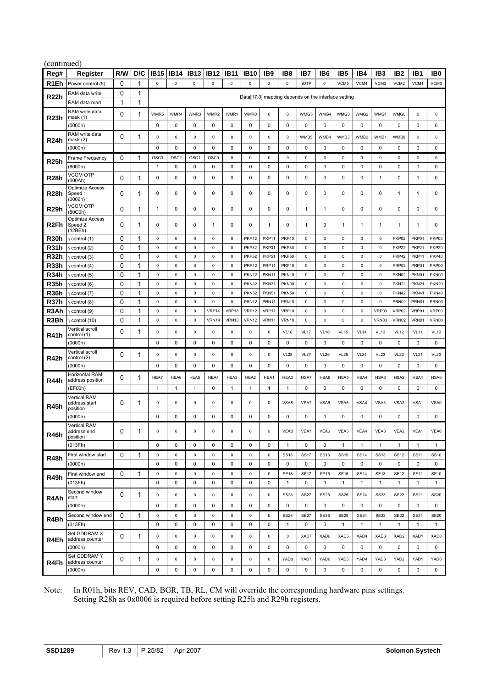|                   | (continued)                               |     |              |                  |                  |                  |                  |                  |                   |                     |              |                                                     |                 |                  |              |                 |                  |                 |                     |
|-------------------|-------------------------------------------|-----|--------------|------------------|------------------|------------------|------------------|------------------|-------------------|---------------------|--------------|-----------------------------------------------------|-----------------|------------------|--------------|-----------------|------------------|-----------------|---------------------|
| Reg#              | Register                                  | R/W | D/C          | <b>IB15</b>      | <b>IB14</b>      | <b>IB13</b>      | <b>IB12</b>      | <b>IB11</b>      | <b>IB10</b>       | IB <sub>9</sub>     | IB8          | IB7                                                 | IB <sub>6</sub> | IB <sub>5</sub>  | IB4          | IB <sub>3</sub> | IB <sub>2</sub>  | IB <sub>1</sub> | IB <sub>0</sub>     |
| R1Eh              | Power control (5)                         | 0   | 1            | $\mathsf 0$      | $\pmb{0}$        | $\pmb{0}$        | $\mathsf 0$      | $\mathsf 0$      | $\pmb{0}$         | $\mathsf 0$         | $\pmb{0}$    | nOTP                                                | $\mathsf 0$     | VCM5             | VCM4         | VCM3            | VCM2             | VCM1            | VCM0                |
| R <sub>22</sub> h | RAM data write                            | 0   | 1            |                  |                  |                  |                  |                  |                   |                     |              | Data[17:0] mapping depends on the interface setting |                 |                  |              |                 |                  |                 |                     |
|                   | RAM data read                             | 1   | 1            |                  |                  |                  |                  |                  |                   |                     |              |                                                     |                 |                  |              |                 |                  |                 |                     |
|                   | RAM write data                            | 0   | 1            | WMR5             | WMR4             | WMR3             | WMR2             | WMR1             | WMR0              | $\mathsf 0$         | 0            | WMG5                                                | WMG4            | WMG3             | WMG2         | WMG1            | WMG0             | $\mathsf 0$     | $\mathsf{O}\xspace$ |
| R23h              | mask(1)<br>(0000h)                        |     |              | 0                | $\pmb{0}$        | 0                | 0                | 0                | $\pmb{0}$         | 0                   | 0            | 0                                                   | $\mathsf 0$     | 0                | 0            | 0               | 0                | 0               | 0                   |
|                   | RAM write data                            |     |              |                  |                  |                  |                  |                  |                   |                     |              |                                                     |                 |                  |              |                 |                  |                 |                     |
| R24h              | mask(2)                                   | 0   | 1            | 0                | $\pmb{0}$        | 0                | 0                | 0                | 0                 | $\mathsf 0$         | 0            | WMB5                                                | WMB4            | WMB3             | WMB2         | WMB1            | WMB0             | $\mathsf 0$     | 0                   |
|                   | (0000h)                                   |     |              | $\mathbf 0$      | $\pmb{0}$        | 0                | 0                | 0                | $\pmb{0}$         | 0                   | 0            | 0                                                   | $\mathsf 0$     | 0                | 0            | $\mathbf 0$     | 0                | 0               | 0                   |
| <b>R25h</b>       | Frame Frequency                           | 0   | 1            | OSC <sub>3</sub> | OSC <sub>2</sub> | OSC <sub>1</sub> | OSC <sub>0</sub> | 0                | $\mathsf 0$       | $\mathsf 0$         | $\pmb{0}$    | 0                                                   | $\mathsf 0$     | 0                | 0            | $\mathsf 0$     | 0                | $\mathsf 0$     | 0                   |
|                   | (8000h)                                   |     |              | $\mathbf{1}$     | $\pmb{0}$        | 0                | 0                | 0                | $\pmb{0}$         | 0                   | 0            | 0                                                   | $\mathsf 0$     | 0                | 0            | $\mathbf 0$     | 0                | 0               | 0                   |
| R28h              | <b>VCOM OTP</b><br>(000Ah)                | 0   | 1            | 0                | $\pmb{0}$        | 0                | 0                | 0                | $\pmb{0}$         | 0                   | 0            | 0                                                   | $\pmb{0}$       | 0                | 0            | 1               | 0                | 1               | 0                   |
|                   | Optimize Access                           |     |              |                  |                  |                  |                  |                  |                   |                     |              |                                                     |                 |                  |              |                 |                  |                 |                     |
| <b>R28h</b>       | Speed 1<br>(0006h)                        | 0   | 1            | 0                | $\pmb{0}$        | 0                | 0                | 0                | $\pmb{0}$         | 0                   | 0            | 0                                                   | $\pmb{0}$       | 0                | 0            | $\mathbf 0$     | 1                | $\mathbf{1}$    | 0                   |
| R29h              | VCOM OTP                                  | 0   | 1            | 1                | $\pmb{0}$        | 0                | 0                | 0                | $\pmb{0}$         | 0                   | 0            | 1                                                   | $\mathbf{1}$    | $\mathbf 0$      | 0            | 0               | 0                | 0               | 0                   |
|                   | (80C0h)<br>Optimize Access                |     |              |                  |                  |                  |                  |                  |                   |                     |              |                                                     |                 |                  |              |                 |                  |                 |                     |
| R <sub>2Fh</sub>  | Speed 2                                   | 0   | 1            | 0                | $\pmb{0}$        | 0                | 1                | 0                | $\pmb{0}$         | 1                   | 0            | $\mathbf{1}$                                        | $\mathsf 0$     | $\mathbf{1}$     | 1            | $\mathbf{1}$    | 1                | 1               | 0                   |
| R30h              | (12BEh)<br>$\gamma$ control (1)           | 0   | 1            | 0                | $\mathsf 0$      | 0                | 0                | 0                | <b>PKP12</b>      | PKP11               | <b>PKP10</b> | 0                                                   | $\mathsf 0$     | 0                | 0            | 0               | PKP02            | PKP01           | PKP00               |
| R31h              | $\gamma$ control (2)                      | 0   | 1            | 0                | $\mathsf 0$      | $\pmb{0}$        | 0                | $\pmb{0}$        | PKP32             | PKP31               | <b>PKP30</b> | 0                                                   | $\mathsf 0$     | 0                | $\pmb{0}$    | $\mathsf 0$     | PKP22            | PKP21           | <b>PKP20</b>        |
| R32h              | $\gamma$ control (3)                      | 0   | 1            | $\mathsf 0$      | $\mathsf 0$      | $\pmb{0}$        | 0                | $\pmb{0}$        | <b>PKP52</b>      | PKP51               | PKP50        | 0                                                   | $\mathsf 0$     | 0                | 0            | $\mathsf 0$     | PKP42            | PKP41           | PKP40               |
| <b>R33h</b>       | $\gamma$ control (4)                      | 0   | 1            | 0                | $\pmb{0}$        | 0                | 0                | 0                | PRP <sub>12</sub> | PRP11               | <b>PRP10</b> | 0                                                   | $\mathsf 0$     | 0                | 0            | 0               | PRP02            | PRP01           | PRP00               |
| R34h              | y control (5)                             | 0   | 1            | $\mathsf 0$      | $\pmb{0}$        | $\mathsf 0$      | 0                | $\pmb{0}$        | PKN12             | PKN11               | PKN10        | 0                                                   | $\mathsf 0$     | 0                | $\pmb{0}$    | $\mathsf 0$     | PKN02            | PKN01           | PKN00               |
| R35h              | $\gamma$ control (6)                      | 0   | 1            | 0                | 0                | $\mathbf 0$      | 0                | 0                | <b>PKN32</b>      | PKN31               | PKN30        | 0                                                   | $\mathsf 0$     | 0                | 0            | $\mathsf 0$     | <b>PKN22</b>     | <b>PKN21</b>    | <b>PKN20</b>        |
| R36h              | $\gamma$ control (7)                      | 0   | 1            | 0                | 0                | 0                | 0                | 0                | <b>PKN52</b>      | <b>PKN51</b>        | <b>PKN50</b> | 0                                                   | $\mathsf 0$     | 0                | 0            | 0               | PKN42            | PKN41           | <b>PKN40</b>        |
| R37h              | γ control (8)                             | 0   | 1            | 0                | $\mathsf 0$      | 0                | 0                | 0                | PRN <sub>12</sub> | PRN11               | PRN10        | 0                                                   | $\mathsf 0$     | 0                | 0            | 0               | PRN02            | PRN01           | PRN00               |
| R3Ah              | $\gamma$ control (9)                      | 0   | 1            | 0                | $\pmb{0}$        | 0                | VRP14            | VRP13            | VRP12             | VRP11               | VRP10        | 0                                                   | $\mathsf 0$     | 0                | 0            | VRP03           | VRP02            | VRP01           | VRP00               |
| R3Bh              | $\gamma$ control (10)                     | 0   | $\mathbf{1}$ | 0                | $\mathsf 0$      | $\pmb{0}$        | VRN14            | VRN13            | VRN12             | VRN11               | VRN10        | 0                                                   | $\mathsf 0$     | 0                | $\pmb{0}$    | VRN03           | VRN02            | VRN01           | VRN00               |
|                   | Vertical scroll                           | 0   | 1            | 0                | $\pmb{0}$        | 0                | 0                | 0                | 0                 | $\mathsf 0$         | <b>VL18</b>  | <b>VL17</b>                                         | <b>VL16</b>     | <b>VL15</b>      | <b>VL14</b>  | <b>VL13</b>     | <b>VL12</b>      | <b>VL11</b>     | <b>VL10</b>         |
| <b>R41h</b>       | control (1)<br>(0000h)                    |     |              | $\mathbf 0$      | $\pmb{0}$        | 0                | 0                | 0                | $\pmb{0}$         | 0                   | 0            | 0                                                   | $\mathsf 0$     | 0                | 0            | $\mathbf 0$     | 0                | 0               | 0                   |
|                   | Vertical scroll                           |     |              |                  |                  |                  |                  |                  |                   |                     |              |                                                     |                 |                  |              |                 |                  |                 |                     |
| R42h              | control (2)                               | 0   | 1            | 0                | $\pmb{0}$        | $\pmb{0}$        | $\mathsf 0$      | $\pmb{0}$        | $\mathsf 0$       | $\mathsf 0$         | <b>VL28</b>  | <b>VL27</b>                                         | <b>VL26</b>     | <b>VL25</b>      | <b>VL24</b>  | <b>VL23</b>     | <b>VL22</b>      | <b>VL21</b>     | <b>VL20</b>         |
|                   | (0000h)                                   |     |              | 0                | $\pmb{0}$        | 0                | 0                | 0                | $\pmb{0}$         | 0                   | 0            | 0                                                   | $\mathsf 0$     | 0                | 0            | 0               | $\mathsf 0$      | 0               | $\mathsf 0$         |
| R44h              | <b>Horizontal RAM</b><br>address position | 0   | 1            | HEA7             | HEA6             | HEA5             | HEA4             | HEA3             | HEA2              | HEA1                | HEA0         | HSA7                                                | HSA6            | HSA5             | HSA4         | HSA3            | HSA <sub>2</sub> | HSA1            | HSA0                |
|                   | (EF00h)                                   |     |              | 1                | $\mathbf{1}$     | $\mathbf{1}$     | 0                | 1                | $\mathbf{1}$      | 1                   | 1            | 0                                                   | 0               | 0                | 0            | 0               | 0                | $\mathbf 0$     | 0                   |
|                   | <b>Vertical RAM</b>                       |     |              |                  |                  |                  |                  |                  |                   |                     |              |                                                     |                 |                  |              |                 |                  |                 |                     |
| R45h              | address start<br>position                 | 0   | 1            | 0                | 0                | 0                | 0                | 0                | 0                 | $\mathbf 0$         | VSA8         | VSA7                                                | VSA6            | VSA <sub>5</sub> | VSA4         | VSA3            | VSA <sub>2</sub> | VSA1            | VSA0                |
|                   | (0000h)                                   |     |              | $\mathbf 0$      | 0                | 0                | 0                | 0                | 0                 | $\mathbf 0$         | 0            | 0                                                   | $\mathbf 0$     | 0                | 0            | 0               | $\mathbf 0$      | 0               | 0                   |
|                   | Vertical RAM                              |     |              |                  |                  |                  |                  |                  |                   |                     |              |                                                     |                 |                  |              |                 |                  |                 |                     |
| R46h              | address end<br>position                   | 0   | 1            | 0                | $\mathsf 0$      | $\mathsf 0$      | 0                | 0                | $\mathsf 0$       | $\mathbf 0$         | VEA8         | VEA7                                                | VEA6            | VEA5             | VEA4         | VEA3            | VEA2             | VEA1            | VEA0                |
|                   | (013Fh)                                   |     |              | $\mathbf 0$      | $\pmb{0}$        | 0                | 0                | 0                | $\mathbf 0$       | $\mathbf 0$         | $\mathbf{1}$ | 0                                                   | $\mathbf 0$     | $\mathbf{1}$     | 1            | $\mathbf{1}$    | $\mathbf{1}$     | $\mathbf{1}$    | $\mathbf{1}$        |
|                   | First window start                        | 0   | 1            | $\mathsf 0$      | $\mathsf 0$      | $\mathsf 0$      | $\mathsf 0$      | $\pmb{0}$        | $\mathsf 0$       | $\mathsf 0$         | <b>SS18</b>  | <b>SS17</b>                                         | <b>SS16</b>     | <b>SS15</b>      | <b>SS14</b>  | <b>SS13</b>     | <b>SS12</b>      | <b>SS11</b>     | <b>SS10</b>         |
| R48h              | (0000h)                                   |     |              | 0                | $\pmb{0}$        | 0                | 0                | 0                | $\pmb{0}$         | 0                   | 0            | 0                                                   | $\mathsf 0$     | $\mathbf 0$      | 0            | 0               | 0                | 0               | 0                   |
| <b>R49h</b>       | First window end                          | 0   | 1            | $\mathsf 0$      | $\pmb{0}$        | $\mathsf 0$      | $\mathsf 0$      | $\mathbf 0$      | $\mathsf 0$       | $\mathsf{O}\xspace$ | <b>SE18</b>  | <b>SE17</b>                                         | <b>SE16</b>     | <b>SE15</b>      | <b>SE14</b>  | <b>SE13</b>     | <b>SE12</b>      | <b>SE11</b>     | <b>SE10</b>         |
|                   | (013Fh)                                   |     |              | 0                | $\pmb{0}$        | 0                | 0                | 0                | $\pmb{0}$         | 0                   | $\mathbf{1}$ | 0                                                   | $\mathsf 0$     | $\mathbf{1}$     | $\mathbf{1}$ | $\mathbf{1}$    | $\mathbf{1}$     | $\mathbf{1}$    | $\mathbf{1}$        |
|                   | Second window                             | 0   | 1            | 0                | $\mathsf 0$      | $\pmb{0}$        | 0                | $\pmb{0}$        | $\mathsf 0$       | $\mathbf 0$         | <b>SS28</b>  | <b>SS27</b>                                         | <b>SS26</b>     | <b>SS25</b>      | <b>SS24</b>  | <b>SS23</b>     | <b>SS22</b>      | <b>SS21</b>     | <b>SS20</b>         |
| R4Ah              | start<br>(0000h)                          |     |              | 0                | $\pmb{0}$        | 0                | 0                | 0                | 0                 | 0                   | 0            | 0                                                   | 0               | 0                | 0            | 0               | 0                | 0               | 0                   |
|                   | Second window end                         | 0   |              |                  | $\pmb{0}$        | $\mathsf 0$      | $\mathsf 0$      |                  | $\mathsf 0$       | $\mathsf{O}\xspace$ | <b>SE28</b>  | <b>SE27</b>                                         | <b>SE26</b>     | <b>SE25</b>      | <b>SE24</b>  | <b>SE23</b>     | <b>SE22</b>      | <b>SE21</b>     | <b>SE20</b>         |
| R4Bh              | (013Fh)                                   |     | 1            | $\mathsf 0$<br>0 | $\pmb{0}$        | 0                | 0                | $\mathsf 0$<br>0 | $\pmb{0}$         | 0                   | $\mathbf{1}$ | 0                                                   | 0               |                  |              | $\mathbf{1}$    | $\mathbf{1}$     | $\mathbf{1}$    | $\mathbf{1}$        |
|                   | Set GDDRAM X                              |     |              |                  |                  |                  |                  |                  |                   |                     |              |                                                     |                 | $\mathbf{1}$     | 1            |                 |                  |                 |                     |
| R4Eh              | address counter                           | 0   | 1            | 0                | $\pmb{0}$        | $\mathsf 0$      | $\mathsf 0$      | 0                | $\mathsf 0$       | $\mathsf 0$         | 0            | XAD7                                                | XAD6            | XAD5             | XAD4         | XAD3            | XAD <sub>2</sub> | XAD1            | XAD0                |
|                   | (0000h)                                   |     |              | 0                | 0                | 0                | 0                | 0                | 0                 | 0                   | 0            | 0                                                   | 0               | 0                | 0            | 0               | 0                | 0               | $\mathbf{0}$        |
|                   | Set GDDRAM Y<br>address counter           | 0   | 1            | 0                | $\pmb{0}$        | $\pmb{0}$        | $\mathsf 0$      | $\pmb{0}$        | $\mathsf 0$       | $\mathsf 0$         | YAD8         | YAD7                                                | YAD6            | YAD5             | YAD4         | YAD3            | YAD2             | YAD1            | YAD0                |
| R4Fh              | (0000h)                                   |     |              | 0                | $\pmb{0}$        | 0                | 0                | 0                | $\pmb{0}$         | 0                   | 0            | 0                                                   | 0               | 0                | 0            | $\mathsf 0$     | 0                | 0               | $\mathbf 0$         |
|                   |                                           |     |              |                  |                  |                  |                  |                  |                   |                     |              |                                                     |                 |                  |              |                 |                  |                 |                     |

## Note: In R01h, bits REV, CAD, BGR, TB, RL, CM will override the corresponding hardware pins settings. Setting R28h as 0x0006 is required before setting R25h and R29h registers.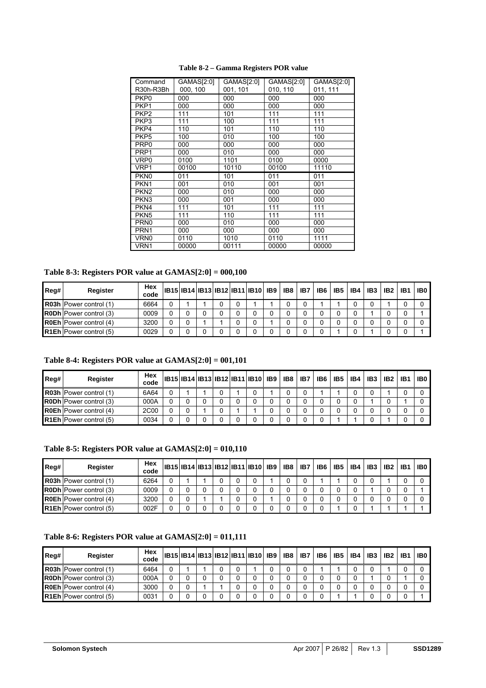<span id="page-25-0"></span>

| Command<br>R30h-R3Bh | GAMAS[2:0]<br>000, 100 | GAMAS[2:0]<br>001, 101 | GAMAS[2:0]<br>010, 110 | GAMAS[2:0]<br>011, 111 |
|----------------------|------------------------|------------------------|------------------------|------------------------|
| PKP <sub>0</sub>     | 000                    | 000                    | 000                    | 000                    |
| PKP <sub>1</sub>     | 000                    | 000                    | 000                    | 000                    |
| PKP <sub>2</sub>     | 111                    | 101                    | 111                    | 111                    |
| PKP3                 | 111                    | 100                    | 111                    | 111                    |
| PKP4                 | 110                    | 101                    | 110                    | 110                    |
| PKP <sub>5</sub>     | 100                    | 010                    | 100                    | 100                    |
| PRP <sub>0</sub>     | 000                    | 000                    | 000                    | 000                    |
| PRP <sub>1</sub>     | 000                    | 010                    | 000                    | 000                    |
| VRP0                 | 0100                   | 1101                   | 0100                   | 0000                   |
| VRP1                 | 00100                  | 10110                  | 00100                  | 11110                  |
| PKN <sub>0</sub>     | 011                    | 101                    | 011                    | 011                    |
| PKN <sub>1</sub>     | 001                    | 010                    | 001                    | 001                    |
| PKN <sub>2</sub>     | 000                    | 010                    | 000                    | 000                    |
| PKN <sub>3</sub>     | 000                    | 001                    | 000                    | 000                    |
| PKN <sub>4</sub>     | 111                    | 101                    | 111                    | 111                    |
| PKN <sub>5</sub>     | 111                    | 110                    | 111                    | 111                    |
| PRN <sub>0</sub>     | 000                    | 010                    | 000                    | 000                    |
| PRN <sub>1</sub>     | 000                    | 000                    | 000                    | 000                    |
| VRN <sub>0</sub>     | 0110                   | 1010                   | 0110                   | 1111                   |
| VRN1                 | 00000                  | 00111                  | 00000                  | 00000                  |

 **Table 8-2 – Gamma Registers POR value** 

#### **Table 8-3: Registers POR value at GAMAS[2:0] = 000,100**

| Reg# | Register                      | Hex<br>code |  |  | IB15 IB14 IB13 IB12 IB11 IB10  IB9 | IB8 | IB7 | IB6 | IB5 | IB4 | IB <sub>3</sub> | IB <sub>2</sub> | IB <sub>1</sub> | IB0 |
|------|-------------------------------|-------------|--|--|------------------------------------|-----|-----|-----|-----|-----|-----------------|-----------------|-----------------|-----|
|      | R03h Power control (1)        | 6664        |  |  |                                    |     |     |     |     |     |                 |                 |                 |     |
|      | <b>R0Dh</b> Power control (3) | 0009        |  |  |                                    |     |     |     |     |     |                 |                 |                 |     |
|      | <b>R0Eh</b> Power control (4) | 3200        |  |  |                                    |     |     |     |     |     |                 |                 |                 |     |
|      | <b>R1Eh</b> Power control (5) | 0029        |  |  |                                    |     |     |     |     |     |                 |                 |                 |     |

## **Table 8-4: Registers POR value at GAMAS[2:0] = 001,101**

| Reg# | <b>Register</b>               | Hex<br>code | IB15 IB14 IB13 IB12 IB11 IB10  IB9 |  |  |  | <b>IB8 IB7</b> | IB6 | IB <sub>5</sub> | IB4 | IB <sub>3</sub> | IB <sub>2</sub> | IB <sub>1</sub> | IB0 |
|------|-------------------------------|-------------|------------------------------------|--|--|--|----------------|-----|-----------------|-----|-----------------|-----------------|-----------------|-----|
|      | R03h Power control (1)        | 6A64        |                                    |  |  |  |                |     |                 |     |                 |                 |                 |     |
|      | <b>R0Dh</b> Power control (3) | 000A        |                                    |  |  |  |                |     |                 | 0   |                 |                 |                 |     |
|      | <b>R0Eh</b> Power control (4) | 2C00        |                                    |  |  |  |                |     |                 |     |                 |                 |                 |     |
|      | <b>R1Eh</b> Power control (5) | 0034        |                                    |  |  |  |                |     |                 |     |                 |                 |                 |     |

**Table 8-5: Registers POR value at GAMAS[2:0] = 010,110** 

| Reg# | Register                      | Hex<br>code | IB15  IB14  IB13  IB12  IB11   IB10   IB9 |  |  |  | IB8 | IB7 | IB6 | IB <sub>5</sub> | IB4 | IB <sub>3</sub> | IB <sub>2</sub> | IB1 | IB <sub>0</sub> |
|------|-------------------------------|-------------|-------------------------------------------|--|--|--|-----|-----|-----|-----------------|-----|-----------------|-----------------|-----|-----------------|
|      | R03h Power control (1)        | 6264        |                                           |  |  |  |     |     |     |                 |     |                 |                 |     |                 |
|      | <b>R0Dh</b> Power control (3) | 0009        |                                           |  |  |  |     |     |     |                 |     |                 |                 |     |                 |
|      | <b>R0Eh</b> Power control (4) | 3200        |                                           |  |  |  |     |     |     |                 |     |                 |                 |     |                 |
|      | R1Eh Power control (5)        | 002F        |                                           |  |  |  |     |     |     |                 |     |                 |                 |     |                 |

# **Table 8-6: Registers POR value at GAMAS[2:0] = 011,111**

| Reg# | Reaister                      | Hex<br>code |  |  | IB15 IB14 IB13 IB12 IB11 IB10  IB9 | IB8 | IB7 | IB6 | IB <sub>5</sub> | IB4 | IB <sub>3</sub> | IB <sub>2</sub> | IB <sub>1</sub> | IB0 |
|------|-------------------------------|-------------|--|--|------------------------------------|-----|-----|-----|-----------------|-----|-----------------|-----------------|-----------------|-----|
|      | R03h Power control (1)        | 6464        |  |  |                                    |     |     |     |                 |     |                 |                 |                 |     |
|      | R0Dh Power control (3)        | 000A        |  |  |                                    |     |     |     |                 |     |                 |                 |                 |     |
|      | <b>R0Eh</b> Power control (4) | 3000        |  |  |                                    |     |     |     |                 |     |                 |                 |                 |     |
|      | <b>R1Eh</b> Power control (5) | 0031        |  |  |                                    |     |     |     |                 |     |                 |                 |                 |     |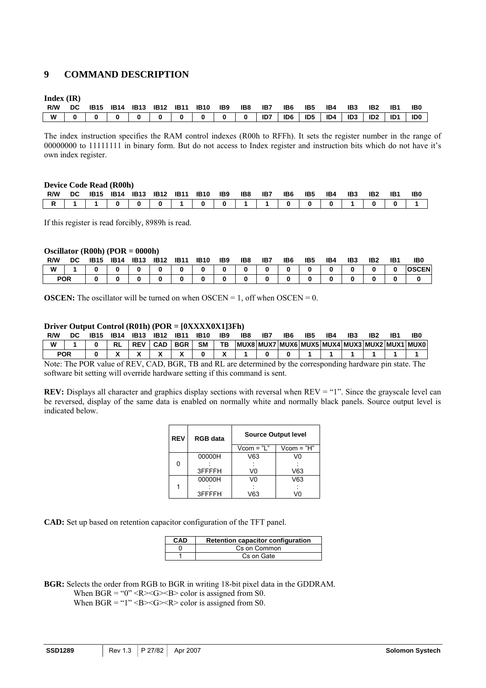# <span id="page-26-0"></span>**9 COMMAND DESCRIPTION**

**Index (IR)** 

|     |  |  |  | R/W DC 1B15 1B14 1B13 1B12 1B11 1B10 1B9 1B8 1B7 1B6 1B5                                                                                                                                                                    |  |  | <b>IB4</b> | <b>IB3 IB2 IB1</b> | IB <sub>0</sub> |
|-----|--|--|--|-----------------------------------------------------------------------------------------------------------------------------------------------------------------------------------------------------------------------------|--|--|------------|--------------------|-----------------|
| W I |  |  |  | $0$ 0 0 0 $0$ 0 $0$ 0 $0$ 0 $0$ 0 $0$ 0 $0$ 0 $1$ 0 $0$ 1 $0$ 1 $0$ 1 $0$ 1 $0$ 1 $0$ 1 $0$ 1 $0$ 1 $0$ 1 $0$ 1 $0$ 1 $0$ 1 $0$ 1 $0$ 1 $0$ 1 $0$ 1 $0$ 1 $0$ 1 $0$ 1 $0$ 1 $0$ 1 $0$ 1 $0$ 1 $0$ 1 $0$ 1 $0$ 1 $0$ 1 $0$ 1 |  |  |            |                    |                 |

The index instruction specifies the RAM control indexes (R00h to RFFh). It sets the register number in the range of 00000000 to 11111111 in binary form. But do not access to Index register and instruction bits which do not have it's own index register.

#### **Device Code Read (R00h)**

| R/W |  |  |  | DC 1B15 1B14 1B13 1B12 1B11 1B10 1B9 1B8 1B7 |  | IB6 L | IB5 | <b>IB4 IB3</b> | IB <sub>2</sub> | IB1 | IB0 |
|-----|--|--|--|----------------------------------------------|--|-------|-----|----------------|-----------------|-----|-----|
|     |  |  |  |                                              |  |       |     |                |                 |     |     |

If this register is read forcibly, 8989h is read.

#### **Oscillator (R00h) (POR = 0000h)**

| R/W        | DC | <b>IB15</b> | <b>IB14</b> | <b>IB13</b> | <b>IB12</b> | <b>IB11</b> | <b>IB10</b> | IB9 | IB8 | IB7 | IB6 | IB5 | IB4 | IB <sub>3</sub> | IB <sub>2</sub> | IB1 | IB <sub>0</sub> |
|------------|----|-------------|-------------|-------------|-------------|-------------|-------------|-----|-----|-----|-----|-----|-----|-----------------|-----------------|-----|-----------------|
| W          |    |             |             | 0           | n           | Ω           |             |     |     |     |     |     |     | $\Omega$        |                 |     | <b>OSCEN</b>    |
| <b>POR</b> |    |             | ŋ           |             | n           |             |             |     |     |     |     |     |     |                 |                 |     |                 |

**OSCEN:** The oscillator will be turned on when  $OSCEN = 1$ , off when  $OSCEN = 0$ .

#### **Driver Output Control (R01h) (POR = [0XXXX0X1]3Fh)**

| R/W        | DC | <b>IB15</b> | IB14 | <b>IB13</b> | <b>IB12</b> | <b>IB11</b> | <b>IB10</b> | IB9 | IB8 | IB. | IB6 | IB5 | IB4 | IB3 | IB2 | IB1                                          | IB0 |
|------------|----|-------------|------|-------------|-------------|-------------|-------------|-----|-----|-----|-----|-----|-----|-----|-----|----------------------------------------------|-----|
| W          |    |             |      |             | <b>CAD</b>  | <b>BGR</b>  | <b>SM</b>   | TB. |     |     |     |     |     |     |     | MUX8 MUX7 MUX6 MUX5 MUX4 MUX3 MUX2 MUX1 MUX0 |     |
| <b>POR</b> |    |             |      |             |             |             |             |     |     |     |     |     |     |     |     |                                              |     |

Note: The POR value of REV, CAD, BGR, TB and RL are determined by the corresponding hardware pin state. The software bit setting will override hardware setting if this command is sent.

**REV:** Displays all character and graphics display sections with reversal when REV = "1". Since the grayscale level can be reversed, display of the same data is enabled on normally white and normally black panels. Source output level is indicated below.

|  | <b>REV</b> | <b>RGB</b> data |              | <b>Source Output level</b> |
|--|------------|-----------------|--------------|----------------------------|
|  |            |                 | $Vcom = "L"$ | $Vcom = "H"$               |
|  |            | 00000H          | V63          | VO                         |
|  | 0          |                 |              |                            |
|  |            | 3FFFFH          | V0           | V63                        |
|  |            | 00000H          | V0           | V63                        |
|  |            |                 |              |                            |
|  |            | 3FFFFH          | V63          | V۵                         |

**CAD:** Set up based on retention capacitor configuration of the TFT panel.

| CAD | Retention capacitor configuration |
|-----|-----------------------------------|
|     | Cs on Common                      |
|     | Cs on Gate                        |

**BGR:** Selects the order from RGB to BGR in writing 18-bit pixel data in the GDDRAM.

When  $BGR = "0" < R><sub>S</sub> < B>$  color is assigned from S0.

When  $BGR = "1" < B><sub>G</sub> < R>$  color is assigned from S0.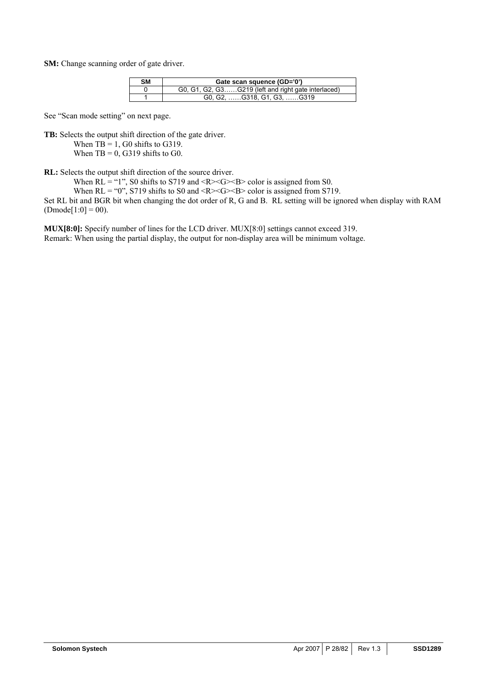**SM:** Change scanning order of gate driver.

| <b>SM</b> | Gate scan squence (GD='0')                          |
|-----------|-----------------------------------------------------|
|           | G0, G1, G2, G3G219 (left and right gate interlaced) |
|           | G0, G2, G318, G1, G3, G319                          |

See "Scan mode setting" on next page.

**TB:** Selects the output shift direction of the gate driver.

When  $TB = 1$ , G0 shifts to G319. When  $TB = 0$ , G319 shifts to G0.

**RL:** Selects the output shift direction of the source driver.

When  $RL = "1"$ , S0 shifts to S719 and <R $>G>S>$  color is assigned from S0.

When  $RL = "0"$ , S719 shifts to S0 and <R><G><B> color is assigned from S719.

Set RL bit and BGR bit when changing the dot order of R, G and B. RL setting will be ignored when display with RAM  $(Dmode[1:0] = 00).$ 

**MUX[8:0]:** Specify number of lines for the LCD driver. MUX[8:0] settings cannot exceed 319. Remark: When using the partial display, the output for non-display area will be minimum voltage.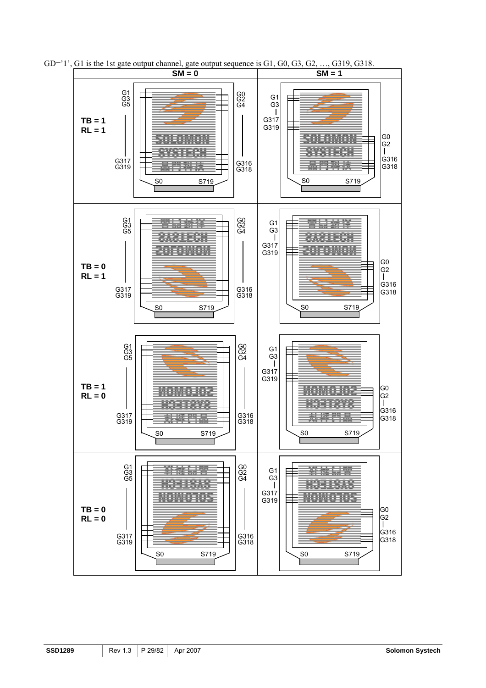

GD= $'1'$ , G1 is the 1st gate output channel, gate output sequence is G1, G0, G3, G2, ..., G319, G318.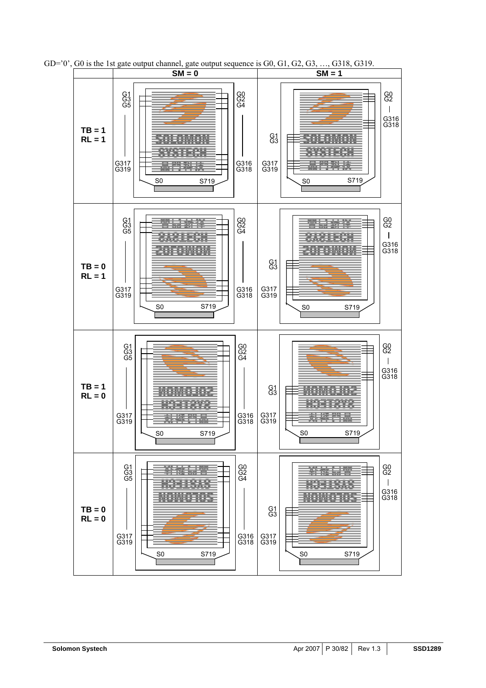

 $GD = 0'$ ,  $G0$  is the 1st gate output channel, gate output sequence is  $G0$ ,  $G1$ ,  $G2$ ,  $G3$ , ...,  $G318$ ,  $G319$ .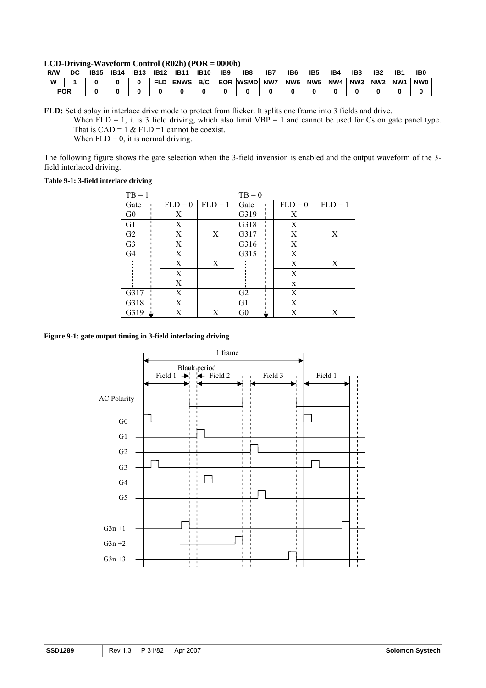#### <span id="page-30-0"></span>**LCD-Driving-Waveform Control (R02h) (POR = 0000h)**

| R/W        | DC | <b>IB15</b> | <b>IB14</b> | <b>IB13</b> | <b>IB12</b> | <b>IB11</b> | <b>IB10</b> | IB <sub>9</sub> | IB8             | IB7 | IB6 | IB <sub>5</sub> | IB4 | IB <sub>3</sub> | IB <sub>2</sub> | IB1 | <b>IBC</b> |
|------------|----|-------------|-------------|-------------|-------------|-------------|-------------|-----------------|-----------------|-----|-----|-----------------|-----|-----------------|-----------------|-----|------------|
| W          |    |             |             |             | <b>FLD</b>  | <b>ENWS</b> | B/C         |                 | <b>EOR WSMD</b> | NW7 | NW6 | NW <sub>5</sub> | NW4 | NW3             | NW2             | NW1 | NW0        |
| <b>POR</b> |    |             |             |             |             |             |             |                 |                 |     |     |                 |     |                 |                 |     |            |

**FLD:** Set display in interlace drive mode to protect from flicker. It splits one frame into 3 fields and drive. When  $FLD = 1$ , it is 3 field driving, which also limit  $VBP = 1$  and cannot be used for Cs on gate panel type. That is  $CAD = 1 \& FLD = 1$  cannot be coexist.

When  $FLD = 0$ , it is normal driving.

The following figure shows the gate selection when the 3-field invension is enabled and the output waveform of the 3 field interlaced driving.

#### **Table 9-1: 3-field interlace driving**

| $TB = 1$       |           |           | $TB = 0$       |           |           |
|----------------|-----------|-----------|----------------|-----------|-----------|
| Gate           | $FLD = 0$ | $FLD = 1$ | Gate           | $FLD = 0$ | $FLD = 1$ |
| G <sub>0</sub> | Χ         |           | G319           | X         |           |
| G1             | X         |           | G318           | X         |           |
| G2             | Χ         | X         | G317           | X         | X         |
| G <sub>3</sub> | X         |           | G316           | X         |           |
| G <sub>4</sub> | X         |           | G315           | X         |           |
|                | Χ         | X         |                | X         | X         |
|                | X         |           |                | X         |           |
|                | X         |           |                | X         |           |
| G317           | Χ         |           | G <sub>2</sub> | X         |           |
| G318           | X         |           | G1             | X         |           |
| G319           | Х         | Χ         | G <sub>0</sub> | X         | Χ         |

#### **Figure 9-1: gate output timing in 3-field interlacing driving**

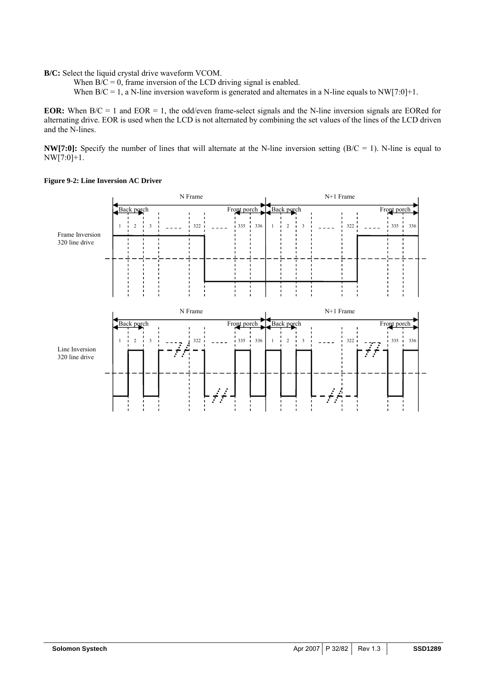<span id="page-31-0"></span>**B/C:** Select the liquid crystal drive waveform VCOM.

When  $B/C = 0$ , frame inversion of the LCD driving signal is enabled.

When  $B/C = 1$ , a N-line inversion waveform is generated and alternates in a N-line equals to NW[7:0]+1.

**EOR:** When  $B/C = 1$  and  $EOR = 1$ , the odd/even frame-select signals and the N-line inversion signals are EORed for alternating drive. EOR is used when the LCD is not alternated by combining the set values of the lines of the LCD driven and the N-lines.

**NW[7:0]:** Specify the number of lines that will alternate at the N-line inversion setting (B/C = 1). N-line is equal to NW[7:0]+1.



#### **Figure 9-2: Line Inversion AC Driver**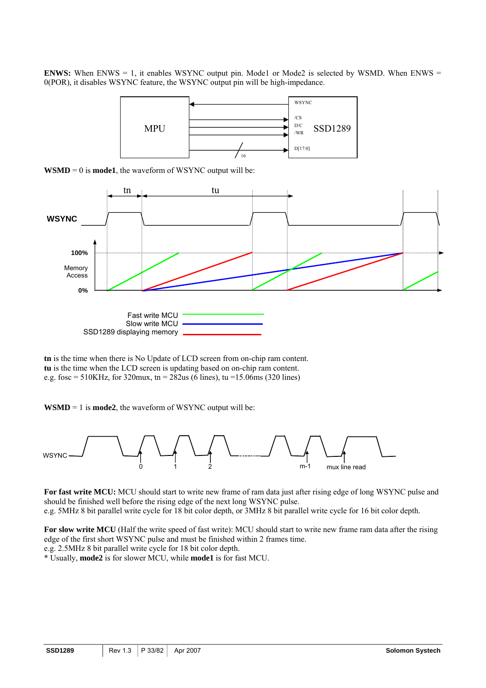**ENWS:** When ENWS = 1, it enables WSYNC output pin. Mode1 or Mode2 is selected by WSMD. When ENWS = 0(POR), it disables WSYNC feature, the WSYNC output pin will be high-impedance.



 $WSMD = 0$  is **mode1**, the waveform of WSYNC output will be:



**tn** is the time when there is No Update of LCD screen from on-chip ram content. **tu** is the time when the LCD screen is updating based on on-chip ram content. e.g. fosc = 510KHz, for 320mux, tn =  $282$ us (6 lines), tu = 15.06ms (320 lines)

**WSMD** = 1 is **mode2**, the waveform of WSYNC output will be:



**For fast write MCU:** MCU should start to write new frame of ram data just after rising edge of long WSYNC pulse and should be finished well before the rising edge of the next long WSYNC pulse.

e.g. 5MHz 8 bit parallel write cycle for 18 bit color depth, or 3MHz 8 bit parallel write cycle for 16 bit color depth.

**For slow write MCU** (Half the write speed of fast write): MCU should start to write new frame ram data after the rising edge of the first short WSYNC pulse and must be finished within 2 frames time. e.g. 2.5MHz 8 bit parallel write cycle for 18 bit color depth.

\* Usually, **mode2** is for slower MCU, while **mode1** is for fast MCU.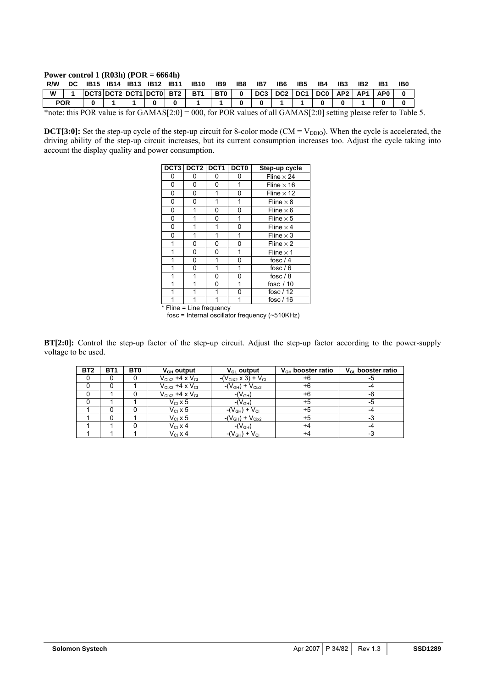#### **Power control 1 (R03h) (POR = 6664h)**

| R/W        | DC 1B15 1B14 1B13 1B12 1B11 |  |  | <b>IB10</b>                       | IB9 | IB8 | IB7                                                                                         | IB6 | IB5 | IB4 | IB3 | IB2 | IB0 |  |
|------------|-----------------------------|--|--|-----------------------------------|-----|-----|---------------------------------------------------------------------------------------------|-----|-----|-----|-----|-----|-----|--|
| W          |                             |  |  | DCT3 DCT2 DCT1 DCT0 BT2 BT1 BT0 0 |     |     | $\vert$ DC3 $\vert$ DC2 $\vert$ DC1 $\vert$ DC0 $\vert$ AP2 $\vert$ AP1 $\vert$ AP0 $\vert$ |     |     |     |     |     |     |  |
|            |                             |  |  |                                   |     |     |                                                                                             |     |     |     |     |     |     |  |
| <b>POR</b> |                             |  |  |                                   |     |     |                                                                                             |     |     |     |     |     |     |  |

**DCT[3:0]:** Set the step-up cycle of the step-up circuit for 8-color mode (CM =  $V_{DDIO}$ ). When the cycle is accelerated, the driving ability of the step-up circuit increases, but its current consumption increases too. Adjust the cycle taking into account the display quality and power consumption.

|     | DCT3 DCT2 DCT1 |   | DCT <sub>0</sub> | Step-up cycle     |
|-----|----------------|---|------------------|-------------------|
| 0   | 0              | 0 | 0                | Fline $\times$ 24 |
| 0   | 0              | 0 | 1                | Fline $\times$ 16 |
| 0   | 0              | 1 | 0                | Fline $\times$ 12 |
| 0   | 0              | 1 | 1                | Fline $\times$ 8  |
| 0   | 1              | 0 | 0                | Fline $\times$ 6  |
| 0   | 1              | 0 | 1                | Fline $\times$ 5  |
| 0   | 1              | 1 | 0                | Fline $\times$ 4  |
| 0   | 1              | 1 | 1                | Fline $\times$ 3  |
| 1   | 0              | 0 | 0                | Fline $\times$ 2  |
| 1   | 0              | 0 | 1                | Fline $\times$ 1  |
| 1   | 0              | 1 | 0                | fosc $/4$         |
| 1   | 0              | 1 | 1                | fosc $/ 6$        |
| 1   |                | 0 | 0                | fosc $/ 8$        |
| 1   | 1              | 0 | 1                | fosc $/10$        |
| 1   | 1              | 1 | 0                | fosc $/12$        |
| $-$ | .              |   |                  | fosc $/ 16$       |

**Fline = Line frequency** 

fosc = Internal oscillator frequency (~510KHz)

**BT[2:0]:** Control the step-up factor of the step-up circuit. Adjust the step-up factor according to the power-supply voltage to be used.

| BT <sub>2</sub> | <b>BT1</b> | BT <sub>0</sub> | $V_{GH}$ output           | $V_{GL}$ output                 | $V_{GH}$ booster ratio | $V_{GL}$ booster ratio |
|-----------------|------------|-----------------|---------------------------|---------------------------------|------------------------|------------------------|
|                 |            |                 | $V_{CIX2}$ +4 x $V_{CII}$ | $-(V_{CIX2} \times 3) + V_{CI}$ | +6                     | -5                     |
|                 |            |                 | $V_{CIX2}$ +4 x $V_{CII}$ | $-(V_{GH}) + V_{Cix2}$          | +6                     |                        |
|                 |            |                 | $V_{CIX2}$ +4 x $V_{CII}$ | $-(V_{GH})$                     | +6                     | -6                     |
|                 |            |                 | $V_{\text{Cl}}$ x 5       | $-(V_{GH})$                     | +5                     | -5                     |
|                 |            |                 | $V_{\text{Cl}}$ x 5       | $-(V_{GH}) + V_{CI}$            | +5                     |                        |
|                 |            |                 | $V_{\text{Cl}}$ x 5       | $-(V_{GH}) + V_{Cix2}$          | +5                     |                        |
|                 |            |                 | $V_{C1}$ x 4              | $-(V_{GH})$                     | +4                     |                        |
|                 |            |                 | $V_{C1}$ x 4              | $-(V_{GH}) + V_{CI}$            | +4                     | -3                     |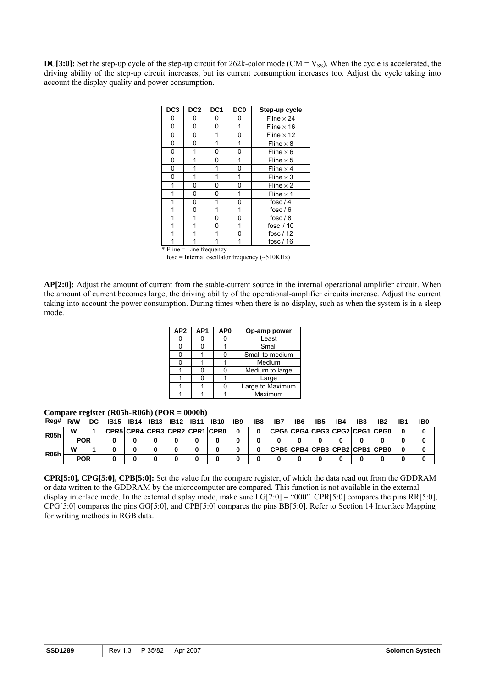**DC[3:0]:** Set the step-up cycle of the step-up circuit for  $262k$ -color mode (CM =  $V_{SS}$ ). When the cycle is accelerated, the driving ability of the step-up circuit increases, but its current consumption increases too. Adjust the cycle taking into account the display quality and power consumption.

| DC <sub>3</sub> | DC <sub>2</sub>            | DC <sub>1</sub> | DC <sub>0</sub> | Step-up cycle     |
|-----------------|----------------------------|-----------------|-----------------|-------------------|
| 0               | 0                          | 0               | 0               | Fline $\times$ 24 |
| 0               | 0                          | 0               | 1               | Fline $\times$ 16 |
| 0               | 0                          | 1               | 0               | Fline $\times$ 12 |
| 0               | 0                          | 1               | 1               | Fline $\times$ 8  |
| 0               | 1                          | 0               | 0               | Fline $\times$ 6  |
| 0               |                            | 0               | 1               | Fline $\times$ 5  |
| 0               | 1                          | 1               | 0               | Fline $\times$ 4  |
| 0               | $\mathbf{1}$               | 1               | 1               | Fline $\times$ 3  |
| 1               | 0                          | 0               | 0               | Fline $\times$ 2  |
| 1               | 0                          | 0               | 1               | Fline $\times$ 1  |
| 1               | 0                          | 1               | 0               | fosc $/4$         |
| 1               | 0                          | 1               | 1               | fosc $/ 6$        |
| 1               | 1                          | 0               | 0               | fosc $/ 8$        |
| 1               | 1                          | 0               | 1               | fosc $/10$        |
| 1               | 1                          | 1               | 0               | fosc / 12         |
| 1               | 1                          | 1               | 1               | fosc $/ 16$       |
|                 | $*$ Fline = Line frequency |                 |                 |                   |

fosc = Internal oscillator frequency  $(\sim 510 \text{K} \text{Hz})$ 

**AP[2:0]:** Adjust the amount of current from the stable-current source in the internal operational amplifier circuit. When the amount of current becomes large, the driving ability of the operational-amplifier circuits increase. Adjust the current taking into account the power consumption. During times when there is no display, such as when the system is in a sleep mode.

| AP <sub>2</sub> | AP <sub>1</sub> | AP <sub>0</sub> | Op-amp power     |
|-----------------|-----------------|-----------------|------------------|
|                 |                 |                 | Least            |
|                 |                 |                 | Small            |
|                 |                 |                 | Small to medium  |
|                 |                 |                 | Medium           |
|                 |                 |                 | Medium to large  |
|                 |                 |                 | Large            |
|                 |                 |                 | Large to Maximum |
|                 |                 |                 | Maximum          |

**Compare register (R05h-R06h) (POR = 0000h)** 

| Reg#              | R/W        | DC. | <b>IB15</b>                   | <b>IB14</b> | <b>IB13</b> | <b>IB12</b> | <b>IB11</b> | <b>IB10</b> | IB9 | IB8 | IB7                           | IB6 | IB5 | IB4 | IB <sub>3</sub> | IB2 | IB1 | IB0 |
|-------------------|------------|-----|-------------------------------|-------------|-------------|-------------|-------------|-------------|-----|-----|-------------------------------|-----|-----|-----|-----------------|-----|-----|-----|
| <b>R05h</b>       | w          |     | CPR5 CPR4 CPR3 CPR2 CPR1 CPR0 |             |             |             |             |             |     |     | CPG5CPG4CPG3CPG2CPG1CPG0      |     |     |     |                 |     |     |     |
|                   | <b>POR</b> |     |                               |             |             |             |             |             |     |     |                               |     |     |     |                 |     |     |     |
|                   | W          |     |                               |             |             |             |             |             |     |     | CPB5 CPB4 CPB3 CPB2 CPB1 CPB0 |     |     |     |                 |     |     |     |
| R <sub>06</sub> h | <b>POR</b> |     |                               |             |             |             |             |             |     |     |                               |     |     |     |                 |     |     |     |

**CPR[5:0], CPG[5:0], CPB[5:0]:** Set the value for the compare register, of which the data read out from the GDDRAM or data written to the GDDRAM by the microcomputer are compared. This function is not available in the external display interface mode. In the external display mode, make sure  $LG[2:0] = "000"$ . CPR[5:0] compares the pins RR[5:0], CPG[5:0] compares the pins GG[5:0], and CPB[5:0] compares the pins BB[5:0]. Refer to Section 14 Interface Mapping for writing methods in RGB data.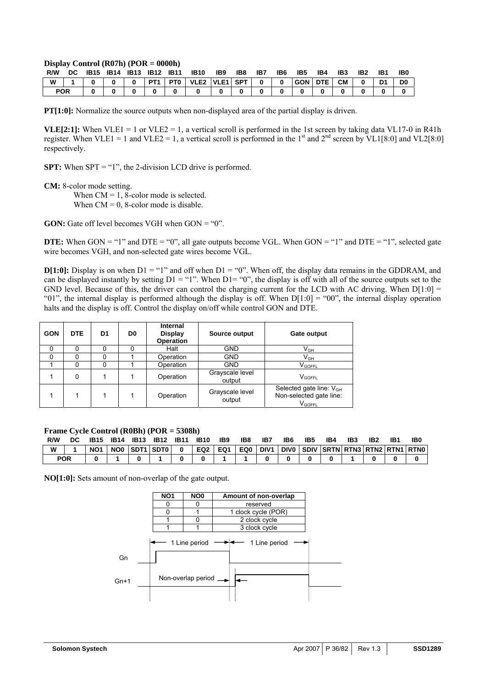#### **Display Control (R07h) (POR = 0000h)**

| R/W        | DC. | <b>IB15</b> | IB14 | IB13 | <b>IB12 IB11</b> | <b>IB10</b>       | IB9 | IB8 | IB7          | IB <sub>6</sub> | IB5     | IB4 | IB <sub>3</sub> | IB <sub>2</sub> | IB1 | IB <sub>0</sub> |
|------------|-----|-------------|------|------|------------------|-------------------|-----|-----|--------------|-----------------|---------|-----|-----------------|-----------------|-----|-----------------|
| W          |     |             |      |      | PT <sub>1</sub>  | PTO VLE2 VLE1 SPT |     |     | $\mathbf{0}$ | $\Omega$        | GON DTE |     | <b>CM</b>       |                 | D1  | D <sub>0</sub>  |
| <b>POR</b> |     |             |      |      |                  |                   |     |     |              |                 |         |     |                 |                 |     |                 |

**PT[1:0]:** Normalize the source outputs when non-displayed area of the partial display is driven.

**VLE[2:1]:** When VLE1 = 1 or VLE2 = 1, a vertical scroll is performed in the 1st screen by taking data VL17-0 in R41h register. When VLE1 = 1 and VLE2 = 1, a vertical scroll is performed in the 1<sup>st</sup> and 2<sup>nd</sup> screen by VL1[8:0] and VL2[8:0] respectively.

**SPT:** When SPT = "1", the 2-division LCD drive is performed.

**CM:** 8-color mode setting.

When  $CM = 1$ , 8-color mode is selected. When  $CM = 0$ , 8-color mode is disable.

**GON:** Gate off level becomes VGH when  $GON = "0"$ .

**DTE:** When  $GON = "1"$  and  $DTE = "0"$ , all gate outputs become VGL. When  $GON = "1"$  and  $DTE = "1"$ , selected gate wire becomes VGH, and non-selected gate wires become VGL.

**D[1:0]:** Display is on when D1 = "1" and off when D1 = "0". When off, the display data remains in the GDDRAM, and can be displayed instantly by setting  $D1 = "1"$ . When  $D1 = "0"$ , the display is off with all of the source outputs set to the GND level. Because of this, the driver can control the charging current for the LCD with AC driving. When  $D[1:0] =$ "01", the internal display is performed although the display is off. When  $D[1:0] = "00"$ , the internal display operation halts and the display is off. Control the display on/off while control GON and DTE.

| <b>GON</b> | <b>DTE</b> | D1 | D0 | Internal<br><b>Display</b><br>Operation | Source output             | <b>Gate output</b>                                                            |
|------------|------------|----|----|-----------------------------------------|---------------------------|-------------------------------------------------------------------------------|
|            |            |    |    | Halt                                    | <b>GND</b>                | $\mathsf{V}_{\mathsf{GH}}$                                                    |
|            |            |    |    | Operation                               | <b>GND</b>                | $\mathsf{V}_{\mathsf{GH}}$                                                    |
|            | Ω          |    |    | Operation                               | <b>GND</b>                | <b>V</b> GOFFL                                                                |
|            | 0          |    |    | Operation                               | Grayscale level<br>output | $V_{GOFFL}$                                                                   |
|            |            |    |    | Operation                               | Grayscale level<br>output | Selected gate line: V <sub>GH</sub><br>Non-selected gate line:<br>$V_{GOFFL}$ |

**Frame Cycle Control (R0Bh) (POR = 5308h)**

| R/W | DC         |                 | IB14 | <b>IB13</b> | <b>IB12</b>  | <b>IB11</b> | <b>IB10</b> | IB <sub>9</sub> | IB8 | IB7              | IB6 | IB5 | IB4                                | IB3 | IB <sub>2</sub> | IB1 | IB0 |
|-----|------------|-----------------|------|-------------|--------------|-------------|-------------|-----------------|-----|------------------|-----|-----|------------------------------------|-----|-----------------|-----|-----|
| W   |            | NO <sub>1</sub> | NO0  |             | ISDT1 SDT0 I |             | EQ2         | EQ1             | EQ0 | DIV <sub>1</sub> |     |     | DIVO SDIV SRTN RTN3 RTN2 RTN1 RTN0 |     |                 |     |     |
|     | <b>POR</b> |                 |      |             |              |             |             |                 |     |                  |     |     |                                    |     |                 |     |     |

**NO[1:0]:** Sets amount of non-overlap of the gate output.

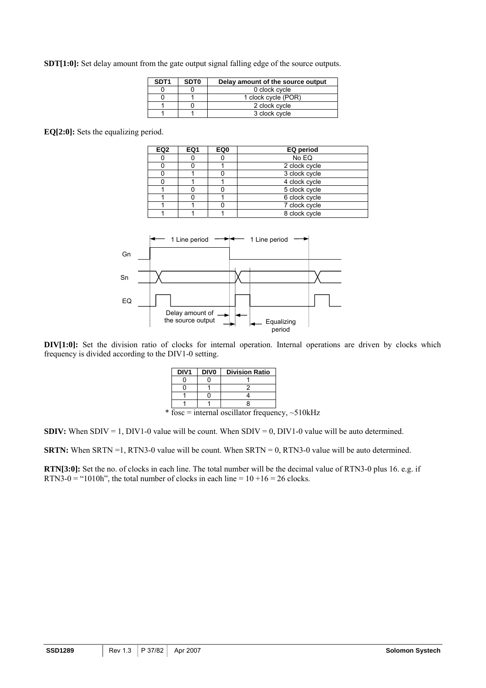**SDT[1:0]:** Set delay amount from the gate output signal falling edge of the source outputs.

| SDT <sub>1</sub> | SDT <sub>0</sub> | Delay amount of the source output |
|------------------|------------------|-----------------------------------|
|                  |                  | 0 clock cycle                     |
|                  |                  | 1 clock cycle (POR)               |
|                  |                  | 2 clock cycle                     |
|                  |                  | 3 clock cycle                     |

**EQ[2:0]:** Sets the equalizing period.

| EQ <sub>2</sub> | EQ1 | EQ0 | EQ period     |
|-----------------|-----|-----|---------------|
|                 |     |     | No EQ         |
|                 |     |     | 2 clock cycle |
|                 |     |     | 3 clock cycle |
|                 |     |     | 4 clock cycle |
|                 |     |     | 5 clock cycle |
|                 |     |     | 6 clock cycle |
|                 |     |     | 7 clock cycle |
|                 |     |     | 8 clock cycle |



**DIV[1:0]:** Set the division ratio of clocks for internal operation. Internal operations are driven by clocks which frequency is divided according to the DIV1-0 setting.

| DIV <sub>1</sub> | <b>DIVO</b> | <b>Division Ratio</b>                                 |  |
|------------------|-------------|-------------------------------------------------------|--|
|                  |             |                                                       |  |
|                  |             |                                                       |  |
|                  |             |                                                       |  |
|                  |             |                                                       |  |
|                  |             | * fosc = internal oscillator frequency, $\sim$ 510kHz |  |

**SDIV:** When SDIV = 1, DIV1-0 value will be count. When SDIV = 0, DIV1-0 value will be auto determined.

**SRTN:** When SRTN =1, RTN3-0 value will be count. When SRTN = 0, RTN3-0 value will be auto determined.

**RTN[3:0]:** Set the no. of clocks in each line. The total number will be the decimal value of RTN3-0 plus 16. e.g. if RTN3-0 = "1010h", the total number of clocks in each line =  $10 + 16 = 26$  clocks.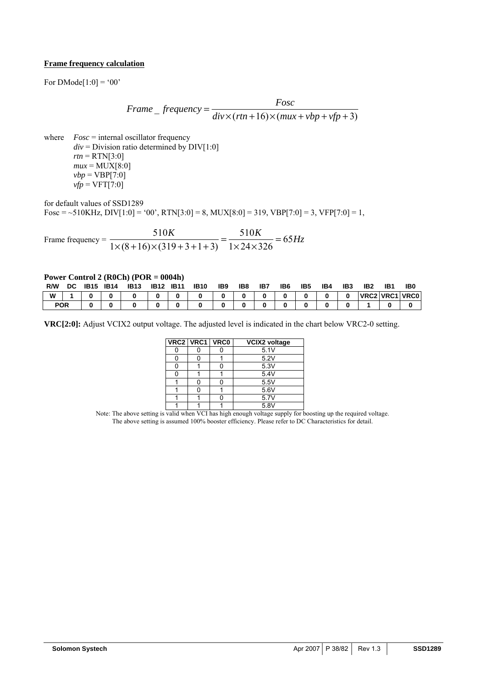### **Frame frequency calculation**

For  $DModel[1:0] = '00'$ 

$$
Frame\_frequency = \frac{Fosc}{div \times (rtn + 16) \times (mux + vbp + vfp + 3)}
$$

where *Fosc* = internal oscillator frequency  $div =$  Division ratio determined by  $DIV[1:0]$  $rtn = RTN[3:0]$  $mu x = MUX[8:0]$  $vbp = VBP[7:0]$  $vfp = VFT[7:0]$ 

for default values of SSD1289

Fosc = ~510KHz, DIV[1:0] = '00', RTN[3:0] = 8, MUX[8:0] = 319, VBP[7:0] = 3, VFP[7:0] = 1,

Frame frequency =  $\frac{510K}{4\pi\epsilon_0(0.45 \text{ m/s}^2 + 4.0 \text{ m})} = \frac{510K}{4\pi\epsilon_0(0.45 \text{ m})} = 65Hz$  $1 \times 24 \times 326$ 510  $\frac{510K}{1\times (8+16)\times (319+3+1+3)} = \frac{510K}{1\times 24\times 326} = 65Hz$ 

#### **Power Control 2 (R0Ch) (POR = 0004h)**

| R/W        | <b>DC</b> | IB15 | <b>IB14</b> | <b>IB13</b> | <b>IB12</b> | <b>IB11</b> | <b>IB10</b> | IB9 | IB8 | IB7 | IB <sub>6</sub> | IB <sub>5</sub> | IB4 | IB <sub>3</sub> | IB <sub>2</sub> | IB <sub>1</sub> | IB <sub>0</sub> |
|------------|-----------|------|-------------|-------------|-------------|-------------|-------------|-----|-----|-----|-----------------|-----------------|-----|-----------------|-----------------|-----------------|-----------------|
| W          |           |      |             |             |             |             |             |     |     |     |                 |                 |     |                 |                 |                 | VRC2 VRC1 VRC0  |
| <b>POR</b> |           |      |             |             |             |             |             |     |     |     |                 |                 |     |                 |                 |                 |                 |

**VRC[2:0]:** Adjust VCIX2 output voltage. The adjusted level is indicated in the chart below VRC2-0 setting.

| VRC2 VRC1 VRC0 | <b>VCIX2 voltage</b> |
|----------------|----------------------|
|                | 5.1V                 |
|                | 5.2V                 |
|                | 5.3V                 |
|                | 5.4V                 |
|                | 5.5V                 |
|                | 5.6V                 |
|                | 5.7V                 |
|                | 5.8V                 |

Note: The above setting is valid when VCI has high enough voltage supply for boosting up the required voltage. The above setting is assumed 100% booster efficiency. Please refer to DC Characteristics for detail.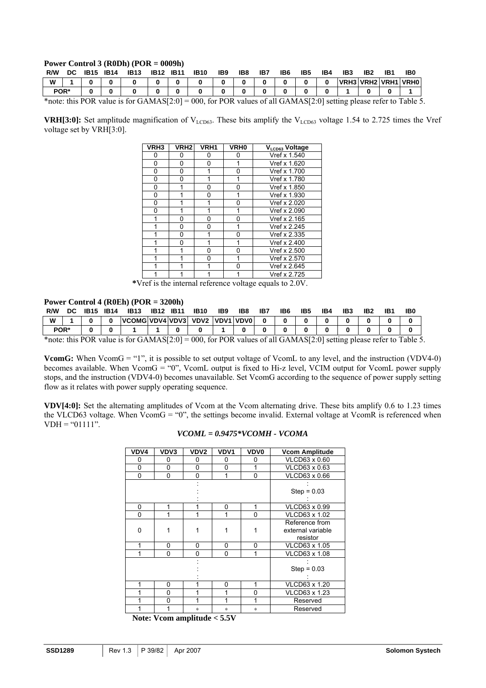### **Power Control 3 (R0Dh) (POR = 0009h)**

| R/W  | DC.                                                                                                                    | IB15 | <b>IB14</b> | <b>IB13</b> | <b>IB12</b> | <b>IB11</b> | <b>IB10</b> | IB9 | IB8 | IB7 | IB6 | IB5 | IB4      | IB3 | IB <sub>2</sub> | IB1 | IB0                          |
|------|------------------------------------------------------------------------------------------------------------------------|------|-------------|-------------|-------------|-------------|-------------|-----|-----|-----|-----|-----|----------|-----|-----------------|-----|------------------------------|
| W    |                                                                                                                        |      |             |             |             |             |             |     |     |     |     |     | $\bf{0}$ |     |                 |     | <b>IVRH3IVRH2IVRH1IVRH0I</b> |
| POR* |                                                                                                                        |      |             |             |             |             |             |     |     |     |     |     |          |     |                 |     |                              |
|      | $\frac{1}{2}$ this DOD value is for CAMAC[2.0] = 000 for DOD values of all CAMAC[2.0] setting plases refer to Table is |      |             |             |             |             |             |     |     |     |     |     |          |     |                 |     |                              |

\*note: this POR value is for GAMAS[2:0] = 000, for POR values of all GAMAS[2:0] setting please refer to Table 5.

**VRH[3:0]:** Set amplitude magnification of  $V_{LCD63}$ . These bits amplify the  $V_{LCD63}$  voltage 1.54 to 2.725 times the Vref voltage set by VRH[3:0].

| VRH <sub>3</sub> | VRH <sub>2</sub> | VRH <sub>1</sub> | <b>VRH0</b> | VLCD63 Voltage |
|------------------|------------------|------------------|-------------|----------------|
| 0                | Ω                | 0                | 0           | Vref x 1.540   |
| 0                | U                | ŋ                | 1           | Vref x 1.620   |
| 0                | 0                |                  | O           | Vref x 1.700   |
| 0                | 0                |                  |             | Vref x 1.780   |
| 0                |                  | 0                | 0           | Vref x 1.850   |
| 0                |                  | 0                | 1           | Vref x 1.930   |
| 0                | 1                | 1                | ŋ           | Vref x 2.020   |
| 0                |                  |                  |             | Vref x 2.090   |
|                  | 0                | 0                | ŋ           | Vref x 2.165   |
|                  | 0                | 0                |             | Vref x 2.245   |
|                  | U                |                  | ŋ           | Vref x 2.335   |
|                  | ი                |                  |             | Vref x 2.400   |
|                  |                  | U                | ŋ           | Vref x 2.500   |
|                  |                  | n                |             | Vref x 2.570   |
|                  |                  |                  | O           | Vref x 2.645   |
|                  |                  |                  |             | Vref x 2.725   |

 **\***Vref is the internal reference voltage equals to 2.0V.

### **Power Control 4 (R0Eh) (POR = 3200h)**

| R/W  | DC | <b>IB15</b>  | <b>IB14</b> | <b>IB13</b>          | <b>IB12</b>                                                                         | <b>IB11</b> | <b>IB10</b> | IB <sub>9</sub> | IB8       | IB7 | IB <sub>6</sub> | IB <sub>5</sub> | IB4 | IB3 | IB <sub>2</sub> | IB1 | IB <sub>C</sub> |
|------|----|--------------|-------------|----------------------|-------------------------------------------------------------------------------------|-------------|-------------|-----------------|-----------|-----|-----------------|-----------------|-----|-----|-----------------|-----|-----------------|
| W    |    |              |             | VCOMG VDV4 VDV3 VDV2 |                                                                                     |             |             |                 | VDV1 VDV0 |     |                 |                 |     |     |                 |     |                 |
| POR* |    |              |             |                      |                                                                                     |             |             |                 |           |     |                 |                 |     |     |                 |     |                 |
| ste. |    | $n \wedge n$ |             |                      | $\lambda$ $\lambda$ $\lambda$ $\lambda$ $\alpha$ $\beta$ $\lambda$ $\alpha$ $\beta$ |             | $\Omega$    | $n \wedge n$    |           |     |                 |                 |     |     |                 |     | $\mathbf{r}$    |

\*note: this POR value is for GAMAS[2:0] = 000, for POR values of all GAMAS[2:0] setting please refer to Table 5.

**VcomG:** When VcomG = "1", it is possible to set output voltage of VcomL to any level, and the instruction (VDV4-0) becomes available. When VcomG = "0", VcomL output is fixed to Hi-z level, VCIM output for VcomL power supply stops, and the instruction (VDV4-0) becomes unavailable. Set VcomG according to the sequence of power supply setting flow as it relates with power supply operating sequence.

**VDV[4:0]:** Set the alternating amplitudes of Vcom at the Vcom alternating drive. These bits amplify 0.6 to 1.23 times the VLCD63 voltage. When VcomG = "0", the settings become invalid. External voltage at VcomR is referenced when  $VDH = "01111"$ .

| VDV4           | VDV3 | VDV <sub>2</sub>                   | VDV1           | <b>VDV0</b> | <b>Vcom Amplitude</b>                           |
|----------------|------|------------------------------------|----------------|-------------|-------------------------------------------------|
| 0              | 0    | 0                                  | 0              | 0           | VLCD63 x 0.60                                   |
| $\Omega$       | 0    | 0                                  | 0              | 1           | VLCD63 x 0.63                                   |
| 0              | 0    | 0                                  | 1              | 0           | VLCD63 x 0.66                                   |
|                |      |                                    |                |             | $Step = 0.03$                                   |
| $\Omega$       | 1    | 1                                  | 0              | 1           | VLCD63 x 0.99                                   |
| $\Omega$       |      | 1                                  | 1              | 0           | VLCD63 x 1.02                                   |
| 0              |      | 1                                  |                |             | Reference from<br>external variable<br>resistor |
| 1              | 0    | 0                                  | 0              | 0           | VLCD63 x 1.05                                   |
| 1              | 0    | 0                                  | 0              | 1           | VLCD63 x 1.08                                   |
|                |      |                                    |                |             | $Step = 0.03$                                   |
| 1              | 0    | 1                                  | 0              | 1           | VLCD63 x 1.20                                   |
| 1              | 0    | 1                                  | 1              | 0           | VLCD63 x 1.23                                   |
| 1              | 0    | 1                                  | 1              | 1           | Reserved                                        |
| $\blacksquare$ | T    | $\ast$<br>$\cdots$<br>$\mathbf{r}$ | *<br>$- - - -$ | $\ast$      | Reserved                                        |

# *VCOML = 0.9475\*VCOMH - VCOMA*

 **Note: Vcom amplitude < 5.5V**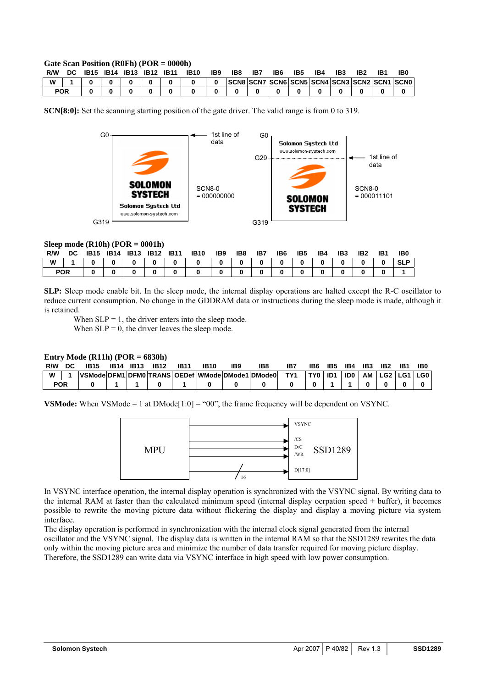#### **Gate Scan Position (R0Fh) (POR = 0000h)**

| R/W        | DC | <b>IB15</b> | <b>IB14</b> | IB13 | <b>IB12</b> | <b>IB11</b> | <b>IB10</b> | IB9 | IB8 | IB7 | IB6 | IB5 | IB4 | IB3                                          | IB2 | IB <sub>(</sub> |
|------------|----|-------------|-------------|------|-------------|-------------|-------------|-----|-----|-----|-----|-----|-----|----------------------------------------------|-----|-----------------|
| W          |    |             |             |      |             |             |             |     |     |     |     |     |     | SCN8 SCN7 SCN6 SCN5 SCN4 SCN3 SCN2 SCN1 SCN0 |     |                 |
| <b>POR</b> |    |             |             |      |             |             |             |     |     |     |     |     |     |                                              |     |                 |

**SCN[8:0]:** Set the scanning starting position of the gate driver. The valid range is from 0 to 319.



#### **Sleep mode (R10h) (POR = 0001h)**

| R/W        | DC. | <b>IB15 IB14</b> | <b>IB13 IB12 IB11</b> |          | <b>IB10</b> | IB9 | IB8          | IB7      | IB6          | IB5         | IB4      | IB <sub>3</sub> | IB <sub>2</sub> | IB1 | IB <sub>0</sub> |
|------------|-----|------------------|-----------------------|----------|-------------|-----|--------------|----------|--------------|-------------|----------|-----------------|-----------------|-----|-----------------|
| W          |     |                  |                       | $\bf{0}$ |             | - 0 | $\mathbf{0}$ | $\bf{0}$ | $\mathbf{0}$ | $\mathbf 0$ | $\bf{0}$ |                 |                 |     | <b>SLP</b>      |
| <b>POR</b> |     |                  |                       |          |             |     |              | 0        | $\bf{0}$     |             |          |                 |                 |     |                 |

**SLP:** Sleep mode enable bit. In the sleep mode, the internal display operations are halted except the R-C oscillator to reduce current consumption. No change in the GDDRAM data or instructions during the sleep mode is made, although it is retained.

When  $SLP = 1$ , the driver enters into the sleep mode.

When  $SLP = 0$ , the driver leaves the sleep mode.

### **Entry Mode (R11h) (POR = 6830h)**

| R/W        | <b>IB15</b>                                      | IB14 | <b>IB13</b> | <b>IB12</b> | <b>IB11</b> | <b>IB10</b> | IB <sub>9</sub> | IB٤ | IB7 | IB6   | IB5 | IB4 | IB3 | IB <sub>2</sub> | IB1 | IB0 |
|------------|--------------------------------------------------|------|-------------|-------------|-------------|-------------|-----------------|-----|-----|-------|-----|-----|-----|-----------------|-----|-----|
| W          | VSMode DFM1 DFM0 TRANS OEDef WMode DMode1 DMode0 |      |             |             |             |             |                 |     | TY1 | TY0 I | ID1 | ID0 |     | AM LG2 LG1 LG0  |     |     |
| <b>POR</b> |                                                  |      |             |             |             |             |                 |     |     |       |     |     |     |                 |     |     |

**VSMode:** When VSMode = 1 at DMode[1:0] = "00", the frame frequency will be dependent on VSYNC.



In VSYNC interface operation, the internal display operation is synchronized with the VSYNC signal. By writing data to the internal RAM at faster than the calculated minimum speed (internal display oerpation speed + buffer), it becomes possible to rewrite the moving picture data without flickering the display and display a moving picture via system interface.

The display operation is performed in synchronization with the internal clock signal generated from the internal oscillator and the VSYNC signal. The display data is written in the internal RAM so that the SSD1289 rewrites the data only within the moving picture area and minimize the number of data transfer required for moving picture display. Therefore, the SSD1289 can write data via VSYNC interface in high speed with low power consumption.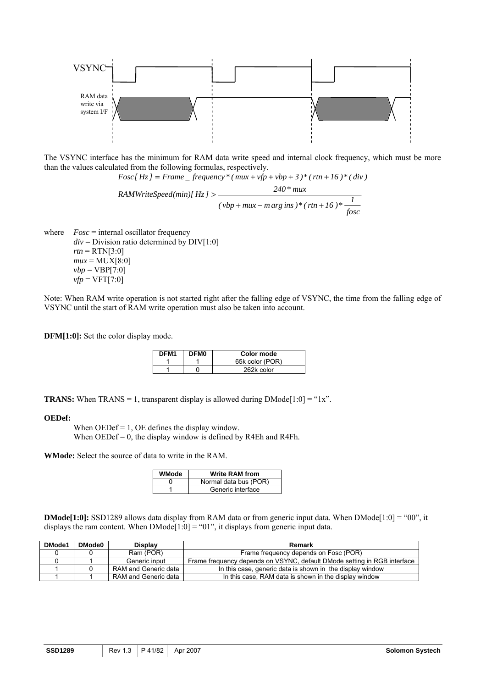

The VSYNC interface has the minimum for RAM data write speed and internal clock frequency, which must be more than the values calculated from the following formulas, respectively.

$$
Fosc[Hz] = Frame\_frequency*(max + vfp + vbp + 3)*(rtn + 16)*(div)
$$

$$
RAMWriteSpeed(min)[Hz] > \frac{240*mu}{(vbp + mux - marg ins)*(rtn + 16)*\frac{1}{fosc}}
$$

where *Fosc* = internal oscillator frequency  $div =$  Division ratio determined by  $DIV[1:0]$  $rtn = RTN[3:0]$  $mu x = MUX[8:0]$  $vbp = VBP[7:0]$  $vfp = VFT[7:0]$ 

Note: When RAM write operation is not started right after the falling edge of VSYNC, the time from the falling edge of VSYNC until the start of RAM write operation must also be taken into account.

**DFM[1:0]:** Set the color display mode.

| DFM <sub>1</sub> | DFM <sub>0</sub> | Color mode      |
|------------------|------------------|-----------------|
|                  |                  | 65k color (POR) |
|                  |                  | 262k color      |

**TRANS:** When  $TRANS = 1$ , transparent display is allowed during  $DMode[1:0] = "1x"$ .

#### **OEDef:**

When  $OEDef = 1$ , OE defines the display window. When  $OEDef = 0$ , the display window is defined by R4Eh and R4Fh.

**WMode:** Select the source of data to write in the RAM.

| WMode | <b>Write RAM from</b> |
|-------|-----------------------|
|       | Normal data bus (POR) |
|       | Generic interface     |

**DMode[1:0]:** SSD1289 allows data display from RAM data or from generic input data. When DMode[1:0] = "00", it displays the ram content. When  $DMode[1:0] = "01"$ , it displays from generic input data.

| DMode1 | <b>DMode0</b> | <b>Display</b>       | Remark                                                                   |
|--------|---------------|----------------------|--------------------------------------------------------------------------|
|        |               | Ram (POR)            | Frame frequency depends on Fosc (POR)                                    |
|        |               | Generic input        | Frame frequency depends on VSYNC, default DMode setting in RGB interface |
|        |               | RAM and Generic data | In this case, generic data is shown in the display window                |
|        |               | RAM and Generic data | In this case, RAM data is shown in the display window                    |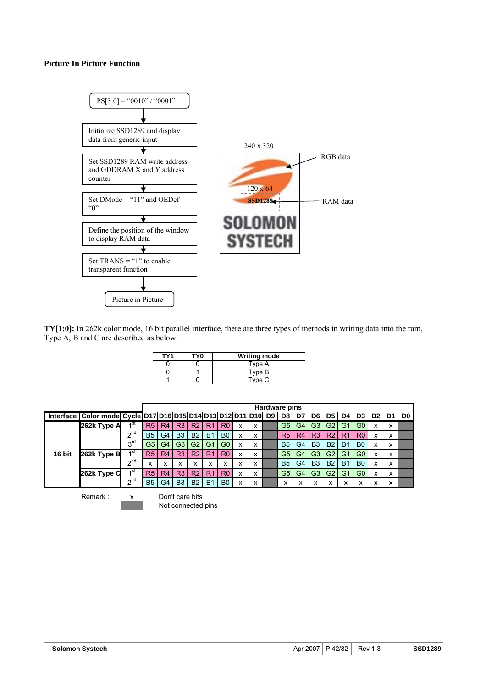### **Picture In Picture Function**



**TY[1:0]:** In 262k color mode, 16 bit parallel interface, there are three types of methods in writing data into the ram, Type A, B and C are described as below.

| TY <sub>1</sub> | TY0 | <b>Writing mode</b> |
|-----------------|-----|---------------------|
|                 |     | Type A              |
|                 |     | Type B              |
|                 |     | Type C              |

|        |                                                                                     |                         |                |    |                |                   |                |                   |   |   | Hardware pins  |                |                |                |                |                |    |   |                |
|--------|-------------------------------------------------------------------------------------|-------------------------|----------------|----|----------------|-------------------|----------------|-------------------|---|---|----------------|----------------|----------------|----------------|----------------|----------------|----|---|----------------|
|        | Interface   Color mode   Cycle   D17   D16   D15   D14   D13   D12   D11   D10   D9 |                         |                |    |                |                   |                |                   |   |   | D <sub>8</sub> | D7             | D6             | D5             | D4             | D <sub>3</sub> | D2 |   | D <sub>0</sub> |
|        | 262k Type A                                                                         | ⊿ St                    | R <sub>5</sub> | R4 | R <sub>3</sub> | R <sub>2</sub>    | R <sub>1</sub> | R <sub>0</sub>    |   | х | G5             | G4             | G3             | G <sub>2</sub> | G <sup>*</sup> | G0             | x  | x |                |
|        |                                                                                     | $2^{nd}$                | <b>B5</b>      | G4 | B <sub>3</sub> | <b>B2</b>         | <b>B1</b>      | B <sub>0</sub>    |   | x | R <sub>5</sub> | R <sub>4</sub> | R <sub>3</sub> | R2             | R1             | R <sub>0</sub> | x  | X |                |
|        |                                                                                     | 3 <sup>rd</sup>         | G5             | G4 | G <sub>3</sub> | G <sub>2</sub>    | G <sub>1</sub> | G <sub>0</sub>    | x | x | <b>B5</b>      | G4             | B <sub>3</sub> | <b>B2</b>      | B <sub>1</sub> | B <sub>0</sub> | x  | X |                |
| 16 bit | 262k Type B                                                                         | ⊿st                     | R <sub>5</sub> | R4 | R <sub>3</sub> | R <sub>2</sub>    | R1             | R <sub>0</sub>    |   | x | G5             | G4             | G <sub>3</sub> | G <sub>2</sub> | G <sup>1</sup> | G <sub>0</sub> | x  | X |                |
|        |                                                                                     | $\sim$ nd               | ́              | ⋏  | ㅅ              | $\checkmark$<br>⋏ | ^              | $\checkmark$<br>́ |   | x | <b>B5</b>      | G4             | B <sub>3</sub> | <b>B2</b>      | B <sub>1</sub> | B <sub>0</sub> | x  | X |                |
|        | 262k Type C                                                                         | ⊿st                     | R <sub>5</sub> | R4 | R <sub>3</sub> | R <sub>2</sub>    | R1             | R <sub>0</sub>    | x | x | G5             | G4             | G3             | G <sub>2</sub> | $G^*$          | G0             | x  | x |                |
|        |                                                                                     | $\lambda$ <sup>nd</sup> | <b>B5</b>      | G4 | B <sub>3</sub> | <b>B2</b>         | <b>B1</b>      | B <sub>0</sub>    |   | x |                | ⋏              |                | ́              |                | v              | v  | X |                |

Remark : x Don't care bits Not connected pins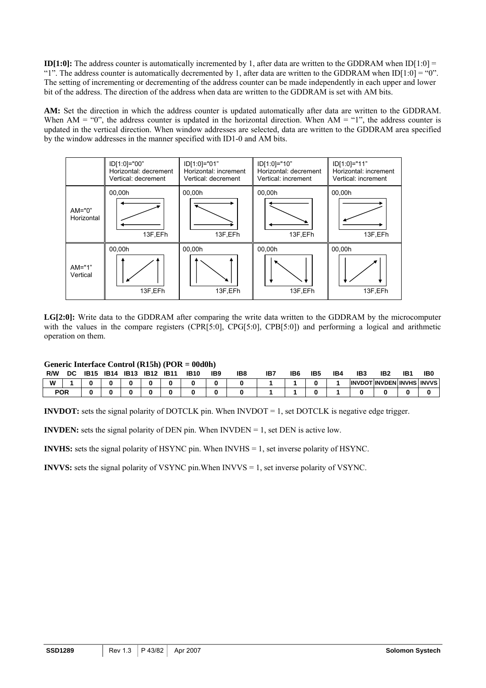**ID[1:0]:** The address counter is automatically incremented by 1, after data are written to the GDDRAM when ID[1:0] = "1". The address counter is automatically decremented by 1, after data are written to the GDDRAM when  $ID[1:0] = "0"$ . The setting of incrementing or decrementing of the address counter can be made independently in each upper and lower bit of the address. The direction of the address when data are written to the GDDRAM is set with AM bits.

**AM:** Set the direction in which the address counter is updated automatically after data are written to the GDDRAM. When  $AM = "0"$ , the address counter is updated in the horizontal direction. When  $AM = "1"$ , the address counter is updated in the vertical direction. When window addresses are selected, data are written to the GDDRAM area specified by the window addresses in the manner specified with ID1-0 and AM bits.



**LG[2:0]:** Write data to the GDDRAM after comparing the write data written to the GDDRAM by the microcomputer with the values in the compare registers (CPR[5:0], CPG[5:0], CPB[5:0]) and performing a logical and arithmetic operation on them.

### **Generic Interface Control (R15h) (POR = 00d0h)**

| R/W        | DC | <b>IB15</b> | <b>IB14</b> | <b>IB13</b> | <b>IB12</b> | <b>IB11</b> | <b>IB10</b> | IB <sub>9</sub> | IB8 | IB. | IB <sub>6</sub> | IB <sub>5</sub> | IB4 | IB <sub>3</sub> | IB <sub>2</sub>                 | IB1 | IB <sub>0</sub> |
|------------|----|-------------|-------------|-------------|-------------|-------------|-------------|-----------------|-----|-----|-----------------|-----------------|-----|-----------------|---------------------------------|-----|-----------------|
| W          |    |             |             |             |             |             |             |                 |     |     |                 |                 |     |                 | <b>INVDOTINVDEN INVHS INVVS</b> |     |                 |
| <b>POR</b> |    |             |             |             |             |             |             |                 |     |     |                 |                 |     |                 |                                 |     |                 |

**INVDOT:** sets the signal polarity of DOTCLK pin. When INVDOT = 1, set DOTCLK is negative edge trigger.

**INVDEN:** sets the signal polarity of DEN pin. When  $INVDEN = 1$ , set DEN is active low.

**INVHS:** sets the signal polarity of HSYNC pin. When INVHS = 1, set inverse polarity of HSYNC.

**INVVS:** sets the signal polarity of VSYNC pin.When INVVS = 1, set inverse polarity of VSYNC.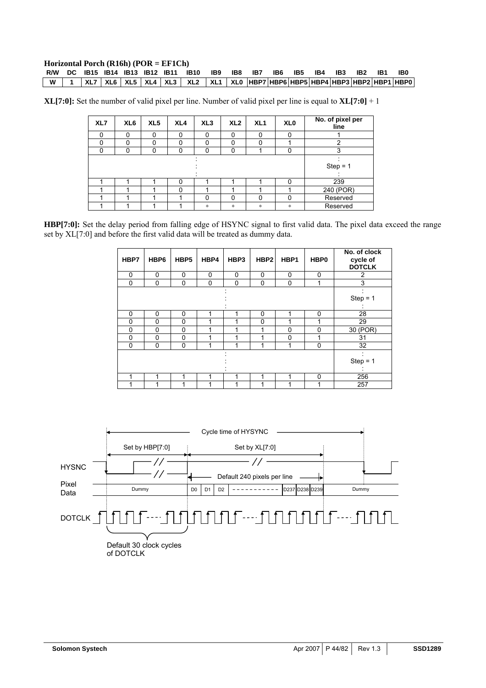# **Horizontal Porch (R16h) (POR = EF1Ch)**

|  |  |  | R/W DC 1B15 1B14 1B13 1B12 1B11 1B10 1B9 1B8 1B7 1B6 1B5 1B4 1B3 1B2 1B1                                       |  |  |  |  | IB0 |
|--|--|--|----------------------------------------------------------------------------------------------------------------|--|--|--|--|-----|
|  |  |  | W      1      XL7   XL6    XL5    XL4    XL3     XL2      XL1    XL0   HBP7 HBP6 HBP3 HBP4 HBP3 HBP2 HBP0 HBP0 |  |  |  |  |     |

**XL[7:0]:** Set the number of valid pixel per line. Number of valid pixel per line is equal to **XL[7:0]** + 1

| XL7 | XL6      | XL <sub>5</sub> | XL <sub>4</sub> | XL <sub>3</sub> | XL2 | XL <sub>1</sub> | XL <sub>0</sub> | No. of pixel per<br>line |
|-----|----------|-----------------|-----------------|-----------------|-----|-----------------|-----------------|--------------------------|
| 0   | $\Omega$ | 0               | $\Omega$        | $\Omega$        | 0   | $\Omega$        | 0               |                          |
| ი   | 0        | 0               | 0               | 0               | 0   | 0               |                 | 2                        |
| 0   | $\Omega$ | 0               | 0               | $\Omega$        | 0   |                 | $\Omega$        | 3                        |
|     |          |                 |                 |                 |     |                 |                 |                          |
|     |          |                 |                 |                 |     |                 |                 | $Step = 1$               |
|     |          |                 |                 |                 |     |                 |                 |                          |
|     |          |                 | 0               |                 |     |                 | 0               | 239                      |
|     |          |                 | $\Omega$        |                 |     |                 |                 | 240 (POR)                |
|     |          |                 |                 | 0               | 0   | 0               | 0               | Reserved                 |
|     |          |                 |                 | $\ast$          | *   | $\ast$          | $\ast$          | Reserved                 |

**HBP[7:0]:** Set the delay period from falling edge of HSYNC signal to first valid data. The pixel data exceed the range set by XL[7:0] and before the first valid data will be treated as dummy data.

| HBP7 | HBP6 | HBP5        | HBP4 | HBP3     | HBP <sub>2</sub> | HBP1        | HBP0        | No. of clock<br>cycle of<br><b>DOTCLK</b> |
|------|------|-------------|------|----------|------------------|-------------|-------------|-------------------------------------------|
| 0    | 0    | 0           | 0    | 0        | 0                | 0           | 0           | 2                                         |
| 0    | 0    | $\mathbf 0$ | 0    | $\Omega$ | 0                | $\mathbf 0$ | 1           | 3                                         |
|      |      |             |      |          |                  |             |             | $Step = 1$                                |
| 0    | 0    | 0           | 1    | 1        | 0                | 1           | 0           | 28                                        |
| 0    | 0    | 0           | 1    |          | 0                | 1           |             | 29                                        |
| 0    | 0    | 0           | 1    | 4        | 1                | $\mathbf 0$ | $\mathbf 0$ | 30 (POR)                                  |
| 0    | 0    | 0           |      |          | ٠                | 0           |             | 31                                        |
| 0    | 0    | $\mathbf 0$ |      |          | 1                | 1           | 0           | 32                                        |
|      |      |             |      |          |                  |             |             | $Step = 1$                                |
| 1    | 1    | 1           |      | 1        | 1                | 1           | $\Omega$    | 256                                       |
| 4    |      | ◢           |      |          | ٠                | 1           |             | 257                                       |

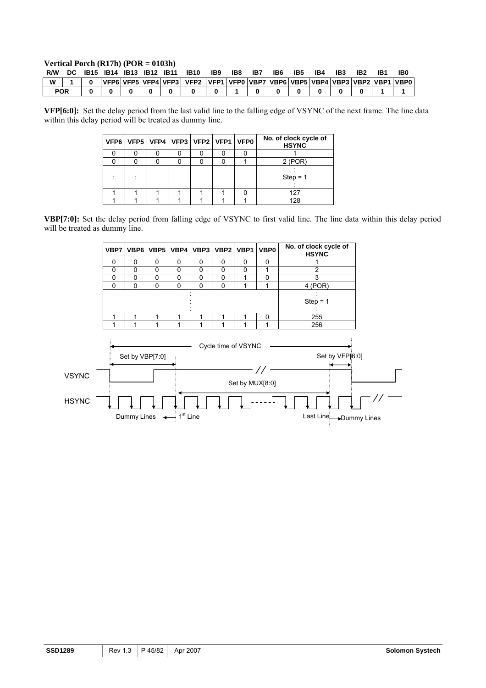# **Vertical Porch (R17h) (POR = 0103h)**

|   |            |  | IB15 IB14 IB13 IB12 IB11 |  | IB10                                                                                                 | IB9 | IB8 | IB7 | IB6 | IB5 | IB4 | IB3 | IB <sub>2</sub> | IB. | IB0 |
|---|------------|--|--------------------------|--|------------------------------------------------------------------------------------------------------|-----|-----|-----|-----|-----|-----|-----|-----------------|-----|-----|
| W |            |  |                          |  | VFP6\VFP5\VFP4\VFP3\VFP2\VFP1\VFP1\VFP0\VBP7\VBP6\VBP5\VBP4\VBP3\VBP2\VBP1\VBP0\VBP0\VBP0\VBP0\VBP0\ |     |     |     |     |     |     |     |                 |     |     |
|   | <b>POR</b> |  |                          |  |                                                                                                      |     |     |     |     |     |     |     |                 |     |     |

**VFP[6:0]:** Set the delay period from the last valid line to the falling edge of VSYNC of the next frame. The line data within this delay period will be treated as dummy line.

|  | VFP6   VFP5   VFP4   VFP3   VFP2   VFP1   VFP0 |  |  | No. of clock cycle of<br><b>HSYNC</b> |
|--|------------------------------------------------|--|--|---------------------------------------|
|  |                                                |  |  |                                       |
|  |                                                |  |  | $2$ (POR)                             |
|  |                                                |  |  | $Step = 1$                            |
|  |                                                |  |  | 127                                   |
|  |                                                |  |  | 128                                   |

**VBP[7:0]:** Set the delay period from falling edge of VSYNC to first valid line. The line data within this delay period will be treated as dummy line.

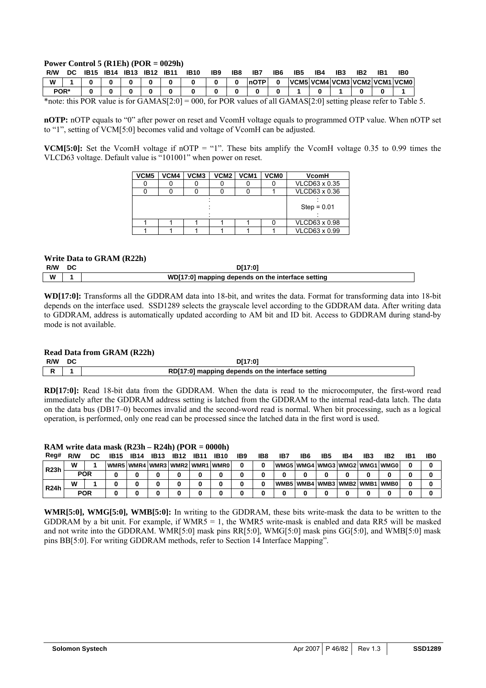### **Power Control 5 (R1Eh) (POR = 0029h)**

| R/W          | DC.      | IB15 |  | IB14 IB13 IB12 IB11 |                                                                                                                                                                                                                                                                                                                                                  | <b>IB10</b>          | IB9 | IB8          | IB7  | IB6 | IB5                              | IB4 | IB3 | IB <sub>2</sub> | IB1 | IB0 |
|--------------|----------|------|--|---------------------|--------------------------------------------------------------------------------------------------------------------------------------------------------------------------------------------------------------------------------------------------------------------------------------------------------------------------------------------------|----------------------|-----|--------------|------|-----|----------------------------------|-----|-----|-----------------|-----|-----|
| W            |          |      |  |                     |                                                                                                                                                                                                                                                                                                                                                  |                      |     | $\mathbf{0}$ | NOTP |     | VCM5 VCM4 VCM3 VCM2 VCM1 VCM0    |     |     |                 |     |     |
| POR*         |          |      |  |                     |                                                                                                                                                                                                                                                                                                                                                  |                      |     |              |      |     |                                  |     |     |                 |     |     |
| $\mathbf{r}$ | $\cdots$ |      |  |                     | $C$ $\uparrow$ $\uparrow$ $\uparrow$ $\uparrow$ $C$ $\uparrow$ $C$ $\uparrow$ $C$ $\uparrow$ $C$ $\uparrow$ $C$ $\uparrow$ $C$ $\uparrow$ $C$ $\uparrow$ $C$ $\uparrow$ $C$ $\uparrow$ $C$ $\uparrow$ $C$ $\uparrow$ $C$ $\uparrow$ $C$ $\uparrow$ $C$ $\uparrow$ $C$ $\uparrow$ $C$ $\uparrow$ $C$ $\uparrow$ $C$ $\uparrow$ $C$ $\uparrow$ $C$ | $\sim$ $\sim$ $\sim$ |     | $n \wedge n$ |      |     | $0.11 \cap 111 \cap 100 \cap 01$ |     |     |                 |     |     |

\*note: this POR value is for GAMAS[2:0] = 000, for POR values of all GAMAS[2:0] setting please refer to Table 5.

**nOTP:** nOTP equals to "0" after power on reset and VcomH voltage equals to programmed OTP value. When nOTP set to "1", setting of VCM[5:0] becomes valid and voltage of VcomH can be adjusted.

**VCM[5:0]:** Set the VcomH voltage if nOTP = "1". These bits amplify the VcomH voltage 0.35 to 0.99 times the VLCD63 voltage. Default value is "101001" when power on reset.

| VCM5 | VCM4 | VCM <sub>3</sub> | VCM2 | VCM <sub>1</sub> | <b>VCM0</b> | VcomH         |
|------|------|------------------|------|------------------|-------------|---------------|
|      |      |                  |      |                  |             | VLCD63 x 0.35 |
|      |      |                  |      |                  |             | VLCD63 x 0.36 |
|      |      |                  |      |                  |             |               |
|      |      |                  |      |                  |             | $Step = 0.01$ |
|      |      |                  |      |                  |             |               |
|      |      |                  |      |                  |             | VLCD63 x 0.98 |
|      |      |                  |      |                  |             | VLCD63 x 0.99 |

### **Write Data to GRAM (R22h)**

| R/W | DC | D[17:01                                           |
|-----|----|---------------------------------------------------|
| W   |    | WD[17:0] mapping depends on the interface setting |

**WD[17:0]:** Transforms all the GDDRAM data into 18-bit, and writes the data. Format for transforming data into 18-bit depends on the interface used. SSD1289 selects the grayscale level according to the GDDRAM data. After writing data to GDDRAM, address is automatically updated according to AM bit and ID bit. Access to GDDRAM during stand-by mode is not available.

### **Read Data from GRAM (R22h)**

| R/W | DC. | D[17:01                                           |
|-----|-----|---------------------------------------------------|
| D   |     | RD[17:0] mapping depends on the interface setting |

**RD[17:0]:** Read 18-bit data from the GDDRAM. When the data is read to the microcomputer, the first-word read immediately after the GDDRAM address setting is latched from the GDDRAM to the internal read-data latch. The data on the data bus (DB17–0) becomes invalid and the second-word read is normal. When bit processing, such as a logical operation, is performed, only one read can be processed since the latched data in the first word is used.

#### **RAM write data mask (R23h – R24h) (POR = 0000h)**

| Reg#              | R/W        | DC. | <b>IB15</b>                             | <b>IB14</b> | <b>IB13</b> | <b>IB12</b> | <b>IB11</b> | <b>IB10</b> | IB9 | IB8 | IB7                              | IB6 | IB5 | IB4 | IB3 | IB <sub>2</sub> | IB٬ | IB0 |
|-------------------|------------|-----|-----------------------------------------|-------------|-------------|-------------|-------------|-------------|-----|-----|----------------------------------|-----|-----|-----|-----|-----------------|-----|-----|
| R <sub>23</sub> h | W          |     | WMR5   WMR4   WMR3   WMR2   WMR1   WMR0 |             |             |             |             |             |     |     | WMG5 WMG4 WMG3 WMG2 WMG1 WMG0    |     |     |     |     |                 |     |     |
|                   | <b>POR</b> |     |                                         |             |             |             |             |             |     |     |                                  |     |     |     |     |                 |     |     |
| R <sub>24</sub> h | W          |     |                                         |             |             |             |             |             |     |     | WMB5   WMB4   WMB3   WMB2   WMB1 |     |     |     |     | <b>WMB0</b>     |     |     |
|                   | <b>POR</b> |     |                                         |             |             |             |             |             |     |     |                                  |     |     |     |     |                 |     |     |

**WMR[5:0], WMG[5:0], WMB[5:0]:** In writing to the GDDRAM, these bits write-mask the data to be written to the GDDRAM by a bit unit. For example, if  $WMR5 = 1$ , the WMR5 write-mask is enabled and data RR5 will be masked and not write into the GDDRAM. WMR[5:0] mask pins RR[5:0], WMG[5:0] mask pins GG[5:0], and WMB[5:0] mask pins BB[5:0]. For writing GDDRAM methods, refer to Section 14 Interface Mapping".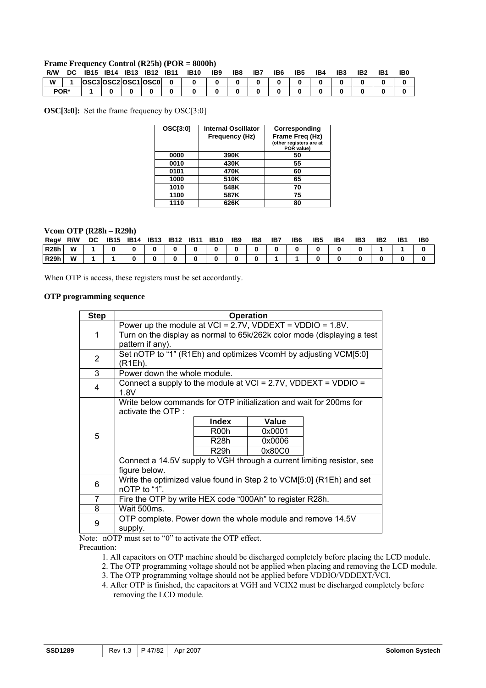#### **Frame Frequency Control (R25h) (POR = 8000h)**

| R/W | DC   | <b>IB15</b> | IB14 | <b>IB13</b> | <b>IB12</b>         | <b>IB11</b> | <b>IB10</b> | IB9 | IB8 | IB7 | IB6 | IB5 | IB4 | IB3 | IB2 | IB1 | IBC |
|-----|------|-------------|------|-------------|---------------------|-------------|-------------|-----|-----|-----|-----|-----|-----|-----|-----|-----|-----|
| W   |      |             |      |             | OSC3 OSC2 OSC1 OSC0 | $\Omega$    |             |     |     |     |     |     |     |     |     |     |     |
|     | POR* |             |      |             |                     |             |             |     |     |     |     |     |     |     |     |     |     |

**OSC[3:0]:** Set the frame frequency by OSC[3:0]

| <b>OSC[3:0]</b> | <b>Internal Oscillator</b><br>Frequency (Hz) | Corresponding<br>Frame Freg (Hz)<br>(other registers are at<br>POR value) |
|-----------------|----------------------------------------------|---------------------------------------------------------------------------|
| 0000            | 390K                                         | 50                                                                        |
| 0010            | 430K                                         | 55                                                                        |
| 0101            | 470K                                         | 60                                                                        |
| 1000            | 510K                                         | 65                                                                        |
| 1010            | 548K                                         | 70                                                                        |
| 1100            | 587K                                         | 75                                                                        |
| 1110            | 626K                                         | 80                                                                        |

### **Vcom OTP (R28h – R29h)**

| Reg#        | R/W | DC. | <b>IB15</b> | IB14 | <b>IB13</b> | <b>IB12</b> | <b>IB11</b> | <b>IB10</b> | IB9 | IB8 | IB7 | IB <sub>6</sub> | IB <sub>5</sub> | IB4 | IB <sub>3</sub> | IB <sub>2</sub> | IB <sub>1</sub> | <b>IBC</b> |
|-------------|-----|-----|-------------|------|-------------|-------------|-------------|-------------|-----|-----|-----|-----------------|-----------------|-----|-----------------|-----------------|-----------------|------------|
| <b>R28h</b> | W   |     |             |      |             |             |             |             |     |     |     |                 |                 |     |                 |                 |                 |            |
| <b>R29h</b> | W   |     |             |      |             |             |             |             |     |     |     |                 |                 |     |                 |                 |                 |            |

When OTP is access, these registers must be set accordantly.

### **OTP programming sequence**

| <b>Step</b>    |                                                                         |                   | <b>Operation</b> |  |  |  |  |  |  |  |  |  |  |  |  |
|----------------|-------------------------------------------------------------------------|-------------------|------------------|--|--|--|--|--|--|--|--|--|--|--|--|
|                | Power up the module at $VCI = 2.7V$ , VDDEXT = VDDIO = 1.8V.            |                   |                  |  |  |  |  |  |  |  |  |  |  |  |  |
| 1              | Turn on the display as normal to 65k/262k color mode (displaying a test |                   |                  |  |  |  |  |  |  |  |  |  |  |  |  |
|                | pattern if any).                                                        |                   |                  |  |  |  |  |  |  |  |  |  |  |  |  |
| $\overline{2}$ | Set nOTP to "1" (R1Eh) and optimizes VcomH by adjusting VCM[5:0]        |                   |                  |  |  |  |  |  |  |  |  |  |  |  |  |
|                | (R1Eh).                                                                 |                   |                  |  |  |  |  |  |  |  |  |  |  |  |  |
| 3              | Power down the whole module.                                            |                   |                  |  |  |  |  |  |  |  |  |  |  |  |  |
| 4              | Connect a supply to the module at $VCI = 2.7V$ , $VDDEXT = VDDIO =$     |                   |                  |  |  |  |  |  |  |  |  |  |  |  |  |
|                | 1.8V                                                                    |                   |                  |  |  |  |  |  |  |  |  |  |  |  |  |
|                | Write below commands for OTP initialization and wait for 200ms for      |                   |                  |  |  |  |  |  |  |  |  |  |  |  |  |
|                | activate the OTP :                                                      |                   |                  |  |  |  |  |  |  |  |  |  |  |  |  |
|                |                                                                         | <b>Index</b>      | Value            |  |  |  |  |  |  |  |  |  |  |  |  |
| 5              |                                                                         | R00h              | 0x0001           |  |  |  |  |  |  |  |  |  |  |  |  |
|                |                                                                         | R <sub>28</sub> h | 0x0006           |  |  |  |  |  |  |  |  |  |  |  |  |
|                |                                                                         | R <sub>29</sub> h | 0x80C0           |  |  |  |  |  |  |  |  |  |  |  |  |
|                | Connect a 14.5V supply to VGH through a current limiting resistor, see  |                   |                  |  |  |  |  |  |  |  |  |  |  |  |  |
|                | figure below.                                                           |                   |                  |  |  |  |  |  |  |  |  |  |  |  |  |
| 6              | Write the optimized value found in Step 2 to VCM[5:0] (R1Eh) and set    |                   |                  |  |  |  |  |  |  |  |  |  |  |  |  |
|                | nOTP to "1".                                                            |                   |                  |  |  |  |  |  |  |  |  |  |  |  |  |
| 7              | Fire the OTP by write HEX code "000Ah" to register R28h.                |                   |                  |  |  |  |  |  |  |  |  |  |  |  |  |
| 8              | Wait 500ms.                                                             |                   |                  |  |  |  |  |  |  |  |  |  |  |  |  |
| 9              | OTP complete. Power down the whole module and remove 14.5V              |                   |                  |  |  |  |  |  |  |  |  |  |  |  |  |
|                | supply.                                                                 |                   |                  |  |  |  |  |  |  |  |  |  |  |  |  |

Note: nOTP must set to "0" to activate the OTP effect.

Precaution:

- 1. All capacitors on OTP machine should be discharged completely before placing the LCD module.
- 2. The OTP programming voltage should not be applied when placing and removing the LCD module.
- 3. The OTP programming voltage should not be applied before VDDIO/VDDEXT/VCI.
- 4. After OTP is finished, the capacitors at VGH and VCIX2 must be discharged completely before removing the LCD module.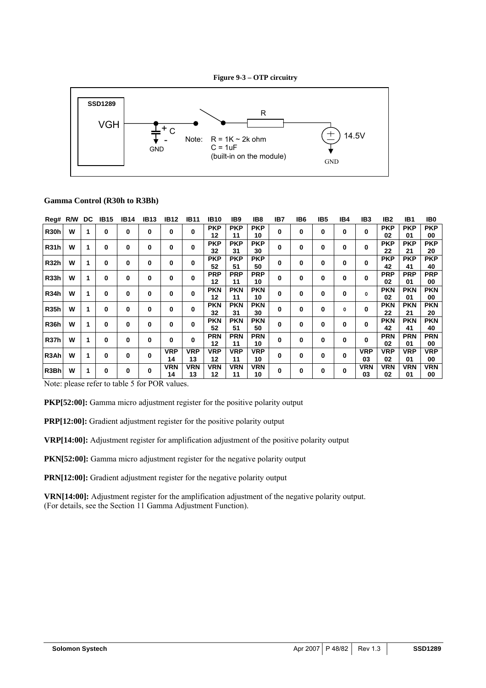



# **Gamma Control (R30h to R3Bh)**

| Reg# R/W          |   | DC          | <b>IB15</b> | <b>IB14</b> | <b>IB13</b> | <b>IB12</b> | <b>IB11</b> | <b>IB10</b> | IB <sub>9</sub> | IB8        | IB7 | IB6 | IB5 | IB4      | IB <sub>3</sub> | IB2        | IB1        | IB0        |
|-------------------|---|-------------|-------------|-------------|-------------|-------------|-------------|-------------|-----------------|------------|-----|-----|-----|----------|-----------------|------------|------------|------------|
| <b>R30h</b>       | W | 1           | 0           | 0           | 0           | 0           | 0           | <b>PKP</b>  | <b>PKP</b>      | <b>PKP</b> | 0   | 0   | 0   | 0        | 0               | <b>PKP</b> | <b>PKP</b> | <b>PKP</b> |
|                   |   |             |             |             |             |             |             | 12          | 11              | 10         |     |     |     |          |                 | 02         | 01         | 00         |
| <b>R31h</b>       | W | 1           | 0           | 0           | 0           | 0           | 0           | <b>PKP</b>  | <b>PKP</b>      | <b>PKP</b> | 0   | 0   | 0   | 0        | $\bf{0}$        | <b>PKP</b> | <b>PKP</b> | <b>PKP</b> |
|                   |   |             |             |             |             |             |             | 32          | 31              | 30         |     |     |     |          |                 | 22         | 21         | 20         |
|                   | W |             |             |             |             |             |             | <b>PKP</b>  | <b>PKP</b>      | <b>PKP</b> |     |     |     |          |                 | <b>PKP</b> | <b>PKP</b> | <b>PKP</b> |
| <b>R32h</b>       |   | $\mathbf 1$ | 0           | 0           | 0           | 0           | 0           | 52          | 51              | 50         | 0   | 0   | 0   | 0        | 0               | 42         | 41         | 40         |
|                   | W |             |             |             |             |             | 0           | <b>PRP</b>  | <b>PRP</b>      | <b>PRP</b> |     |     |     |          |                 | <b>PRP</b> | <b>PRP</b> | <b>PRP</b> |
| <b>R33h</b>       |   | 1           | 0           | 0           | 0           | 0           |             | 12          | 11              | 10         | 0   | 0   | 0   | 0        | 0               | 02         | 01         | 00         |
|                   | W |             |             |             |             |             |             | <b>PKN</b>  | <b>PKN</b>      | <b>PKN</b> |     |     |     |          |                 | <b>PKN</b> | <b>PKN</b> | <b>PKN</b> |
| R <sub>34</sub> h |   | 1           | 0           | 0           | 0           | 0           | 0           | 12          | 11              | 10         | 0   | 0   | 0   | 0        | 0               | 02         | 01         | 00         |
|                   |   |             |             |             |             |             |             | <b>PKN</b>  | <b>PKN</b>      | <b>PKN</b> |     |     |     |          |                 | <b>PKN</b> | <b>PKN</b> | <b>PKN</b> |
| <b>R35h</b>       | W | 1           | 0           | 0           | 0           | 0           | 0           | 32          | 31              | 30         | 0   | 0   | 0   | 0        | 0               | 22         | 21         | 20         |
|                   |   |             |             |             |             |             |             | <b>PKN</b>  | <b>PKN</b>      | <b>PKN</b> |     |     |     |          |                 | <b>PKN</b> | <b>PKN</b> | <b>PKN</b> |
| R <sub>36</sub> h | W | 1           | 0           | 0           | 0           | 0           | 0           | 52          | 51              | 50         | 0   | 0   | 0   | 0        | 0               | 42         | 41         | 40         |
|                   |   |             |             |             |             |             |             | <b>PRN</b>  | <b>PRN</b>      | <b>PRN</b> |     |     |     |          |                 | <b>PRN</b> | <b>PRN</b> | <b>PRN</b> |
| <b>R37h</b>       | W | 1           | 0           | 0           | 0           | 0           | 0           | 12          | 11              | 10         | 0   | 0   | 0   | 0        | $\bf{0}$        | 02         | 01         | 00         |
|                   |   |             |             |             |             | <b>VRP</b>  | <b>VRP</b>  | <b>VRP</b>  | <b>VRP</b>      | <b>VRP</b> |     |     |     |          | <b>VRP</b>      | <b>VRP</b> | <b>VRP</b> | <b>VRP</b> |
| R <sub>3</sub> Ah | W | 1           | 0           | 0           | 0           | 14          | 13          | 12          | 11              | 10         | 0   | 0   | 0   | 0        | 03              | 02         | 01         | 00         |
|                   | W |             |             |             |             | <b>VRN</b>  | <b>VRN</b>  | <b>VRN</b>  | <b>VRN</b>      | <b>VRN</b> |     |     |     |          | <b>VRN</b>      | <b>VRN</b> | <b>VRN</b> | <b>VRN</b> |
| R <sub>3</sub> Bh |   | 1           | 0           | 0           | 0           | 14          | 13          | 12          | 11              | 10         | 0   | 0   | 0   | $\bf{0}$ | 03              | 02         | 01         | 00         |

Note: please refer to table 5 for POR values.

**PKP[52:00]:** Gamma micro adjustment register for the positive polarity output

**PRP[12:00]:** Gradient adjustment register for the positive polarity output

**VRP[14:00]:** Adjustment register for amplification adjustment of the positive polarity output

PKN[52:00]: Gamma micro adjustment register for the negative polarity output

**PRN[12:00]:** Gradient adjustment register for the negative polarity output

**VRN[14:00]:** Adjustment register for the amplification adjustment of the negative polarity output. (For details, see the Section 11 Gamma Adjustment Function).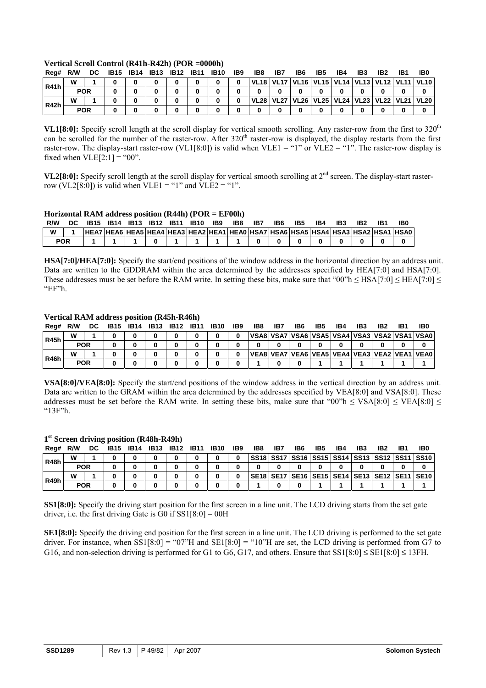| Reg#        | R/W | DC.        | <b>IB15</b> | <b>IB14</b> | <b>IB13</b> | <b>IB12</b> | <b>IB11</b> | <b>IB10</b> | IB <sub>9</sub> | IB8 | IB7 | IB6 | IB5 | IB4 | IB3 | IB2 | IB1 | IB0                                                          |
|-------------|-----|------------|-------------|-------------|-------------|-------------|-------------|-------------|-----------------|-----|-----|-----|-----|-----|-----|-----|-----|--------------------------------------------------------------|
| <b>R41h</b> | W   |            |             |             |             |             |             |             | 0               |     |     |     |     |     |     |     |     | VL18   VL17   VL16   VL15   VL14   VL13   VL12   VL11   VL10 |
|             |     | <b>POR</b> |             |             |             |             |             |             |                 |     |     |     |     |     |     |     |     |                                                              |
|             | W   |            |             |             |             |             |             |             |                 |     |     |     |     |     |     |     |     | VL28   VL27   VL26   VL25   VL24   VL23   VL22   VL21   VL20 |
| R42h        |     | <b>POR</b> |             |             |             |             |             |             |                 |     |     |     |     |     |     |     |     |                                                              |

### **Vertical Scroll Control (R41h-R42h) (POR =0000h)**

**VL1[8:0]:** Specify scroll length at the scroll display for vertical smooth scrolling. Any raster-row from the first to 320<sup>th</sup> can be scrolled for the number of the raster-row. After 320<sup>th</sup> raster-row is displayed, the display restarts from the first raster-row. The display-start raster-row (VL1[8:0]) is valid when VLE1 = "1" or VLE2 = "1". The raster-row display is fixed when  $VLE[2:1] = "00".$ 

**VL2[8:0]:** Specify scroll length at the scroll display for vertical smooth scrolling at 2<sup>nd</sup> screen. The display-start rasterrow (VL2[8:0]) is valid when VLE1 = "1" and VLE2 = "1".

### **Horizontal RAM address position (R44h) (POR = EF00h)**

| R/W | IB15 | IB14 | <b>IB13</b> | <b>IB12 IB11</b> | <b>IB10</b> | IB9 | IB8 | IB7 | IB6 | IB5 | IB4 | IB3 | IB <sub>2</sub> | IB(                                                                             |
|-----|------|------|-------------|------------------|-------------|-----|-----|-----|-----|-----|-----|-----|-----------------|---------------------------------------------------------------------------------|
| W   |      |      |             |                  |             |     |     |     |     |     |     |     |                 | HEA7 HEA6 HEA5 HEA4 HEA3 HEA2 HEA1 HEA0 HSA7 HSA6 HSA5 HSA4 HSA3 HSA2 HSA1 HSA0 |
| POR |      |      |             |                  |             |     |     |     |     |     |     |     |                 |                                                                                 |

**HSA[7:0]/HEA[7:0]:** Specify the start/end positions of the window address in the horizontal direction by an address unit. Data are written to the GDDRAM within the area determined by the addresses specified by HEA[7:0] and HSA[7:0]. These addresses must be set before the RAM write. In setting these bits, make sure that "00"h  $\leq$  HSA[7:0]  $\leq$  HEA[7:0]  $\leq$ "EF"h.

### **Vertical RAM address position (R45h-R46h)**

**1st Screen driving position (R48h-R49h)** 

| Reg#        | R/W        | DC. | IB15 | <b>IB14</b> | <b>IB13</b> | <b>IB12</b> | <b>IB11</b> | <b>IB10</b> | IB <sub>9</sub> | IB8 | IB7 | IB6 | IB5 | IB4 | IB <sub>3</sub> | IB <sub>2</sub> | IB <sub>1</sub> | IB0                                          |
|-------------|------------|-----|------|-------------|-------------|-------------|-------------|-------------|-----------------|-----|-----|-----|-----|-----|-----------------|-----------------|-----------------|----------------------------------------------|
| <b>R45h</b> | w          |     |      |             |             |             |             | 0           | 0               |     |     |     |     |     |                 |                 |                 | VSA8 VSA7 VSA6 VSA5 VSA4 VSA3 VSA2 VSA1 VSA0 |
|             | <b>POR</b> |     |      |             |             |             |             |             |                 |     |     |     | 0   |     |                 |                 |                 |                                              |
|             | W          |     |      |             |             |             |             |             | 0               |     |     |     |     |     |                 |                 |                 | VEA8 VEA7 VEA6 VEA5 VEA4 VEA3 VEA2 VEA1 VEA0 |
| R46h        | <b>POR</b> |     |      |             |             |             |             |             |                 |     |     |     |     |     |                 |                 |                 |                                              |
|             |            |     |      |             |             |             |             |             |                 |     |     |     |     |     |                 |                 |                 |                                              |

**VSA[8:0]/VEA[8:0]:** Specify the start/end positions of the window address in the vertical direction by an address unit. Data are written to the GRAM within the area determined by the addresses specified by VEA[8:0] and VSA[8:0]. These addresses must be set before the RAM write. In setting these bits, make sure that "00"h  $\leq$  VSA[8:0]  $\leq$  VEA[8:0]  $\leq$ "13F"h.

| Rea#        | R/W        |  | DC 1B15 1B14 1B13 1B12 1B11 1B10 |  |  | IB9 | IB8 | IB7 | IB6 | IB5 | IB4 | IB3 | IB <sub>2</sub> | IB1 | IB0                                                          |
|-------------|------------|--|----------------------------------|--|--|-----|-----|-----|-----|-----|-----|-----|-----------------|-----|--------------------------------------------------------------|
| R48h        | W          |  |                                  |  |  |     |     |     |     |     |     |     |                 |     | SS18   SS17   SS16   SS15   SS14   SS13   SS12   SS11   SS10 |
|             | <b>POR</b> |  |                                  |  |  |     |     |     |     |     |     |     |                 |     |                                                              |
| <b>R49h</b> | w          |  |                                  |  |  |     |     |     |     |     |     |     |                 |     | SE18   SE17   SE16   SE15   SE14   SE13   SE12   SE11   SE10 |
|             | <b>POR</b> |  |                                  |  |  |     |     |     |     |     |     |     |                 |     |                                                              |

**SS1[8:0]:** Specify the driving start position for the first screen in a line unit. The LCD driving starts from the set gate driver, i.e. the first driving Gate is  $G0$  if  $SS1[8:0] = 00H$ 

**SE1[8:0]:** Specify the driving end position for the first screen in a line unit. The LCD driving is performed to the set gate driver. For instance, when  $SS1[8:0] = "07"H$  and  $SE1[8:0] = "10"H$  are set, the LCD driving is performed from G7 to G16, and non-selection driving is performed for G1 to G6, G17, and others. Ensure that  $SS1[8:0] \leq SE1[8:0] \leq 13FH$ .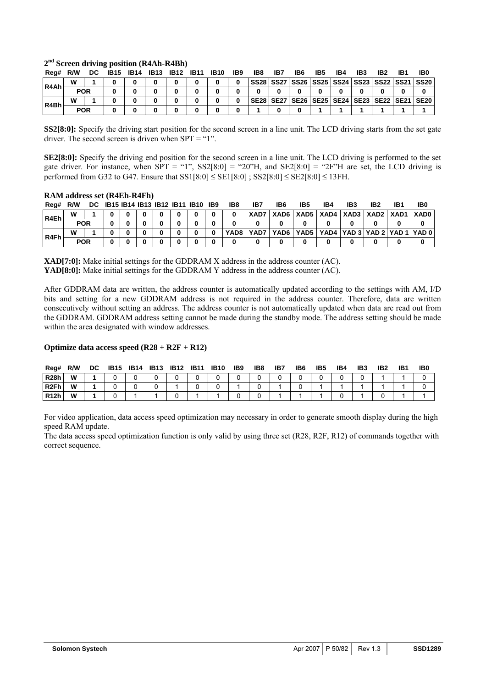| Rea#   |   |            | R/W DC IB15 IB14 IB13 IB12 IB11 IB10 |  |  | IB9 | IB8 | <b>IB7</b> | IB6 | IB5 | IB4 | IB3 | IB <sub>2</sub> | IB1 | IB0                                                          |
|--------|---|------------|--------------------------------------|--|--|-----|-----|------------|-----|-----|-----|-----|-----------------|-----|--------------------------------------------------------------|
| IR4Ahl | w |            |                                      |  |  |     |     |            |     |     |     |     |                 |     | SS28   SS27   SS26   SS25   SS24   SS23   SS22   SS21   SS20 |
|        |   | <b>POR</b> |                                      |  |  |     |     |            |     |     |     |     |                 |     |                                                              |
| R4Bh   |   |            |                                      |  |  |     |     |            |     |     |     |     |                 |     | SE28   SE27   SE26   SE25   SE24   SE23   SE22   SE21   SE20 |
|        |   | POR        |                                      |  |  |     |     |            |     |     |     |     |                 |     |                                                              |

#### **2nd Screen driving position (R4Ah-R4Bh)**

**SS2[8:0]:** Specify the driving start position for the second screen in a line unit. The LCD driving starts from the set gate driver. The second screen is driven when SPT = "1".

**SE2[8:0]:** Specify the driving end position for the second screen in a line unit. The LCD driving is performed to the set gate driver. For instance, when  $SPT = "1"$ ,  $SS2[8:0] = "20"H$ , and  $SE2[8:0] = "2F'H$  are set, the LCD driving is performed from G32 to G47. Ensure that  $SS1[8:0] \leq SE1[8:0]$ ;  $SS2[8:0] \leq SE2[8:0] \leq 13FH$ .

### **RAM address set (R4Eh-R4Fh)**

| Reg# | R/W        |  |  |  | DC IB15 IB14 IB13 IB12 IB11 IB10 IB9 | IB8  | IB7  | IB6    | IB5 | IB4 | IB: | IB2                                            | IB1 | IB0                                         |
|------|------------|--|--|--|--------------------------------------|------|------|--------|-----|-----|-----|------------------------------------------------|-----|---------------------------------------------|
| R4Eh | W          |  |  |  |                                      |      |      |        |     |     |     | XAD7   XAD6   XAD5   XAD4   XAD3   XAD2   XAD1 |     | <b>XADO</b>                                 |
|      | <b>POR</b> |  |  |  |                                      |      |      |        |     |     |     |                                                |     |                                             |
| R4Fh | W          |  |  |  |                                      | YAD8 | YAD7 | YAD6 I |     |     |     |                                                |     | YAD5   YAD4   YAD 3   YAD 2   YAD 1   YAD 0 |
|      | <b>POR</b> |  |  |  |                                      |      |      |        |     |     |     |                                                |     |                                             |

**XAD[7:0]:** Make initial settings for the GDDRAM X address in the address counter (AC). **YAD[8:0]:** Make initial settings for the GDDRAM Y address in the address counter (AC).

After GDDRAM data are written, the address counter is automatically updated according to the settings with AM, I/D bits and setting for a new GDDRAM address is not required in the address counter. Therefore, data are written consecutively without setting an address. The address counter is not automatically updated when data are read out from the GDDRAM. GDDRAM address setting cannot be made during the standby mode. The address setting should be made within the area designated with window addresses.

### **Optimize data access speed (R28 + R2F + R12)**

| Reg#             | R/W | DC | <b>IB15</b> | <b>IB14</b> | <b>IB13</b> | <b>IB12</b> | <b>IB11</b> | <b>IB10</b> | IB9 | IB8 | IB7 | IB6 | IB5 | IB4 | IB3 | IB <sub>2</sub> | IB1 | IB <sub>0</sub> |
|------------------|-----|----|-------------|-------------|-------------|-------------|-------------|-------------|-----|-----|-----|-----|-----|-----|-----|-----------------|-----|-----------------|
| <b>R28h</b>      | W   |    |             |             |             |             |             |             |     |     |     |     |     |     |     |                 |     |                 |
| R <sub>2Fh</sub> | W   |    |             |             |             |             |             |             |     |     |     |     |     |     |     |                 |     |                 |
| <b>R12h</b>      | W   |    |             |             |             |             |             |             |     |     |     |     |     |     |     |                 |     |                 |

For video application, data access speed optimization may necessary in order to generate smooth display during the high speed RAM update.

The data access speed optimization function is only valid by using three set (R28, R2F, R12) of commands together with correct sequence.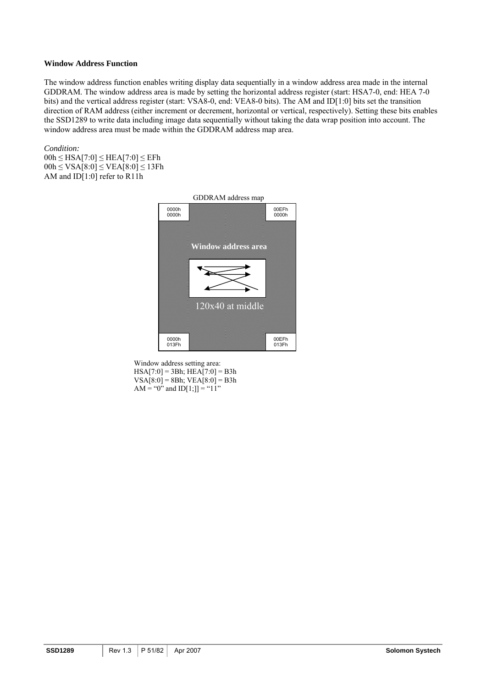### **Window Address Function**

The window address function enables writing display data sequentially in a window address area made in the internal GDDRAM. The window address area is made by setting the horizontal address register (start: HSA7-0, end: HEA 7-0 bits) and the vertical address register (start: VSA8-0, end: VEA8-0 bits). The AM and ID[1:0] bits set the transition direction of RAM address (either increment or decrement, horizontal or vertical, respectively). Setting these bits enables the SSD1289 to write data including image data sequentially without taking the data wrap position into account. The window address area must be made within the GDDRAM address map area.

### *Condition:*

 $00h \leq HSA[7:0] \leq HEA[7:0] \leq EFh$  $00h \leq VSA[8:0] \leq VEA[8:0] \leq 13Fh$ AM and ID[1:0] refer to R11h



Window address setting area:  $HSA[7:0] = 3Bh$ ;  $HEA[7:0] = B3h$  $VSA[8:0] = 8Bh$ ;  $VEA[8:0] = B3h$ AM = "0" and  $ID[1;]] = "11"$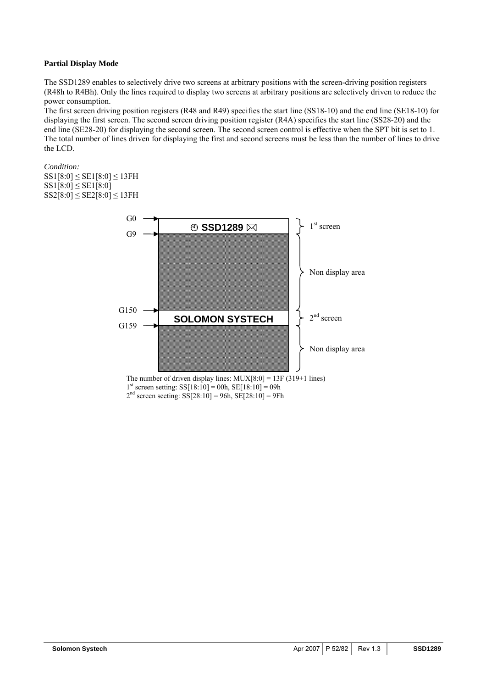### **Partial Display Mode**

The SSD1289 enables to selectively drive two screens at arbitrary positions with the screen-driving position registers (R48h to R4Bh). Only the lines required to display two screens at arbitrary positions are selectively driven to reduce the power consumption.

The first screen driving position registers (R48 and R49) specifies the start line (SS18-10) and the end line (SE18-10) for displaying the first screen. The second screen driving position register (R4A) specifies the start line (SS28-20) and the end line (SE28-20) for displaying the second screen. The second screen control is effective when the SPT bit is set to 1. The total number of lines driven for displaying the first and second screens must be less than the number of lines to drive the LCD.

*Condition:* 

SS1[8:0] ≤ SE1[8:0] ≤ 13FH  $SS1[8:0] \leq SE1[8:0]$  $SS2[8:0] \leq SE2[8:0] \leq 13FH$ 



The number of driven display lines:  $MUX[8:0] = 13F(319+1$  lines)  $1<sup>st</sup>$  screen setting: SS[18:10] = 00h, SE[18:10] = 09h  $2<sup>nd</sup>$  screen seeting: SS[28:10] = 96h, SE[28:10] = 9Fh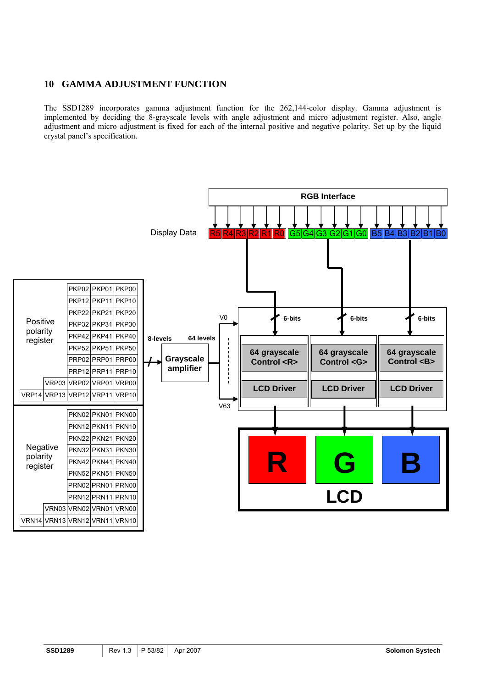# **10 GAMMA ADJUSTMENT FUNCTION**

The SSD1289 incorporates gamma adjustment function for the 262,144-color display. Gamma adjustment is implemented by deciding the 8-grayscale levels with angle adjustment and micro adjustment register. Also, angle adjustment and micro adjustment is fixed for each of the internal positive and negative polarity. Set up by the liquid crystal panel's specification.

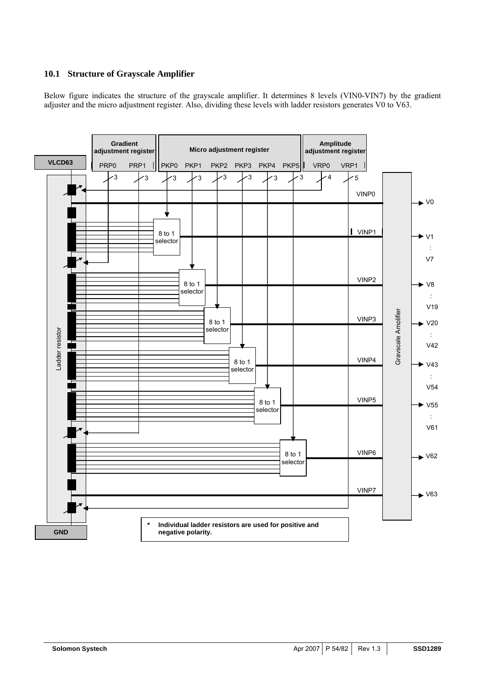# **10.1 Structure of Grayscale Amplifier**

Below figure indicates the structure of the grayscale amplifier. It determines 8 levels (VIN0-VIN7) by the gradient adjuster and the micro adjustment register. Also, dividing these levels with ladder resistors generates V0 to V63.

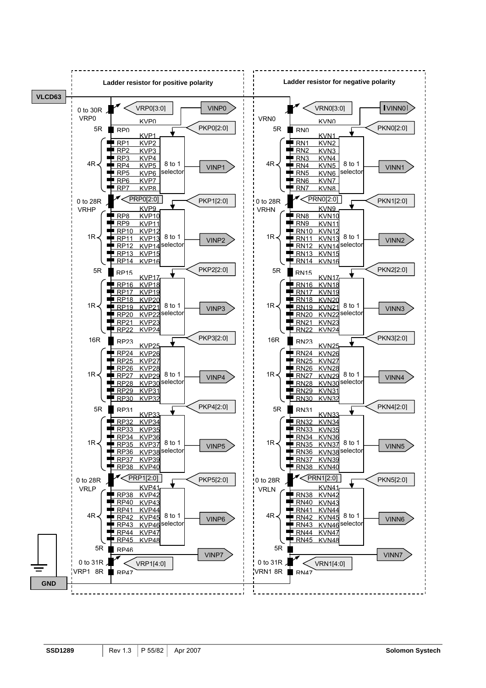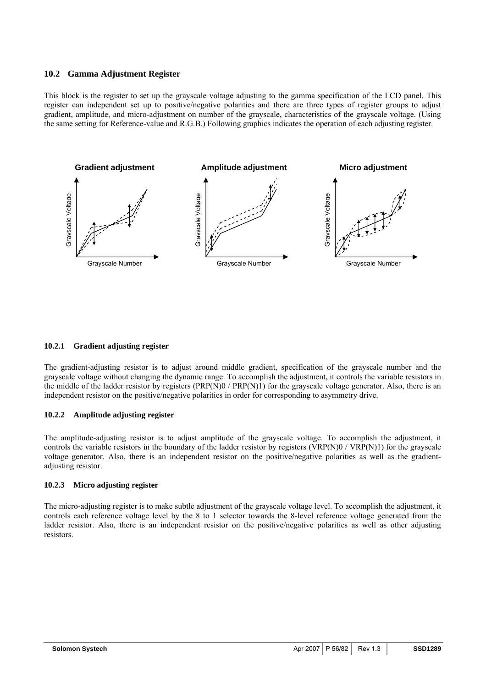### **10.2 Gamma Adjustment Register**

This block is the register to set up the grayscale voltage adjusting to the gamma specification of the LCD panel. This register can independent set up to positive/negative polarities and there are three types of register groups to adjust gradient, amplitude, and micro-adjustment on number of the grayscale, characteristics of the grayscale voltage. (Using the same setting for Reference-value and R.G.B.) Following graphics indicates the operation of each adjusting register.



### **10.2.1 Gradient adjusting register**

The gradient-adjusting resistor is to adjust around middle gradient, specification of the grayscale number and the grayscale voltage without changing the dynamic range. To accomplish the adjustment, it controls the variable resistors in the middle of the ladder resistor by registers  $(PRP(N)0 / PRP(N)1)$  for the grayscale voltage generator. Also, there is an independent resistor on the positive/negative polarities in order for corresponding to asymmetry drive.

### **10.2.2 Amplitude adjusting register**

The amplitude-adjusting resistor is to adjust amplitude of the grayscale voltage. To accomplish the adjustment, it controls the variable resistors in the boundary of the ladder resistor by registers (VRP(N)0 / VRP(N)1) for the grayscale voltage generator. Also, there is an independent resistor on the positive/negative polarities as well as the gradientadjusting resistor.

### **10.2.3 Micro adjusting register**

The micro-adjusting register is to make subtle adjustment of the grayscale voltage level. To accomplish the adjustment, it controls each reference voltage level by the 8 to 1 selector towards the 8-level reference voltage generated from the ladder resistor. Also, there is an independent resistor on the positive/negative polarities as well as other adjusting resistors.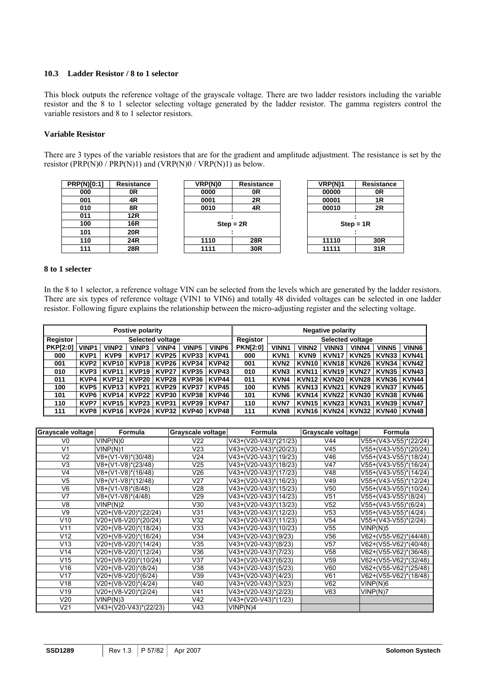### **10.3 Ladder Resistor / 8 to 1 selector**

This block outputs the reference voltage of the grayscale voltage. There are two ladder resistors including the variable resistor and the 8 to 1 selector selecting voltage generated by the ladder resistor. The gamma registers control the variable resistors and 8 to 1 selector resistors.

### **Variable Resistor**

There are 3 types of the variable resistors that are for the gradient and amplitude adjustment. The resistance is set by the resistor (PRP(N)0 / PRP(N)1) and (VRP(N)0 / VRP(N)1) as below.

| <b>PRP(N)[0:1]</b> | <b>Resistance</b> |
|--------------------|-------------------|
| 000                | 0R                |
| 001                | 4R                |
| 010                | 8R                |
| 011                | <b>12R</b>        |
| 100                | 16R               |
| 101                | <b>20R</b>        |
| 110                | 24R               |
| 111                | <b>28R</b>        |



| VRP(N)1     | <b>Resistance</b> |
|-------------|-------------------|
| 00000       | 0R                |
| 00001       | 1R                |
| 00010       | 2R                |
| $Step = 1R$ |                   |
| 11110       | 30 <sub>R</sub>   |
| 11111       | 31R               |

### **8 to 1 selecter**

In the 8 to 1 selector, a reference voltage VIN can be selected from the levels which are generated by the ladder resistors. There are six types of reference voltage (VIN1 to VIN6) and totally 48 divided voltages can be selected in one ladder resistor. Following figure explains the relationship between the micro-adjusting register and the selecting voltage.

|                 |                  | Postive polarity  |                   |                   |              | <b>Negative polarity</b> |                 |                         |                   |                   |              |              |              |
|-----------------|------------------|-------------------|-------------------|-------------------|--------------|--------------------------|-----------------|-------------------------|-------------------|-------------------|--------------|--------------|--------------|
| Registor        |                  |                   |                   | Selected voltage  |              |                          | Registor        | <b>Selected voltage</b> |                   |                   |              |              |              |
| <b>PKP[2:0]</b> | <b>VINP1</b>     | VINP <sub>2</sub> | VINP3             | <b>VINP4</b>      | <b>VINP5</b> | VINP6                    | <b>PKN[2:0]</b> | <b>VINN1</b>            | VINN <sub>2</sub> | VINN3             | <b>VINN4</b> | <b>VINN5</b> | <b>VINN6</b> |
| 000             | KVP <sub>1</sub> | KVP <sub>9</sub>  | <b>KVP17</b>      | KVP <sub>25</sub> | KVP33        | KVP41                    | 000             | KVN <sub>1</sub>        | KVN <sub>9</sub>  | KVN <sub>1</sub>  | <b>KVN25</b> | KVN33        | KVN41        |
| 001             | KVP2             | KVP <sub>10</sub> | <b>KVP18</b>      | KVP26             | KVP34        | KVP42 I                  | 001             | KVN <sub>2</sub>        | KVN <sub>10</sub> | KVN <sub>18</sub> | <b>KVN26</b> | KVN34        | <b>KVN42</b> |
| 010             | KVP3             | KVP <sub>11</sub> | KVP <sub>19</sub> | KVP <sub>27</sub> | <b>KVP35</b> | KVP43                    | 010             | KVN <sub>3</sub>        | KVN <sub>11</sub> | KVN <sub>19</sub> | <b>KVN27</b> | KVN35        | KVN43        |
| 011             | KVP4             | KVP <sub>12</sub> | KVP20             | KVP28             | KVP36        | <b>KVP44</b> I           | 011             | KVN4                    | KVN <sub>12</sub> | <b>KVN20</b>      | <b>KVN28</b> | KVN36        | <b>KVN44</b> |
| 100             | KVP5             | KVP <sub>13</sub> | <b>KVP21</b>      | KVP29             | KVP37        | <b>KVP45</b>             | 100             | KVN <sub>5</sub>        | KVN <sub>13</sub> | <b>KVN21</b>      | <b>KVN29</b> | KVN37        | KVN45        |
| 101             | KVP6             | KVP <sub>14</sub> | <b>KVP22</b>      | KVP30             | KVP38        | <b>KVP46</b>             | 101             | KVN <sub>6</sub>        | <b>KVN14</b>      | <b>KVN22</b>      | <b>KVN30</b> | KVN38        | <b>KVN46</b> |
| 110             | KVP7             | <b>KVP15</b>      | KVP <sub>23</sub> | KVP31             | KVP39        | <b>KVP47</b>             | 110             | <b>KVN7</b>             | KVN <sub>15</sub> | KVN <sub>23</sub> | <b>KVN31</b> | KVN39        | <b>KVN47</b> |
| 111             | KVP8             | KVP <sub>16</sub> | <b>KVP24</b> I    | KVP32             | KVP40        | KVP48                    | 111             | KVN <sub>8</sub>        | KVN <sub>16</sub> | KVN24 l           | <b>KVN32</b> | KVN40        | <b>KVN48</b> |

| Grayscale voltage | Formula                       | Grayscale voltage | Formula               | Grayscale voltage | <b>Formula</b>                |
|-------------------|-------------------------------|-------------------|-----------------------|-------------------|-------------------------------|
| V0                | VINP(N)0                      | V22               | V43+(V20-V43)*(21/23) | V44               | V55+(V43-V55)*(22/24)         |
| V <sub>1</sub>    | VINP(N)1                      | V <sub>23</sub>   | V43+(V20-V43)*(20/23) | V <sub>45</sub>   | V55+(V43-V55)*(20/24)         |
| V <sub>2</sub>    | V8+(V1-V8)*(30/48)            | V24               | V43+(V20-V43)*(19/23) | V46               | V55+(V43-V55)*(18/24)         |
| V <sub>3</sub>    | V8+(V1-V8)*(23/48)            | V <sub>25</sub>   | V43+(V20-V43)*(18/23) | V47               | V55+(V43-V55)*(16/24)         |
| V <sub>4</sub>    | V8+(V1-V8)*(16/48)            | V26               | V43+(V20-V43)*(17/23) | V48               | V55+(V43-V55)*(14/24)         |
| V <sub>5</sub>    | $\sqrt{8}$ +(V1-V8)*(12/48)   | V <sub>27</sub>   | V43+(V20-V43)*(16/23) | V49               | V55+(V43-V55)*(12/24)         |
| V <sub>6</sub>    | V8+(V1-V8)*(8/48)             | V28               | V43+(V20-V43)*(15/23) | V <sub>50</sub>   | V55+(V43-V55)*(10/24)         |
| V <sub>7</sub>    | $V8+(V1-V8)*(4/48)$           | V29               | V43+(V20-V43)*(14/23) | V <sub>51</sub>   | V55+(V43-V55)*(8/24)          |
| V <sub>8</sub>    | VINP(N)2                      | V30               | V43+(V20-V43)*(13/23) | V <sub>52</sub>   | V55+(V43-V55)*(6/24)          |
| V9                | V20+(V8-V20)*(22/24)          | V31               | V43+(V20-V43)*(12/23) | V <sub>53</sub>   | V55+(V43-V55)*(4/24)          |
| V10               | $\sqrt{20+(V8-V20)^*(20/24)}$ | V32               | V43+(V20-V43)*(11/23) | V <sub>54</sub>   | $\sqrt{55+}$ (V43-V55)*(2/24) |
| V <sub>11</sub>   | V20+(V8-V20)*(18/24)          | V33               | V43+(V20-V43)*(10/23) | V <sub>55</sub>   | VINP(N)5                      |
| V12               | V20+(V8-V20)*(16/24)          | V34               | V43+(V20-V43)*(9/23)  | V56               | V62+(V55-V62)*(44/48)         |
| V13               | V20+(V8-V20)*(14/24)          | V35               | V43+(V20-V43)*(8/23)  | V <sub>57</sub>   | V62+(V55-V62)*(40/48)         |
| V <sub>14</sub>   | V20+(V8-V20)*(12/24)          | V36               | V43+(V20-V43)*(7/23)  | V58               | V62+(V55-V62)*(36/48)         |
| V <sub>15</sub>   | V20+(V8-V20)*(10/24)          | V37               | V43+(V20-V43)*(6/23)  | V <sub>59</sub>   | V62+(V55-V62)*(32/48)         |
| V16               | V20+(V8-V20)*(8/24)           | V38               | V43+(V20-V43)*(5/23)  | V60               | V62+(V55-V62)*(25/48)         |
| V17               | V20+(V8-V20)*(6/24)           | V39               | V43+(V20-V43)*(4/23)  | V61               | V62+(V55-V62)*(18/48)         |
| V18               | V20+(V8-V20)*(4/24)           | V40               | V43+(V20-V43)*(3/23)  | V62               | VINP(N)6                      |
| V19               | V20+(V8-V20)*(2/24)           | V <sub>41</sub>   | V43+(V20-V43)*(2/23)  | V63               | VINP(N)7                      |
| V20               | VINP(N)3                      | V42               | V43+(V20-V43)*(1/23)  |                   |                               |
| V21               | V43+(V20-V43)*(22/23)         | V43               | VINP(N)4              |                   |                               |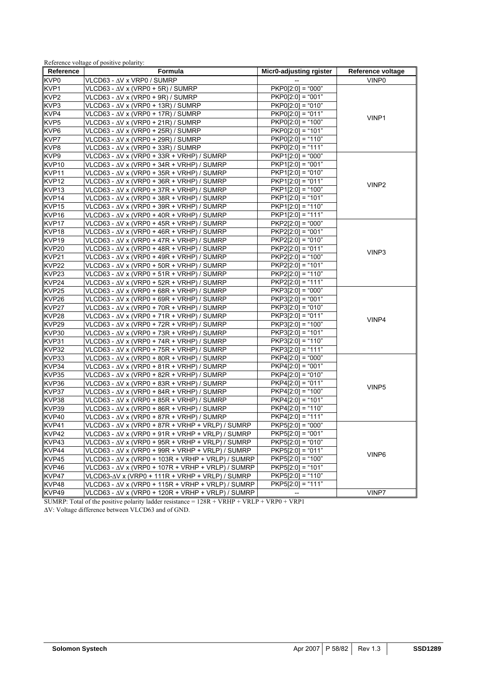| Formula<br>Reference<br>Micr0-adjusting rgister<br>Reference voltage<br>VLCD63 - ∆V x VRP0 / SUMRP<br>VINP0<br>$PKPO[2:0] = "000"$<br>VLCD63 - $\Delta$ V x (VRP0 + 5R) / SUMRP<br>$PKPO[2:0] = "001"$<br>KVP2<br>$VLCD63 - \Delta V \times (VRP0 + 9R) / SUMRP$<br>$PKPO[2:0] = "010"$<br>VLCD63 - $\Delta$ V x (VRP0 + 13R) / SUMRP<br>VLCD63 - $\Delta$ V x (VRP0 + 17R) / SUMRP<br>$PKPO[2:0] = "011"$<br>VINP1<br>$PKPO[2:0] = "100"$<br>$VLCD63 - \Delta V \times (VRP0 + 21R) / SUMRP$<br>$PKPO[2:0] = "101"$<br>$VLCD63 - \Delta V$ x (VRP0 + 25R) / SUMRP<br>$PKPO[2:0] = "110"$<br>VLCD63 - $\Delta$ V x (VRP0 + 29R) / SUMRP<br>$PKPO[2:0] = "111"$<br>VLCD63 - $\Delta$ V x (VRP0 + 33R) / SUMRP<br>$PKP1[2:0] = "000"$<br>$VLCD63 - \Delta V$ x (VRP0 + 33R + VRHP) / SUMRP<br>$\overline{\text{PKP}}1[2:0] = "001"$<br>$VLCD63 - \Delta V$ x (VRP0 + 34R + VRHP) / SUMRP<br>VLCD63 - $\Delta$ V x (VRP0 + 35R + VRHP) / SUMRP<br>$PKP1[2:0] = "010"$<br>$PKP1[2:0] = "011"$<br>VLCD63 - $\Delta$ V x (VRP0 + 36R + VRHP) / SUMRP<br>VINP <sub>2</sub><br>$PKP1[2:0] = "100"$<br>$VLCD63 - \Delta V$ x (VRP0 + 37R + VRHP) / SUMRP<br>VLCD63 - $\Delta$ V x (VRP0 + 38R + VRHP) / SUMRP<br>$PKP1[2:0] = "101"$<br>$VLCD63 - \Delta V$ x (VRP0 + 39R + VRHP) / SUMRP<br>$PKP1[2:0] = "110"$<br>$PKP1[2:0] = "111"$<br>KVP <sub>16</sub><br>$VLCD63 - \Delta V$ x (VRP0 + 40R + VRHP) / SUMRP<br>KVP17<br>$VLCD63 - \Delta V$ x (VRP0 + 45R + VRHP) / SUMRP<br>$PKP2[2:0] = "000"$<br>$PKP2[2:0] = "001"$<br>$VLCD63 - \Delta V$ x (VRP0 + 46R + VRHP) / SUMRP<br>VLCD63 - $\Delta$ V x (VRP0 + 47R + VRHP) / SUMRP<br>$PKP2[2:0] = "010"$<br>$PKP2[2:0] = "011"$<br>KVP20<br>$VLCD63 - \Delta V$ x (VRP0 + 48R + VRHP) / SUMRP<br>VINP3<br>VLCD63 - $\Delta$ V x (VRP0 + 49R + VRHP) / SUMRP<br>$PKP2[2:0] = "100"$<br>$PKP2[2:0] = "101"$<br>$VLCD63 - \Delta V$ x (VRP0 + 50R + VRHP) / SUMRP<br>VLCD63 - $\Delta$ V x (VRP0 + 51R + VRHP) / SUMRP<br>$PKP2[2:0] = "110"$<br>$PKP2[2:0] = "111"$<br>KVP24<br>VLCD63 - $\Delta$ V x (VRP0 + 52R + VRHP) / SUMRP<br>VLCD63 - $\Delta$ V x (VRP0 + 68R + VRHP) / SUMRP<br>$PKP3[2:0] = "000"$<br>$\overline{\text{PKP}}3[2:0] = "001"$<br>VLCD63 - $\Delta$ V x (VRP0 + 69R + VRHP) / SUMRP<br>$PKP3[2:0] = "010"$<br>$VLCD63 - \Delta V$ x (VRP0 + 70R + VRHP) / SUMRP<br>VLCD63 - $\Delta$ V x (VRP0 + 71R + VRHP) / SUMRP<br>$PKP3[2:0] = "011"$<br>VINP4<br>$PKP3[2:0] = "100"$<br>$VLCD63 - \Delta V$ x (VRP0 + 72R + VRHP) / SUMRP<br>$PKP3[2:0] = "101"$<br>$VLCD63 - \Delta V$ x (VRP0 + 73R + VRHP) / SUMRP<br>$PKP3[2:0] = "110"$<br>$VLCD63 - \Delta V$ x (VRP0 + 74R + VRHP) / SUMRP<br>$PKP3[2:0] = "111"$<br>$VLCD63 - \Delta V$ x (VRP0 + 75R + VRHP) / SUMRP<br>$PKP4[2:0] = "000"$<br>VLCD63 - $\Delta$ V x (VRP0 + 80R + VRHP) / SUMRP<br>$PKP4[2:0] = "001"$<br>KVP34<br>$VLCD63 - \Delta V$ x (VRP0 + 81R + VRHP) / SUMRP<br>VLCD63 - $\Delta$ V x (VRP0 + 82R + VRHP) / SUMRP<br>$PKP4[2:0] = "010"$<br>KVP36<br>VLCD63 - $\Delta$ V x (VRP0 + 83R + VRHP) / SUMRP<br>$PKP4[2:0] = "011"$<br>VINP <sub>5</sub><br>$PKP4[2:0] = "100"$<br>VLCD63 - $\Delta$ V x (VRP0 + 84R + VRHP) / SUMRP<br>KVP38<br>$VLCD63 - \Delta V$ x (VRP0 + 85R + VRHP) / SUMRP<br>$PKP4[2:0] = "101"$<br>KVP39<br>$PKP4[2:0] = "110"$<br>$VLCD63 - \Delta V$ x (VRP0 + 86R + VRHP) / SUMRP<br>KVP40<br>$VLCD63 - \Delta V$ x (VRP0 + 87R + VRHP) / SUMRP<br>$PKP4[2:0] = "111"$<br>KVP41<br>$PKP5[2:0] = "000"$<br>VLCD63 - ∆V x (VRP0 + 87R + VRHP + VRLP) / SUMRP<br>KVP <sub>42</sub><br>VLCD63 - ∆V x (VRP0 + 91R + VRHP + VRLP) / SUMRP<br>$PKP5[2:0] = "001"$<br>$PKP5[2:0] = "010"$<br>VLCD63 - $\Delta$ V x (VRP0 + 95R + VRHP + VRLP) / SUMRP<br>VLCD63 - $\Delta$ V x (VRP0 + 99R + VRHP + VRLP) / SUMRP<br>$PKP5[2:0] = "011"$<br>VINP6<br>KVP45<br>$PKP5[2:0] = "100"$<br>VLCD63 - ∆V x (VRP0 + 103R + VRHP + VRLP) / SUMRP<br>KVP46<br>VLCD63 - $\Delta$ V x (VRP0 + 107R + VRHP + VRLP) / SUMRP<br>$PKP5[2:0] = "101"$<br>KVP47<br>$VLCD63-\Delta V$ x (VRP0 + 111R + VRHP + VRLP) / SUMRP<br>$PKP5[2:0] = "110"$<br>KVP48<br>$PKP5[2:0] = "111"$<br>VLCD63 - $\Delta$ V x (VRP0 + 115R + VRHP + VRLP) / SUMRP<br>KVP49<br>VINP7<br>VLCD63 - $\Delta$ V x (VRP0 + 120R + VRHP + VRLP) / SUMRP<br>$1200 + YD$ in $1D + YD$ is $1D00 + YD01$<br>CIDID. T <sub>11</sub> |                   | Reference voltage of positive polarity: |  |
|----------------------------------------------------------------------------------------------------------------------------------------------------------------------------------------------------------------------------------------------------------------------------------------------------------------------------------------------------------------------------------------------------------------------------------------------------------------------------------------------------------------------------------------------------------------------------------------------------------------------------------------------------------------------------------------------------------------------------------------------------------------------------------------------------------------------------------------------------------------------------------------------------------------------------------------------------------------------------------------------------------------------------------------------------------------------------------------------------------------------------------------------------------------------------------------------------------------------------------------------------------------------------------------------------------------------------------------------------------------------------------------------------------------------------------------------------------------------------------------------------------------------------------------------------------------------------------------------------------------------------------------------------------------------------------------------------------------------------------------------------------------------------------------------------------------------------------------------------------------------------------------------------------------------------------------------------------------------------------------------------------------------------------------------------------------------------------------------------------------------------------------------------------------------------------------------------------------------------------------------------------------------------------------------------------------------------------------------------------------------------------------------------------------------------------------------------------------------------------------------------------------------------------------------------------------------------------------------------------------------------------------------------------------------------------------------------------------------------------------------------------------------------------------------------------------------------------------------------------------------------------------------------------------------------------------------------------------------------------------------------------------------------------------------------------------------------------------------------------------------------------------------------------------------------------------------------------------------------------------------------------------------------------------------------------------------------------------------------------------------------------------------------------------------------------------------------------------------------------------------------------------------------------------------------------------------------------------------------------------------------------------------------------------------------------------------------------------------------------------------------------------------------------------------------------------------------------------------------------------------------------------------------------------------------------------------------------------------------------------------------------------------------------------------------------------------------------------------------------------------------------------------------------------------------------------------------------------------------------------------------------------------------------------------------------------------------------------------|-------------------|-----------------------------------------|--|
|                                                                                                                                                                                                                                                                                                                                                                                                                                                                                                                                                                                                                                                                                                                                                                                                                                                                                                                                                                                                                                                                                                                                                                                                                                                                                                                                                                                                                                                                                                                                                                                                                                                                                                                                                                                                                                                                                                                                                                                                                                                                                                                                                                                                                                                                                                                                                                                                                                                                                                                                                                                                                                                                                                                                                                                                                                                                                                                                                                                                                                                                                                                                                                                                                                                                                                                                                                                                                                                                                                                                                                                                                                                                                                                                                                                                                                                                                                                                                                                                                                                                                                                                                                                                                                                                                                                                              |                   |                                         |  |
|                                                                                                                                                                                                                                                                                                                                                                                                                                                                                                                                                                                                                                                                                                                                                                                                                                                                                                                                                                                                                                                                                                                                                                                                                                                                                                                                                                                                                                                                                                                                                                                                                                                                                                                                                                                                                                                                                                                                                                                                                                                                                                                                                                                                                                                                                                                                                                                                                                                                                                                                                                                                                                                                                                                                                                                                                                                                                                                                                                                                                                                                                                                                                                                                                                                                                                                                                                                                                                                                                                                                                                                                                                                                                                                                                                                                                                                                                                                                                                                                                                                                                                                                                                                                                                                                                                                                              | KVP0              |                                         |  |
|                                                                                                                                                                                                                                                                                                                                                                                                                                                                                                                                                                                                                                                                                                                                                                                                                                                                                                                                                                                                                                                                                                                                                                                                                                                                                                                                                                                                                                                                                                                                                                                                                                                                                                                                                                                                                                                                                                                                                                                                                                                                                                                                                                                                                                                                                                                                                                                                                                                                                                                                                                                                                                                                                                                                                                                                                                                                                                                                                                                                                                                                                                                                                                                                                                                                                                                                                                                                                                                                                                                                                                                                                                                                                                                                                                                                                                                                                                                                                                                                                                                                                                                                                                                                                                                                                                                                              | KVP1              |                                         |  |
|                                                                                                                                                                                                                                                                                                                                                                                                                                                                                                                                                                                                                                                                                                                                                                                                                                                                                                                                                                                                                                                                                                                                                                                                                                                                                                                                                                                                                                                                                                                                                                                                                                                                                                                                                                                                                                                                                                                                                                                                                                                                                                                                                                                                                                                                                                                                                                                                                                                                                                                                                                                                                                                                                                                                                                                                                                                                                                                                                                                                                                                                                                                                                                                                                                                                                                                                                                                                                                                                                                                                                                                                                                                                                                                                                                                                                                                                                                                                                                                                                                                                                                                                                                                                                                                                                                                                              |                   |                                         |  |
|                                                                                                                                                                                                                                                                                                                                                                                                                                                                                                                                                                                                                                                                                                                                                                                                                                                                                                                                                                                                                                                                                                                                                                                                                                                                                                                                                                                                                                                                                                                                                                                                                                                                                                                                                                                                                                                                                                                                                                                                                                                                                                                                                                                                                                                                                                                                                                                                                                                                                                                                                                                                                                                                                                                                                                                                                                                                                                                                                                                                                                                                                                                                                                                                                                                                                                                                                                                                                                                                                                                                                                                                                                                                                                                                                                                                                                                                                                                                                                                                                                                                                                                                                                                                                                                                                                                                              | KVP3              |                                         |  |
|                                                                                                                                                                                                                                                                                                                                                                                                                                                                                                                                                                                                                                                                                                                                                                                                                                                                                                                                                                                                                                                                                                                                                                                                                                                                                                                                                                                                                                                                                                                                                                                                                                                                                                                                                                                                                                                                                                                                                                                                                                                                                                                                                                                                                                                                                                                                                                                                                                                                                                                                                                                                                                                                                                                                                                                                                                                                                                                                                                                                                                                                                                                                                                                                                                                                                                                                                                                                                                                                                                                                                                                                                                                                                                                                                                                                                                                                                                                                                                                                                                                                                                                                                                                                                                                                                                                                              | KVP4              |                                         |  |
|                                                                                                                                                                                                                                                                                                                                                                                                                                                                                                                                                                                                                                                                                                                                                                                                                                                                                                                                                                                                                                                                                                                                                                                                                                                                                                                                                                                                                                                                                                                                                                                                                                                                                                                                                                                                                                                                                                                                                                                                                                                                                                                                                                                                                                                                                                                                                                                                                                                                                                                                                                                                                                                                                                                                                                                                                                                                                                                                                                                                                                                                                                                                                                                                                                                                                                                                                                                                                                                                                                                                                                                                                                                                                                                                                                                                                                                                                                                                                                                                                                                                                                                                                                                                                                                                                                                                              | KVP <sub>5</sub>  |                                         |  |
|                                                                                                                                                                                                                                                                                                                                                                                                                                                                                                                                                                                                                                                                                                                                                                                                                                                                                                                                                                                                                                                                                                                                                                                                                                                                                                                                                                                                                                                                                                                                                                                                                                                                                                                                                                                                                                                                                                                                                                                                                                                                                                                                                                                                                                                                                                                                                                                                                                                                                                                                                                                                                                                                                                                                                                                                                                                                                                                                                                                                                                                                                                                                                                                                                                                                                                                                                                                                                                                                                                                                                                                                                                                                                                                                                                                                                                                                                                                                                                                                                                                                                                                                                                                                                                                                                                                                              | KVP6              |                                         |  |
|                                                                                                                                                                                                                                                                                                                                                                                                                                                                                                                                                                                                                                                                                                                                                                                                                                                                                                                                                                                                                                                                                                                                                                                                                                                                                                                                                                                                                                                                                                                                                                                                                                                                                                                                                                                                                                                                                                                                                                                                                                                                                                                                                                                                                                                                                                                                                                                                                                                                                                                                                                                                                                                                                                                                                                                                                                                                                                                                                                                                                                                                                                                                                                                                                                                                                                                                                                                                                                                                                                                                                                                                                                                                                                                                                                                                                                                                                                                                                                                                                                                                                                                                                                                                                                                                                                                                              | KVP7              |                                         |  |
|                                                                                                                                                                                                                                                                                                                                                                                                                                                                                                                                                                                                                                                                                                                                                                                                                                                                                                                                                                                                                                                                                                                                                                                                                                                                                                                                                                                                                                                                                                                                                                                                                                                                                                                                                                                                                                                                                                                                                                                                                                                                                                                                                                                                                                                                                                                                                                                                                                                                                                                                                                                                                                                                                                                                                                                                                                                                                                                                                                                                                                                                                                                                                                                                                                                                                                                                                                                                                                                                                                                                                                                                                                                                                                                                                                                                                                                                                                                                                                                                                                                                                                                                                                                                                                                                                                                                              | KVP8              |                                         |  |
|                                                                                                                                                                                                                                                                                                                                                                                                                                                                                                                                                                                                                                                                                                                                                                                                                                                                                                                                                                                                                                                                                                                                                                                                                                                                                                                                                                                                                                                                                                                                                                                                                                                                                                                                                                                                                                                                                                                                                                                                                                                                                                                                                                                                                                                                                                                                                                                                                                                                                                                                                                                                                                                                                                                                                                                                                                                                                                                                                                                                                                                                                                                                                                                                                                                                                                                                                                                                                                                                                                                                                                                                                                                                                                                                                                                                                                                                                                                                                                                                                                                                                                                                                                                                                                                                                                                                              | KVP9              |                                         |  |
|                                                                                                                                                                                                                                                                                                                                                                                                                                                                                                                                                                                                                                                                                                                                                                                                                                                                                                                                                                                                                                                                                                                                                                                                                                                                                                                                                                                                                                                                                                                                                                                                                                                                                                                                                                                                                                                                                                                                                                                                                                                                                                                                                                                                                                                                                                                                                                                                                                                                                                                                                                                                                                                                                                                                                                                                                                                                                                                                                                                                                                                                                                                                                                                                                                                                                                                                                                                                                                                                                                                                                                                                                                                                                                                                                                                                                                                                                                                                                                                                                                                                                                                                                                                                                                                                                                                                              | KVP10             |                                         |  |
|                                                                                                                                                                                                                                                                                                                                                                                                                                                                                                                                                                                                                                                                                                                                                                                                                                                                                                                                                                                                                                                                                                                                                                                                                                                                                                                                                                                                                                                                                                                                                                                                                                                                                                                                                                                                                                                                                                                                                                                                                                                                                                                                                                                                                                                                                                                                                                                                                                                                                                                                                                                                                                                                                                                                                                                                                                                                                                                                                                                                                                                                                                                                                                                                                                                                                                                                                                                                                                                                                                                                                                                                                                                                                                                                                                                                                                                                                                                                                                                                                                                                                                                                                                                                                                                                                                                                              | KVP11             |                                         |  |
|                                                                                                                                                                                                                                                                                                                                                                                                                                                                                                                                                                                                                                                                                                                                                                                                                                                                                                                                                                                                                                                                                                                                                                                                                                                                                                                                                                                                                                                                                                                                                                                                                                                                                                                                                                                                                                                                                                                                                                                                                                                                                                                                                                                                                                                                                                                                                                                                                                                                                                                                                                                                                                                                                                                                                                                                                                                                                                                                                                                                                                                                                                                                                                                                                                                                                                                                                                                                                                                                                                                                                                                                                                                                                                                                                                                                                                                                                                                                                                                                                                                                                                                                                                                                                                                                                                                                              | KVP <sub>12</sub> |                                         |  |
|                                                                                                                                                                                                                                                                                                                                                                                                                                                                                                                                                                                                                                                                                                                                                                                                                                                                                                                                                                                                                                                                                                                                                                                                                                                                                                                                                                                                                                                                                                                                                                                                                                                                                                                                                                                                                                                                                                                                                                                                                                                                                                                                                                                                                                                                                                                                                                                                                                                                                                                                                                                                                                                                                                                                                                                                                                                                                                                                                                                                                                                                                                                                                                                                                                                                                                                                                                                                                                                                                                                                                                                                                                                                                                                                                                                                                                                                                                                                                                                                                                                                                                                                                                                                                                                                                                                                              | KVP13             |                                         |  |
|                                                                                                                                                                                                                                                                                                                                                                                                                                                                                                                                                                                                                                                                                                                                                                                                                                                                                                                                                                                                                                                                                                                                                                                                                                                                                                                                                                                                                                                                                                                                                                                                                                                                                                                                                                                                                                                                                                                                                                                                                                                                                                                                                                                                                                                                                                                                                                                                                                                                                                                                                                                                                                                                                                                                                                                                                                                                                                                                                                                                                                                                                                                                                                                                                                                                                                                                                                                                                                                                                                                                                                                                                                                                                                                                                                                                                                                                                                                                                                                                                                                                                                                                                                                                                                                                                                                                              | KVP14             |                                         |  |
|                                                                                                                                                                                                                                                                                                                                                                                                                                                                                                                                                                                                                                                                                                                                                                                                                                                                                                                                                                                                                                                                                                                                                                                                                                                                                                                                                                                                                                                                                                                                                                                                                                                                                                                                                                                                                                                                                                                                                                                                                                                                                                                                                                                                                                                                                                                                                                                                                                                                                                                                                                                                                                                                                                                                                                                                                                                                                                                                                                                                                                                                                                                                                                                                                                                                                                                                                                                                                                                                                                                                                                                                                                                                                                                                                                                                                                                                                                                                                                                                                                                                                                                                                                                                                                                                                                                                              | KVP15             |                                         |  |
|                                                                                                                                                                                                                                                                                                                                                                                                                                                                                                                                                                                                                                                                                                                                                                                                                                                                                                                                                                                                                                                                                                                                                                                                                                                                                                                                                                                                                                                                                                                                                                                                                                                                                                                                                                                                                                                                                                                                                                                                                                                                                                                                                                                                                                                                                                                                                                                                                                                                                                                                                                                                                                                                                                                                                                                                                                                                                                                                                                                                                                                                                                                                                                                                                                                                                                                                                                                                                                                                                                                                                                                                                                                                                                                                                                                                                                                                                                                                                                                                                                                                                                                                                                                                                                                                                                                                              |                   |                                         |  |
|                                                                                                                                                                                                                                                                                                                                                                                                                                                                                                                                                                                                                                                                                                                                                                                                                                                                                                                                                                                                                                                                                                                                                                                                                                                                                                                                                                                                                                                                                                                                                                                                                                                                                                                                                                                                                                                                                                                                                                                                                                                                                                                                                                                                                                                                                                                                                                                                                                                                                                                                                                                                                                                                                                                                                                                                                                                                                                                                                                                                                                                                                                                                                                                                                                                                                                                                                                                                                                                                                                                                                                                                                                                                                                                                                                                                                                                                                                                                                                                                                                                                                                                                                                                                                                                                                                                                              |                   |                                         |  |
|                                                                                                                                                                                                                                                                                                                                                                                                                                                                                                                                                                                                                                                                                                                                                                                                                                                                                                                                                                                                                                                                                                                                                                                                                                                                                                                                                                                                                                                                                                                                                                                                                                                                                                                                                                                                                                                                                                                                                                                                                                                                                                                                                                                                                                                                                                                                                                                                                                                                                                                                                                                                                                                                                                                                                                                                                                                                                                                                                                                                                                                                                                                                                                                                                                                                                                                                                                                                                                                                                                                                                                                                                                                                                                                                                                                                                                                                                                                                                                                                                                                                                                                                                                                                                                                                                                                                              | KVP18             |                                         |  |
|                                                                                                                                                                                                                                                                                                                                                                                                                                                                                                                                                                                                                                                                                                                                                                                                                                                                                                                                                                                                                                                                                                                                                                                                                                                                                                                                                                                                                                                                                                                                                                                                                                                                                                                                                                                                                                                                                                                                                                                                                                                                                                                                                                                                                                                                                                                                                                                                                                                                                                                                                                                                                                                                                                                                                                                                                                                                                                                                                                                                                                                                                                                                                                                                                                                                                                                                                                                                                                                                                                                                                                                                                                                                                                                                                                                                                                                                                                                                                                                                                                                                                                                                                                                                                                                                                                                                              | KVP <sub>19</sub> |                                         |  |
|                                                                                                                                                                                                                                                                                                                                                                                                                                                                                                                                                                                                                                                                                                                                                                                                                                                                                                                                                                                                                                                                                                                                                                                                                                                                                                                                                                                                                                                                                                                                                                                                                                                                                                                                                                                                                                                                                                                                                                                                                                                                                                                                                                                                                                                                                                                                                                                                                                                                                                                                                                                                                                                                                                                                                                                                                                                                                                                                                                                                                                                                                                                                                                                                                                                                                                                                                                                                                                                                                                                                                                                                                                                                                                                                                                                                                                                                                                                                                                                                                                                                                                                                                                                                                                                                                                                                              |                   |                                         |  |
|                                                                                                                                                                                                                                                                                                                                                                                                                                                                                                                                                                                                                                                                                                                                                                                                                                                                                                                                                                                                                                                                                                                                                                                                                                                                                                                                                                                                                                                                                                                                                                                                                                                                                                                                                                                                                                                                                                                                                                                                                                                                                                                                                                                                                                                                                                                                                                                                                                                                                                                                                                                                                                                                                                                                                                                                                                                                                                                                                                                                                                                                                                                                                                                                                                                                                                                                                                                                                                                                                                                                                                                                                                                                                                                                                                                                                                                                                                                                                                                                                                                                                                                                                                                                                                                                                                                                              | KVP21             |                                         |  |
|                                                                                                                                                                                                                                                                                                                                                                                                                                                                                                                                                                                                                                                                                                                                                                                                                                                                                                                                                                                                                                                                                                                                                                                                                                                                                                                                                                                                                                                                                                                                                                                                                                                                                                                                                                                                                                                                                                                                                                                                                                                                                                                                                                                                                                                                                                                                                                                                                                                                                                                                                                                                                                                                                                                                                                                                                                                                                                                                                                                                                                                                                                                                                                                                                                                                                                                                                                                                                                                                                                                                                                                                                                                                                                                                                                                                                                                                                                                                                                                                                                                                                                                                                                                                                                                                                                                                              | KVP22             |                                         |  |
|                                                                                                                                                                                                                                                                                                                                                                                                                                                                                                                                                                                                                                                                                                                                                                                                                                                                                                                                                                                                                                                                                                                                                                                                                                                                                                                                                                                                                                                                                                                                                                                                                                                                                                                                                                                                                                                                                                                                                                                                                                                                                                                                                                                                                                                                                                                                                                                                                                                                                                                                                                                                                                                                                                                                                                                                                                                                                                                                                                                                                                                                                                                                                                                                                                                                                                                                                                                                                                                                                                                                                                                                                                                                                                                                                                                                                                                                                                                                                                                                                                                                                                                                                                                                                                                                                                                                              | KVP <sub>23</sub> |                                         |  |
|                                                                                                                                                                                                                                                                                                                                                                                                                                                                                                                                                                                                                                                                                                                                                                                                                                                                                                                                                                                                                                                                                                                                                                                                                                                                                                                                                                                                                                                                                                                                                                                                                                                                                                                                                                                                                                                                                                                                                                                                                                                                                                                                                                                                                                                                                                                                                                                                                                                                                                                                                                                                                                                                                                                                                                                                                                                                                                                                                                                                                                                                                                                                                                                                                                                                                                                                                                                                                                                                                                                                                                                                                                                                                                                                                                                                                                                                                                                                                                                                                                                                                                                                                                                                                                                                                                                                              |                   |                                         |  |
|                                                                                                                                                                                                                                                                                                                                                                                                                                                                                                                                                                                                                                                                                                                                                                                                                                                                                                                                                                                                                                                                                                                                                                                                                                                                                                                                                                                                                                                                                                                                                                                                                                                                                                                                                                                                                                                                                                                                                                                                                                                                                                                                                                                                                                                                                                                                                                                                                                                                                                                                                                                                                                                                                                                                                                                                                                                                                                                                                                                                                                                                                                                                                                                                                                                                                                                                                                                                                                                                                                                                                                                                                                                                                                                                                                                                                                                                                                                                                                                                                                                                                                                                                                                                                                                                                                                                              | KVP <sub>25</sub> |                                         |  |
|                                                                                                                                                                                                                                                                                                                                                                                                                                                                                                                                                                                                                                                                                                                                                                                                                                                                                                                                                                                                                                                                                                                                                                                                                                                                                                                                                                                                                                                                                                                                                                                                                                                                                                                                                                                                                                                                                                                                                                                                                                                                                                                                                                                                                                                                                                                                                                                                                                                                                                                                                                                                                                                                                                                                                                                                                                                                                                                                                                                                                                                                                                                                                                                                                                                                                                                                                                                                                                                                                                                                                                                                                                                                                                                                                                                                                                                                                                                                                                                                                                                                                                                                                                                                                                                                                                                                              | KVP26             |                                         |  |
|                                                                                                                                                                                                                                                                                                                                                                                                                                                                                                                                                                                                                                                                                                                                                                                                                                                                                                                                                                                                                                                                                                                                                                                                                                                                                                                                                                                                                                                                                                                                                                                                                                                                                                                                                                                                                                                                                                                                                                                                                                                                                                                                                                                                                                                                                                                                                                                                                                                                                                                                                                                                                                                                                                                                                                                                                                                                                                                                                                                                                                                                                                                                                                                                                                                                                                                                                                                                                                                                                                                                                                                                                                                                                                                                                                                                                                                                                                                                                                                                                                                                                                                                                                                                                                                                                                                                              | KVP27             |                                         |  |
|                                                                                                                                                                                                                                                                                                                                                                                                                                                                                                                                                                                                                                                                                                                                                                                                                                                                                                                                                                                                                                                                                                                                                                                                                                                                                                                                                                                                                                                                                                                                                                                                                                                                                                                                                                                                                                                                                                                                                                                                                                                                                                                                                                                                                                                                                                                                                                                                                                                                                                                                                                                                                                                                                                                                                                                                                                                                                                                                                                                                                                                                                                                                                                                                                                                                                                                                                                                                                                                                                                                                                                                                                                                                                                                                                                                                                                                                                                                                                                                                                                                                                                                                                                                                                                                                                                                                              | KVP28             |                                         |  |
|                                                                                                                                                                                                                                                                                                                                                                                                                                                                                                                                                                                                                                                                                                                                                                                                                                                                                                                                                                                                                                                                                                                                                                                                                                                                                                                                                                                                                                                                                                                                                                                                                                                                                                                                                                                                                                                                                                                                                                                                                                                                                                                                                                                                                                                                                                                                                                                                                                                                                                                                                                                                                                                                                                                                                                                                                                                                                                                                                                                                                                                                                                                                                                                                                                                                                                                                                                                                                                                                                                                                                                                                                                                                                                                                                                                                                                                                                                                                                                                                                                                                                                                                                                                                                                                                                                                                              | KVP29             |                                         |  |
|                                                                                                                                                                                                                                                                                                                                                                                                                                                                                                                                                                                                                                                                                                                                                                                                                                                                                                                                                                                                                                                                                                                                                                                                                                                                                                                                                                                                                                                                                                                                                                                                                                                                                                                                                                                                                                                                                                                                                                                                                                                                                                                                                                                                                                                                                                                                                                                                                                                                                                                                                                                                                                                                                                                                                                                                                                                                                                                                                                                                                                                                                                                                                                                                                                                                                                                                                                                                                                                                                                                                                                                                                                                                                                                                                                                                                                                                                                                                                                                                                                                                                                                                                                                                                                                                                                                                              | KVP30             |                                         |  |
|                                                                                                                                                                                                                                                                                                                                                                                                                                                                                                                                                                                                                                                                                                                                                                                                                                                                                                                                                                                                                                                                                                                                                                                                                                                                                                                                                                                                                                                                                                                                                                                                                                                                                                                                                                                                                                                                                                                                                                                                                                                                                                                                                                                                                                                                                                                                                                                                                                                                                                                                                                                                                                                                                                                                                                                                                                                                                                                                                                                                                                                                                                                                                                                                                                                                                                                                                                                                                                                                                                                                                                                                                                                                                                                                                                                                                                                                                                                                                                                                                                                                                                                                                                                                                                                                                                                                              | KVP31             |                                         |  |
|                                                                                                                                                                                                                                                                                                                                                                                                                                                                                                                                                                                                                                                                                                                                                                                                                                                                                                                                                                                                                                                                                                                                                                                                                                                                                                                                                                                                                                                                                                                                                                                                                                                                                                                                                                                                                                                                                                                                                                                                                                                                                                                                                                                                                                                                                                                                                                                                                                                                                                                                                                                                                                                                                                                                                                                                                                                                                                                                                                                                                                                                                                                                                                                                                                                                                                                                                                                                                                                                                                                                                                                                                                                                                                                                                                                                                                                                                                                                                                                                                                                                                                                                                                                                                                                                                                                                              | KVP32             |                                         |  |
|                                                                                                                                                                                                                                                                                                                                                                                                                                                                                                                                                                                                                                                                                                                                                                                                                                                                                                                                                                                                                                                                                                                                                                                                                                                                                                                                                                                                                                                                                                                                                                                                                                                                                                                                                                                                                                                                                                                                                                                                                                                                                                                                                                                                                                                                                                                                                                                                                                                                                                                                                                                                                                                                                                                                                                                                                                                                                                                                                                                                                                                                                                                                                                                                                                                                                                                                                                                                                                                                                                                                                                                                                                                                                                                                                                                                                                                                                                                                                                                                                                                                                                                                                                                                                                                                                                                                              | KVP33             |                                         |  |
|                                                                                                                                                                                                                                                                                                                                                                                                                                                                                                                                                                                                                                                                                                                                                                                                                                                                                                                                                                                                                                                                                                                                                                                                                                                                                                                                                                                                                                                                                                                                                                                                                                                                                                                                                                                                                                                                                                                                                                                                                                                                                                                                                                                                                                                                                                                                                                                                                                                                                                                                                                                                                                                                                                                                                                                                                                                                                                                                                                                                                                                                                                                                                                                                                                                                                                                                                                                                                                                                                                                                                                                                                                                                                                                                                                                                                                                                                                                                                                                                                                                                                                                                                                                                                                                                                                                                              |                   |                                         |  |
|                                                                                                                                                                                                                                                                                                                                                                                                                                                                                                                                                                                                                                                                                                                                                                                                                                                                                                                                                                                                                                                                                                                                                                                                                                                                                                                                                                                                                                                                                                                                                                                                                                                                                                                                                                                                                                                                                                                                                                                                                                                                                                                                                                                                                                                                                                                                                                                                                                                                                                                                                                                                                                                                                                                                                                                                                                                                                                                                                                                                                                                                                                                                                                                                                                                                                                                                                                                                                                                                                                                                                                                                                                                                                                                                                                                                                                                                                                                                                                                                                                                                                                                                                                                                                                                                                                                                              | KVP35             |                                         |  |
|                                                                                                                                                                                                                                                                                                                                                                                                                                                                                                                                                                                                                                                                                                                                                                                                                                                                                                                                                                                                                                                                                                                                                                                                                                                                                                                                                                                                                                                                                                                                                                                                                                                                                                                                                                                                                                                                                                                                                                                                                                                                                                                                                                                                                                                                                                                                                                                                                                                                                                                                                                                                                                                                                                                                                                                                                                                                                                                                                                                                                                                                                                                                                                                                                                                                                                                                                                                                                                                                                                                                                                                                                                                                                                                                                                                                                                                                                                                                                                                                                                                                                                                                                                                                                                                                                                                                              |                   |                                         |  |
|                                                                                                                                                                                                                                                                                                                                                                                                                                                                                                                                                                                                                                                                                                                                                                                                                                                                                                                                                                                                                                                                                                                                                                                                                                                                                                                                                                                                                                                                                                                                                                                                                                                                                                                                                                                                                                                                                                                                                                                                                                                                                                                                                                                                                                                                                                                                                                                                                                                                                                                                                                                                                                                                                                                                                                                                                                                                                                                                                                                                                                                                                                                                                                                                                                                                                                                                                                                                                                                                                                                                                                                                                                                                                                                                                                                                                                                                                                                                                                                                                                                                                                                                                                                                                                                                                                                                              | KVP37             |                                         |  |
|                                                                                                                                                                                                                                                                                                                                                                                                                                                                                                                                                                                                                                                                                                                                                                                                                                                                                                                                                                                                                                                                                                                                                                                                                                                                                                                                                                                                                                                                                                                                                                                                                                                                                                                                                                                                                                                                                                                                                                                                                                                                                                                                                                                                                                                                                                                                                                                                                                                                                                                                                                                                                                                                                                                                                                                                                                                                                                                                                                                                                                                                                                                                                                                                                                                                                                                                                                                                                                                                                                                                                                                                                                                                                                                                                                                                                                                                                                                                                                                                                                                                                                                                                                                                                                                                                                                                              |                   |                                         |  |
|                                                                                                                                                                                                                                                                                                                                                                                                                                                                                                                                                                                                                                                                                                                                                                                                                                                                                                                                                                                                                                                                                                                                                                                                                                                                                                                                                                                                                                                                                                                                                                                                                                                                                                                                                                                                                                                                                                                                                                                                                                                                                                                                                                                                                                                                                                                                                                                                                                                                                                                                                                                                                                                                                                                                                                                                                                                                                                                                                                                                                                                                                                                                                                                                                                                                                                                                                                                                                                                                                                                                                                                                                                                                                                                                                                                                                                                                                                                                                                                                                                                                                                                                                                                                                                                                                                                                              |                   |                                         |  |
|                                                                                                                                                                                                                                                                                                                                                                                                                                                                                                                                                                                                                                                                                                                                                                                                                                                                                                                                                                                                                                                                                                                                                                                                                                                                                                                                                                                                                                                                                                                                                                                                                                                                                                                                                                                                                                                                                                                                                                                                                                                                                                                                                                                                                                                                                                                                                                                                                                                                                                                                                                                                                                                                                                                                                                                                                                                                                                                                                                                                                                                                                                                                                                                                                                                                                                                                                                                                                                                                                                                                                                                                                                                                                                                                                                                                                                                                                                                                                                                                                                                                                                                                                                                                                                                                                                                                              |                   |                                         |  |
|                                                                                                                                                                                                                                                                                                                                                                                                                                                                                                                                                                                                                                                                                                                                                                                                                                                                                                                                                                                                                                                                                                                                                                                                                                                                                                                                                                                                                                                                                                                                                                                                                                                                                                                                                                                                                                                                                                                                                                                                                                                                                                                                                                                                                                                                                                                                                                                                                                                                                                                                                                                                                                                                                                                                                                                                                                                                                                                                                                                                                                                                                                                                                                                                                                                                                                                                                                                                                                                                                                                                                                                                                                                                                                                                                                                                                                                                                                                                                                                                                                                                                                                                                                                                                                                                                                                                              |                   |                                         |  |
|                                                                                                                                                                                                                                                                                                                                                                                                                                                                                                                                                                                                                                                                                                                                                                                                                                                                                                                                                                                                                                                                                                                                                                                                                                                                                                                                                                                                                                                                                                                                                                                                                                                                                                                                                                                                                                                                                                                                                                                                                                                                                                                                                                                                                                                                                                                                                                                                                                                                                                                                                                                                                                                                                                                                                                                                                                                                                                                                                                                                                                                                                                                                                                                                                                                                                                                                                                                                                                                                                                                                                                                                                                                                                                                                                                                                                                                                                                                                                                                                                                                                                                                                                                                                                                                                                                                                              |                   |                                         |  |
|                                                                                                                                                                                                                                                                                                                                                                                                                                                                                                                                                                                                                                                                                                                                                                                                                                                                                                                                                                                                                                                                                                                                                                                                                                                                                                                                                                                                                                                                                                                                                                                                                                                                                                                                                                                                                                                                                                                                                                                                                                                                                                                                                                                                                                                                                                                                                                                                                                                                                                                                                                                                                                                                                                                                                                                                                                                                                                                                                                                                                                                                                                                                                                                                                                                                                                                                                                                                                                                                                                                                                                                                                                                                                                                                                                                                                                                                                                                                                                                                                                                                                                                                                                                                                                                                                                                                              | KVP43             |                                         |  |
|                                                                                                                                                                                                                                                                                                                                                                                                                                                                                                                                                                                                                                                                                                                                                                                                                                                                                                                                                                                                                                                                                                                                                                                                                                                                                                                                                                                                                                                                                                                                                                                                                                                                                                                                                                                                                                                                                                                                                                                                                                                                                                                                                                                                                                                                                                                                                                                                                                                                                                                                                                                                                                                                                                                                                                                                                                                                                                                                                                                                                                                                                                                                                                                                                                                                                                                                                                                                                                                                                                                                                                                                                                                                                                                                                                                                                                                                                                                                                                                                                                                                                                                                                                                                                                                                                                                                              | KVP44             |                                         |  |
|                                                                                                                                                                                                                                                                                                                                                                                                                                                                                                                                                                                                                                                                                                                                                                                                                                                                                                                                                                                                                                                                                                                                                                                                                                                                                                                                                                                                                                                                                                                                                                                                                                                                                                                                                                                                                                                                                                                                                                                                                                                                                                                                                                                                                                                                                                                                                                                                                                                                                                                                                                                                                                                                                                                                                                                                                                                                                                                                                                                                                                                                                                                                                                                                                                                                                                                                                                                                                                                                                                                                                                                                                                                                                                                                                                                                                                                                                                                                                                                                                                                                                                                                                                                                                                                                                                                                              |                   |                                         |  |
|                                                                                                                                                                                                                                                                                                                                                                                                                                                                                                                                                                                                                                                                                                                                                                                                                                                                                                                                                                                                                                                                                                                                                                                                                                                                                                                                                                                                                                                                                                                                                                                                                                                                                                                                                                                                                                                                                                                                                                                                                                                                                                                                                                                                                                                                                                                                                                                                                                                                                                                                                                                                                                                                                                                                                                                                                                                                                                                                                                                                                                                                                                                                                                                                                                                                                                                                                                                                                                                                                                                                                                                                                                                                                                                                                                                                                                                                                                                                                                                                                                                                                                                                                                                                                                                                                                                                              |                   |                                         |  |
|                                                                                                                                                                                                                                                                                                                                                                                                                                                                                                                                                                                                                                                                                                                                                                                                                                                                                                                                                                                                                                                                                                                                                                                                                                                                                                                                                                                                                                                                                                                                                                                                                                                                                                                                                                                                                                                                                                                                                                                                                                                                                                                                                                                                                                                                                                                                                                                                                                                                                                                                                                                                                                                                                                                                                                                                                                                                                                                                                                                                                                                                                                                                                                                                                                                                                                                                                                                                                                                                                                                                                                                                                                                                                                                                                                                                                                                                                                                                                                                                                                                                                                                                                                                                                                                                                                                                              |                   |                                         |  |
|                                                                                                                                                                                                                                                                                                                                                                                                                                                                                                                                                                                                                                                                                                                                                                                                                                                                                                                                                                                                                                                                                                                                                                                                                                                                                                                                                                                                                                                                                                                                                                                                                                                                                                                                                                                                                                                                                                                                                                                                                                                                                                                                                                                                                                                                                                                                                                                                                                                                                                                                                                                                                                                                                                                                                                                                                                                                                                                                                                                                                                                                                                                                                                                                                                                                                                                                                                                                                                                                                                                                                                                                                                                                                                                                                                                                                                                                                                                                                                                                                                                                                                                                                                                                                                                                                                                                              |                   |                                         |  |
|                                                                                                                                                                                                                                                                                                                                                                                                                                                                                                                                                                                                                                                                                                                                                                                                                                                                                                                                                                                                                                                                                                                                                                                                                                                                                                                                                                                                                                                                                                                                                                                                                                                                                                                                                                                                                                                                                                                                                                                                                                                                                                                                                                                                                                                                                                                                                                                                                                                                                                                                                                                                                                                                                                                                                                                                                                                                                                                                                                                                                                                                                                                                                                                                                                                                                                                                                                                                                                                                                                                                                                                                                                                                                                                                                                                                                                                                                                                                                                                                                                                                                                                                                                                                                                                                                                                                              |                   |                                         |  |

SUMRP: Total of the positive polarity ladder resistance = 128R + VRHP + VRLP + VRP0 + VRP1

ΔV: Voltage difference between VLCD63 and of GND.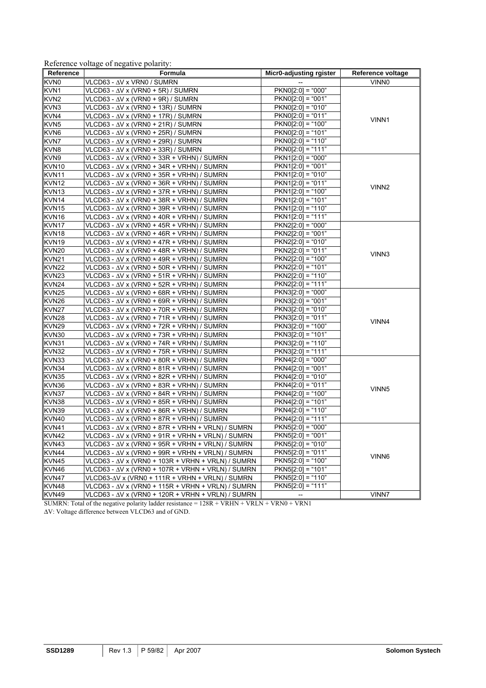|  | Reference voltage of negative polarity: |  |
|--|-----------------------------------------|--|
|  |                                         |  |

| Reference         | Formula                                                   | Micr0-adjusting rgister | Reference voltage |
|-------------------|-----------------------------------------------------------|-------------------------|-------------------|
| KVN <sub>0</sub>  | VLCD63 - ∆V x VRN0 / SUMRN                                |                         | <b>VINNO</b>      |
| KVN1              | VLCD63 - $\Delta$ V x (VRN0 + 5R) / SUMRN                 | $PKNO[2:0] = "000"$     |                   |
| KVN <sub>2</sub>  | VLCD63 - $\Delta$ V x (VRN0 + 9R) / SUMRN                 | $PKNO[2:0] = "001"$     |                   |
| KVN3              | VLCD63 - ∆V x (VRN0 + 13R) / SUMRN                        | $PKNO[2:0] = "010"$     |                   |
| KVN4              | VLCD63 - $\Delta$ V x (VRN0 + 17R) / SUMRN                | $PKNO[2:0] = "011"$     | VINN1             |
| KVN <sub>5</sub>  | VLCD63 - ∆V x (VRN0 + 21R) / SUMRN                        | $PKNO[2:0] = "100"$     |                   |
| KVN6              | $VLCD63 - \Delta V$ x (VRN0 + 25R) / SUMRN                | $PKNO[2:0] = "101"$     |                   |
| KVN7              | VLCD63 - ∆V x (VRN0 + 29R) / SUMRN                        | $PKNO[2:0] = "110"$     |                   |
| KVN8              | VLCD63 - $\Delta$ V x (VRN0 + 33R) / SUMRN                | $PKNO[2:0] = "111"$     |                   |
| KVN9              | $VLCD63 - \Delta V$ x (VRN0 + 33R + VRHN) / SUMRN         | $PKN1[2:0] = "000"$     |                   |
| KVN10             | $VLCD63 - \Delta V$ x (VRN0 + 34R + VRHN) / SUMRN         | $PKN1[2:0] = "001"$     |                   |
| KVN11             | $VLCD63 - \Delta V$ x (VRN0 + 35R + VRHN) / SUMRN         | $PKN1[2:0] = "010"$     |                   |
| KVN <sub>12</sub> | $VLCD63 - \Delta V$ x (VRN0 + 36R + VRHN) / SUMRN         | $PKN1[2:0] = "011"$     | VINN <sub>2</sub> |
| KVN <sub>13</sub> | $VLCD63 - \Delta V$ x (VRN0 + 37R + VRHN) / SUMRN         | $PKN1[2:0] = "100"$     |                   |
| KVN14             | VLCD63 - $\Delta$ V x (VRN0 + 38R + VRHN) / SUMRN         | $PKN1[2:0] = "101"$     |                   |
| KVN <sub>15</sub> | $VLCD63 - \Delta V$ x (VRN0 + 39R + VRHN) / SUMRN         | $PKN1[2:0] = "110"$     |                   |
| KVN16             | VLCD63 - $\Delta$ V x (VRN0 + 40R + VRHN) / SUMRN         | $PKN1[2:0] = "111"$     |                   |
| KVN17             | $VLCD63 - \Delta V$ x (VRN0 + 45R + VRHN) / SUMRN         | $PKN2[2:0] = "000"$     |                   |
| KVN <sub>18</sub> | $VLCD63 - \Delta V$ x (VRN0 + 46R + VRHN) / SUMRN         | $PKN2[2:0] = "001"$     |                   |
| KVN <sub>19</sub> | VLCD63 - ∆V x (VRN0 + 47R + VRHN) / SUMRN                 | $PKN2[2:0] = "010"$     |                   |
| KVN <sub>20</sub> | $VLCD63 - \Delta V$ x (VRN0 + 48R + VRHN) / SUMRN         | $PKN2[2:0] = "011"$     | VINN3             |
| <b>KVN21</b>      | $VLCD63 - \Delta V$ x (VRN0 + 49R + VRHN) / SUMRN         | $PKN2[2:0] = "100"$     |                   |
| <b>KVN22</b>      | $VLCD63 - \Delta V$ x (VRN0 + 50R + VRHN) / SUMRN         | $PKN2[2:0] = "101"$     |                   |
| KVN23             | VLCD63 - $\Delta$ V x (VRN0 + 51R + VRHN) / SUMRN         | $PKN2[2:0] = "110"$     |                   |
| KVN24             | $VLCD63 - \Delta V$ x (VRN0 + 52R + VRHN) / SUMRN         | $PKN2[2:0] = "111"$     |                   |
| KVN <sub>25</sub> | $VLCD63 - \Delta V$ x (VRN0 + 68R + VRHN) / SUMRN         | $PKN3[2:0] = "000"$     |                   |
| KVN <sub>26</sub> | VLCD63 - ∆V x (VRN0 + 69R + VRHN) / SUMRN                 | $PKN3[2:0] = "001"$     |                   |
| KVN <sub>27</sub> | $VLCD63 - \Delta V$ x (VRN0 + 70R + VRHN) / SUMRN         | $PKN3[2:0] = "010"$     |                   |
| KVN <sub>28</sub> | $VLCD63 - \Delta V$ x (VRN0 + 71R + VRHN) / SUMRN         | $PKN3[2:0] = "011"$     | VINN4             |
| <b>KVN29</b>      | $VLCD63 - \Delta V$ x (VRN0 + 72R + VRHN) / SUMRN         | $PKN3[2:0] = "100"$     |                   |
| KVN30             | VLCD63 - $\Delta$ V x (VRN0 + 73R + VRHN) / SUMRN         | $PKN3[2:0] = "101"$     |                   |
| KVN31             | $VLCD63 - \Delta V$ x (VRN0 + 74R + VRHN) / SUMRN         | $PKN3[2:0] = "110"$     |                   |
| KVN32             | VLCD63 - $\Delta$ V x (VRN0 + 75R + VRHN) / SUMRN         | $PKN3[2:0] = "111"$     |                   |
| KVN33             | $VLCD63 - \Delta V$ x (VRN0 + 80R + VRHN) / SUMRN         | $PKN4[2:0] = "000"$     |                   |
| KVN34             | $VLCD63 - \Delta V$ x (VRN0 + 81R + VRHN) / SUMRN         | $PKN4[2:0] = "001"$     |                   |
| KVN35             | $VLCD63 - \Delta V$ x (VRN0 + 82R + VRHN) / SUMRN         | $PKN4[2:0] = "010"$     |                   |
| KVN36             | VLCD63 - ∆V x (VRN0 + 83R + VRHN) / SUMRN                 | $PKN4[2:0] = "011"$     | VINN <sub>5</sub> |
| KVN37             | VLCD63 - ∆V x (VRN0 + 84R + VRHN) / SUMRN                 | $PKN4[2:0] = "100"$     |                   |
| KVN38             | VLCD63 - $\Delta$ V x (VRN0 + 85R + VRHN) / SUMRN         | $PKN4[2:0] = "101"$     |                   |
| KVN39             | $VLCD63 - \Delta V$ x (VRN0 + 86R + VRHN) / SUMRN         | $PKN4[2:0] = "110"$     |                   |
| KVN40             | $VLCD63 - \Delta V$ x (VRN0 + 87R + VRHN) / SUMRN         | $PKN4[2:0] = "111"$     |                   |
| KVN41             | VLCD63 - $\Delta$ V x (VRN0 + 87R + VRHN + VRLN) / SUMRN  | $PKN5[2:0] = "000"$     |                   |
| KVN <sub>42</sub> | $VLCD63 - \Delta V$ x (VRN0 + 91R + VRHN + VRLN) / SUMRN  | $PKN5[2:0] = "001"$     |                   |
| KVN43             | VLCD63 - $\Delta$ V x (VRN0 + 95R + VRHN + VRLN) / SUMRN  | $PKN5[2:0] = "010"$     |                   |
| KVN44             | VLCD63 - $\Delta$ V x (VRN0 + 99R + VRHN + VRLN) / SUMRN  | $PKN5[2:0] = "011"$     | VINN6             |
| KVN45             | VLCD63 - $\Delta$ V x (VRN0 + 103R + VRHN + VRLN) / SUMRN | $PKN5[2:0] = "100"$     |                   |
| KVN46             | VLCD63 - $\Delta$ V x (VRN0 + 107R + VRHN + VRLN) / SUMRN | $PKN5[2:0] = "101"$     |                   |
| KVN47             | $VLCD63-\Delta V$ x (VRN0 + 111R + VRHN + VRLN) / SUMRN   | $PKN5[2:0] = "110"$     |                   |
| KVN48             | VLCD63 - $\Delta$ V x (VRN0 + 115R + VRHN + VRLN) / SUMRN | $PKN5[2:0] = "111"$     |                   |
| KVN49             | VLCD63 - $\Delta$ V x (VRN0 + 120R + VRHN + VRLN) / SUMRN |                         | VINN7             |

SUMRN: Total of the negative polarity ladder resistance = 128R + VRHN + VRLN + VRN0 + VRN1

ΔV: Voltage difference between VLCD63 and of GND.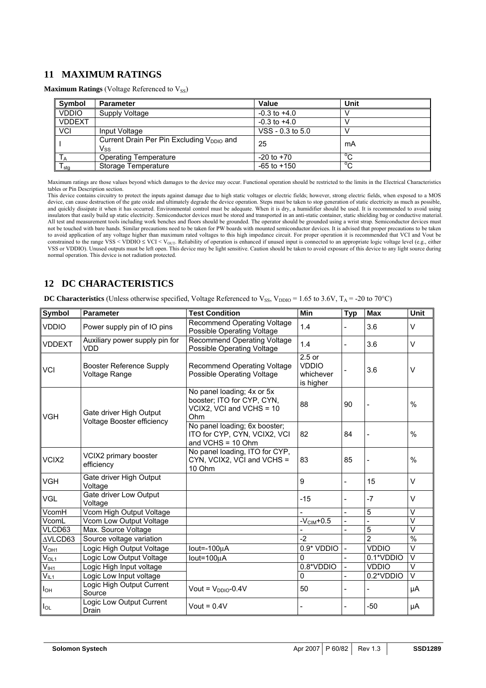# **11 MAXIMUM RATINGS**

**Maximum Ratings (Voltage Referenced to V<sub>SS</sub>)** 

| Symbol        | <b>Parameter</b>                                             | Value            | Unit           |
|---------------|--------------------------------------------------------------|------------------|----------------|
| <b>VDDIO</b>  | Supply Voltage                                               | $-0.3$ to $+4.0$ |                |
| <b>VDDEXT</b> |                                                              | $-0.3$ to $+4.0$ |                |
| <b>VCI</b>    | Input Voltage                                                | VSS - 0.3 to 5.0 |                |
|               | Current Drain Per Pin Excluding V <sub>DDIO</sub> and<br>Vss | 25               | mA             |
| ΙA            | <b>Operating Temperature</b>                                 | $-20$ to $+70$   | $\circ$        |
| I stg         | Storage Temperature                                          | $-65$ to $+150$  | $\overline{C}$ |

Maximum ratings are those values beyond which damages to the device may occur. Functional operation should be restricted to the limits in the Electrical Characteristics tables or Pin Description section.

This device contains circuitry to protect the inputs against damage due to high static voltages or electric fields; however, strong electric fields, when exposed to a MOS device, can cause destruction of the gate oxide and ultimately degrade the device operation. Steps must be taken to stop generation of static electricity as much as possible, device, can cause destruction of the gate oxide and quickly dissipate it when it has occurred. Environmental control must be adequate. When it is dry, a humidifier should be used. It is recommended to avoid using insulators that easily build up static electricity. Semiconductor devices must be stored and transported in an anti-static container, static shielding bag or conductive material. All test and measurement tools including work benches and floors should be grounded. The operator should be grounded using a wrist strap. Semiconductor devices must not be touched with bare hands. Similar precautions need to be taken for PW boards with mounted semiconductor devices. It is advised that proper precautions to be taken to avoid application of any voltage higher than maximum rated voltages to this high impedance circuit. For proper operation it is recommended that VCI and Vout be constrained to the range VSS < VDDIO  $\leq$  VCI < V<sub>OUT</sub>. Reliability of operation is enhanced if unused input is connected to an appropriate logic voltage level (e.g., either VSS or VDDIO). Unused outputs must be left open. This device may be light sensitive. Caution should be taken to avoid exposure of this device to any light source during normal operation. This device is not radiation protected.

# **12 DC CHARACTERISTICS**

| <b>DC Characteristics</b> (Unless otherwise specified, Voltage Referenced to V <sub>SS</sub> , V <sub>DDIO</sub> = 1.65 to 3.6V, T <sub>A</sub> = -20 to 70°C) |  |
|----------------------------------------------------------------------------------------------------------------------------------------------------------------|--|
|----------------------------------------------------------------------------------------------------------------------------------------------------------------|--|

| Symbol                 | <b>Parameter</b>                                      | <b>Test Condition</b>                                                                       | Min                                                | <b>Typ</b>               | <b>Max</b>     | Unit                    |
|------------------------|-------------------------------------------------------|---------------------------------------------------------------------------------------------|----------------------------------------------------|--------------------------|----------------|-------------------------|
| <b>VDDIO</b>           | Power supply pin of IO pins                           | <b>Recommend Operating Voltage</b><br>Possible Operating Voltage                            | 1.4                                                |                          | 3.6            | $\vee$                  |
| <b>VDDEXT</b>          | Auxiliary power supply pin for<br><b>VDD</b>          | <b>Recommend Operating Voltage</b><br>Possible Operating Voltage                            | 1.4                                                | L,                       | 3.6            | $\vee$                  |
| <b>VCI</b>             | <b>Booster Reference Supply</b><br>Voltage Range      | <b>Recommend Operating Voltage</b><br>Possible Operating Voltage                            | $2.5$ or<br><b>VDDIO</b><br>whichever<br>is higher |                          | 3.6            | V                       |
| <b>VGH</b>             | Gate driver High Output<br>Voltage Booster efficiency | No panel loading; 4x or 5x<br>booster; ITO for CYP, CYN,<br>VCIX2, VCI and VCHS = 10<br>Ohm | 88                                                 | 90                       |                | $\%$                    |
|                        |                                                       | No panel loading; 6x booster;<br>ITO for CYP, CYN, VCIX2, VCI<br>and $VCHS = 10 Ohm$        | 82                                                 | 84                       |                | $\%$                    |
| VCIX <sub>2</sub>      | VCIX2 primary booster<br>efficiency                   | No panel loading, ITO for CYP,<br>CYN, VCIX2, VCI and VCHS =<br>83<br>10 Ohm                |                                                    | 85                       |                | $\%$                    |
| <b>VGH</b>             | Gate driver High Output<br>Voltage                    |                                                                                             | 9                                                  | $\overline{a}$           | 15             | V                       |
| <b>VGL</b>             | Gate driver Low Output<br>Voltage                     |                                                                                             | $-15$                                              |                          | $-7$           | V                       |
| VcomH                  | Vcom High Output Voltage                              |                                                                                             |                                                    |                          | 5              | $\vee$                  |
| VcomL                  | Vcom Low Output Voltage                               |                                                                                             | $-VCIM+0.5$                                        | $\overline{a}$           | $\overline{a}$ | $\overline{\mathsf{v}}$ |
| VLCD63                 | Max. Source Voltage                                   |                                                                                             |                                                    | $\frac{1}{2}$            | $\overline{5}$ | $\vee$                  |
| AVLCD63                | Source voltage variation                              |                                                                                             | $-2$                                               |                          | $\overline{2}$ | $\frac{9}{6}$           |
| V <sub>OH1</sub>       | Logic High Output Voltage                             | $Iout = -100uA$                                                                             | 0.9* VDDIO                                         | $\blacksquare$           | <b>VDDIO</b>   | $\vee$                  |
| V <sub>OL1</sub>       | Logic Low Output Voltage                              | $Iout=100\mu A$                                                                             | $\Omega$                                           | $\overline{a}$           | 0.1*VDDIO      | $\vee$                  |
| $\bar{V}_{\text{IH1}}$ | Logic High Input voltage                              |                                                                                             | 0.8*VDDIO                                          | $\overline{\phantom{0}}$ | <b>VDDIO</b>   | $\overline{\mathsf{v}}$ |
| $V_{IL1}$              | Logic Low Input voltage                               |                                                                                             | 0                                                  |                          | 0.2*VDDIO      | V                       |
| $I_{OH}$               | Logic High Output Current<br>Source                   | Vout = $V_{DDIO}$ -0.4V                                                                     | 50                                                 |                          |                | μA                      |
| $I_{OL}$               | Logic Low Output Current<br>Drain                     | Vout = $0.4V$                                                                               |                                                    |                          | $-50$          | μA                      |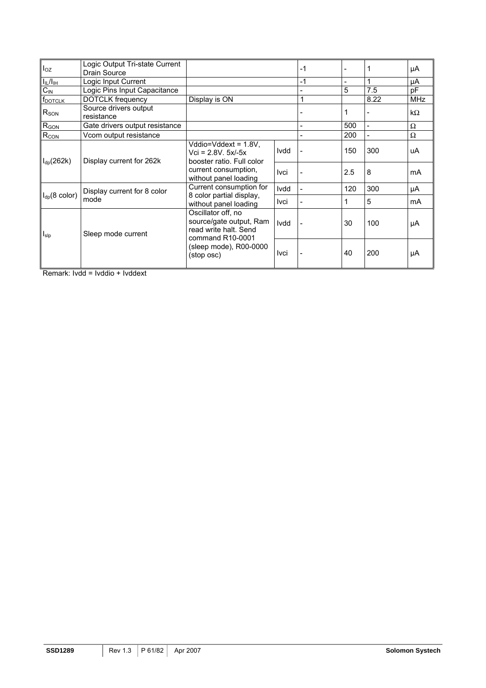| $I_{OZ}$            | Logic Output Tri-state Current      |                                                                           |             | $-1$ |     |           | μA         |
|---------------------|-------------------------------------|---------------------------------------------------------------------------|-------------|------|-----|-----------|------------|
|                     | Drain Source                        |                                                                           |             |      |     |           |            |
| $I_{IL}/I_{LH}$     | Logic Input Current                 |                                                                           |             | $-1$ | -   | 1         | μA         |
| $C_{\text{IN}}$     | Logic Pins Input Capacitance        |                                                                           |             |      | 5   | 7.5       | рF         |
| f <sub>DOTCLK</sub> | <b>DOTCLK</b> frequency             | Display is ON                                                             |             | 1    |     | 8.22      | <b>MHz</b> |
| $R_{SON}$           | Source drivers output<br>resistance |                                                                           |             |      |     | $k\Omega$ |            |
| R <sub>GON</sub>    | Gate drivers output resistance      |                                                                           |             |      | 500 |           | $\Omega$   |
| R <sub>CON</sub>    | Vcom output resistance              |                                                                           |             |      | 200 |           | $\Omega$   |
| $I_{dp}(262k)$      | Display current for 262k            | Vddio=Vddext = 1.8V,<br>$Vci = 2.8V. 5x/-5x$<br>booster ratio. Full color | Ivdd        |      | 150 | 300       | uA         |
|                     |                                     | current consumption,<br>without panel loading                             | Ivci        |      | 2.5 | 8         | mA         |
|                     | Display current for 8 color         | Current consumption for                                                   | Ivdd        |      | 120 | 300       | μA         |
| $I_{dp}$ (8 color)  | mode                                | 8 color partial display,<br>without panel loading                         | Ivci        |      |     | 5         | mA         |
| $I_{slp}$           | Sleep mode current                  | Oscillator off, no<br>source/gate output, Ram<br>read write halt. Send    | <b>Ivdd</b> |      | 30  | 100       | μA         |
|                     |                                     | command R10-0001<br>(sleep mode), R00-0000<br>(stop osc)                  | Ivci        |      | 40  | 200       | μA         |

Remark: Ivdd = Ivddio + Ivddext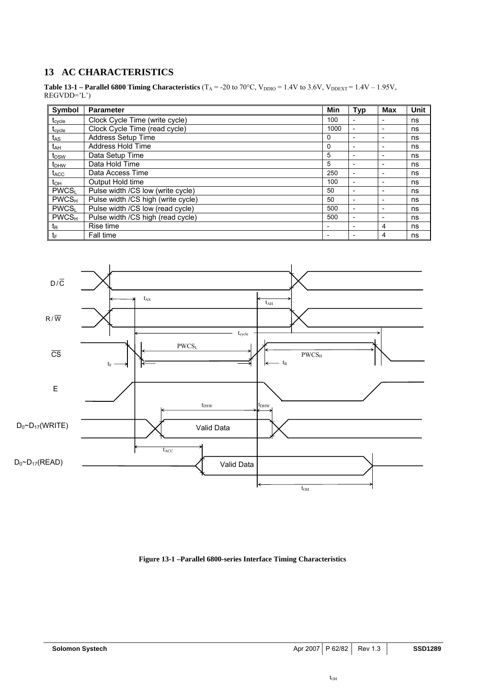# **13 AC CHARACTERISTICS**

**Table 13-1 – Parallel 6800 Timing Characteristics**  $(T_A = -20 \text{ to } 70^{\circ}\text{C}, V_{DDIO} = 1.4V \text{ to } 3.6V, V_{DDEXT} = 1.4V - 1.95V,$ REGVDD='L')

| Symbol                  | <b>Parameter</b>                   | Min                      | <b>Typ</b>               | Max                      | <b>Unit</b> |
|-------------------------|------------------------------------|--------------------------|--------------------------|--------------------------|-------------|
| $t_{\text{cycle}}$      | Clock Cycle Time (write cycle)     | 100                      |                          |                          | ns          |
| t <sub>cycle</sub>      | Clock Cycle Time (read cycle)      | 1000                     | $\overline{\phantom{a}}$ | $\overline{\phantom{0}}$ | ns          |
| tas                     | Address Setup Time                 | 0                        |                          | $\overline{\phantom{a}}$ | ns          |
| t <sub>АН</sub>         | Address Hold Time                  | $\Omega$                 | $\overline{\phantom{a}}$ | $\overline{\phantom{a}}$ | ns          |
| t <sub>DSW</sub>        | Data Setup Time                    | 5                        |                          | $\overline{\phantom{0}}$ | ns          |
| t <sub>DHW</sub>        | Data Hold Time                     | 5                        | $\overline{a}$           | $\overline{\phantom{0}}$ | ns          |
| $t_{\text{ACC}}$        | Data Access Time                   | 250                      | $\overline{\phantom{a}}$ | $\overline{\phantom{a}}$ | ns          |
| $t_{\text{OH}}$         | Output Hold time                   | 100                      | $\overline{\phantom{0}}$ | $\overline{\phantom{0}}$ | ns          |
| PWCS <sub>L</sub>       | Pulse width /CS low (write cycle)  | 50                       | $\overline{\phantom{a}}$ | $\overline{\phantom{a}}$ | ns          |
| $PWCS_{H}$              | Pulse width /CS high (write cycle) | 50                       | $\overline{\phantom{0}}$ | $\overline{\phantom{0}}$ | ns          |
| <b>PWCS</b>             | Pulse width /CS low (read cycle)   | 500                      | $\overline{\phantom{0}}$ |                          | ns          |
| <b>PWCS<sub>H</sub></b> | Pulse width /CS high (read cycle)  | 500                      | $\overline{\phantom{0}}$ | $\overline{\phantom{a}}$ | ns          |
| $t_{\mathsf{R}}$        | Rise time                          | $\overline{\phantom{0}}$ | $\overline{\phantom{a}}$ | 4                        | ns          |
| tF                      | Fall time                          |                          |                          | 4                        | ns          |



**Figure 13-1 –Parallel 6800-series Interface Timing Characteristics**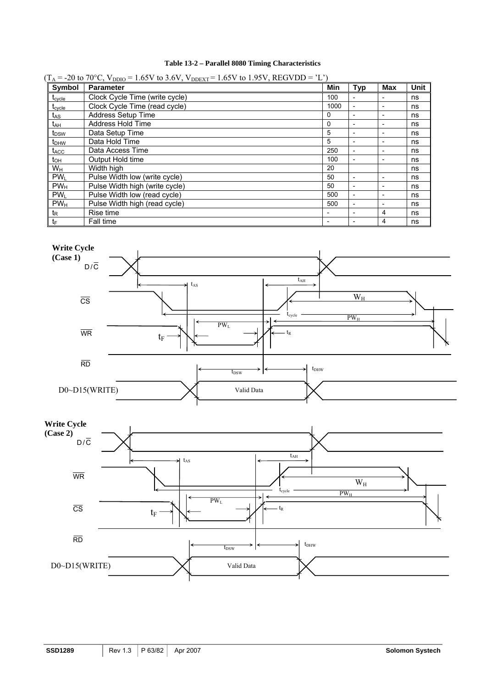# **Table 13-2 – Parallel 8080 Timing Characteristics**

| Symbol             | <b>Parameter</b>               | Min  | <b>Typ</b>               | Max | Unit |
|--------------------|--------------------------------|------|--------------------------|-----|------|
| $t_{\text{cycle}}$ | Clock Cycle Time (write cycle) | 100  | $\overline{\phantom{0}}$ |     | ns   |
| $t_{\text{cycle}}$ | Clock Cycle Time (read cycle)  | 1000 | $\overline{\phantom{a}}$ |     | ns   |
| t <sub>AS</sub>    | <b>Address Setup Time</b>      | 0    | $\overline{a}$           |     | ns   |
| t <sub>АН</sub>    | Address Hold Time              | 0    | $\overline{\phantom{0}}$ |     | ns   |
| t <sub>DSW</sub>   | Data Setup Time                | 5    | $\overline{\phantom{0}}$ |     | ns   |
| $t_{DHW}$          | Data Hold Time                 | 5    | $\overline{\phantom{a}}$ |     | ns   |
| t <sub>ACC</sub>   | Data Access Time               | 250  | $\overline{a}$           |     | ns   |
| $t_{OH}$           | Output Hold time               | 100  | $\overline{\phantom{0}}$ |     | ns   |
| Wн                 | Width high                     | 20   |                          |     | ns   |
| PW <sub>L</sub>    | Pulse Width low (write cycle)  | 50   | $\overline{\phantom{0}}$ |     | ns   |
| PW <sub>H</sub>    | Pulse Width high (write cycle) | 50   | $\overline{\phantom{0}}$ |     | ns   |
| PW <sub>L</sub>    | Pulse Width low (read cycle)   | 500  | $\overline{\phantom{a}}$ |     | ns   |
| PW <sub>H</sub>    | Pulse Width high (read cycle)  | 500  | $\overline{\phantom{0}}$ |     | ns   |
| t <sub>R</sub>     | Rise time                      |      | $\overline{\phantom{0}}$ | 4   | ns   |
| tF                 | Fall time                      |      |                          | 4   | ns   |



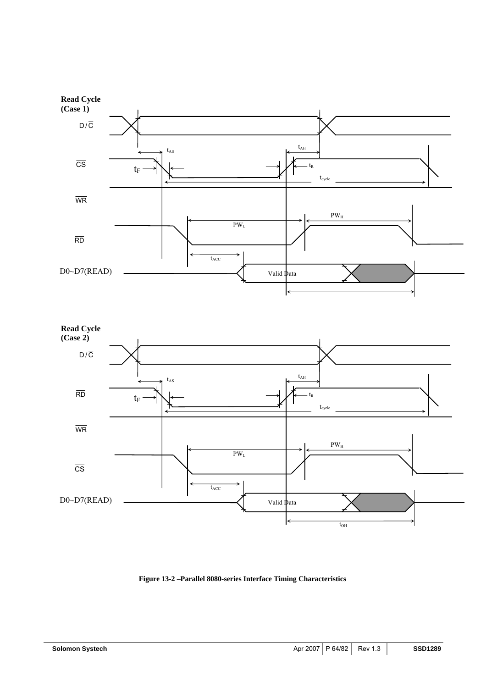



**Figure 13-2 –Parallel 8080-series Interface Timing Characteristics**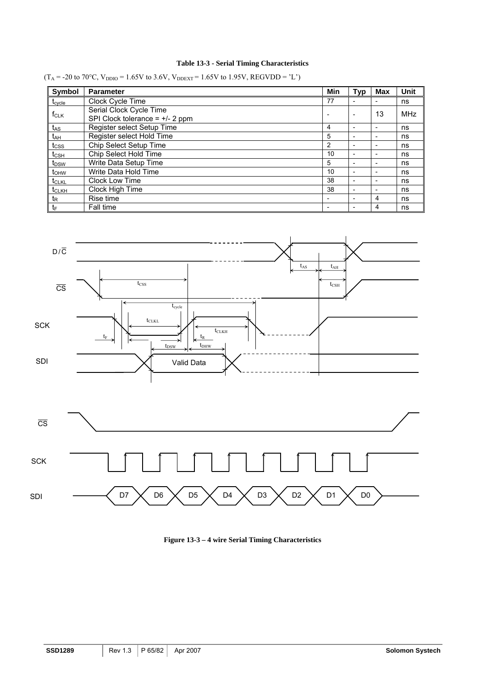# **Table 13-3 - Serial Timing Characteristics**

 $(T_A = -20 \text{ to } 70^{\circ}\text{C}, V_{DDIO} = 1.65 \text{V}$  to 3.6V,  $V_{DDEXT} = 1.65 \text{V}$  to 1.95V, REGVDD = 'L')

| Symbol             | <b>Parameter</b>                                            | Min            | Typ                      | <b>Max</b>               | <b>Unit</b> |
|--------------------|-------------------------------------------------------------|----------------|--------------------------|--------------------------|-------------|
| $t_{\text{cycle}}$ | Clock Cycle Time                                            | 77             |                          |                          | ns          |
| $f_{CLK}$          | Serial Clock Cycle Time<br>SPI Clock tolerance = $+/-2$ ppm |                |                          | 13                       | <b>MHz</b>  |
| t <sub>AS</sub>    | Register select Setup Time                                  | 4              |                          |                          | ns          |
| t <sub>АН</sub>    | Register select Hold Time                                   | 5              |                          |                          | ns          |
| t <sub>css</sub>   | Chip Select Setup Time                                      | $\overline{2}$ |                          | $\overline{\phantom{0}}$ | ns          |
| $t_{\text{CSH}}$   | Chip Select Hold Time                                       | 10             |                          | $\overline{\phantom{0}}$ | ns          |
| t <sub>DSW</sub>   | Write Data Setup Time                                       | 5              |                          |                          | ns          |
| t <sub>OHW</sub>   | Write Data Hold Time                                        | 10             | $\overline{\phantom{0}}$ | $\overline{\phantom{0}}$ | ns          |
| t <sub>CLKL</sub>  | Clock Low Time                                              | 38             |                          |                          | ns          |
| t <sub>CLKH</sub>  | Clock High Time                                             | 38             |                          | $\overline{\phantom{0}}$ | ns          |
| t <sub>R</sub>     | Rise time                                                   |                |                          | 4                        | ns          |
| tF                 | Fall time                                                   |                |                          | 4                        | ns          |



**Figure 13-3 – 4 wire Serial Timing Characteristics**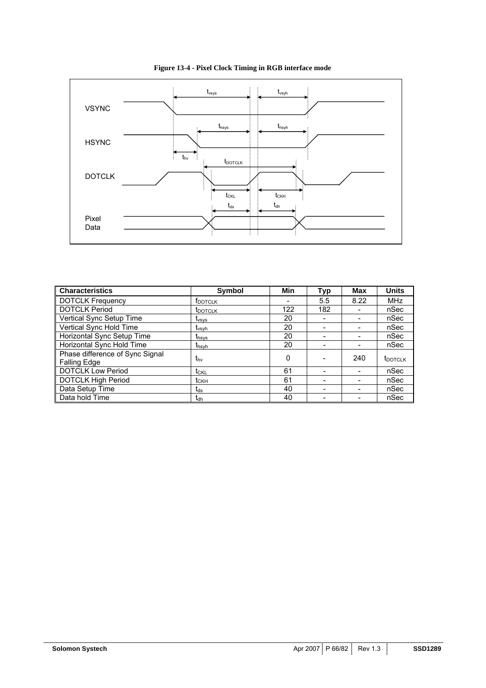

**Figure 13-4 - Pixel Clock Timing in RGB interface mode** 

| <b>Characteristics</b>                                 | <b>Symbol</b>            | Min | <b>Typ</b> | Max  | <b>Units</b>    |
|--------------------------------------------------------|--------------------------|-----|------------|------|-----------------|
| <b>DOTCLK Frequency</b>                                | <b>T</b> DOTCLK          |     | 5.5        | 8.22 | <b>MHz</b>      |
| <b>DOTCLK Period</b>                                   | <b>I</b> DOTCLK          | 122 | 182        |      | nSec            |
| Vertical Sync Setup Time                               | <b>L</b> <sub>vsvs</sub> | 20  |            | -    | nSec            |
| Vertical Sync Hold Time                                | <b>T</b> <sub>vsyh</sub> | 20  |            |      | nSec            |
| Horizontal Sync Setup Time                             | thsys                    | 20  |            |      | nSec            |
| Horizontal Sync Hold Time                              | t <sub>hsyh</sub>        | 20  |            |      | nSec            |
| Phase difference of Sync Signal<br><b>Falling Edge</b> | t <sub>hv</sub>          | 0   |            | 240  | <b>t</b> DOTCLK |
| <b>DOTCLK Low Period</b>                               | t <sub>CKL</sub>         | 61  |            |      | nSec            |
| <b>DOTCLK High Period</b>                              | $t_{CKH}$                | 61  |            |      | nSec            |
| Data Setup Time                                        | $t_{ds}$                 | 40  |            |      | nSec            |
| Data hold Time                                         | <b>I</b> dh              | 40  |            |      | nSec            |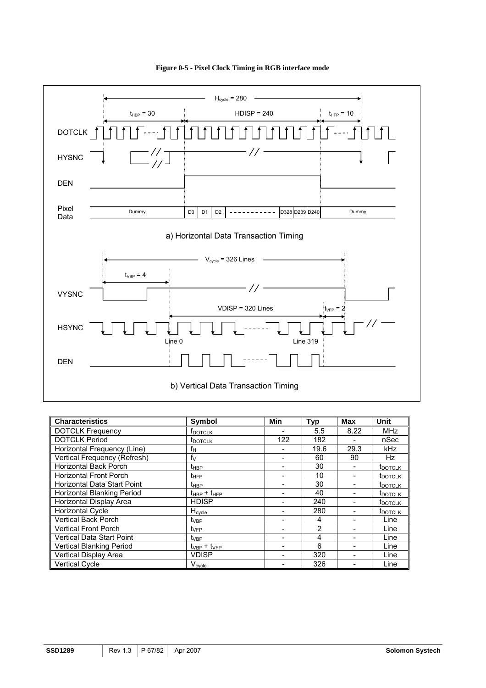

**Figure 0-5 - Pixel Clock Timing in RGB interface mode** 

| <b>Characteristics</b>             | Symbol              | <b>Min</b> | <b>Typ</b>     | <b>Max</b> | <b>Unit</b>         |
|------------------------------------|---------------------|------------|----------------|------------|---------------------|
| <b>DOTCLK Frequency</b>            | <b>FDOTCLK</b>      |            | 5.5            | 8.22       | <b>MHz</b>          |
| <b>DOTCLK Period</b>               | <b>t</b> DOTCLK     | 122        | 182            |            | nSec                |
| Horizontal Frequency (Line)        | fн                  |            | 19.6           | 29.3       | kHz                 |
| Vertical Frequency (Refresh)       | $f_V$               |            | 60             | 90         | Hz                  |
| <b>Horizontal Back Porch</b>       | $t_{HBP}$           |            | 30             |            | <b>T</b> DOTCLK     |
| <b>Horizontal Front Porch</b>      | $t_{\text{HFP}}$    |            | 10             |            | t <sub>DOTCLK</sub> |
| <b>Horizontal Data Start Point</b> | $t_{\rm HBP}$       |            | 30             |            | <b>t</b> DOTCLK     |
| Horizontal Blanking Period         | $t_{HBP} + t_{HFP}$ |            | 40             |            | t <sub>DOTCLK</sub> |
| Horizontal Display Area            | <b>HDISP</b>        |            | 240            |            | t <sub>DOTCLK</sub> |
| Horizontal Cycle                   | $H_{cycle}$         |            | 280            |            | <b>t</b> DOTCLK     |
| <b>Vertical Back Porch</b>         | $t_{VBP}$           |            | 4              |            | Line                |
| Vertical Front Porch               | $t_{\rm VFP}$       |            | $\overline{2}$ |            | Line                |
| <b>Vertical Data Start Point</b>   | t <sub>∨BP</sub>    |            | 4              |            | Line                |
| <b>Vertical Blanking Period</b>    | $t_{VBP} + t_{VFP}$ | -          | 6              |            | Line                |
| Vertical Display Area              | <b>VDISP</b>        |            | 320            |            | Line                |
| <b>Vertical Cycle</b>              | V <sub>cycle</sub>  |            | 326            |            | Line                |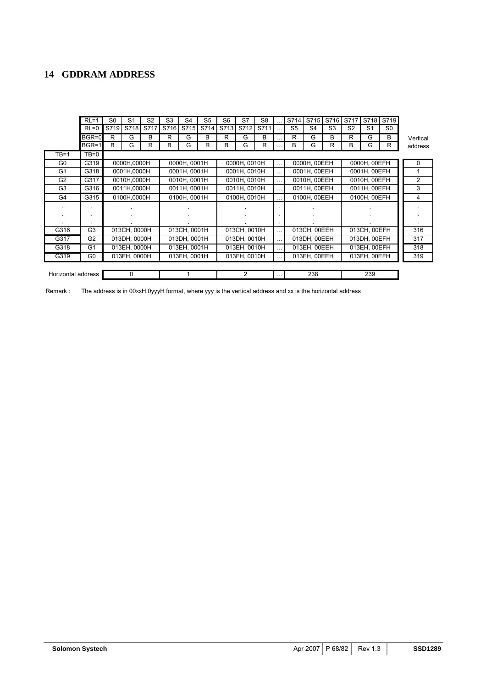# **14 GDDRAM ADDRESS**

|                    | $RL = 1$                            | S <sub>0</sub> | S <sub>1</sub> | S <sub>2</sub> | S <sub>3</sub> | S <sub>4</sub> | S <sub>5</sub> | S <sub>6</sub>               | S7           | S <sub>8</sub> |              | S714           | S715                     | S716           | S717           | S718           | S719           |              |  |                |
|--------------------|-------------------------------------|----------------|----------------|----------------|----------------|----------------|----------------|------------------------------|--------------|----------------|--------------|----------------|--------------------------|----------------|----------------|----------------|----------------|--------------|--|----------------|
|                    | $RL = 0$                            | S719           | S718           | S717           | S716           | S715           | S714           | S713                         | S712         | S711           |              | S <sub>5</sub> | S4                       | S <sub>3</sub> | S <sub>2</sub> | S <sub>1</sub> | S <sub>0</sub> |              |  |                |
|                    | BGR=0                               | R              | G              | B              | R              | G              | B              | R                            | G            | B              |              | R              | G                        | B              | R              | G              | В              | Vertical     |  |                |
|                    | BGR=1                               | B              | G              | R              | В              | G              | R              | B                            | G            | R              |              | B              | G                        | R              | B              | G              | R              | address      |  |                |
| TB=1               | $TB=0$                              |                |                |                |                |                |                |                              |              |                |              |                |                          |                |                |                |                |              |  |                |
| G <sub>0</sub>     | G319                                |                | 0000H.0000H    |                |                | 0000H. 0001H   |                |                              | 0000H, 0010H |                |              |                | 0000H, 00EEH<br>$\cdots$ |                | 0000H, 00EFH   |                |                | $\Omega$     |  |                |
| G <sub>1</sub>     | G318                                |                | 0001H,0000H    |                |                | 0001H, 0001H   |                |                              | 0001H, 0010H |                |              |                | 0001H, 00EEH             |                |                | 0001H, 00EFH   |                |              |  |                |
| G <sub>2</sub>     | G317<br>0010H.0000H                 |                |                | 0010H. 0001H   |                | 0010H, 0010H   |                |                              |              | 0010H, 00EEH   |              |                |                          |                |                |                |                | 0010H, 00EFH |  | $\overline{2}$ |
| G <sub>3</sub>     | G316<br>0011H,0000H                 |                |                | 0011H, 0001H   |                | 0011H, 0010H   |                | 0011H, 00EEH<br>0011H, 00EFH |              |                |              |                |                          |                | 3              |                |                |              |  |                |
| G4                 | 0100H, 0001H<br>G315<br>0100H,0000H |                |                |                | 0100H, 0010H   |                | 0100H, 00EEH   |                              |              |                | 0100H, 00EFH |                |                          | 4              |                |                |                |              |  |                |
|                    | ٠                                   |                |                |                |                |                |                |                              |              |                |              |                |                          |                |                |                |                |              |  |                |
|                    |                                     |                |                |                |                |                |                |                              |              |                |              |                |                          |                |                |                |                |              |  |                |
|                    |                                     |                |                |                |                |                |                |                              |              |                |              |                |                          |                |                |                |                |              |  |                |
| G316               | G <sub>3</sub>                      |                | 013CH, 0000H   |                |                | 013CH, 0001H   |                |                              | 013CH, 0010H |                |              |                | 013CH, 00EEH             |                |                | 013CH, 00EFH   |                | 316          |  |                |
| G317               | G <sub>2</sub>                      |                | 013DH, 0000H   |                |                | 013DH, 0001H   |                |                              | 013DH, 0010H |                |              |                | 013DH, 00EEH             |                |                | 013DH, 00EFH   |                | 317          |  |                |
| G318               | G <sub>1</sub>                      |                | 013EH, 0000H   |                | 013EH, 0001H   |                |                |                              | 013EH, 0010H |                |              |                | 013EH, 00EEH             |                |                | 013EH, 00EFH   |                | 318          |  |                |
| G319               | G <sub>0</sub>                      |                | 013FH, 0000H   |                |                | 013FH, 0001H   |                |                              | 013FH, 0010H |                |              |                | 013FH, 00EEH             |                |                | 013FH, 00EFH   |                | 319          |  |                |
|                    |                                     |                |                |                |                |                |                |                              |              |                |              |                |                          |                |                |                |                |              |  |                |
| Horizontal address |                                     |                | $\Omega$       |                |                |                |                |                              | 2            |                |              |                | 238                      |                |                | 239            |                |              |  |                |

Remark : The address is in 00xxH,0yyyH format, where yyy is the vertical address and xx is the horizontal address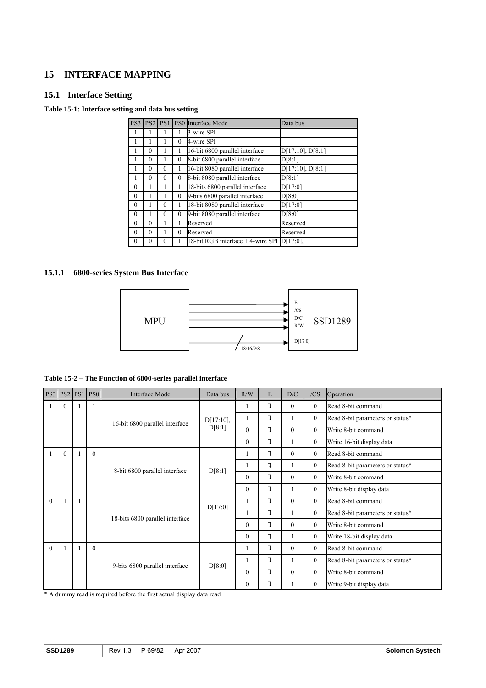# **15 INTERFACE MAPPING**

# **15.1 Interface Setting**

# **Table 15-1: Interface setting and data bus setting**

| PS3          | PS <sub>2</sub> | PS1      |                  | PS0 Interface Mode                           | Data bus              |
|--------------|-----------------|----------|------------------|----------------------------------------------|-----------------------|
|              |                 |          |                  | 3-wire SPI                                   |                       |
|              |                 |          | $\theta$         | 4-wire SPI                                   |                       |
|              | $\theta$        |          |                  | 16-bit 6800 parallel interface               | $D[17:10]$ , $D[8:1]$ |
|              | $\theta$        |          | 0                | 8-bit 6800 parallel interface                | D[8:1]                |
|              | $\theta$        | $\Omega$ | 1                | 16-bit 8080 parallel interface               | D[17:10], D[8:1]      |
|              | $\theta$        | $\theta$ | $\boldsymbol{0}$ | 8-bit 8080 parallel interface                | D[8:1]                |
| $\mathbf{0}$ |                 |          |                  | 18-bits 6800 parallel interface              | D[17:0]               |
| $\theta$     |                 |          | 0                | 9-bits 6800 parallel interface               | D[8:0]                |
| $\theta$     |                 | $\Omega$ |                  | 18-bit 8080 parallel interface               | D[17:0]               |
| $\theta$     |                 | $\theta$ | $\boldsymbol{0}$ | 9-bit 8080 parallel interface                | D[8:0]                |
| $\mathbf{0}$ | $\theta$        |          |                  | Reserved                                     | Reserved              |
| $\theta$     | $\theta$        |          | $\theta$         | Reserved                                     | Reserved              |
| $\mathbf{0}$ | 0               | $\theta$ |                  | 18-bit RGB interface $+$ 4-wire SPI D[17:0], |                       |

# **15.1.1 6800-series System Bus Interface**



|  |  |  | Table 15-2 – The Function of 6800-series parallel interface |
|--|--|--|-------------------------------------------------------------|
|--|--|--|-------------------------------------------------------------|

|          | <b>PS3 PS2 PS1</b> |  | PS <sub>0</sub>                | Interface Mode                  | Data bus     | R/W          | E                         | D/C      | /CS            | Operation                        |
|----------|--------------------|--|--------------------------------|---------------------------------|--------------|--------------|---------------------------|----------|----------------|----------------------------------|
|          | $\Omega$           |  |                                |                                 |              |              | $\mathbf{I}$              | $\theta$ | $\theta$       | Read 8-bit command               |
|          |                    |  |                                | 16-bit 6800 parallel interface  | $D[17:10]$ , |              | ı                         |          | $\overline{0}$ | Read 8-bit parameters or status* |
|          |                    |  |                                |                                 | D[8:1]       | $\theta$     | ı                         | $\theta$ | $\theta$       | Write 8-bit command              |
|          |                    |  |                                |                                 |              | $\theta$     | $\mathbf{I}$              |          | $\theta$       | Write 16-bit display data        |
|          | $\theta$           |  | $\theta$                       |                                 |              | I.           | $\mathbf{I}$              | $\theta$ | $\overline{0}$ | Read 8-bit command               |
|          |                    |  |                                | 8-bit 6800 parallel interface   | D[8:1]       |              | $\mathbf{I}$              |          | $\overline{0}$ | Read 8-bit parameters or status* |
|          |                    |  |                                |                                 |              | $\theta$     | $\mathbf{I}$              | $\theta$ | $\theta$       | Write 8-bit command              |
|          |                    |  |                                |                                 |              | $\mathbf{0}$ | ı                         |          | $\overline{0}$ | Write 8-bit display data         |
| $\Omega$ |                    |  |                                |                                 |              |              | $\mathbf{I}$              | $\Omega$ | $\theta$       | Read 8-bit command               |
|          |                    |  |                                | 18-bits 6800 parallel interface | D[17:0]      |              | $\mathbf{I}$              |          | $\theta$       | Read 8-bit parameters or status* |
|          |                    |  |                                |                                 |              | $\theta$     | $\mathbf{I}$              | $\theta$ | $\theta$       | Write 8-bit command              |
|          |                    |  |                                |                                 |              | $\mathbf{0}$ | ı                         | 1        | $\overline{0}$ | Write 18-bit display data        |
| $\theta$ |                    |  | $\theta$                       |                                 |              | 1            | $\mathbf{I}$              | $\theta$ | $\theta$       | Read 8-bit command               |
|          |                    |  |                                |                                 | D[8:0]       |              | l,                        |          | $\theta$       | Read 8-bit parameters or status* |
|          |                    |  | 9-bits 6800 parallel interface |                                 |              | $\theta$     | $\mathbf{I}$              | $\theta$ | $\theta$       | Write 8-bit command              |
|          |                    |  |                                |                                 |              | $\mathbf{0}$ | $\ensuremath{\mathsf{I}}$ |          | $\Omega$       | Write 9-bit display data         |

\* A dummy read is required before the first actual display data read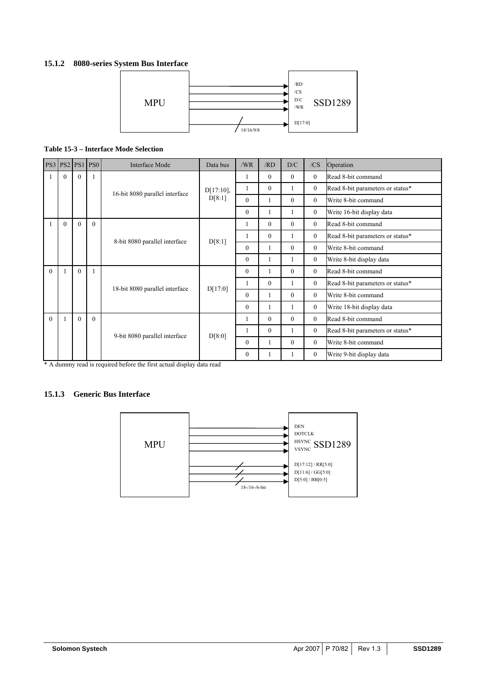# **15.1.2 8080-series System Bus Interface**



### **Table 15-3 – Interface Mode Selection**

|          |          |          | <b>PS3 PS2 PS1 PS0</b>        | Interface Mode                 | Data bus     | /WR          | /RD          | D/C            | /CS                              | Operation                        |
|----------|----------|----------|-------------------------------|--------------------------------|--------------|--------------|--------------|----------------|----------------------------------|----------------------------------|
|          | 0        | $\theta$ |                               |                                |              |              | $\theta$     | $\theta$       | $\overline{0}$                   | Read 8-bit command               |
|          |          |          |                               | 16-bit 8080 parallel interface | D[17:10],    | 1            | $\mathbf{0}$ | 1              | $\overline{0}$                   | Read 8-bit parameters or status* |
|          |          |          |                               |                                | D[8:1]       | $\theta$     |              | $\theta$       | $\overline{0}$                   | Write 8-bit command              |
|          |          |          |                               |                                |              | $\mathbf{0}$ | 1            | 1              | $\overline{0}$                   | Write 16-bit display data        |
|          | $\Omega$ | $\theta$ | $\theta$                      |                                |              | 1            | $\theta$     | $\theta$       | $\theta$                         | Read 8-bit command               |
|          |          |          |                               | 8-bit 8080 parallel interface  | D[8:1]       | 1            | $\theta$     | 1              | $\overline{0}$                   | Read 8-bit parameters or status* |
|          |          |          |                               |                                |              | $\theta$     | 1            | $\theta$       | $\overline{0}$                   | Write 8-bit command              |
|          |          |          |                               |                                |              | $\theta$     | 1            | 1              | $\overline{0}$                   | Write 8-bit display data         |
| $\Omega$ |          | $\theta$ |                               |                                |              | $\mathbf{0}$ |              | $\theta$       | $\theta$                         | Read 8-bit command               |
|          |          |          |                               | 18-bit 8080 parallel interface | D[17:0]      | 1            | $\theta$     | 1              | $\overline{0}$                   | Read 8-bit parameters or status* |
|          |          |          |                               |                                |              | $\theta$     |              | $\theta$       | $\theta$                         | Write 8-bit command              |
|          |          |          |                               |                                |              | $\mathbf{0}$ |              |                | $\overline{0}$                   | Write 18-bit display data        |
| $\Omega$ |          | $\theta$ | $\theta$                      |                                |              | 1            | $\mathbf{0}$ | $\theta$       | $\overline{0}$                   | Read 8-bit command               |
|          |          |          | 9-bit 8080 parallel interface | D[8:0]                         | 1            | $\theta$     |              | $\overline{0}$ | Read 8-bit parameters or status* |                                  |
|          |          |          |                               |                                | $\mathbf{0}$ |              | $\theta$     | $\overline{0}$ | Write 8-bit command              |                                  |
|          |          |          |                               |                                |              | $\mathbf{0}$ |              |                | $\overline{0}$                   | Write 9-bit display data         |

\* A dummy read is required before the first actual display data read

### **15.1.3 Generic Bus Interface**

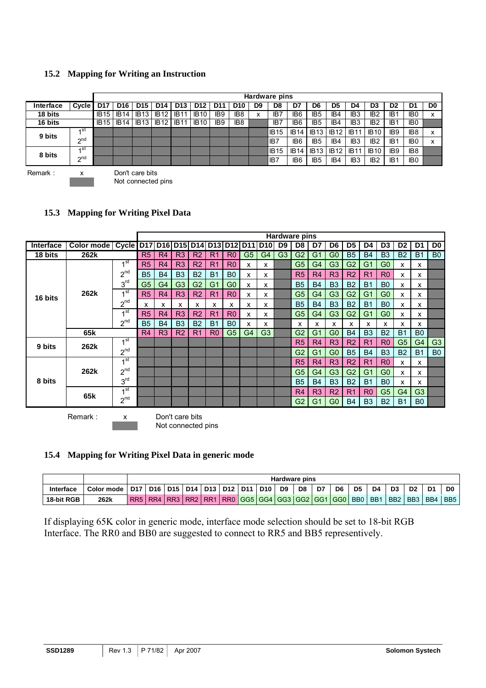# **15.2 Mapping for Writing an Instruction**

|           |                 |             | Hardware pins   |                                       |                 |                 |                 |                 |                 |        |             |                 |                 |             |                  |                 |                 |                 |                           |
|-----------|-----------------|-------------|-----------------|---------------------------------------|-----------------|-----------------|-----------------|-----------------|-----------------|--------|-------------|-----------------|-----------------|-------------|------------------|-----------------|-----------------|-----------------|---------------------------|
| Interface | Cycle           | <b>D17</b>  | D <sub>16</sub> | D <sub>15</sub>                       | D <sub>14</sub> | D <sub>13</sub> | D <sub>12</sub> | D11             | D <sub>10</sub> | D9     | D8          | D7              | D <sub>6</sub>  | D5          | D4               | D3              | D <sub>2</sub>  | D1              | D <sub>0</sub>            |
| 18 bits   |                 | <b>IB15</b> | <b>IB14</b>     | <b>IB13</b>                           | <b>IB12</b>     | <b>IB11</b>     | <b>IB10</b>     | IB <sub>9</sub> | IB <sub>8</sub> | v<br>^ | IB7         | IB <sub>6</sub> | IB <sub>5</sub> | IB4         | IB <sub>3</sub>  | IB <sub>2</sub> | IB <sub>1</sub> | IB <sub>0</sub> | $\mathbf v$<br>$\lambda$  |
| 16 bits   |                 | <b>IB15</b> | <b>IB14</b>     | <b>IB13</b>                           | <b>IB12</b>     | <b>IB11</b>     | <b>IB10</b>     | IB <sub>9</sub> | IB <sub>8</sub> |        | IB7         | IB <sub>6</sub> | IB <sub>5</sub> | IB4         | IB <sub>3</sub>  | IB <sub>2</sub> | IB <sub>1</sub> | IB <sub>0</sub> |                           |
| 9 bits    | ⊿st             |             |                 |                                       |                 |                 |                 |                 |                 |        | <b>IB15</b> | <b>IB14</b>     | <b>IB13</b>     | <b>IB12</b> | IB <sub>11</sub> | <b>IB10</b>     | IB <sub>9</sub> | IB <sub>8</sub> | $\checkmark$<br>⋏         |
|           | <sub>2</sub> nd |             |                 |                                       |                 |                 |                 |                 |                 |        | IB7         | IB <sub>6</sub> | IB <sub>5</sub> | IB4         | IB <sub>3</sub>  | IB <sub>2</sub> | IB <sub>1</sub> | IB <sub>0</sub> | $\checkmark$<br>$\lambda$ |
| 8 bits    | 1st             |             |                 |                                       |                 |                 |                 |                 |                 |        | <b>IB15</b> | IB 14           | IB13            | <b>IB12</b> | IB1'             | <b>IB10</b>     | IB <sub>9</sub> | IB <sub>8</sub> |                           |
|           | $\gamma$ nd     |             |                 |                                       |                 |                 |                 |                 |                 |        | IB7         | IB <sub>6</sub> | IB <sub>5</sub> | IB4         | IB <sub>3</sub>  | IB <sub>2</sub> | IB <sub>1</sub> | IB <sub>0</sub> |                           |
| Remark:   | x               |             |                 | Don't care bits<br>Not connected pins |                 |                 |                 |                 |                 |        |             |                 |                 |             |                  |                 |                 |                 |                           |

| 15.3 Mapping for Writing Pixel Data |  |
|-------------------------------------|--|
|                                     |  |

|           |                    |                 | <b>Hardware pins</b>                  |                |                |                |                |                |                         |                |                |                |                |                |                |                |                |                |                |                |
|-----------|--------------------|-----------------|---------------------------------------|----------------|----------------|----------------|----------------|----------------|-------------------------|----------------|----------------|----------------|----------------|----------------|----------------|----------------|----------------|----------------|----------------|----------------|
| Interface | Color mode   Cycle |                 | <b>D17</b>                            |                |                |                |                |                | D16 D15 D14 D13 D12 D11 | <b>D10</b>     | D <sub>9</sub> | D8             | D7             | D6             | D <sub>5</sub> | D4             | D <sub>3</sub> | D <sub>2</sub> | D1             | D <sub>0</sub> |
| 18 bits   | 262k               |                 | R5                                    | R <sub>4</sub> | R <sub>3</sub> | R <sub>2</sub> | R <sub>1</sub> | R <sub>0</sub> | G <sub>5</sub>          | G <sub>4</sub> | G <sub>3</sub> | G <sub>2</sub> | G <sub>1</sub> | G <sub>0</sub> | <b>B5</b>      | <b>B4</b>      | B <sub>3</sub> | <b>B2</b>      | <b>B1</b>      | B <sub>0</sub> |
|           |                    | 1 <sup>st</sup> | R <sub>5</sub>                        | R4             | R <sub>3</sub> | R <sub>2</sub> | R <sub>1</sub> | R <sub>0</sub> | x                       | x              |                | G <sub>5</sub> | G <sub>4</sub> | G <sub>3</sub> | G <sub>2</sub> | G <sub>1</sub> | G <sub>0</sub> | x              | x              |                |
|           |                    | $2^{nd}$        | <b>B5</b>                             | <b>B4</b>      | B <sub>3</sub> | <b>B2</b>      | <b>B1</b>      | B <sub>0</sub> | X                       | x              |                | R5             | R <sub>4</sub> | R3             | R <sub>2</sub> | R <sub>1</sub> | R <sub>0</sub> | x              | x              |                |
|           |                    | 3 <sup>rd</sup> | G <sub>5</sub>                        | G <sub>4</sub> | G <sub>3</sub> | G <sub>2</sub> | G <sub>1</sub> | G <sub>0</sub> | x                       | x              |                | <b>B5</b>      | <b>B4</b>      | <b>B3</b>      | <b>B2</b>      | <b>B1</b>      | B <sub>0</sub> | X              | x              |                |
| 16 bits   | 262k               | 1 <sup>st</sup> | R <sub>5</sub>                        | R <sub>4</sub> | R3             | R <sub>2</sub> | R <sub>1</sub> | R <sub>0</sub> | x                       | x              |                | G <sub>5</sub> | G <sub>4</sub> | G <sub>3</sub> | G <sub>2</sub> | G <sub>1</sub> | G <sub>0</sub> | x              | x              |                |
|           |                    | $2^{nd}$        | x                                     | x              | х              | x              | х              | x              | х                       | х              |                | <b>B5</b>      | <b>B4</b>      | <b>B3</b>      | <b>B2</b>      | <b>B1</b>      | B <sub>0</sub> | x              | x              |                |
|           |                    | 4 <sup>st</sup> | R <sub>5</sub>                        | R <sub>4</sub> | R <sub>3</sub> | R <sub>2</sub> | R <sub>1</sub> | R <sub>0</sub> | x                       | х              |                | G <sub>5</sub> | G <sub>4</sub> | G <sub>3</sub> | G <sub>2</sub> | G <sub>1</sub> | G <sub>0</sub> | x              | x              |                |
|           |                    | $2^{nd}$        | <b>B5</b>                             | <b>B4</b>      | B <sub>3</sub> | <b>B2</b>      | B <sub>1</sub> | B <sub>0</sub> | x                       | x              |                | X              | x              | x              | x              | x              | X              | x              | x              |                |
|           | 65 <sub>k</sub>    |                 | R4                                    | R <sub>3</sub> | R <sub>2</sub> | R <sub>1</sub> | R <sub>0</sub> | G <sub>5</sub> | G <sub>4</sub>          | G <sub>3</sub> |                | G2             | G <sub>1</sub> | G <sub>0</sub> | <b>B4</b>      | B <sub>3</sub> | <b>B2</b>      | <b>B1</b>      | B <sub>0</sub> |                |
| 9 bits    |                    | 1 <sup>st</sup> |                                       |                |                |                |                |                |                         |                |                | R5             | R4             | R3             | R <sub>2</sub> | R <sub>1</sub> | R <sub>0</sub> | G <sub>5</sub> | G <sub>4</sub> | G <sub>3</sub> |
|           | 262k               | $2^{nd}$        |                                       |                |                |                |                |                |                         |                |                | G <sub>2</sub> | G <sub>1</sub> | G <sub>0</sub> | <b>B5</b>      | <b>B4</b>      | B <sub>3</sub> | <b>B2</b>      | <b>B1</b>      | B <sub>0</sub> |
|           |                    | 1 <sup>st</sup> |                                       |                |                |                |                |                |                         |                |                | R5             | R4             | R <sub>3</sub> | R <sub>2</sub> | R <sub>1</sub> | R <sub>0</sub> | x              | x              |                |
|           | 262k               | $2^{nd}$        |                                       |                |                |                |                |                |                         |                |                | G <sub>5</sub> | G4             | G <sub>3</sub> | G <sub>2</sub> | G <sub>1</sub> | G <sub>0</sub> | x              | x              |                |
| 8 bits    |                    | 3 <sup>rd</sup> |                                       |                |                |                |                |                |                         |                |                | <b>B5</b>      | <b>B4</b>      | <b>B3</b>      | <b>B2</b>      | <b>B1</b>      | B <sub>0</sub> | x              | x              |                |
|           |                    | 4 st            |                                       |                |                |                |                |                |                         |                |                | R4             | R <sub>3</sub> | R <sub>2</sub> | R <sub>1</sub> | R <sub>0</sub> | G <sub>5</sub> | G4             | G <sub>3</sub> |                |
|           | 65k                | $2^{nd}$        |                                       |                |                |                |                |                |                         |                |                | G <sub>2</sub> | G <sub>1</sub> | G <sub>0</sub> | <b>B4</b>      | B <sub>3</sub> | <b>B2</b>      | <b>B1</b>      | B <sub>0</sub> |                |
|           | Remark:            | x               | Don't care bits<br>Not connected pins |                |                |                |                |                |                         |                |                |                |                |                |                |                |                |                |                |                |

# **15.4 Mapping for Writing Pixel Data in generic mode**

|            |              | <b>Hardware pins</b> |         |                             |  |                 |  |  |                                         |                |    |    |    |                  |                 |                 |                |                |                 |
|------------|--------------|----------------------|---------|-----------------------------|--|-----------------|--|--|-----------------------------------------|----------------|----|----|----|------------------|-----------------|-----------------|----------------|----------------|-----------------|
| Interface  | Color mode 1 |                      | D17 D16 | D15   D14   D13   D12   D11 |  |                 |  |  | D10                                     | D <sub>9</sub> | D8 | D7 | D6 | D <sub>5</sub>   | D4              | D <sub>3</sub>  | D <sub>2</sub> | D <sub>1</sub> | D <sub>0</sub>  |
| 18-bit RGB | 262k         |                      | RR5 RR4 | RR3 RR2                     |  | RR <sub>1</sub> |  |  | RR0   GG5   GG4   GG3   GG2   GG1   GG0 |                |    |    |    | B <sub>B</sub> O | BB <sub>1</sub> | B <sub>B2</sub> | IBB3           | BB4            | BB <sub>5</sub> |

If displaying 65K color in generic mode, interface mode selection should be set to 18-bit RGB Interface. The RR0 and BB0 are suggested to connect to RR5 and BB5 representively.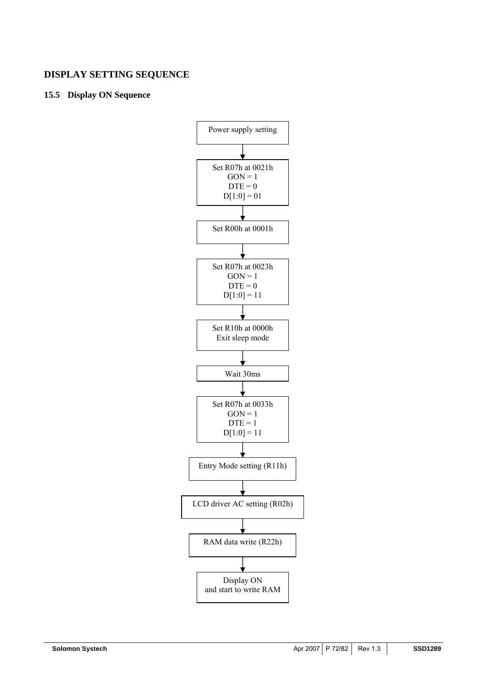# **DISPLAY SETTING SEQUENCE**

# **15.5 Display ON Sequence**

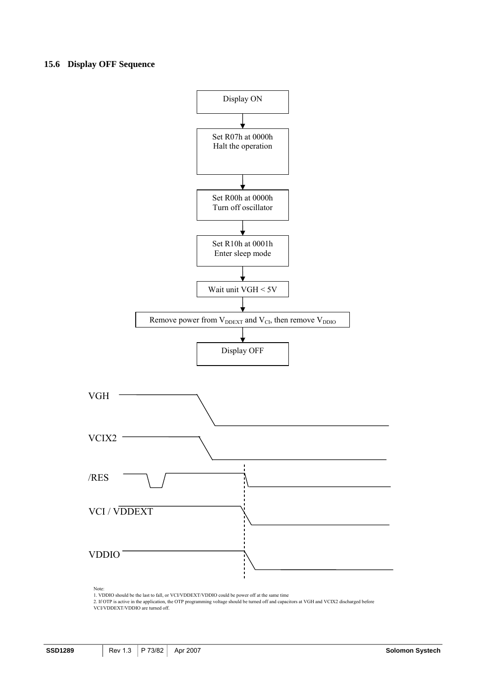#### **15.6 Display OFF Sequence**



1. VDDIO should be the last to fall, or VCI/VDDEXT/VDDIO could be power off at the same time

2. If OTP is active in the application, the OTP programming voltage should be turned off and capacitors at VGH and VCIX2 discharged before VCI/VDDEXT/VDDIO are turned off.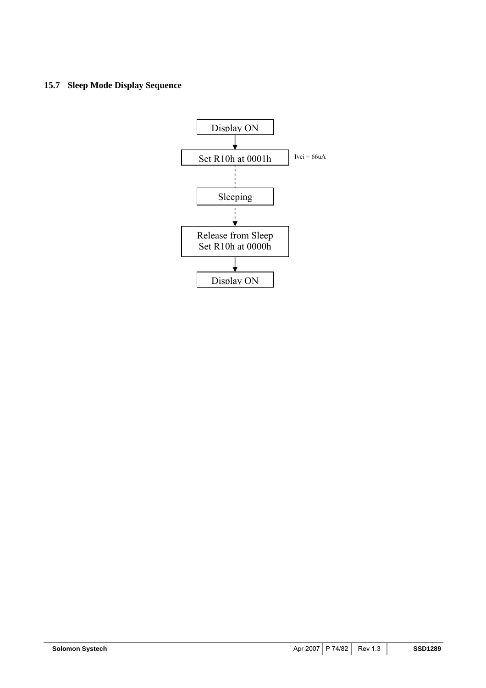## **15.7 Sleep Mode Display Sequence**

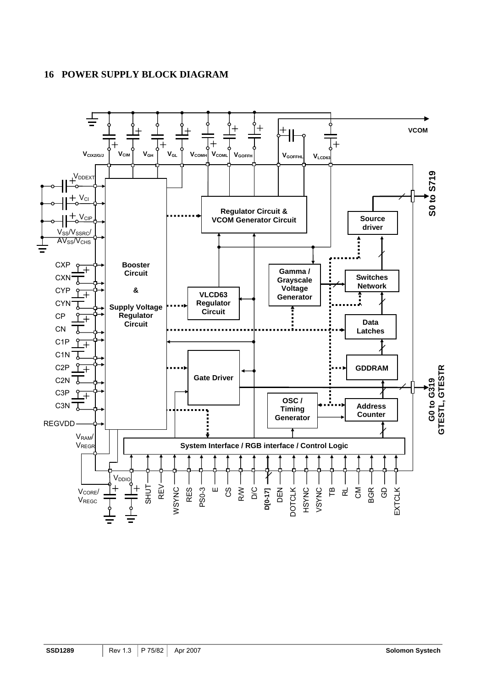# **16 POWER SUPPLY BLOCK DIAGRAM**

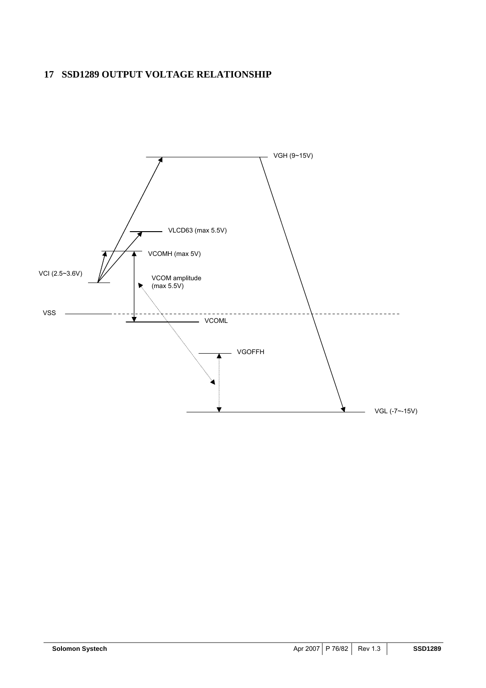# **17 SSD1289 OUTPUT VOLTAGE RELATIONSHIP**

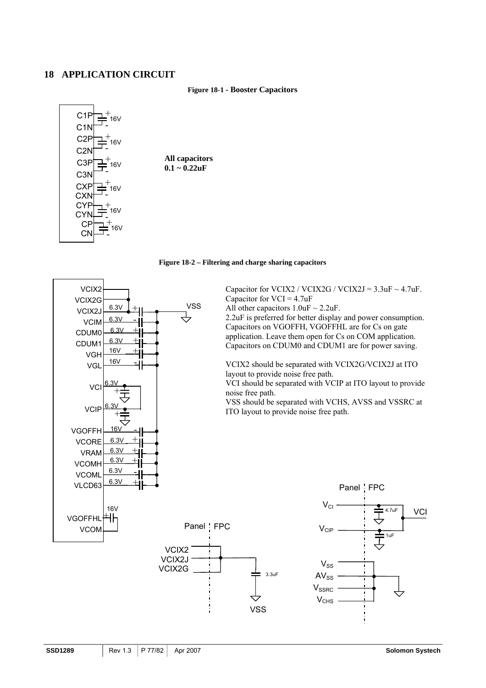### **18 APPLICATION CIRCUIT**

#### **Figure 18-1 - Booster Capacitors**



**All capacitors 0.1 ~ 0.22uF** 



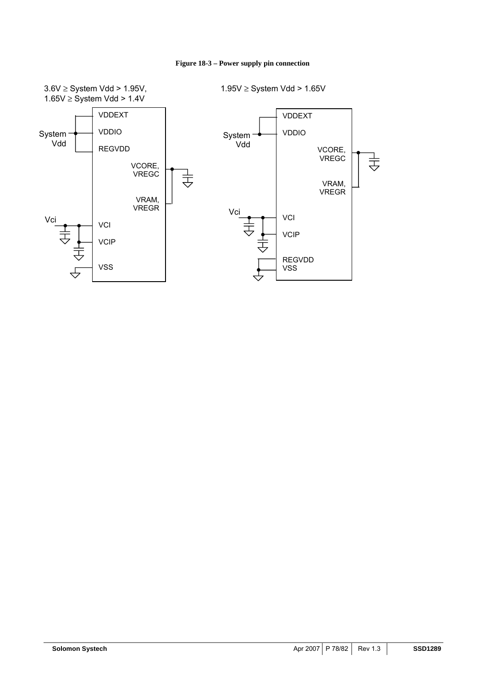

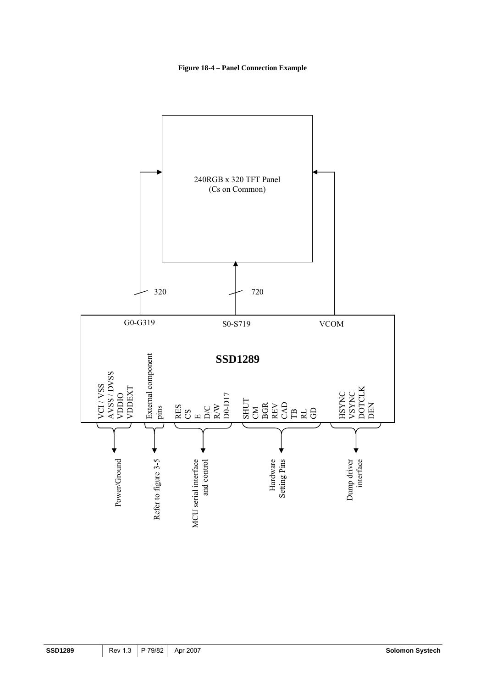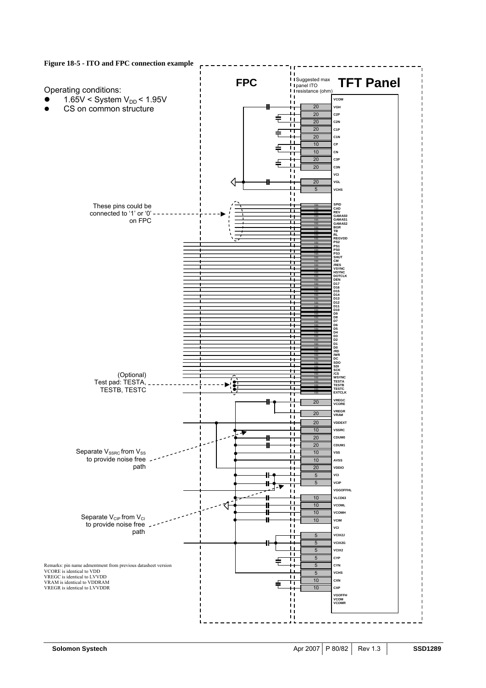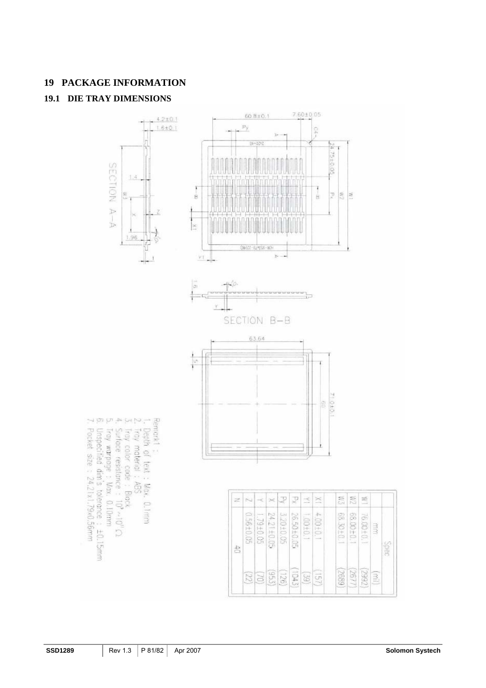# **19 PACKAGE INFORMATION 19.1 DIE TRAY DIMENSIONS**



**Coes**